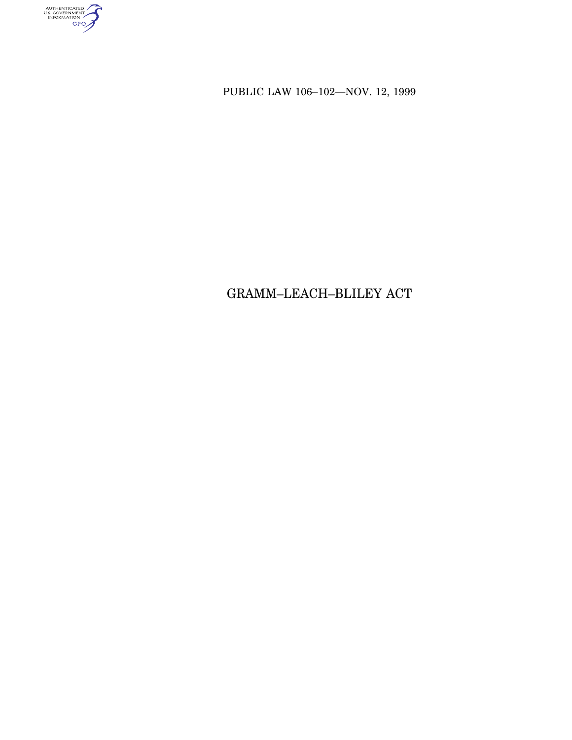AUTHENTICATED

PUBLIC LAW 106–102—NOV. 12, 1999

# GRAMM–LEACH–BLILEY ACT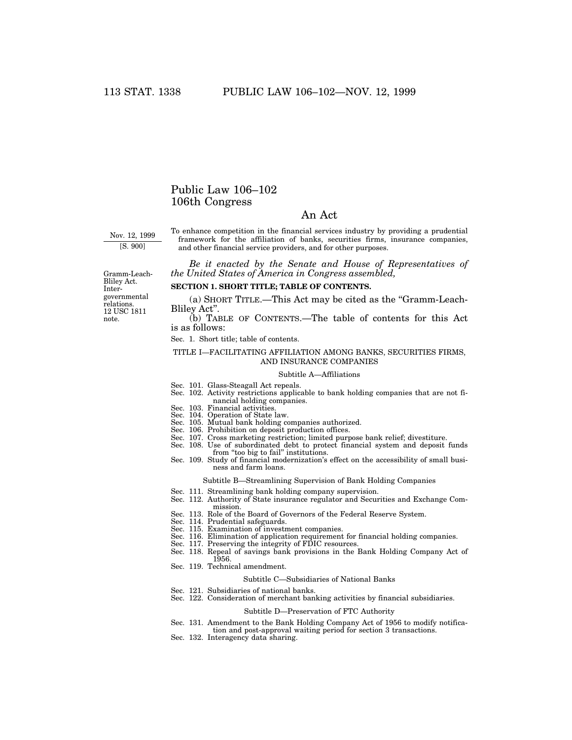# Public Law 106–102 106th Congress

## An Act

Nov. 12, 1999 [S. 900]

To enhance competition in the financial services industry by providing a prudential framework for the affiliation of banks, securities firms, insurance companies, and other financial service providers, and for other purposes.

*Be it enacted by the Senate and House of Representatives of the United States of America in Congress assembled,*

Intergovernmental relations. 12 USC 1811 note. Gramm-Leach-Bliley Act.

## **SECTION 1. SHORT TITLE; TABLE OF CONTENTS.**

(a) SHORT TITLE.—This Act may be cited as the ''Gramm-Leach-Bliley Act''.

(b) TABLE OF CONTENTS.—The table of contents for this Act is as follows:

Sec. 1. Short title; table of contents.

## TITLE I—FACILITATING AFFILIATION AMONG BANKS, SECURITIES FIRMS, AND INSURANCE COMPANIES

## Subtitle A—Affiliations

- Sec. 101. Glass-Steagall Act repeals.
- Sec. 102. Activity restrictions applicable to bank holding companies that are not financial holding companies.
- Sec. 103. Financial activities.
- Sec. 104. Operation of State law.
- Sec. 105. Mutual bank holding companies authorized.
- Sec. 106. Prohibition on deposit production offices.
- Sec. 107. Cross marketing restriction; limited purpose bank relief; divestiture.
- Sec. 108. Use of subordinated debt to protect financial system and deposit funds from "too big to fail" institutions.
- Sec. 109. Study of financial modernization's effect on the accessibility of small business and farm loans.

#### Subtitle B—Streamlining Supervision of Bank Holding Companies

- Sec. 111. Streamlining bank holding company supervision.
- Sec. 112. Authority of State insurance regulator and Securities and Exchange Commission.
- Sec. 113. Role of the Board of Governors of the Federal Reserve System.
- Sec. 114. Prudential safeguards.
- Sec. 115. Examination of investment companies.
- Sec. 116. Elimination of application requirement for financial holding companies.
- Sec. 117. Preserving the integrity of FDIC resources.
- Sec. 118. Repeal of savings bank provisions in the Bank Holding Company Act of
- 1956. Sec. 119. Technical amendment.

#### Subtitle C—Subsidiaries of National Banks

- Sec. 121. Subsidiaries of national banks.
- Sec. 122. Consideration of merchant banking activities by financial subsidiaries.

#### Subtitle D—Preservation of FTC Authority

- Sec. 131. Amendment to the Bank Holding Company Act of 1956 to modify notifica-
- tion and post-approval waiting period for section 3 transactions.
- Sec. 132. Interagency data sharing.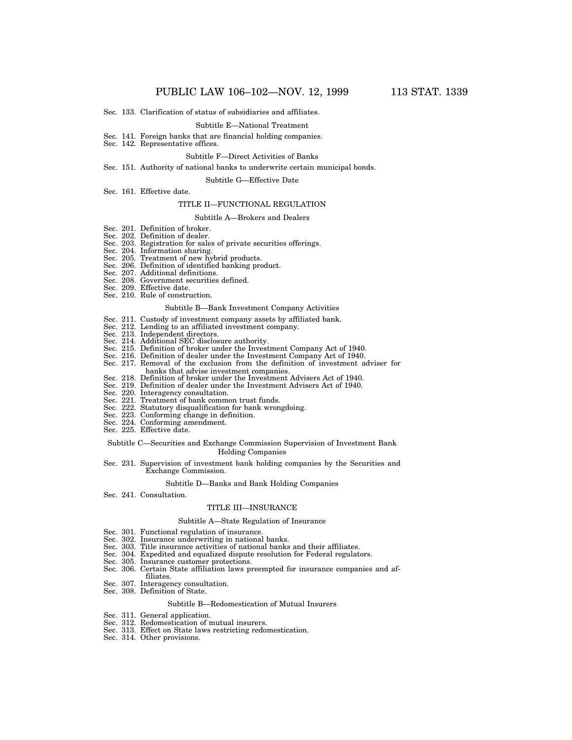Sec. 133. Clarification of status of subsidiaries and affiliates.

#### Subtitle E—National Treatment

- Sec. 141. Foreign banks that are financial holding companies.
- Sec. 142. Representative offices.

#### Subtitle F—Direct Activities of Banks

#### Sec. 151. Authority of national banks to underwrite certain municipal bonds.

### Subtitle G—Effective Date

Sec. 161. Effective date.

#### TITLE II—FUNCTIONAL REGULATION

#### Subtitle A—Brokers and Dealers

- Sec. 201. Definition of broker. Sec. 202. Definition of dealer.
- 
- Sec. 203. Registration for sales of private securities offerings.
- Sec. 204. Information sharing.
- Sec. 205. Treatment of new hybrid products.
- Sec. 206. Definition of identified banking product.
- Sec. 207. Additional definitions.
- Sec. 208. Government securities defined. Sec. 209. Effective date.
- 
- Sec. 210. Rule of construction.

#### Subtitle B—Bank Investment Company Activities

- Sec. 211. Custody of investment company assets by affiliated bank.
- Sec. 212. Lending to an affiliated investment company. Sec. 213. Independent directors.
- 
- 
- Sec. 214. Additional SEC disclosure authority. Sec. 215. Definition of broker under the Investment Company Act of 1940.
- 
- Sec. 216. Definition of dealer under the Investment Company Act of 1940. Sec. 217. Removal of the exclusion from the definition of investment adviser for
- banks that advise investment companies. Sec. 218. Definition of broker under the Investment Advisers Act of 1940.
- Sec. 219. Definition of dealer under the Investment Advisers Act of 1940.
- 
- Sec. 220. Interagency consultation. Sec. 221. Treatment of bank common trust funds.
- Sec. 222. Statutory disqualification for bank wrongdoing.
- Sec. 223. Conforming change in definition.
- 
- Sec. 224. Conforming amendment. Sec. 225. Effective date.

## Subtitle C—Securities and Exchange Commission Supervision of Investment Bank Holding Companies

Sec. 231. Supervision of investment bank holding companies by the Securities and Exchange Commission.

#### Subtitle D—Banks and Bank Holding Companies

Sec. 241. Consultation.

#### TITLE III—INSURANCE

#### Subtitle A—State Regulation of Insurance

- Sec. 301. Functional regulation of insurance.
- Sec. 302. Insurance underwriting in national banks.
- Sec. 303. Title insurance activities of national banks and their affiliates.
- Sec. 304. Expedited and equalized dispute resolution for Federal regulators.
- Sec. 305. Insurance customer protections.
- Sec. 306. Certain State affiliation laws preempted for insurance companies and af-
- filiates.
- Sec. 307. Interagency consultation. Sec. 308. Definition of State.
- 

#### Subtitle B—Redomestication of Mutual Insurers

- Sec. 311. General application.
- Sec. 312. Redomestication of mutual insurers.
- Sec. 313. Effect on State laws restricting redomestication. Sec. 314. Other provisions.
-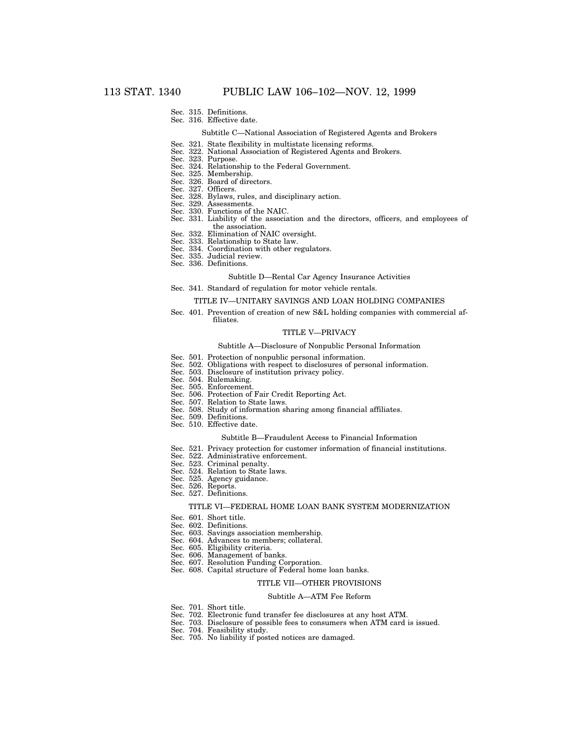- Sec. 315. Definitions.
- Sec. 316. Effective date.

#### Subtitle C—National Association of Registered Agents and Brokers

- Sec. 321. State flexibility in multistate licensing reforms.
- Sec. 322. National Association of Registered Agents and Brokers.
- Sec. 323. Purpose.
- Sec. 324. Relationship to the Federal Government.
- Sec. 325. Membership.
- Sec. 326. Board of directors. Sec. 327. Officers.
- Sec. 328. Bylaws, rules, and disciplinary action.
- Sec. 329. Assessments.
- Sec. 330. Functions of the NAIC.
- Sec. 331. Liability of the association and the directors, officers, and employees of the association.
- Sec. 332. Elimination of NAIC oversight.
- Sec. 333. Relationship to State law.
- Sec. 334. Coordination with other regulators.
- Sec. 335. Judicial review.
- Sec. 336. Definitions.

## Subtitle D—Rental Car Agency Insurance Activities

Sec. 341. Standard of regulation for motor vehicle rentals.

#### LE IV—UNITARY SAVINGS AND LOAN HOLDING COMPANIES

Sec. 401. Prevention of creation of new S&L holding companies with commercial affiliates.

## TITLE V—PRIVACY

## Subtitle A—Disclosure of Nonpublic Personal Information

- Sec. 501. Protection of nonpublic personal information.
- Sec. 502. Obligations with respect to disclosures of personal information.
- Sec. 503. Disclosure of institution privacy policy.
- Sec. 504. Rulemaking.
- Sec. 505. Enforcement.
- Sec. 506. Protection of Fair Credit Reporting Act.
- Sec. 507. Relation to State laws.
- Sec. 508. Study of information sharing among financial affiliates.
- Sec. 509. Definitions.
- Sec. 510. Effective date.

## Subtitle B—Fraudulent Access to Financial Information

- Sec. 521. Privacy protection for customer information of financial institutions.
- Sec. 522. Administrative enforcement.
- Sec. 523. Criminal penalty.
- Sec. 524. Relation to State laws.
- Sec. 525. Agency guidance.
- Sec. 526. Reports.
- Sec. 527. Definitions.

#### TITLE VI—FEDERAL HOME LOAN BANK SYSTEM MODERNIZATION

- Sec. 601. Short title.
- Sec. 602. Definitions.
- Sec. 603. Savings association membership.
- Sec. 604. Advances to members; collateral.
- Sec. 605. Eligibility criteria.
- Sec. 606. Management of banks.
- Sec. 607. Resolution Funding Corporation.
- Sec. 608. Capital structure of Federal home loan banks.

#### TITLE VII—OTHER PROVISIONS

#### Subtitle A—ATM Fee Reform

- Sec. 701. Short title.
- Sec. 702. Electronic fund transfer fee disclosures at any host ATM.
- Sec. 703. Disclosure of possible fees to consumers when ATM card is issued.
- Sec. 704. Feasibility study.
- Sec. 705. No liability if posted notices are damaged.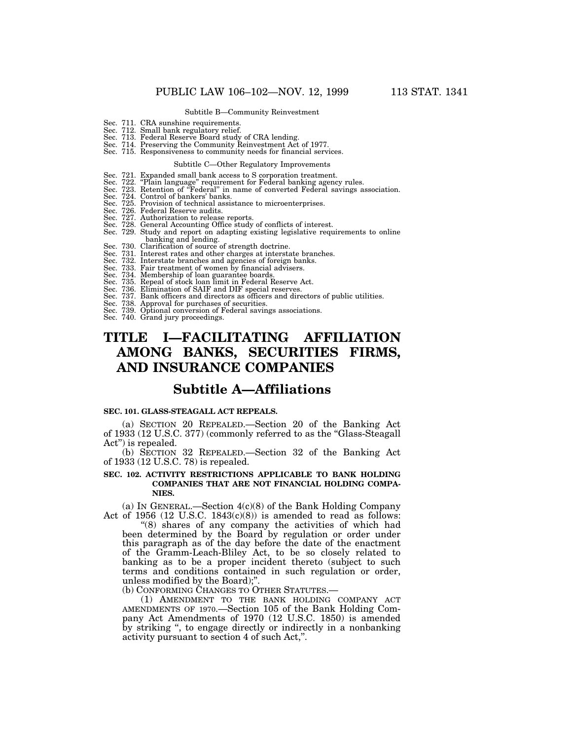#### Subtitle B—Community Reinvestment

- Sec. 711. CRA sunshine requirements.
- Sec. 712. Small bank regulatory relief.
- Sec. 713. Federal Reserve Board study of CRA lending.
- Sec. 714. Preserving the Community Reinvestment Act of 1977. Sec. 715. Responsiveness to community needs for financial services.

# Subtitle C—Other Regulatory Improvements

- Sec. 721. Expanded small bank access to S corporation treatment.
- 
- Sec. 722. ''Plain language'' requirement for Federal banking agency rules. Sec. 723. Retention of ''Federal'' in name of converted Federal savings association.
- 
- Sec. 724. Control of bankers' banks. Sec. 725. Provision of technical assistance to microenterprises. Sec. 726. Federal Reserve audits.
- 
- Sec. 727. Authorization to release reports.
- 
- Sec. 728. General Accounting Office study of conflicts of interest. Sec. 729. Study and report on adapting existing legislative requirements to online banking and lending.
- Sec. 730. Clarification of source of strength doctrine.
- Sec. 731. Interest rates and other charges at interstate branches.
- Sec. 732. Interstate branches and agencies of foreign banks.
- 
- 
- 
- Sec. 733. Fair treatment of women by financial advisers.<br>Sec. 734. Membership of loan guarantee boards.<br>Sec. 735. Repeal of stock loan limit in Federal Reserve Act.<br>Sec. 736. Elimination of SAIF and DIF special reserves.<br>S
- 
- Sec. 738. Approval for purchases of securities. Sec. 739. Optional conversion of Federal savings associations.
- 
- Sec. 740. Grand jury proceedings.

# **TITLE I—FACILITATING AFFILIATION AMONG BANKS, SECURITIES FIRMS, AND INSURANCE COMPANIES**

# **Subtitle A—Affiliations**

## **SEC. 101. GLASS-STEAGALL ACT REPEALS.**

(a) SECTION 20 REPEALED.—Section 20 of the Banking Act of 1933 (12 U.S.C. 377) (commonly referred to as the ''Glass-Steagall Act'') is repealed.

(b) SECTION 32 REPEALED.—Section 32 of the Banking Act of 1933 (12 U.S.C. 78) is repealed.

## **SEC. 102. ACTIVITY RESTRICTIONS APPLICABLE TO BANK HOLDING COMPANIES THAT ARE NOT FINANCIAL HOLDING COMPA-NIES.**

(a) IN GENERAL.—Section  $4(c)(8)$  of the Bank Holding Company Act of 1956 (12 U.S.C. 1843 $(c)(8)$ ) is amended to read as follows:

''(8) shares of any company the activities of which had been determined by the Board by regulation or order under this paragraph as of the day before the date of the enactment of the Gramm-Leach-Bliley Act, to be so closely related to banking as to be a proper incident thereto (subject to such terms and conditions contained in such regulation or order, unless modified by the Board);''.

(b) CONFORMING CHANGES TO OTHER STATUTES.—

(1) AMENDMENT TO THE BANK HOLDING COMPANY ACT AMENDMENTS OF 1970.—Section 105 of the Bank Holding Company Act Amendments of 1970 (12 U.S.C. 1850) is amended by striking '', to engage directly or indirectly in a nonbanking activity pursuant to section 4 of such Act,''.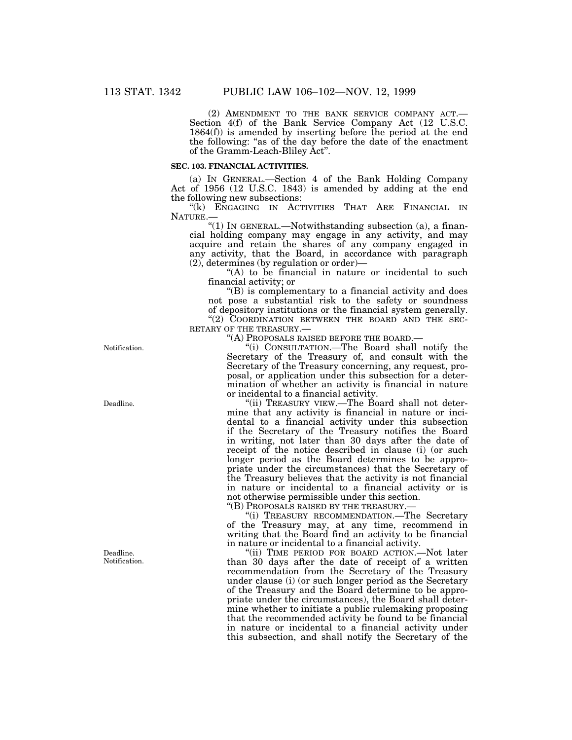(2) AMENDMENT TO THE BANK SERVICE COMPANY ACT.— Section 4(f) of the Bank Service Company Act (12 U.S.C.  $1864(f)$  is amended by inserting before the period at the end the following: ''as of the day before the date of the enactment of the Gramm-Leach-Bliley Act''.

## **SEC. 103. FINANCIAL ACTIVITIES.**

(a) IN GENERAL.—Section 4 of the Bank Holding Company Act of 1956 (12 U.S.C. 1843) is amended by adding at the end the following new subsections:

''(k) ENGAGING IN ACTIVITIES THAT ARE FINANCIAL IN NATURE.—

''(1) IN GENERAL.—Notwithstanding subsection (a), a financial holding company may engage in any activity, and may acquire and retain the shares of any company engaged in any activity, that the Board, in accordance with paragraph (2), determines (by regulation or order)—

"(A) to be financial in nature or incidental to such financial activity; or

''(B) is complementary to a financial activity and does not pose a substantial risk to the safety or soundness of depository institutions or the financial system generally. "(2) COORDINATION BETWEEN THE BOARD AND THE SEC-RETARY OF THE TREASURY.—

''(A) PROPOSALS RAISED BEFORE THE BOARD.—

''(i) CONSULTATION.—The Board shall notify the Secretary of the Treasury of, and consult with the Secretary of the Treasury concerning, any request, proposal, or application under this subsection for a determination of whether an activity is financial in nature or incidental to a financial activity.

''(ii) TREASURY VIEW.—The Board shall not determine that any activity is financial in nature or incidental to a financial activity under this subsection if the Secretary of the Treasury notifies the Board in writing, not later than 30 days after the date of receipt of the notice described in clause (i) (or such longer period as the Board determines to be appropriate under the circumstances) that the Secretary of the Treasury believes that the activity is not financial in nature or incidental to a financial activity or is not otherwise permissible under this section.

''(B) PROPOSALS RAISED BY THE TREASURY.—

''(i) TREASURY RECOMMENDATION.—The Secretary of the Treasury may, at any time, recommend in writing that the Board find an activity to be financial in nature or incidental to a financial activity.

''(ii) TIME PERIOD FOR BOARD ACTION.—Not later than 30 days after the date of receipt of a written recommendation from the Secretary of the Treasury under clause (i) (or such longer period as the Secretary of the Treasury and the Board determine to be appropriate under the circumstances), the Board shall determine whether to initiate a public rulemaking proposing that the recommended activity be found to be financial in nature or incidental to a financial activity under this subsection, and shall notify the Secretary of the

Notification.

Deadline.

Deadline. Notification.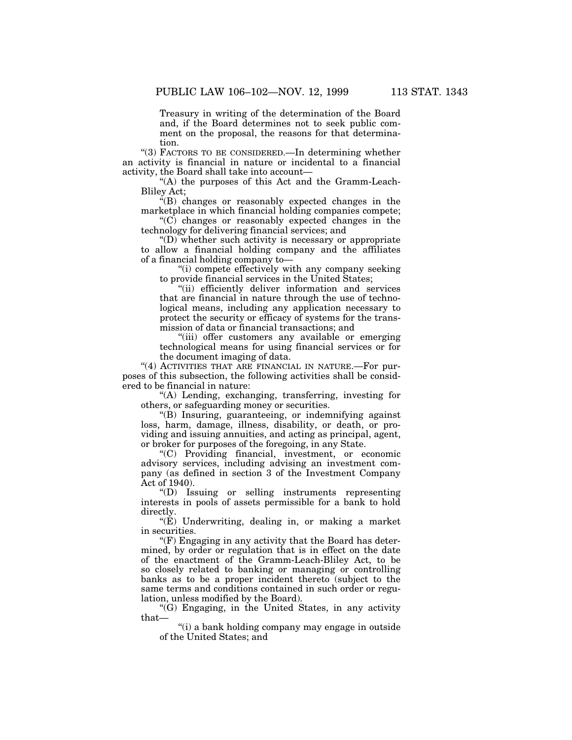Treasury in writing of the determination of the Board and, if the Board determines not to seek public comment on the proposal, the reasons for that determination.

''(3) FACTORS TO BE CONSIDERED.—In determining whether an activity is financial in nature or incidental to a financial activity, the Board shall take into account—

"(A) the purposes of this Act and the Gramm-Leach-Bliley Act;

''(B) changes or reasonably expected changes in the marketplace in which financial holding companies compete;

 $(C)$  changes or reasonably expected changes in the technology for delivering financial services; and

''(D) whether such activity is necessary or appropriate to allow a financial holding company and the affiliates of a financial holding company to—

''(i) compete effectively with any company seeking to provide financial services in the United States;

''(ii) efficiently deliver information and services that are financial in nature through the use of technological means, including any application necessary to protect the security or efficacy of systems for the transmission of data or financial transactions; and

''(iii) offer customers any available or emerging technological means for using financial services or for the document imaging of data.

"(4) ACTIVITIES THAT ARE FINANCIAL IN NATURE.-For purposes of this subsection, the following activities shall be considered to be financial in nature:

''(A) Lending, exchanging, transferring, investing for others, or safeguarding money or securities.

''(B) Insuring, guaranteeing, or indemnifying against loss, harm, damage, illness, disability, or death, or providing and issuing annuities, and acting as principal, agent, or broker for purposes of the foregoing, in any State.

''(C) Providing financial, investment, or economic advisory services, including advising an investment company (as defined in section 3 of the Investment Company Act of 1940).

''(D) Issuing or selling instruments representing interests in pools of assets permissible for a bank to hold directly.

" $(E)$  Underwriting, dealing in, or making a market in securities.

''(F) Engaging in any activity that the Board has determined, by order or regulation that is in effect on the date of the enactment of the Gramm-Leach-Bliley Act, to be so closely related to banking or managing or controlling banks as to be a proper incident thereto (subject to the same terms and conditions contained in such order or regulation, unless modified by the Board).

 $C'(G)$  Engaging, in the United States, in any activity that—

''(i) a bank holding company may engage in outside of the United States; and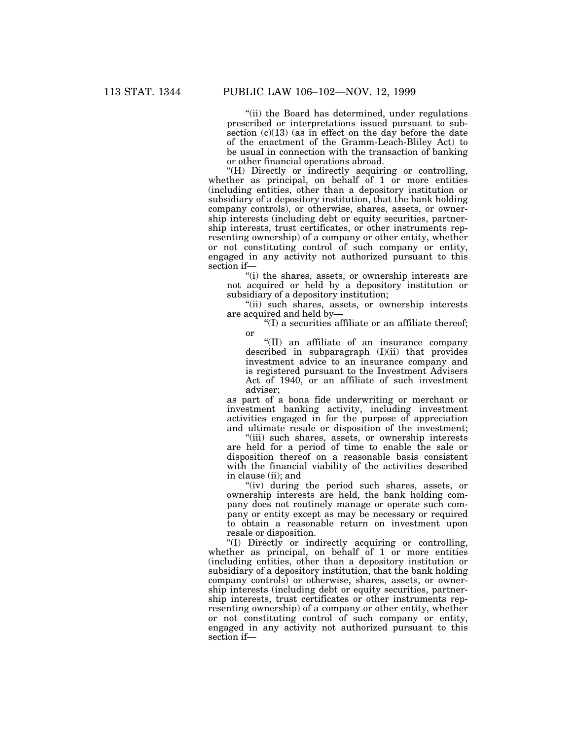"(ii) the Board has determined, under regulations prescribed or interpretations issued pursuant to subsection  $(c)(13)$  (as in effect on the day before the date of the enactment of the Gramm-Leach-Bliley Act) to be usual in connection with the transaction of banking or other financial operations abroad.

''(H) Directly or indirectly acquiring or controlling, whether as principal, on behalf of 1 or more entities (including entities, other than a depository institution or subsidiary of a depository institution, that the bank holding company controls), or otherwise, shares, assets, or ownership interests (including debt or equity securities, partnership interests, trust certificates, or other instruments representing ownership) of a company or other entity, whether or not constituting control of such company or entity, engaged in any activity not authorized pursuant to this section if—

''(i) the shares, assets, or ownership interests are not acquired or held by a depository institution or subsidiary of a depository institution;

"(ii) such shares, assets, or ownership interests are acquired and held by—

''(I) a securities affiliate or an affiliate thereof; or

''(II) an affiliate of an insurance company described in subparagraph (I)(ii) that provides investment advice to an insurance company and is registered pursuant to the Investment Advisers Act of 1940, or an affiliate of such investment adviser;

as part of a bona fide underwriting or merchant or investment banking activity, including investment activities engaged in for the purpose of appreciation and ultimate resale or disposition of the investment;

"(iii) such shares, assets, or ownership interests are held for a period of time to enable the sale or disposition thereof on a reasonable basis consistent with the financial viability of the activities described in clause (ii); and

''(iv) during the period such shares, assets, or ownership interests are held, the bank holding company does not routinely manage or operate such company or entity except as may be necessary or required to obtain a reasonable return on investment upon resale or disposition.

''(I) Directly or indirectly acquiring or controlling, whether as principal, on behalf of 1 or more entities (including entities, other than a depository institution or subsidiary of a depository institution, that the bank holding company controls) or otherwise, shares, assets, or ownership interests (including debt or equity securities, partnership interests, trust certificates or other instruments representing ownership) of a company or other entity, whether or not constituting control of such company or entity, engaged in any activity not authorized pursuant to this section if—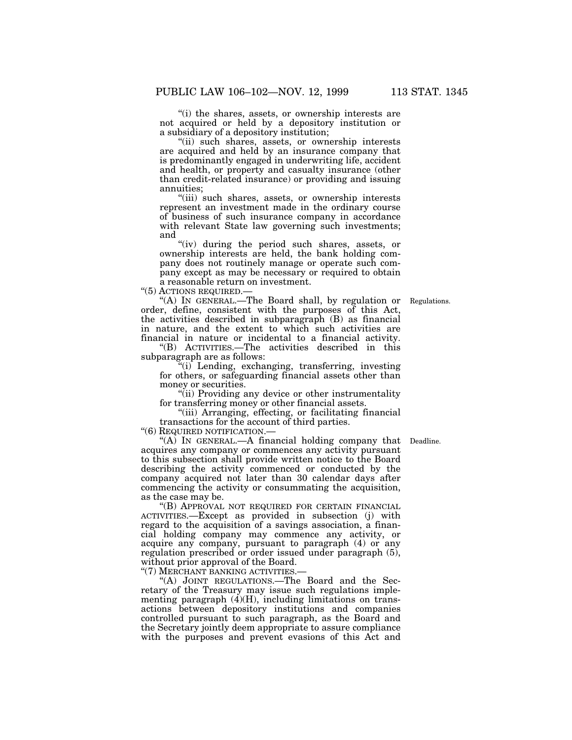''(i) the shares, assets, or ownership interests are not acquired or held by a depository institution or a subsidiary of a depository institution;

''(ii) such shares, assets, or ownership interests are acquired and held by an insurance company that is predominantly engaged in underwriting life, accident and health, or property and casualty insurance (other than credit-related insurance) or providing and issuing annuities;

''(iii) such shares, assets, or ownership interests represent an investment made in the ordinary course of business of such insurance company in accordance with relevant State law governing such investments; and

"(iv) during the period such shares, assets, or ownership interests are held, the bank holding company does not routinely manage or operate such company except as may be necessary or required to obtain a reasonable return on investment.

''(5) ACTIONS REQUIRED.—

"(A) IN GENERAL.—The Board shall, by regulation or Regulations. order, define, consistent with the purposes of this Act, the activities described in subparagraph (B) as financial in nature, and the extent to which such activities are financial in nature or incidental to a financial activity.

''(B) ACTIVITIES.—The activities described in this subparagraph are as follows:

''(i) Lending, exchanging, transferring, investing for others, or safeguarding financial assets other than money or securities.

''(ii) Providing any device or other instrumentality for transferring money or other financial assets.

"(iii) Arranging, effecting, or facilitating financial transactions for the account of third parties.

''(6) REQUIRED NOTIFICATION.—

"(A) IN GENERAL.—A financial holding company that Deadline. acquires any company or commences any activity pursuant to this subsection shall provide written notice to the Board describing the activity commenced or conducted by the company acquired not later than 30 calendar days after commencing the activity or consummating the acquisition, as the case may be.

''(B) APPROVAL NOT REQUIRED FOR CERTAIN FINANCIAL ACTIVITIES.—Except as provided in subsection (j) with regard to the acquisition of a savings association, a financial holding company may commence any activity, or acquire any company, pursuant to paragraph (4) or any regulation prescribed or order issued under paragraph (5), without prior approval of the Board.

"(7) MERCHANT BANKING ACTIVITIES.

''(A) JOINT REGULATIONS.—The Board and the Secretary of the Treasury may issue such regulations implementing paragraph  $(4)(H)$ , including limitations on transactions between depository institutions and companies controlled pursuant to such paragraph, as the Board and the Secretary jointly deem appropriate to assure compliance with the purposes and prevent evasions of this Act and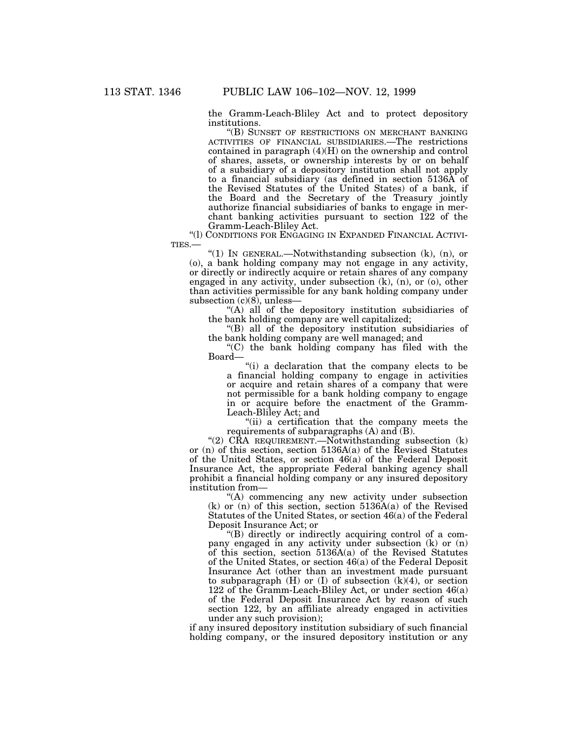the Gramm-Leach-Bliley Act and to protect depository institutions.

''(B) SUNSET OF RESTRICTIONS ON MERCHANT BANKING ACTIVITIES OF FINANCIAL SUBSIDIARIES.—The restrictions contained in paragraph (4)(H) on the ownership and control of shares, assets, or ownership interests by or on behalf of a subsidiary of a depository institution shall not apply to a financial subsidiary (as defined in section 5136A of the Revised Statutes of the United States) of a bank, if the Board and the Secretary of the Treasury jointly authorize financial subsidiaries of banks to engage in merchant banking activities pursuant to section 122 of the Gramm-Leach-Bliley Act.

''(l) CONDITIONS FOR ENGAGING IN EXPANDED FINANCIAL ACTIVI-TIES.—

" $(1)$  In GENERAL.—Notwithstanding subsection  $(k)$ ,  $(n)$ , or (o), a bank holding company may not engage in any activity, or directly or indirectly acquire or retain shares of any company engaged in any activity, under subsection (k), (n), or (o), other than activities permissible for any bank holding company under subsection  $(c)(8)$ , unless–

''(A) all of the depository institution subsidiaries of the bank holding company are well capitalized;

''(B) all of the depository institution subsidiaries of the bank holding company are well managed; and

''(C) the bank holding company has filed with the Board—

"(i) a declaration that the company elects to be a financial holding company to engage in activities or acquire and retain shares of a company that were not permissible for a bank holding company to engage in or acquire before the enactment of the Gramm-Leach-Bliley Act; and

"(ii) a certification that the company meets the requirements of subparagraphs  $(A)$  and  $(B)$ .

"(2) CRA REQUIREMENT.—Notwithstanding subsection (k) or (n) of this section, section 5136A(a) of the Revised Statutes of the United States, or section 46(a) of the Federal Deposit Insurance Act, the appropriate Federal banking agency shall prohibit a financial holding company or any insured depository institution from—

''(A) commencing any new activity under subsection  $(k)$  or  $(n)$  of this section, section 5136A(a) of the Revised Statutes of the United States, or section 46(a) of the Federal Deposit Insurance Act; or

''(B) directly or indirectly acquiring control of a company engaged in any activity under subsection (k) or (n) of this section, section 5136A(a) of the Revised Statutes of the United States, or section 46(a) of the Federal Deposit Insurance Act (other than an investment made pursuant to subparagraph  $(H)$  or  $(I)$  of subsection  $(k)(4)$ , or section 122 of the Gramm-Leach-Bliley Act, or under section 46(a) of the Federal Deposit Insurance Act by reason of such section 122, by an affiliate already engaged in activities under any such provision);

if any insured depository institution subsidiary of such financial holding company, or the insured depository institution or any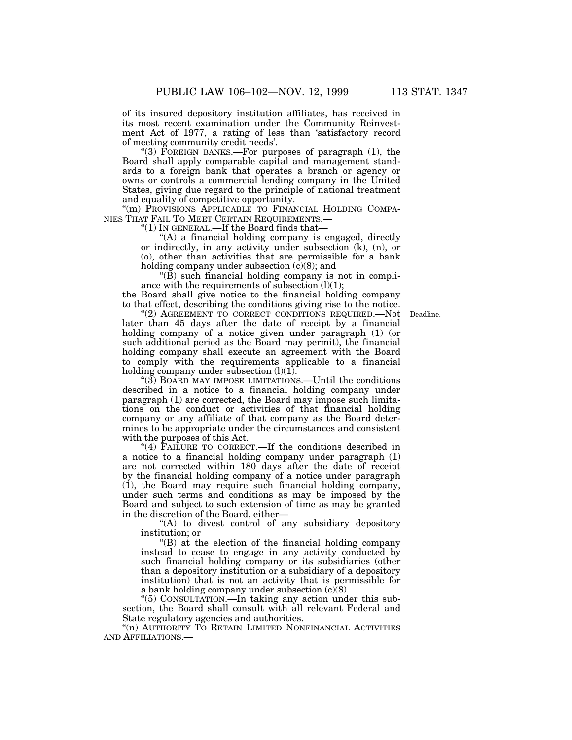of its insured depository institution affiliates, has received in its most recent examination under the Community Reinvestment Act of 1977, a rating of less than 'satisfactory record of meeting community credit needs'.

''(3) FOREIGN BANKS.—For purposes of paragraph (1), the Board shall apply comparable capital and management standards to a foreign bank that operates a branch or agency or owns or controls a commercial lending company in the United States, giving due regard to the principle of national treatment and equality of competitive opportunity.

"(m) PROVISIONS APPLICABLE TO FINANCIAL HOLDING COMPA-NIES THAT FAIL TO MEET CERTAIN REQUIREMENTS.—

''(1) IN GENERAL.—If the Board finds that—

 $(A)$  a financial holding company is engaged, directly or indirectly, in any activity under subsection (k), (n), or (o), other than activities that are permissible for a bank holding company under subsection  $(c)(8)$ ; and

 $\mathcal{L}(B)$  such financial holding company is not in compliance with the requirements of subsection  $(l)(1)$ ;

the Board shall give notice to the financial holding company to that effect, describing the conditions giving rise to the notice.

Deadline.

''(2) AGREEMENT TO CORRECT CONDITIONS REQUIRED.—Not later than 45 days after the date of receipt by a financial holding company of a notice given under paragraph (1) (or such additional period as the Board may permit), the financial holding company shall execute an agreement with the Board to comply with the requirements applicable to a financial holding company under subsection  $(l)(1)$ .

" $(3)$  BOARD MAY IMPOSE LIMITATIONS.—Until the conditions described in a notice to a financial holding company under paragraph (1) are corrected, the Board may impose such limitations on the conduct or activities of that financial holding company or any affiliate of that company as the Board determines to be appropriate under the circumstances and consistent with the purposes of this Act.

"(4) FAILURE TO CORRECT.—If the conditions described in a notice to a financial holding company under paragraph (1) are not corrected within 180 days after the date of receipt by the financial holding company of a notice under paragraph (1), the Board may require such financial holding company, under such terms and conditions as may be imposed by the Board and subject to such extension of time as may be granted in the discretion of the Board, either—

''(A) to divest control of any subsidiary depository institution; or

''(B) at the election of the financial holding company instead to cease to engage in any activity conducted by such financial holding company or its subsidiaries (other than a depository institution or a subsidiary of a depository institution) that is not an activity that is permissible for a bank holding company under subsection (c)(8).

''(5) CONSULTATION.—In taking any action under this subsection, the Board shall consult with all relevant Federal and State regulatory agencies and authorities.

"(n) AUTHORITY TO RETAIN LIMITED NONFINANCIAL ACTIVITIES AND AFFILIATIONS.—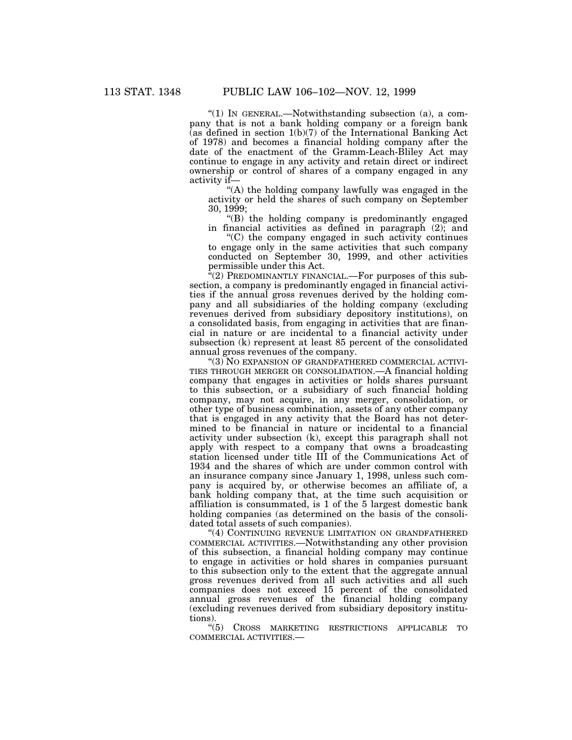" $(1)$  In GENERAL.—Notwithstanding subsection  $(a)$ , a company that is not a bank holding company or a foreign bank (as defined in section  $1(b)(7)$  of the International Banking Act of 1978) and becomes a financial holding company after the date of the enactment of the Gramm-Leach-Bliley Act may continue to engage in any activity and retain direct or indirect ownership or control of shares of a company engaged in any activity if—

''(A) the holding company lawfully was engaged in the activity or held the shares of such company on September 30, 1999;

''(B) the holding company is predominantly engaged in financial activities as defined in paragraph (2); and

 $(C)$  the company engaged in such activity continues to engage only in the same activities that such company conducted on September 30, 1999, and other activities permissible under this Act.

 $\sqrt[\alpha]{2}$  PREDOMINANTLY FINANCIAL.—For purposes of this subsection, a company is predominantly engaged in financial activities if the annual gross revenues derived by the holding company and all subsidiaries of the holding company (excluding revenues derived from subsidiary depository institutions), on a consolidated basis, from engaging in activities that are financial in nature or are incidental to a financial activity under subsection (k) represent at least 85 percent of the consolidated annual gross revenues of the company.

''(3) NO EXPANSION OF GRANDFATHERED COMMERCIAL ACTIVI-TIES THROUGH MERGER OR CONSOLIDATION.—A financial holding company that engages in activities or holds shares pursuant to this subsection, or a subsidiary of such financial holding company, may not acquire, in any merger, consolidation, or other type of business combination, assets of any other company that is engaged in any activity that the Board has not determined to be financial in nature or incidental to a financial activity under subsection (k), except this paragraph shall not apply with respect to a company that owns a broadcasting station licensed under title III of the Communications Act of 1934 and the shares of which are under common control with an insurance company since January 1, 1998, unless such company is acquired by, or otherwise becomes an affiliate of, a bank holding company that, at the time such acquisition or affiliation is consummated, is 1 of the 5 largest domestic bank holding companies (as determined on the basis of the consolidated total assets of such companies).

''(4) CONTINUING REVENUE LIMITATION ON GRANDFATHERED COMMERCIAL ACTIVITIES.—Notwithstanding any other provision of this subsection, a financial holding company may continue to engage in activities or hold shares in companies pursuant to this subsection only to the extent that the aggregate annual gross revenues derived from all such activities and all such companies does not exceed 15 percent of the consolidated annual gross revenues of the financial holding company (excluding revenues derived from subsidiary depository institutions).<br> $\frac{u(5)}{2}$ 

CROSS MARKETING RESTRICTIONS APPLICABLE TO COMMERCIAL ACTIVITIES.—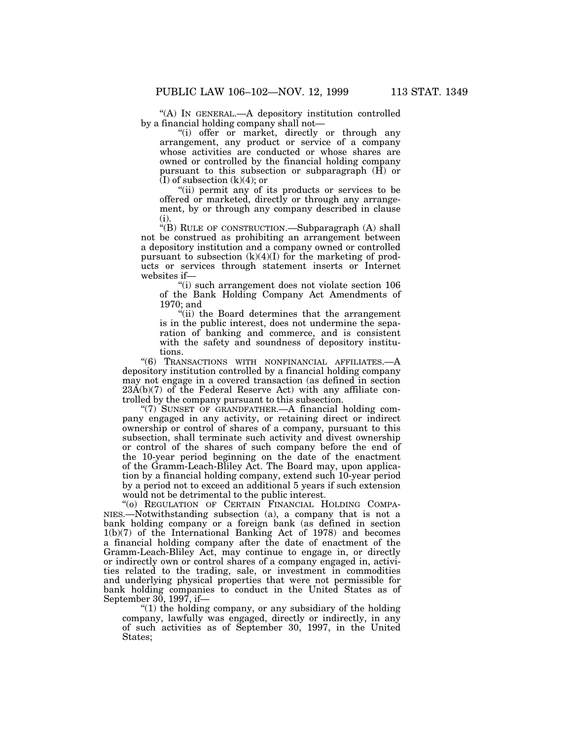''(A) IN GENERAL.—A depository institution controlled by a financial holding company shall not—

''(i) offer or market, directly or through any arrangement, any product or service of a company whose activities are conducted or whose shares are owned or controlled by the financial holding company pursuant to this subsection or subparagraph (H) or  $\bar{I}$ ) of subsection  $(k)(4)$ ; or

''(ii) permit any of its products or services to be offered or marketed, directly or through any arrangement, by or through any company described in clause (i).

''(B) RULE OF CONSTRUCTION.—Subparagraph (A) shall not be construed as prohibiting an arrangement between a depository institution and a company owned or controlled pursuant to subsection  $(k)(4)(I)$  for the marketing of products or services through statement inserts or Internet websites if—

''(i) such arrangement does not violate section 106 of the Bank Holding Company Act Amendments of 1970; and

''(ii) the Board determines that the arrangement is in the public interest, does not undermine the separation of banking and commerce, and is consistent with the safety and soundness of depository institutions.

"(6) TRANSACTIONS WITH NONFINANCIAL AFFILIATES.-- A depository institution controlled by a financial holding company may not engage in a covered transaction (as defined in section  $23A(b)(7)$  of the Federal Reserve Act) with any affiliate controlled by the company pursuant to this subsection.

"(7) SUNSET OF GRANDFATHER.—A financial holding company engaged in any activity, or retaining direct or indirect ownership or control of shares of a company, pursuant to this subsection, shall terminate such activity and divest ownership or control of the shares of such company before the end of the 10-year period beginning on the date of the enactment of the Gramm-Leach-Bliley Act. The Board may, upon application by a financial holding company, extend such 10-year period by a period not to exceed an additional 5 years if such extension would not be detrimental to the public interest.

''(o) REGULATION OF CERTAIN FINANCIAL HOLDING COMPA-NIES.—Notwithstanding subsection (a), a company that is not a bank holding company or a foreign bank (as defined in section 1(b)(7) of the International Banking Act of 1978) and becomes a financial holding company after the date of enactment of the Gramm-Leach-Bliley Act, may continue to engage in, or directly or indirectly own or control shares of a company engaged in, activities related to the trading, sale, or investment in commodities and underlying physical properties that were not permissible for bank holding companies to conduct in the United States as of September  $3\overline{0}$ , 1997, if-

 $(1)$  the holding company, or any subsidiary of the holding company, lawfully was engaged, directly or indirectly, in any of such activities as of September 30, 1997, in the United States;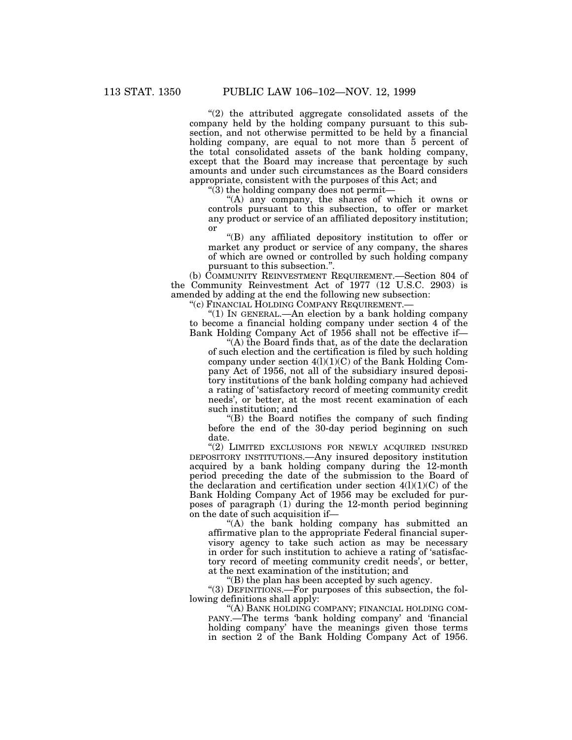"(2) the attributed aggregate consolidated assets of the company held by the holding company pursuant to this subsection, and not otherwise permitted to be held by a financial holding company, are equal to not more than 5 percent of the total consolidated assets of the bank holding company, except that the Board may increase that percentage by such amounts and under such circumstances as the Board considers appropriate, consistent with the purposes of this Act; and

 $\sqrt{\frac{3}{3}}$  the holding company does not permit—

''(A) any company, the shares of which it owns or controls pursuant to this subsection, to offer or market any product or service of an affiliated depository institution; or

 $f(B)$  any affiliated depository institution to offer or market any product or service of any company, the shares of which are owned or controlled by such holding company pursuant to this subsection.''.

(b) COMMUNITY REINVESTMENT REQUIREMENT.—Section 804 of the Community Reinvestment Act of 1977 (12 U.S.C. 2903) is amended by adding at the end the following new subsection:

"(c) FINANCIAL HOLDING COMPANY REQUIREMENT.

''(1) IN GENERAL.—An election by a bank holding company to become a financial holding company under section 4 of the Bank Holding Company Act of 1956 shall not be effective if—

''(A) the Board finds that, as of the date the declaration of such election and the certification is filed by such holding company under section  $4(1)(1)(C)$  of the Bank Holding Company Act of 1956, not all of the subsidiary insured depository institutions of the bank holding company had achieved a rating of 'satisfactory record of meeting community credit needs', or better, at the most recent examination of each such institution; and

''(B) the Board notifies the company of such finding before the end of the 30-day period beginning on such date.

''(2) LIMITED EXCLUSIONS FOR NEWLY ACQUIRED INSURED DEPOSITORY INSTITUTIONS.—Any insured depository institution acquired by a bank holding company during the 12-month period preceding the date of the submission to the Board of the declaration and certification under section  $4(1)(1)(C)$  of the Bank Holding Company Act of 1956 may be excluded for purposes of paragraph (1) during the 12-month period beginning on the date of such acquisition if—

"(A) the bank holding company has submitted an affirmative plan to the appropriate Federal financial supervisory agency to take such action as may be necessary in order for such institution to achieve a rating of 'satisfactory record of meeting community credit needs', or better, at the next examination of the institution; and

''(B) the plan has been accepted by such agency.

''(3) DEFINITIONS.—For purposes of this subsection, the following definitions shall apply:

"(A) BANK HOLDING COMPANY; FINANCIAL HOLDING COM-PANY.—The terms 'bank holding company' and 'financial holding company' have the meanings given those terms in section 2 of the Bank Holding Company Act of 1956.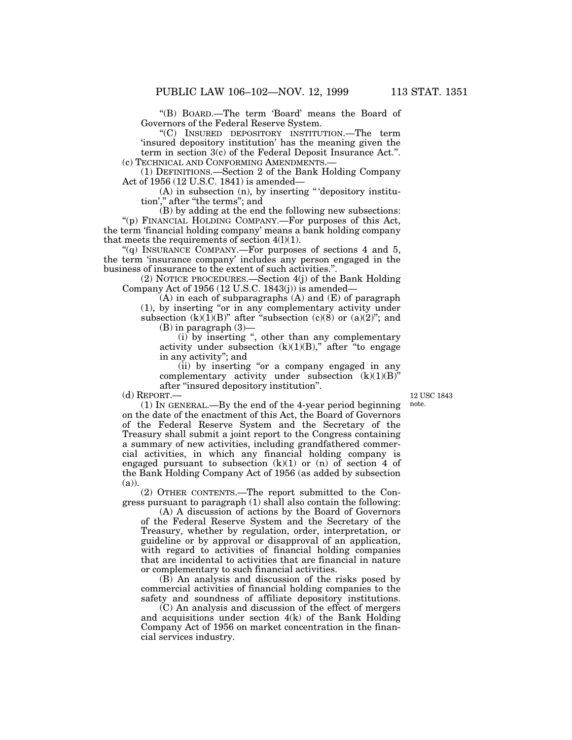''(B) BOARD.—The term 'Board' means the Board of

Governors of the Federal Reserve System. ''(C) INSURED DEPOSITORY INSTITUTION.—The term 'insured depository institution' has the meaning given the term in section 3(c) of the Federal Deposit Insurance Act.''. (c) TECHNICAL AND CONFORMING AMENDMENTS.—

(1) DEFINITIONS.—Section 2 of the Bank Holding Company Act of 1956 (12 U.S.C. 1841) is amended—

 $(A)$  in subsection  $(n)$ , by inserting "'depository institution'," after "the terms"; and

(B) by adding at the end the following new subsections: ''(p) FINANCIAL HOLDING COMPANY.—For purposes of this Act, the term 'financial holding company' means a bank holding company that meets the requirements of section 4(l)(1).

''(q) INSURANCE COMPANY.—For purposes of sections 4 and 5, the term 'insurance company' includes any person engaged in the business of insurance to the extent of such activities."

(2) NOTICE PROCEDURES.—Section 4(j) of the Bank Holding Company Act of 1956 (12 U.S.C. 1843(j)) is amended—

 $(A)$  in each of subparagraphs  $(A)$  and  $(E)$  of paragraph (1), by inserting ''or in any complementary activity under subsection  $(k)(1)(B)$ " after "subsection  $(c)(8)$  or  $(a)(2)$ "; and

 $(B)$  in paragraph  $(3)$ —

(i) by inserting '', other than any complementary activity under subsection  $(k)(1)(B)$ ," after "to engage in any activity''; and

(ii) by inserting "or a company engaged in any complementary activity under subsection  $(k)(1)(B)$ " after ''insured depository institution''.

(d) REPORT.—

12 USC 1843 note.

(1) IN GENERAL.—By the end of the 4-year period beginning on the date of the enactment of this Act, the Board of Governors of the Federal Reserve System and the Secretary of the Treasury shall submit a joint report to the Congress containing a summary of new activities, including grandfathered commercial activities, in which any financial holding company is engaged pursuant to subsection  $(k)(1)$  or  $(n)$  of section 4 of the Bank Holding Company Act of 1956 (as added by subsection (a)).

(2) OTHER CONTENTS.—The report submitted to the Congress pursuant to paragraph (1) shall also contain the following:

(A) A discussion of actions by the Board of Governors of the Federal Reserve System and the Secretary of the Treasury, whether by regulation, order, interpretation, or guideline or by approval or disapproval of an application, with regard to activities of financial holding companies that are incidental to activities that are financial in nature or complementary to such financial activities.

(B) An analysis and discussion of the risks posed by commercial activities of financial holding companies to the safety and soundness of affiliate depository institutions.

(C) An analysis and discussion of the effect of mergers and acquisitions under section  $4(k)$  of the Bank Holding Company Act of 1956 on market concentration in the financial services industry.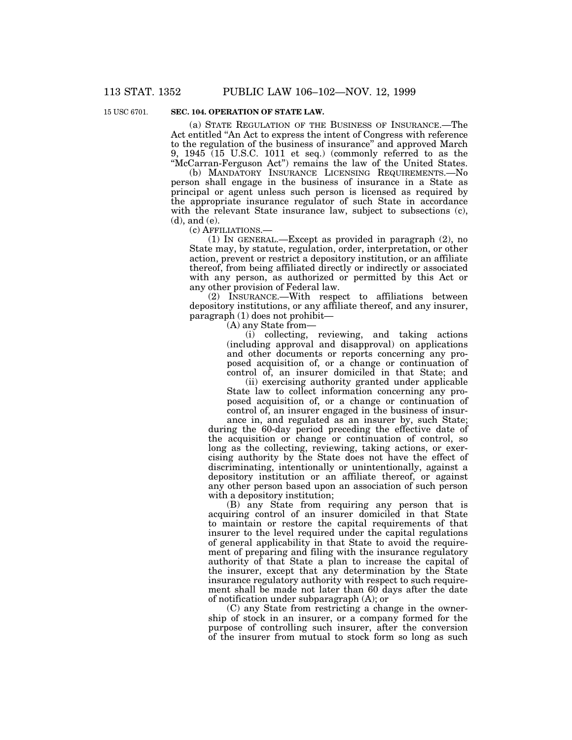15 USC 6701.

## **SEC. 104. OPERATION OF STATE LAW.**

(a) STATE REGULATION OF THE BUSINESS OF INSURANCE.—The Act entitled ''An Act to express the intent of Congress with reference to the regulation of the business of insurance'' and approved March 9, 1945 (15 U.S.C. 1011 et seq.) (commonly referred to as the ''McCarran-Ferguson Act'') remains the law of the United States.

(b) MANDATORY INSURANCE LICENSING REQUIREMENTS.—No person shall engage in the business of insurance in a State as principal or agent unless such person is licensed as required by the appropriate insurance regulator of such State in accordance with the relevant State insurance law, subject to subsections (c), (d), and (e).

(c) AFFILIATIONS.—

(1) IN GENERAL.—Except as provided in paragraph (2), no State may, by statute, regulation, order, interpretation, or other action, prevent or restrict a depository institution, or an affiliate thereof, from being affiliated directly or indirectly or associated with any person, as authorized or permitted by this Act or any other provision of Federal law.

(2) INSURANCE.—With respect to affiliations between depository institutions, or any affiliate thereof, and any insurer, paragraph (1) does not prohibit—

(A) any State from—

(i) collecting, reviewing, and taking actions (including approval and disapproval) on applications and other documents or reports concerning any proposed acquisition of, or a change or continuation of control of, an insurer domiciled in that State; and

(ii) exercising authority granted under applicable State law to collect information concerning any proposed acquisition of, or a change or continuation of control of, an insurer engaged in the business of insur-

ance in, and regulated as an insurer by, such State; during the 60-day period preceding the effective date of the acquisition or change or continuation of control, so long as the collecting, reviewing, taking actions, or exercising authority by the State does not have the effect of discriminating, intentionally or unintentionally, against a depository institution or an affiliate thereof, or against any other person based upon an association of such person with a depository institution;

(B) any State from requiring any person that is acquiring control of an insurer domiciled in that State to maintain or restore the capital requirements of that insurer to the level required under the capital regulations of general applicability in that State to avoid the requirement of preparing and filing with the insurance regulatory authority of that State a plan to increase the capital of the insurer, except that any determination by the State insurance regulatory authority with respect to such requirement shall be made not later than 60 days after the date of notification under subparagraph (A); or

(C) any State from restricting a change in the ownership of stock in an insurer, or a company formed for the purpose of controlling such insurer, after the conversion of the insurer from mutual to stock form so long as such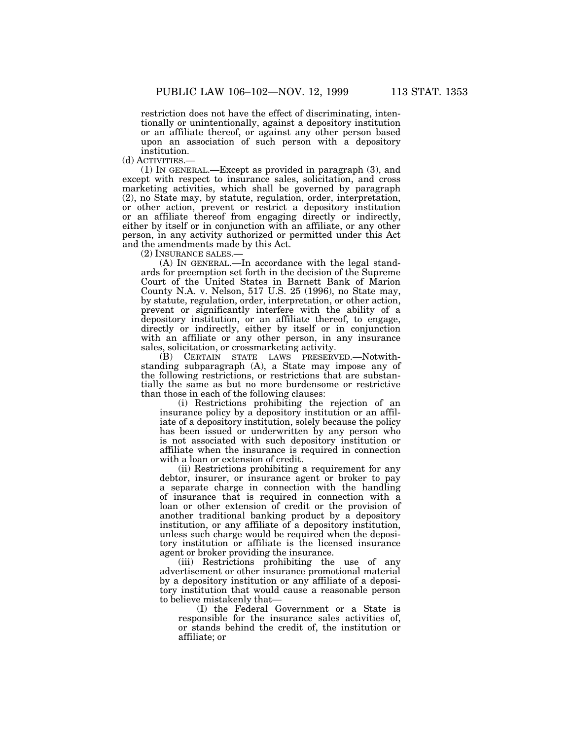restriction does not have the effect of discriminating, intentionally or unintentionally, against a depository institution or an affiliate thereof, or against any other person based upon an association of such person with a depository institution.

(d) ACTIVITIES.—

(1) IN GENERAL.—Except as provided in paragraph (3), and except with respect to insurance sales, solicitation, and cross marketing activities, which shall be governed by paragraph (2), no State may, by statute, regulation, order, interpretation, or other action, prevent or restrict a depository institution or an affiliate thereof from engaging directly or indirectly, either by itself or in conjunction with an affiliate, or any other person, in any activity authorized or permitted under this Act and the amendments made by this Act.

(2) INSURANCE SALES.—

(A) IN GENERAL.—In accordance with the legal standards for preemption set forth in the decision of the Supreme Court of the United States in Barnett Bank of Marion County N.A. v. Nelson, 517 U.S. 25 (1996), no State may, by statute, regulation, order, interpretation, or other action, prevent or significantly interfere with the ability of a depository institution, or an affiliate thereof, to engage, directly or indirectly, either by itself or in conjunction with an affiliate or any other person, in any insurance sales, solicitation, or crossmarketing activity.

(B) CERTAIN STATE LAWS PRESERVED.—Notwithstanding subparagraph (A), a State may impose any of the following restrictions, or restrictions that are substantially the same as but no more burdensome or restrictive than those in each of the following clauses:

(i) Restrictions prohibiting the rejection of an insurance policy by a depository institution or an affiliate of a depository institution, solely because the policy has been issued or underwritten by any person who is not associated with such depository institution or affiliate when the insurance is required in connection with a loan or extension of credit.

(ii) Restrictions prohibiting a requirement for any debtor, insurer, or insurance agent or broker to pay a separate charge in connection with the handling of insurance that is required in connection with a loan or other extension of credit or the provision of another traditional banking product by a depository institution, or any affiliate of a depository institution, unless such charge would be required when the depository institution or affiliate is the licensed insurance agent or broker providing the insurance.

(iii) Restrictions prohibiting the use of any advertisement or other insurance promotional material by a depository institution or any affiliate of a depository institution that would cause a reasonable person to believe mistakenly that—

(I) the Federal Government or a State is responsible for the insurance sales activities of, or stands behind the credit of, the institution or affiliate; or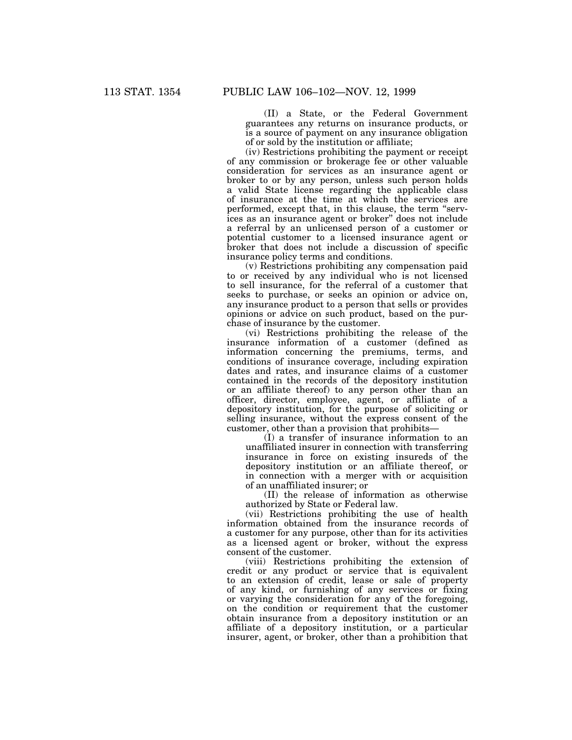(II) a State, or the Federal Government guarantees any returns on insurance products, or is a source of payment on any insurance obligation of or sold by the institution or affiliate;

(iv) Restrictions prohibiting the payment or receipt of any commission or brokerage fee or other valuable consideration for services as an insurance agent or broker to or by any person, unless such person holds a valid State license regarding the applicable class of insurance at the time at which the services are performed, except that, in this clause, the term "services as an insurance agent or broker'' does not include a referral by an unlicensed person of a customer or potential customer to a licensed insurance agent or broker that does not include a discussion of specific insurance policy terms and conditions.

(v) Restrictions prohibiting any compensation paid to or received by any individual who is not licensed to sell insurance, for the referral of a customer that seeks to purchase, or seeks an opinion or advice on, any insurance product to a person that sells or provides opinions or advice on such product, based on the purchase of insurance by the customer.

(vi) Restrictions prohibiting the release of the insurance information of a customer (defined as information concerning the premiums, terms, and conditions of insurance coverage, including expiration dates and rates, and insurance claims of a customer contained in the records of the depository institution or an affiliate thereof) to any person other than an officer, director, employee, agent, or affiliate of a depository institution, for the purpose of soliciting or selling insurance, without the express consent of the customer, other than a provision that prohibits—

(I) a transfer of insurance information to an unaffiliated insurer in connection with transferring insurance in force on existing insureds of the depository institution or an affiliate thereof, or in connection with a merger with or acquisition of an unaffiliated insurer; or

(II) the release of information as otherwise authorized by State or Federal law.

(vii) Restrictions prohibiting the use of health information obtained from the insurance records of a customer for any purpose, other than for its activities as a licensed agent or broker, without the express consent of the customer.

(viii) Restrictions prohibiting the extension of credit or any product or service that is equivalent to an extension of credit, lease or sale of property of any kind, or furnishing of any services or fixing or varying the consideration for any of the foregoing, on the condition or requirement that the customer obtain insurance from a depository institution or an affiliate of a depository institution, or a particular insurer, agent, or broker, other than a prohibition that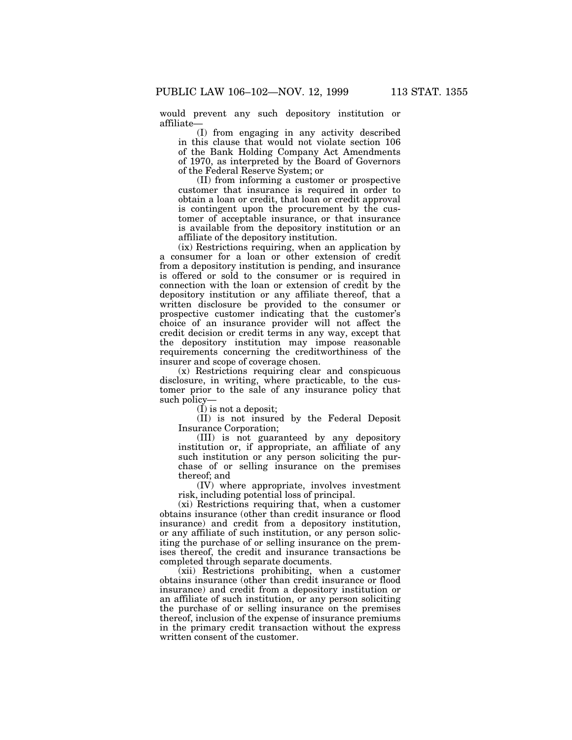would prevent any such depository institution or affiliate—

(I) from engaging in any activity described in this clause that would not violate section 106 of the Bank Holding Company Act Amendments of 1970, as interpreted by the Board of Governors of the Federal Reserve System; or

(II) from informing a customer or prospective customer that insurance is required in order to obtain a loan or credit, that loan or credit approval is contingent upon the procurement by the customer of acceptable insurance, or that insurance is available from the depository institution or an affiliate of the depository institution.

(ix) Restrictions requiring, when an application by a consumer for a loan or other extension of credit from a depository institution is pending, and insurance is offered or sold to the consumer or is required in connection with the loan or extension of credit by the depository institution or any affiliate thereof, that a written disclosure be provided to the consumer or prospective customer indicating that the customer's choice of an insurance provider will not affect the credit decision or credit terms in any way, except that the depository institution may impose reasonable requirements concerning the creditworthiness of the insurer and scope of coverage chosen.

(x) Restrictions requiring clear and conspicuous disclosure, in writing, where practicable, to the customer prior to the sale of any insurance policy that such policy—

 $(I)$  is not a deposit;

(II) is not insured by the Federal Deposit Insurance Corporation;

(III) is not guaranteed by any depository institution or, if appropriate, an affiliate of any such institution or any person soliciting the purchase of or selling insurance on the premises thereof; and

(IV) where appropriate, involves investment risk, including potential loss of principal.

(xi) Restrictions requiring that, when a customer obtains insurance (other than credit insurance or flood insurance) and credit from a depository institution, or any affiliate of such institution, or any person soliciting the purchase of or selling insurance on the premises thereof, the credit and insurance transactions be completed through separate documents.

(xii) Restrictions prohibiting, when a customer obtains insurance (other than credit insurance or flood insurance) and credit from a depository institution or an affiliate of such institution, or any person soliciting the purchase of or selling insurance on the premises thereof, inclusion of the expense of insurance premiums in the primary credit transaction without the express written consent of the customer.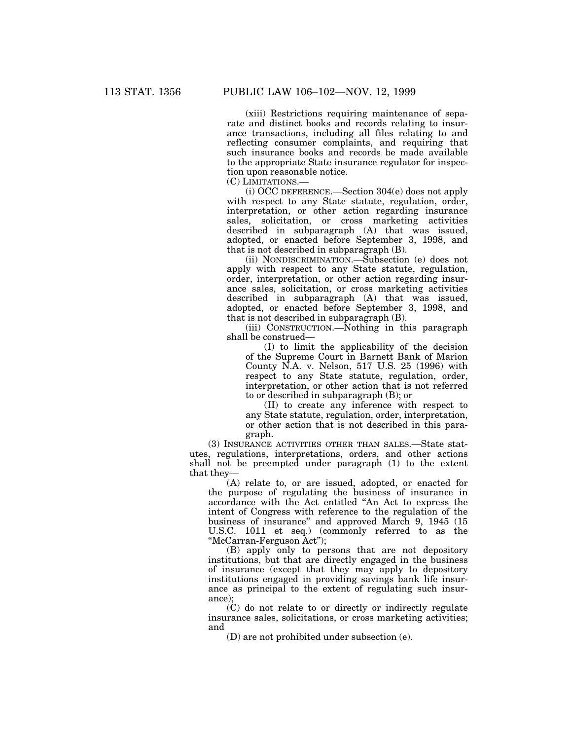(xiii) Restrictions requiring maintenance of separate and distinct books and records relating to insurance transactions, including all files relating to and reflecting consumer complaints, and requiring that such insurance books and records be made available to the appropriate State insurance regulator for inspection upon reasonable notice.

(C) LIMITATIONS.—

(i) OCC DEFERENCE.—Section 304(e) does not apply with respect to any State statute, regulation, order, interpretation, or other action regarding insurance sales, solicitation, or cross marketing activities described in subparagraph (A) that was issued, adopted, or enacted before September 3, 1998, and that is not described in subparagraph (B).

(ii) NONDISCRIMINATION.—Subsection (e) does not apply with respect to any State statute, regulation, order, interpretation, or other action regarding insurance sales, solicitation, or cross marketing activities described in subparagraph (A) that was issued, adopted, or enacted before September 3, 1998, and that is not described in subparagraph (B).

(iii) CONSTRUCTION.—Nothing in this paragraph shall be construed—

(I) to limit the applicability of the decision of the Supreme Court in Barnett Bank of Marion County N.A. v. Nelson, 517 U.S. 25 (1996) with respect to any State statute, regulation, order, interpretation, or other action that is not referred to or described in subparagraph (B); or

(II) to create any inference with respect to any State statute, regulation, order, interpretation, or other action that is not described in this paragraph.

(3) INSURANCE ACTIVITIES OTHER THAN SALES.—State statutes, regulations, interpretations, orders, and other actions shall not be preempted under paragraph (1) to the extent that they—

(A) relate to, or are issued, adopted, or enacted for the purpose of regulating the business of insurance in accordance with the Act entitled ''An Act to express the intent of Congress with reference to the regulation of the business of insurance'' and approved March 9, 1945 (15 U.S.C. 1011 et seq.) (commonly referred to as the ''McCarran-Ferguson Act'');

(B) apply only to persons that are not depository institutions, but that are directly engaged in the business of insurance (except that they may apply to depository institutions engaged in providing savings bank life insurance as principal to the extent of regulating such insurance);

(C) do not relate to or directly or indirectly regulate insurance sales, solicitations, or cross marketing activities; and

(D) are not prohibited under subsection (e).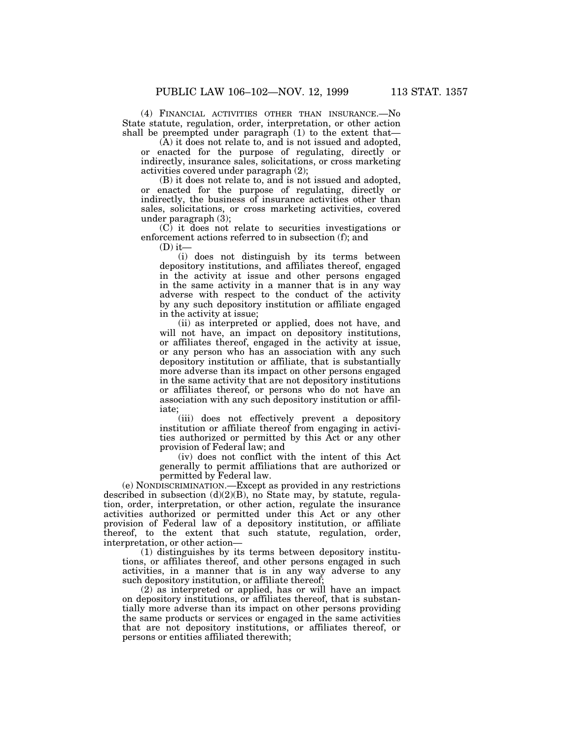(4) FINANCIAL ACTIVITIES OTHER THAN INSURANCE.—No State statute, regulation, order, interpretation, or other action shall be preempted under paragraph (1) to the extent that—

(A) it does not relate to, and is not issued and adopted, or enacted for the purpose of regulating, directly or indirectly, insurance sales, solicitations, or cross marketing activities covered under paragraph (2);

(B) it does not relate to, and is not issued and adopted, or enacted for the purpose of regulating, directly or indirectly, the business of insurance activities other than sales, solicitations, or cross marketing activities, covered under paragraph (3);

(C) it does not relate to securities investigations or enforcement actions referred to in subsection (f); and

 $(D)$  it—

(i) does not distinguish by its terms between depository institutions, and affiliates thereof, engaged in the activity at issue and other persons engaged in the same activity in a manner that is in any way adverse with respect to the conduct of the activity by any such depository institution or affiliate engaged in the activity at issue;

(ii) as interpreted or applied, does not have, and will not have, an impact on depository institutions, or affiliates thereof, engaged in the activity at issue, or any person who has an association with any such depository institution or affiliate, that is substantially more adverse than its impact on other persons engaged in the same activity that are not depository institutions or affiliates thereof, or persons who do not have an association with any such depository institution or affiliate;

(iii) does not effectively prevent a depository institution or affiliate thereof from engaging in activities authorized or permitted by this Act or any other provision of Federal law; and

(iv) does not conflict with the intent of this Act generally to permit affiliations that are authorized or permitted by Federal law.

(e) NONDISCRIMINATION.—Except as provided in any restrictions described in subsection  $(d)(2)(B)$ , no State may, by statute, regulation, order, interpretation, or other action, regulate the insurance activities authorized or permitted under this Act or any other provision of Federal law of a depository institution, or affiliate thereof, to the extent that such statute, regulation, order, interpretation, or other action—

(1) distinguishes by its terms between depository institutions, or affiliates thereof, and other persons engaged in such activities, in a manner that is in any way adverse to any such depository institution, or affiliate thereof;

(2) as interpreted or applied, has or will have an impact on depository institutions, or affiliates thereof, that is substantially more adverse than its impact on other persons providing the same products or services or engaged in the same activities that are not depository institutions, or affiliates thereof, or persons or entities affiliated therewith;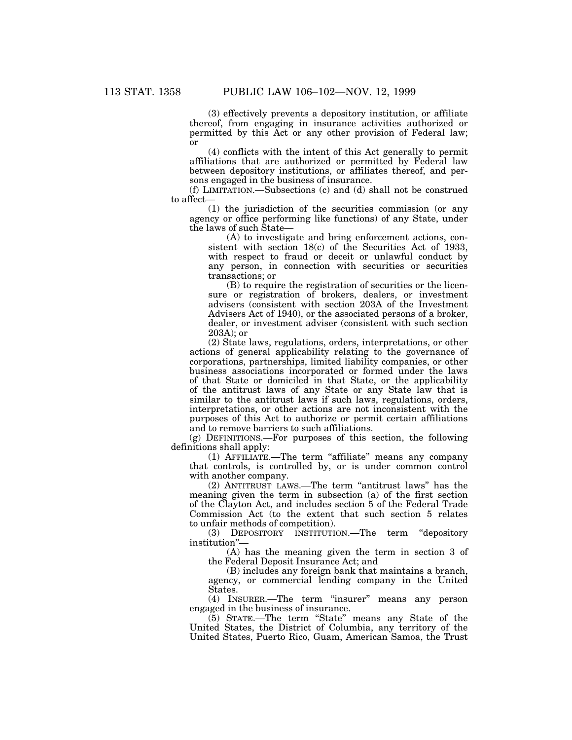(3) effectively prevents a depository institution, or affiliate thereof, from engaging in insurance activities authorized or permitted by this Act or any other provision of Federal law; or

(4) conflicts with the intent of this Act generally to permit affiliations that are authorized or permitted by Federal law between depository institutions, or affiliates thereof, and persons engaged in the business of insurance.

(f) LIMITATION.—Subsections (c) and (d) shall not be construed to affect—

(1) the jurisdiction of the securities commission (or any agency or office performing like functions) of any State, under the laws of such State—

(A) to investigate and bring enforcement actions, consistent with section 18(c) of the Securities Act of 1933, with respect to fraud or deceit or unlawful conduct by any person, in connection with securities or securities transactions; or

(B) to require the registration of securities or the licensure or registration of brokers, dealers, or investment advisers (consistent with section 203A of the Investment Advisers Act of 1940), or the associated persons of a broker, dealer, or investment adviser (consistent with such section 203A); or

(2) State laws, regulations, orders, interpretations, or other actions of general applicability relating to the governance of corporations, partnerships, limited liability companies, or other business associations incorporated or formed under the laws of that State or domiciled in that State, or the applicability of the antitrust laws of any State or any State law that is similar to the antitrust laws if such laws, regulations, orders, interpretations, or other actions are not inconsistent with the purposes of this Act to authorize or permit certain affiliations and to remove barriers to such affiliations.

(g) DEFINITIONS.—For purposes of this section, the following definitions shall apply:

(1) AFFILIATE.—The term ''affiliate'' means any company that controls, is controlled by, or is under common control with another company.

(2) ANTITRUST LAWS.—The term ''antitrust laws'' has the meaning given the term in subsection (a) of the first section of the Clayton Act, and includes section 5 of the Federal Trade Commission Act (to the extent that such section 5 relates to unfair methods of competition).

(3) DEPOSITORY INSTITUTION.—The term ''depository institution''—

(A) has the meaning given the term in section 3 of the Federal Deposit Insurance Act; and

(B) includes any foreign bank that maintains a branch, agency, or commercial lending company in the United States.

(4) INSURER.—The term ''insurer'' means any person engaged in the business of insurance.

(5) STATE.—The term ''State'' means any State of the United States, the District of Columbia, any territory of the United States, Puerto Rico, Guam, American Samoa, the Trust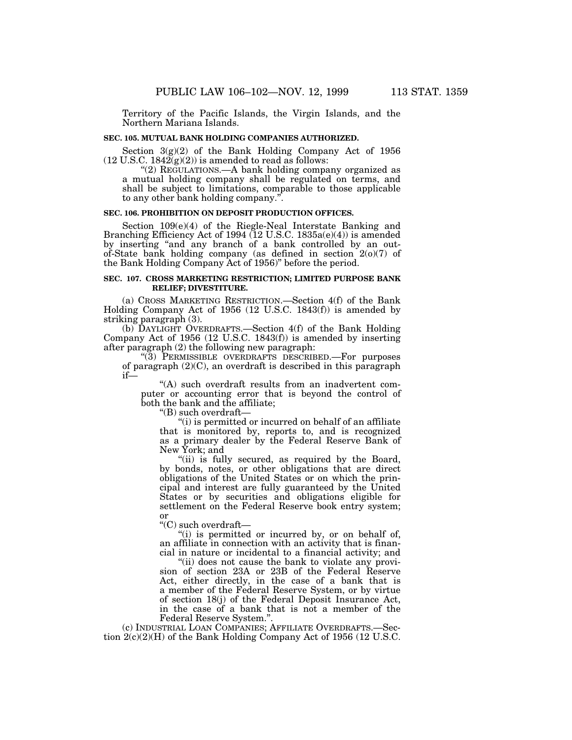Territory of the Pacific Islands, the Virgin Islands, and the Northern Mariana Islands.

## **SEC. 105. MUTUAL BANK HOLDING COMPANIES AUTHORIZED.**

Section  $3(g)(2)$  of the Bank Holding Company Act of 1956  $(12 \text{ U.S.C. } 1842\text{ (g)}(2))$  is amended to read as follows:

"(2) REGULATIONS.—A bank holding company organized as a mutual holding company shall be regulated on terms, and shall be subject to limitations, comparable to those applicable to any other bank holding company.''.

## **SEC. 106. PROHIBITION ON DEPOSIT PRODUCTION OFFICES.**

Section 109(e)(4) of the Riegle-Neal Interstate Banking and Branching Efficiency Act of 1994 (12 U.S.C. 1835a(e)(4)) is amended by inserting "and any branch of a bank controlled by an outof-State bank holding company (as defined in section 2(o)(7) of the Bank Holding Company Act of 1956)'' before the period.

## **SEC. 107. CROSS MARKETING RESTRICTION; LIMITED PURPOSE BANK RELIEF; DIVESTITURE.**

(a) CROSS MARKETING RESTRICTION.—Section 4(f) of the Bank Holding Company Act of 1956 (12 U.S.C. 1843(f)) is amended by striking paragraph (3).

(b) DAYLIGHT OVERDRAFTS.—Section 4(f) of the Bank Holding Company Act of 1956 (12 U.S.C. 1843(f)) is amended by inserting after paragraph (2) the following new paragraph:

''(3) PERMISSIBLE OVERDRAFTS DESCRIBED.—For purposes of paragraph  $(2)(C)$ , an overdraft is described in this paragraph if—

''(A) such overdraft results from an inadvertent computer or accounting error that is beyond the control of both the bank and the affiliate;

''(B) such overdraft—

''(i) is permitted or incurred on behalf of an affiliate that is monitored by, reports to, and is recognized as a primary dealer by the Federal Reserve Bank of New York; and

"(ii) is fully secured, as required by the Board, by bonds, notes, or other obligations that are direct obligations of the United States or on which the principal and interest are fully guaranteed by the United States or by securities and obligations eligible for settlement on the Federal Reserve book entry system; or

''(C) such overdraft—

"(i) is permitted or incurred by, or on behalf of, an affiliate in connection with an activity that is financial in nature or incidental to a financial activity; and

''(ii) does not cause the bank to violate any provision of section 23A or 23B of the Federal Reserve Act, either directly, in the case of a bank that is a member of the Federal Reserve System, or by virtue of section 18(j) of the Federal Deposit Insurance Act, in the case of a bank that is not a member of the Federal Reserve System.''.

(c) INDUSTRIAL LOAN COMPANIES; AFFILIATE OVERDRAFTS.—Section 2(c)(2)(H) of the Bank Holding Company Act of 1956 (12 U.S.C.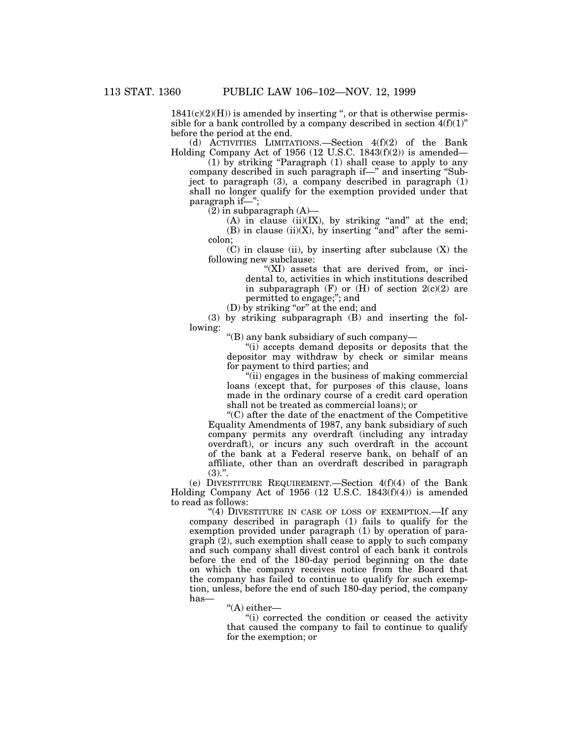$1841(c)(2)(H)$ ) is amended by inserting ", or that is otherwise permissible for a bank controlled by a company described in section  $4(f)(1)$ " before the period at the end.

(d) ACTIVITIES LIMITATIONS.—Section 4(f)(2) of the Bank Holding Company Act of 1956 (12 U.S.C. 1843 $(f)(2)$ ) is amended—

(1) by striking ''Paragraph (1) shall cease to apply to any company described in such paragraph if—" and inserting "Subject to paragraph (3), a company described in paragraph (1) shall no longer qualify for the exemption provided under that paragraph if-";

 $(2)$  in subparagraph  $(A)$ —

 $(A)$  in clause  $(ii)(IX)$ , by striking "and" at the end; (B) in clause (ii)(X), by inserting "and" after the semicolon;

 $(C)$  in clause (ii), by inserting after subclause  $(X)$  the following new subclause:

> ''(XI) assets that are derived from, or incidental to, activities in which institutions described in subparagraph  $(F)$  or  $(H)$  of section  $2(c)(2)$  are permitted to engage;''; and

(D) by striking ''or'' at the end; and

(3) by striking subparagraph (B) and inserting the following:

''(B) any bank subsidiary of such company—

''(i) accepts demand deposits or deposits that the depositor may withdraw by check or similar means for payment to third parties; and

''(ii) engages in the business of making commercial loans (except that, for purposes of this clause, loans made in the ordinary course of a credit card operation shall not be treated as commercial loans); or

''(C) after the date of the enactment of the Competitive Equality Amendments of 1987, any bank subsidiary of such company permits any overdraft (including any intraday overdraft), or incurs any such overdraft in the account of the bank at a Federal reserve bank, on behalf of an affiliate, other than an overdraft described in paragraph  $(3).$ ".

(e) DIVESTITURE REQUIREMENT.—Section  $4(f)(4)$  of the Bank Holding Company Act of 1956 (12 U.S.C. 1843(f)(4)) is amended to read as follows:

"(4) DIVESTITURE IN CASE OF LOSS OF EXEMPTION.—If any company described in paragraph (1) fails to qualify for the exemption provided under paragraph (1) by operation of paragraph (2), such exemption shall cease to apply to such company and such company shall divest control of each bank it controls before the end of the 180-day period beginning on the date on which the company receives notice from the Board that the company has failed to continue to qualify for such exemption, unless, before the end of such 180-day period, the company has—

''(A) either—

''(i) corrected the condition or ceased the activity that caused the company to fail to continue to qualify for the exemption; or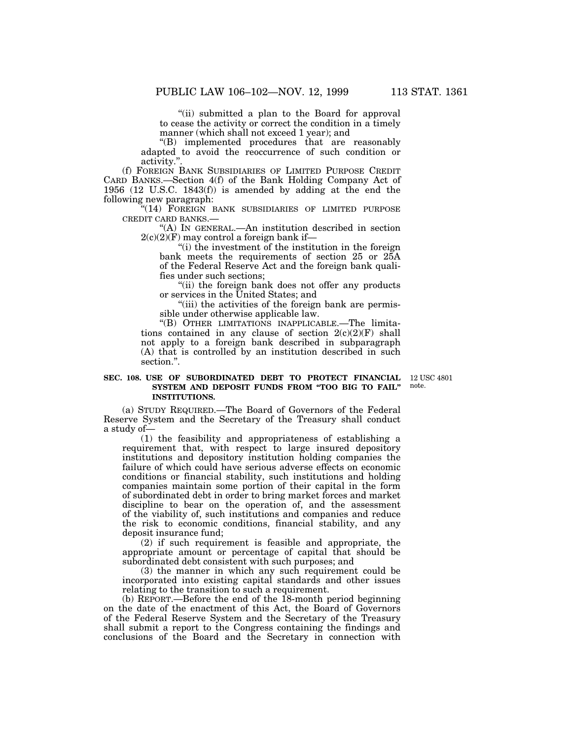"(ii) submitted a plan to the Board for approval to cease the activity or correct the condition in a timely manner (which shall not exceed 1 year); and

"(B) implemented procedures that are reasonably adapted to avoid the reoccurrence of such condition or activity.'

(f) FOREIGN BANK SUBSIDIARIES OF LIMITED PURPOSE CREDIT CARD BANKS.—Section 4(f) of the Bank Holding Company Act of 1956 (12 U.S.C. 1843(f)) is amended by adding at the end the following new paragraph:

"(14) FOREIGN BANK SUBSIDIARIES OF LIMITED PURPOSE CREDIT CARD BANKS.—

''(A) IN GENERAL.—An institution described in section  $2(c)(2)(F)$  may control a foreign bank if-

''(i) the investment of the institution in the foreign bank meets the requirements of section 25 or 25A of the Federal Reserve Act and the foreign bank qualifies under such sections;

"(ii) the foreign bank does not offer any products or services in the United States; and

"(iii) the activities of the foreign bank are permissible under otherwise applicable law.

''(B) OTHER LIMITATIONS INAPPLICABLE.—The limitations contained in any clause of section  $2(c)(2)(F)$  shall not apply to a foreign bank described in subparagraph (A) that is controlled by an institution described in such section.''.

### **SEC. 108. USE OF SUBORDINATED DEBT TO PROTECT FINANCIAL** 12 USC 4801 **SYSTEM AND DEPOSIT FUNDS FROM ''TOO BIG TO FAIL'' INSTITUTIONS.**

note.

(a) STUDY REQUIRED.—The Board of Governors of the Federal Reserve System and the Secretary of the Treasury shall conduct a study of—

(1) the feasibility and appropriateness of establishing a requirement that, with respect to large insured depository institutions and depository institution holding companies the failure of which could have serious adverse effects on economic conditions or financial stability, such institutions and holding companies maintain some portion of their capital in the form of subordinated debt in order to bring market forces and market discipline to bear on the operation of, and the assessment of the viability of, such institutions and companies and reduce the risk to economic conditions, financial stability, and any deposit insurance fund;

(2) if such requirement is feasible and appropriate, the appropriate amount or percentage of capital that should be subordinated debt consistent with such purposes; and

(3) the manner in which any such requirement could be incorporated into existing capital standards and other issues relating to the transition to such a requirement.

(b) REPORT.—Before the end of the 18-month period beginning on the date of the enactment of this Act, the Board of Governors of the Federal Reserve System and the Secretary of the Treasury shall submit a report to the Congress containing the findings and conclusions of the Board and the Secretary in connection with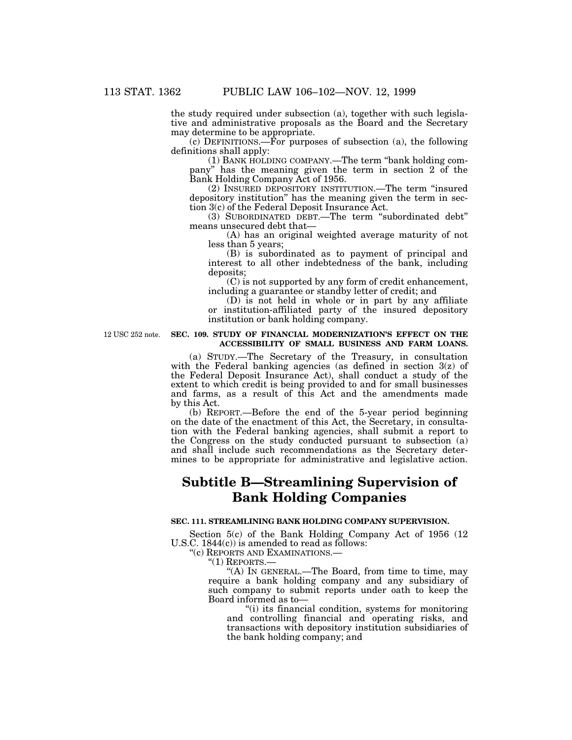the study required under subsection (a), together with such legislative and administrative proposals as the Board and the Secretary may determine to be appropriate.

(c) DEFINITIONS.—For purposes of subsection (a), the following definitions shall apply:

(1) BANK HOLDING COMPANY.—The term ''bank holding company'' has the meaning given the term in section 2 of the Bank Holding Company Act of 1956.

(2) INSURED DEPOSITORY INSTITUTION.—The term ''insured depository institution'' has the meaning given the term in section 3(c) of the Federal Deposit Insurance Act.

(3) SUBORDINATED DEBT.—The term ''subordinated debt'' means unsecured debt that—

(A) has an original weighted average maturity of not less than 5 years;

(B) is subordinated as to payment of principal and interest to all other indebtedness of the bank, including deposits;

(C) is not supported by any form of credit enhancement, including a guarantee or standby letter of credit; and

(D) is not held in whole or in part by any affiliate or institution-affiliated party of the insured depository institution or bank holding company.

12 USC 252 note.

## **SEC. 109. STUDY OF FINANCIAL MODERNIZATION'S EFFECT ON THE ACCESSIBILITY OF SMALL BUSINESS AND FARM LOANS.**

(a) STUDY.—The Secretary of the Treasury, in consultation with the Federal banking agencies (as defined in section  $3(z)$  of the Federal Deposit Insurance Act), shall conduct a study of the extent to which credit is being provided to and for small businesses and farms, as a result of this Act and the amendments made by this Act.

(b) REPORT.—Before the end of the 5-year period beginning on the date of the enactment of this Act, the Secretary, in consultation with the Federal banking agencies, shall submit a report to the Congress on the study conducted pursuant to subsection (a) and shall include such recommendations as the Secretary determines to be appropriate for administrative and legislative action.

# **Subtitle B—Streamlining Supervision of Bank Holding Companies**

## **SEC. 111. STREAMLINING BANK HOLDING COMPANY SUPERVISION.**

Section 5(c) of the Bank Holding Company Act of 1956 (12 U.S.C. 1844(c)) is amended to read as follows:

''(c) REPORTS AND EXAMINATIONS.—

''(1) REPORTS.—

''(A) IN GENERAL.—The Board, from time to time, may require a bank holding company and any subsidiary of such company to submit reports under oath to keep the Board informed as to—

''(i) its financial condition, systems for monitoring and controlling financial and operating risks, and transactions with depository institution subsidiaries of the bank holding company; and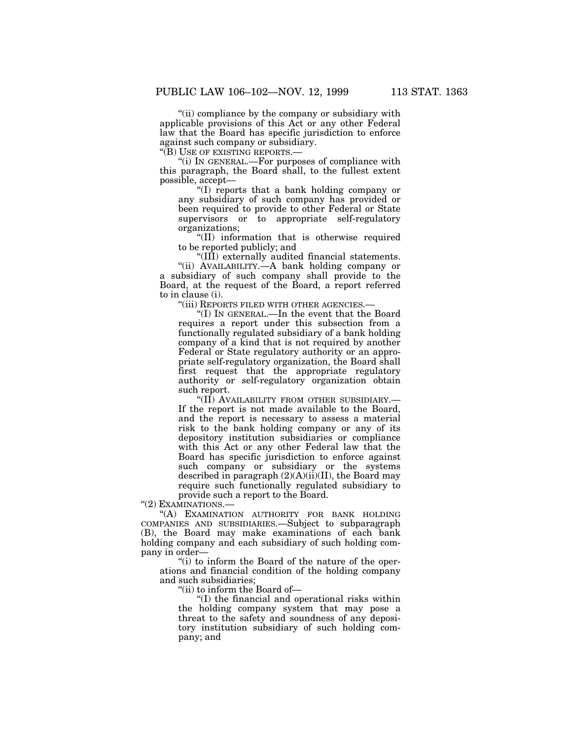''(ii) compliance by the company or subsidiary with applicable provisions of this Act or any other Federal law that the Board has specific jurisdiction to enforce against such company or subsidiary.

''(B) USE OF EXISTING REPORTS.—

"(i) In GENERAL.—For purposes of compliance with this paragraph, the Board shall, to the fullest extent possible, accept—

''(I) reports that a bank holding company or any subsidiary of such company has provided or been required to provide to other Federal or State supervisors or to appropriate self-regulatory organizations;

''(II) information that is otherwise required to be reported publicly; and

''(III) externally audited financial statements. ''(ii) AVAILABILITY.—A bank holding company or a subsidiary of such company shall provide to the Board, at the request of the Board, a report referred to in clause (i).

"(iii) REPORTS FILED WITH OTHER AGENCIES.-

''(I) IN GENERAL.—In the event that the Board requires a report under this subsection from a functionally regulated subsidiary of a bank holding company of a kind that is not required by another Federal or State regulatory authority or an appropriate self-regulatory organization, the Board shall first request that the appropriate regulatory authority or self-regulatory organization obtain such report.

"(II) AVAILABILITY FROM OTHER SUBSIDIARY.— If the report is not made available to the Board, and the report is necessary to assess a material risk to the bank holding company or any of its depository institution subsidiaries or compliance with this Act or any other Federal law that the Board has specific jurisdiction to enforce against such company or subsidiary or the systems described in paragraph  $(2)(A)(ii)(II)$ , the Board may require such functionally regulated subsidiary to provide such a report to the Board.

"(2) EXAMINATIONS .-

"(A) EXAMINATION AUTHORITY FOR BANK HOLDING COMPANIES AND SUBSIDIARIES.—Subject to subparagraph (B), the Board may make examinations of each bank holding company and each subsidiary of such holding company in order—

"(i) to inform the Board of the nature of the operations and financial condition of the holding company and such subsidiaries;

''(ii) to inform the Board of—

''(I) the financial and operational risks within the holding company system that may pose a threat to the safety and soundness of any depository institution subsidiary of such holding company; and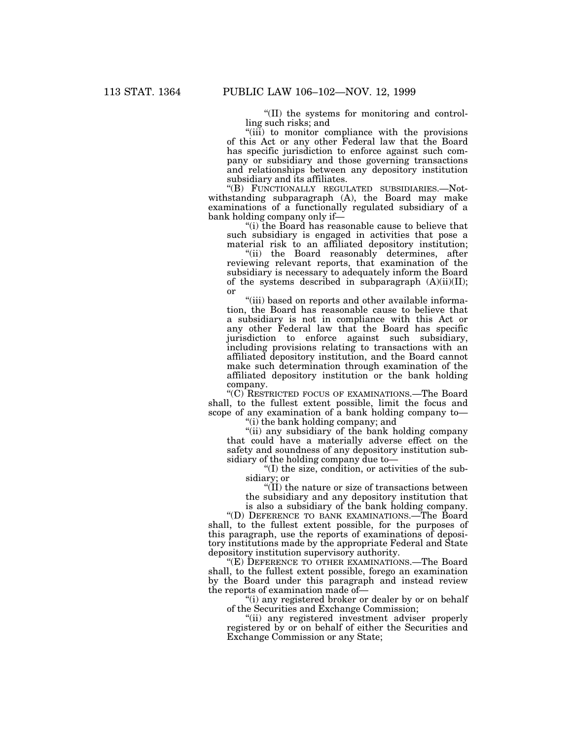''(II) the systems for monitoring and controlling such risks; and

''(iii) to monitor compliance with the provisions of this Act or any other Federal law that the Board has specific jurisdiction to enforce against such company or subsidiary and those governing transactions and relationships between any depository institution subsidiary and its affiliates.

''(B) FUNCTIONALLY REGULATED SUBSIDIARIES.—Notwithstanding subparagraph (A), the Board may make examinations of a functionally regulated subsidiary of a bank holding company only if—

"(i) the Board has reasonable cause to believe that such subsidiary is engaged in activities that pose a material risk to an affiliated depository institution;

''(ii) the Board reasonably determines, after reviewing relevant reports, that examination of the subsidiary is necessary to adequately inform the Board of the systems described in subparagraph  $(A)(ii)(II);$ or

''(iii) based on reports and other available information, the Board has reasonable cause to believe that a subsidiary is not in compliance with this Act or any other Federal law that the Board has specific jurisdiction to enforce against such subsidiary, including provisions relating to transactions with an affiliated depository institution, and the Board cannot make such determination through examination of the affiliated depository institution or the bank holding company.

''(C) RESTRICTED FOCUS OF EXAMINATIONS.—The Board shall, to the fullest extent possible, limit the focus and scope of any examination of a bank holding company to-

"(i) the bank holding company; and

"(ii) any subsidiary of the bank holding company that could have a materially adverse effect on the safety and soundness of any depository institution subsidiary of the holding company due to—

"(I) the size, condition, or activities of the subsidiary; or

"(II) the nature or size of transactions between the subsidiary and any depository institution that is also a subsidiary of the bank holding company.

''(D) DEFERENCE TO BANK EXAMINATIONS.—The Board shall, to the fullest extent possible, for the purposes of this paragraph, use the reports of examinations of depository institutions made by the appropriate Federal and State depository institution supervisory authority.

''(E) DEFERENCE TO OTHER EXAMINATIONS.—The Board shall, to the fullest extent possible, forego an examination by the Board under this paragraph and instead review the reports of examination made of—

''(i) any registered broker or dealer by or on behalf of the Securities and Exchange Commission;

''(ii) any registered investment adviser properly registered by or on behalf of either the Securities and Exchange Commission or any State;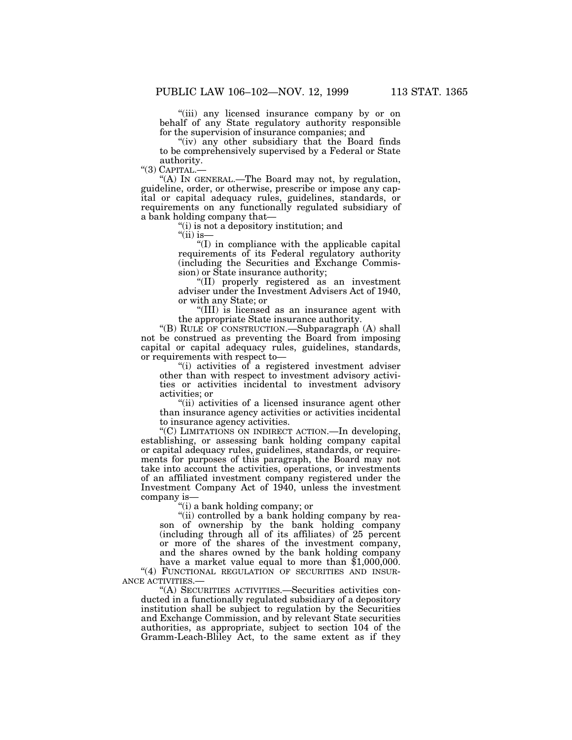''(iii) any licensed insurance company by or on behalf of any State regulatory authority responsible

for the supervision of insurance companies; and

"(iv) any other subsidiary that the Board finds to be comprehensively supervised by a Federal or State authority.

''(3) CAPITAL.—

''(A) IN GENERAL.—The Board may not, by regulation, guideline, order, or otherwise, prescribe or impose any capital or capital adequacy rules, guidelines, standards, or requirements on any functionally regulated subsidiary of a bank holding company that—

''(i) is not a depository institution; and

"(ii) is-

''(I) in compliance with the applicable capital requirements of its Federal regulatory authority (including the Securities and Exchange Commission) or State insurance authority;

''(II) properly registered as an investment adviser under the Investment Advisers Act of 1940, or with any State; or

''(III) is licensed as an insurance agent with the appropriate State insurance authority.

"(B) RULE OF CONSTRUCTION.—Subparagraph (A) shall not be construed as preventing the Board from imposing capital or capital adequacy rules, guidelines, standards, or requirements with respect to—

''(i) activities of a registered investment adviser other than with respect to investment advisory activities or activities incidental to investment advisory activities; or

"(ii) activities of a licensed insurance agent other than insurance agency activities or activities incidental to insurance agency activities.

''(C) LIMITATIONS ON INDIRECT ACTION.—In developing, establishing, or assessing bank holding company capital or capital adequacy rules, guidelines, standards, or requirements for purposes of this paragraph, the Board may not take into account the activities, operations, or investments of an affiliated investment company registered under the Investment Company Act of 1940, unless the investment company is—

''(i) a bank holding company; or

"(ii) controlled by a bank holding company by reason of ownership by the bank holding company (including through all of its affiliates) of 25 percent or more of the shares of the investment company, and the shares owned by the bank holding company have a market value equal to more than \$1,000,000.

"(4) FUNCTIONAL REGULATION OF SECURITIES AND INSUR-ANCE ACTIVITIES.—

''(A) SECURITIES ACTIVITIES.—Securities activities conducted in a functionally regulated subsidiary of a depository institution shall be subject to regulation by the Securities and Exchange Commission, and by relevant State securities authorities, as appropriate, subject to section 104 of the Gramm-Leach-Bliley Act, to the same extent as if they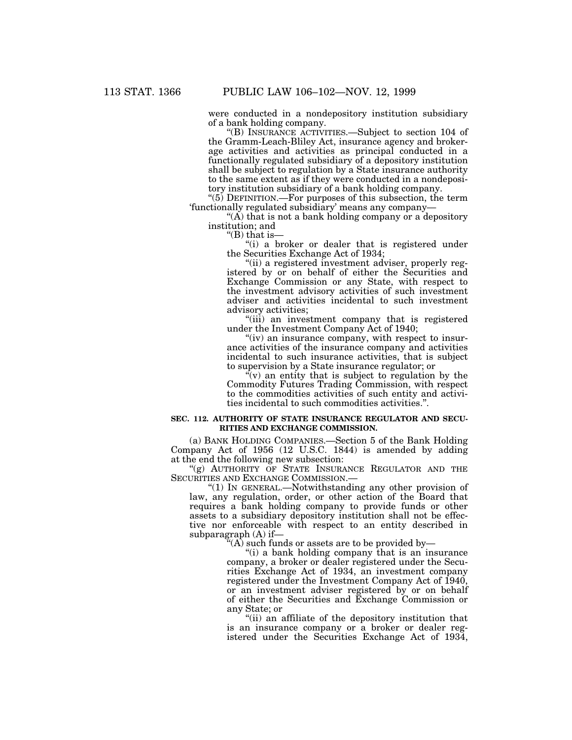were conducted in a nondepository institution subsidiary of a bank holding company.

''(B) INSURANCE ACTIVITIES.—Subject to section 104 of the Gramm-Leach-Bliley Act, insurance agency and brokerage activities and activities as principal conducted in a functionally regulated subsidiary of a depository institution shall be subject to regulation by a State insurance authority to the same extent as if they were conducted in a nondepository institution subsidiary of a bank holding company.

''(5) DEFINITION.—For purposes of this subsection, the term 'functionally regulated subsidiary' means any company—

" $(A)$  that is not a bank holding company or a depository institution; and

" $(B)$  that is-

''(i) a broker or dealer that is registered under the Securities Exchange Act of 1934;

''(ii) a registered investment adviser, properly registered by or on behalf of either the Securities and Exchange Commission or any State, with respect to the investment advisory activities of such investment adviser and activities incidental to such investment advisory activities;

"(iii) an investment company that is registered under the Investment Company Act of 1940;

"(iv) an insurance company, with respect to insurance activities of the insurance company and activities incidental to such insurance activities, that is subject to supervision by a State insurance regulator; or

 $\sqrt[n]{v}$  an entity that is subject to regulation by the Commodity Futures Trading Commission, with respect to the commodities activities of such entity and activities incidental to such commodities activities.''.

## **SEC. 112. AUTHORITY OF STATE INSURANCE REGULATOR AND SECU-RITIES AND EXCHANGE COMMISSION.**

(a) BANK HOLDING COMPANIES.—Section 5 of the Bank Holding Company Act of 1956 (12 U.S.C. 1844) is amended by adding at the end the following new subsection:

(g) AUTHORITY OF STATE INSURANCE REGULATOR AND THE SECURITIES AND EXCHANGE COMMISSION.—

''(1) IN GENERAL.—Notwithstanding any other provision of law, any regulation, order, or other action of the Board that requires a bank holding company to provide funds or other assets to a subsidiary depository institution shall not be effective nor enforceable with respect to an entity described in subparagraph (A) if—

 $\hat{H}(\overline{A})$  such funds or assets are to be provided by—

''(i) a bank holding company that is an insurance company, a broker or dealer registered under the Securities Exchange Act of 1934, an investment company registered under the Investment Company Act of 1940, or an investment adviser registered by or on behalf of either the Securities and Exchange Commission or any State; or

''(ii) an affiliate of the depository institution that is an insurance company or a broker or dealer registered under the Securities Exchange Act of 1934,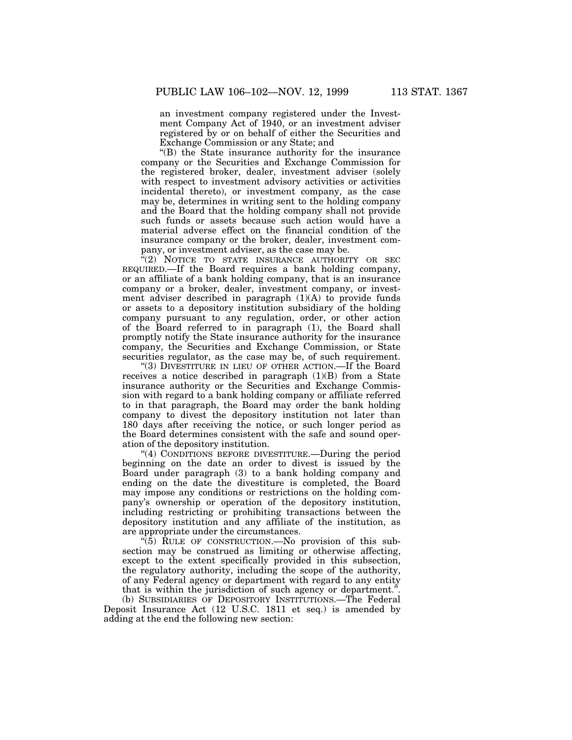an investment company registered under the Investment Company Act of 1940, or an investment adviser registered by or on behalf of either the Securities and Exchange Commission or any State; and

''(B) the State insurance authority for the insurance company or the Securities and Exchange Commission for the registered broker, dealer, investment adviser (solely with respect to investment advisory activities or activities incidental thereto), or investment company, as the case may be, determines in writing sent to the holding company and the Board that the holding company shall not provide such funds or assets because such action would have a material adverse effect on the financial condition of the insurance company or the broker, dealer, investment company, or investment adviser, as the case may be.

 $C<sup>a</sup>(2)$  NOTICE TO STATE INSURANCE AUTHORITY OR SEC REQUIRED.—If the Board requires a bank holding company, or an affiliate of a bank holding company, that is an insurance company or a broker, dealer, investment company, or investment adviser described in paragraph  $(1)(A)$  to provide funds or assets to a depository institution subsidiary of the holding company pursuant to any regulation, order, or other action of the Board referred to in paragraph (1), the Board shall promptly notify the State insurance authority for the insurance company, the Securities and Exchange Commission, or State securities regulator, as the case may be, of such requirement.

''(3) DIVESTITURE IN LIEU OF OTHER ACTION.—If the Board receives a notice described in paragraph (1)(B) from a State insurance authority or the Securities and Exchange Commission with regard to a bank holding company or affiliate referred to in that paragraph, the Board may order the bank holding company to divest the depository institution not later than 180 days after receiving the notice, or such longer period as the Board determines consistent with the safe and sound operation of the depository institution.

''(4) CONDITIONS BEFORE DIVESTITURE.—During the period beginning on the date an order to divest is issued by the Board under paragraph (3) to a bank holding company and ending on the date the divestiture is completed, the Board may impose any conditions or restrictions on the holding company's ownership or operation of the depository institution, including restricting or prohibiting transactions between the depository institution and any affiliate of the institution, as are appropriate under the circumstances.

 $\cdot$ <sup>'(5)</sup> RULE OF CONSTRUCTION.—No provision of this subsection may be construed as limiting or otherwise affecting, except to the extent specifically provided in this subsection, the regulatory authority, including the scope of the authority, of any Federal agency or department with regard to any entity that is within the jurisdiction of such agency or department.''.

(b) SUBSIDIARIES OF DEPOSITORY INSTITUTIONS.—The Federal Deposit Insurance Act (12 U.S.C. 1811 et seq.) is amended by adding at the end the following new section: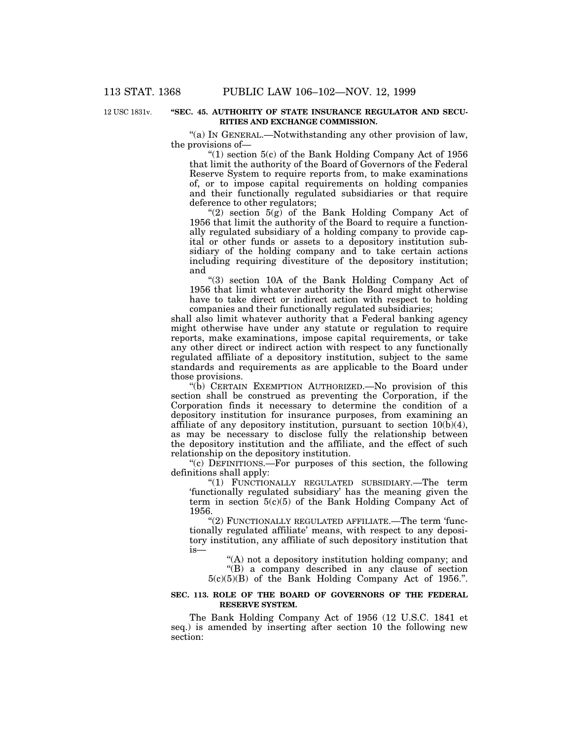12 USC 1831v.

### **''SEC. 45. AUTHORITY OF STATE INSURANCE REGULATOR AND SECU-RITIES AND EXCHANGE COMMISSION.**

''(a) IN GENERAL.—Notwithstanding any other provision of law, the provisions of—

''(1) section 5(c) of the Bank Holding Company Act of 1956 that limit the authority of the Board of Governors of the Federal Reserve System to require reports from, to make examinations of, or to impose capital requirements on holding companies and their functionally regulated subsidiaries or that require deference to other regulators;

"(2) section  $5(g)$  of the Bank Holding Company Act of 1956 that limit the authority of the Board to require a functionally regulated subsidiary of a holding company to provide capital or other funds or assets to a depository institution subsidiary of the holding company and to take certain actions including requiring divestiture of the depository institution; and

''(3) section 10A of the Bank Holding Company Act of 1956 that limit whatever authority the Board might otherwise have to take direct or indirect action with respect to holding companies and their functionally regulated subsidiaries;

shall also limit whatever authority that a Federal banking agency might otherwise have under any statute or regulation to require reports, make examinations, impose capital requirements, or take any other direct or indirect action with respect to any functionally regulated affiliate of a depository institution, subject to the same standards and requirements as are applicable to the Board under those provisions.

''(b) CERTAIN EXEMPTION AUTHORIZED.—No provision of this section shall be construed as preventing the Corporation, if the Corporation finds it necessary to determine the condition of a depository institution for insurance purposes, from examining an affiliate of any depository institution, pursuant to section  $10(b)(4)$ , as may be necessary to disclose fully the relationship between the depository institution and the affiliate, and the effect of such relationship on the depository institution.

''(c) DEFINITIONS.—For purposes of this section, the following definitions shall apply:

''(1) FUNCTIONALLY REGULATED SUBSIDIARY.—The term 'functionally regulated subsidiary' has the meaning given the term in section  $5(c)(5)$  of the Bank Holding Company Act of 1956.

''(2) FUNCTIONALLY REGULATED AFFILIATE.—The term 'functionally regulated affiliate' means, with respect to any depository institution, any affiliate of such depository institution that is—

> ''(A) not a depository institution holding company; and ''(B) a company described in any clause of section

 $5(c)(5)(B)$  of the Bank Holding Company Act of 1956.".

## **SEC. 113. ROLE OF THE BOARD OF GOVERNORS OF THE FEDERAL RESERVE SYSTEM.**

The Bank Holding Company Act of 1956 (12 U.S.C. 1841 et seq.) is amended by inserting after section 10 the following new section: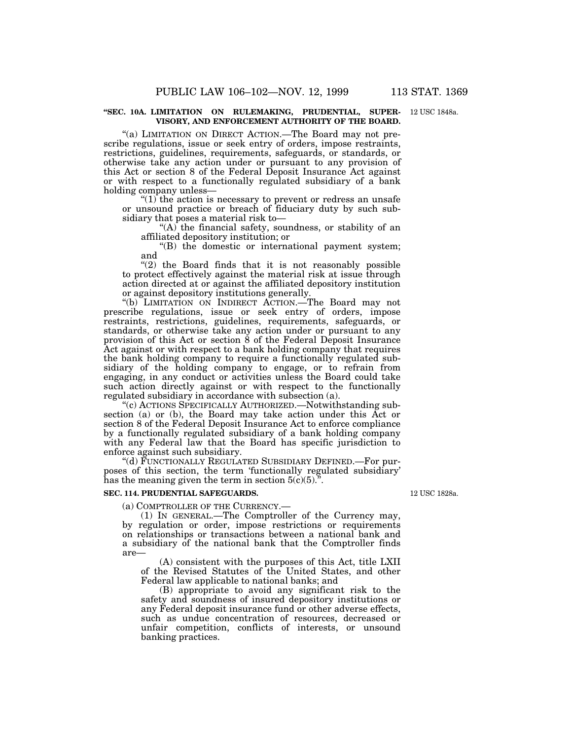#### **''SEC. 10A. LIMITATION ON RULEMAKING, PRUDENTIAL, SUPER-**12 USC 1848a. **VISORY, AND ENFORCEMENT AUTHORITY OF THE BOARD.**

"(a) LIMITATION ON DIRECT ACTION.—The Board may not prescribe regulations, issue or seek entry of orders, impose restraints, restrictions, guidelines, requirements, safeguards, or standards, or otherwise take any action under or pursuant to any provision of this Act or section 8 of the Federal Deposit Insurance Act against or with respect to a functionally regulated subsidiary of a bank holding company unless—

" $(1)$  the action is necessary to prevent or redress an unsafe or unsound practice or breach of fiduciary duty by such subsidiary that poses a material risk to—

" $(A)$  the financial safety, soundness, or stability of an affiliated depository institution; or

''(B) the domestic or international payment system; and

"(2) the Board finds that it is not reasonably possible to protect effectively against the material risk at issue through action directed at or against the affiliated depository institution or against depository institutions generally.

''(b) LIMITATION ON INDIRECT ACTION.—The Board may not prescribe regulations, issue or seek entry of orders, impose restraints, restrictions, guidelines, requirements, safeguards, or standards, or otherwise take any action under or pursuant to any provision of this Act or section 8 of the Federal Deposit Insurance Act against or with respect to a bank holding company that requires the bank holding company to require a functionally regulated subsidiary of the holding company to engage, or to refrain from engaging, in any conduct or activities unless the Board could take such action directly against or with respect to the functionally regulated subsidiary in accordance with subsection (a).

''(c) ACTIONS SPECIFICALLY AUTHORIZED.—Notwithstanding subsection (a) or (b), the Board may take action under this Act or section 8 of the Federal Deposit Insurance Act to enforce compliance by a functionally regulated subsidiary of a bank holding company with any Federal law that the Board has specific jurisdiction to enforce against such subsidiary.

''(d) FUNCTIONALLY REGULATED SUBSIDIARY DEFINED.—For purposes of this section, the term 'functionally regulated subsidiary' has the meaning given the term in section  $5(c)(5)$ .".

# **SEC. 114. PRUDENTIAL SAFEGUARDS.**

12 USC 1828a.

(a) COMPTROLLER OF THE CURRENCY.—

(1) IN GENERAL.—The Comptroller of the Currency may, by regulation or order, impose restrictions or requirements on relationships or transactions between a national bank and a subsidiary of the national bank that the Comptroller finds are—

(A) consistent with the purposes of this Act, title LXII of the Revised Statutes of the United States, and other Federal law applicable to national banks; and

(B) appropriate to avoid any significant risk to the safety and soundness of insured depository institutions or any Federal deposit insurance fund or other adverse effects, such as undue concentration of resources, decreased or unfair competition, conflicts of interests, or unsound banking practices.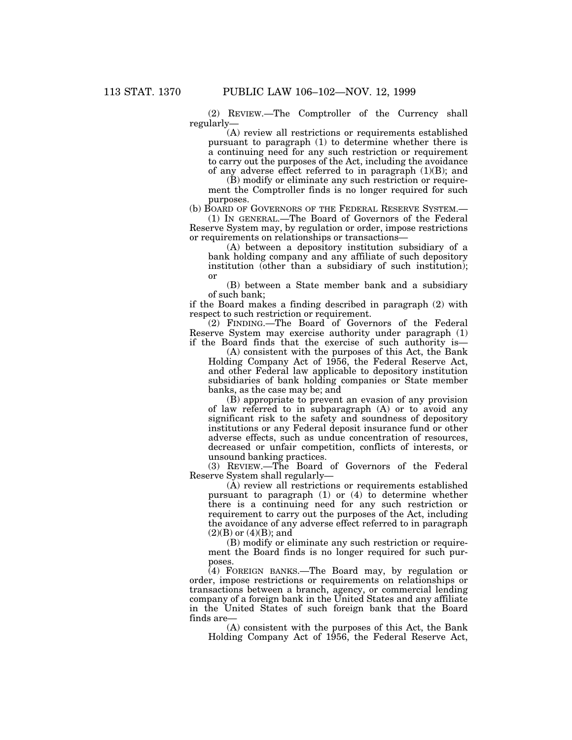(2) REVIEW.—The Comptroller of the Currency shall regularly—

(A) review all restrictions or requirements established pursuant to paragraph (1) to determine whether there is a continuing need for any such restriction or requirement to carry out the purposes of the Act, including the avoidance of any adverse effect referred to in paragraph  $(1)(B)$ ; and

(B) modify or eliminate any such restriction or requirement the Comptroller finds is no longer required for such purposes.

(b) BOARD OF GOVERNORS OF THE FEDERAL RESERVE SYSTEM.—

(1) IN GENERAL.—The Board of Governors of the Federal Reserve System may, by regulation or order, impose restrictions or requirements on relationships or transactions—

(A) between a depository institution subsidiary of a bank holding company and any affiliate of such depository institution (other than a subsidiary of such institution); or

(B) between a State member bank and a subsidiary of such bank;

if the Board makes a finding described in paragraph (2) with respect to such restriction or requirement.

(2) FINDING.—The Board of Governors of the Federal Reserve System may exercise authority under paragraph (1) if the Board finds that the exercise of such authority is—

(A) consistent with the purposes of this Act, the Bank Holding Company Act of 1956, the Federal Reserve Act, and other Federal law applicable to depository institution subsidiaries of bank holding companies or State member banks, as the case may be; and

(B) appropriate to prevent an evasion of any provision of law referred to in subparagraph (A) or to avoid any significant risk to the safety and soundness of depository institutions or any Federal deposit insurance fund or other adverse effects, such as undue concentration of resources, decreased or unfair competition, conflicts of interests, or unsound banking practices.

(3) REVIEW.—The Board of Governors of the Federal Reserve System shall regularly—

(A) review all restrictions or requirements established pursuant to paragraph (1) or (4) to determine whether there is a continuing need for any such restriction or requirement to carry out the purposes of the Act, including the avoidance of any adverse effect referred to in paragraph  $(2)(B)$  or  $(4)(B)$ ; and

(B) modify or eliminate any such restriction or requirement the Board finds is no longer required for such purposes.

(4) FOREIGN BANKS.—The Board may, by regulation or order, impose restrictions or requirements on relationships or transactions between a branch, agency, or commercial lending company of a foreign bank in the United States and any affiliate in the United States of such foreign bank that the Board finds are—

(A) consistent with the purposes of this Act, the Bank Holding Company Act of 1956, the Federal Reserve Act,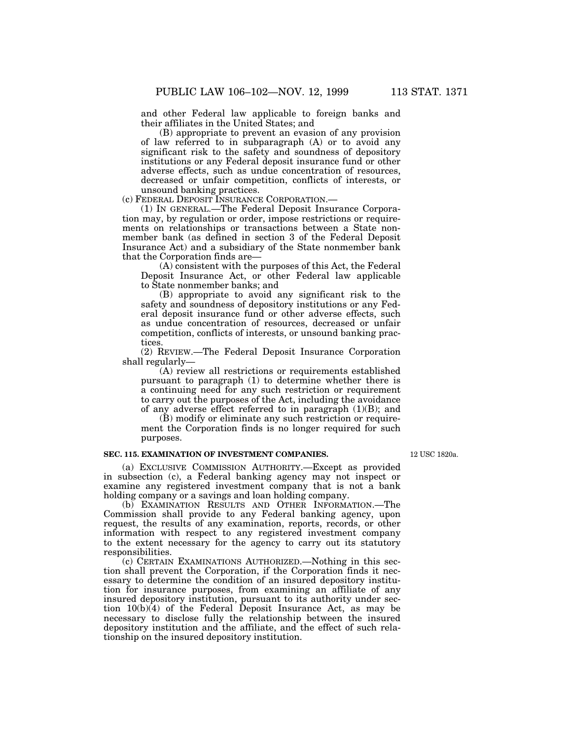and other Federal law applicable to foreign banks and their affiliates in the United States; and

(B) appropriate to prevent an evasion of any provision of law referred to in subparagraph (A) or to avoid any significant risk to the safety and soundness of depository institutions or any Federal deposit insurance fund or other adverse effects, such as undue concentration of resources, decreased or unfair competition, conflicts of interests, or unsound banking practices.

(c) FEDERAL DEPOSIT INSURANCE CORPORATION.—

(1) IN GENERAL.—The Federal Deposit Insurance Corporation may, by regulation or order, impose restrictions or requirements on relationships or transactions between a State nonmember bank (as defined in section 3 of the Federal Deposit Insurance Act) and a subsidiary of the State nonmember bank that the Corporation finds are—

(A) consistent with the purposes of this Act, the Federal Deposit Insurance Act, or other Federal law applicable to State nonmember banks; and

(B) appropriate to avoid any significant risk to the safety and soundness of depository institutions or any Federal deposit insurance fund or other adverse effects, such as undue concentration of resources, decreased or unfair competition, conflicts of interests, or unsound banking practices.

(2) REVIEW.—The Federal Deposit Insurance Corporation shall regularly—

(A) review all restrictions or requirements established pursuant to paragraph (1) to determine whether there is a continuing need for any such restriction or requirement to carry out the purposes of the Act, including the avoidance of any adverse effect referred to in paragraph  $(1)(B)$ ; and

(B) modify or eliminate any such restriction or requirement the Corporation finds is no longer required for such purposes.

## **SEC. 115. EXAMINATION OF INVESTMENT COMPANIES.**

(a) EXCLUSIVE COMMISSION AUTHORITY.—Except as provided in subsection (c), a Federal banking agency may not inspect or examine any registered investment company that is not a bank holding company or a savings and loan holding company.

(b) EXAMINATION RESULTS AND OTHER INFORMATION.—The Commission shall provide to any Federal banking agency, upon request, the results of any examination, reports, records, or other information with respect to any registered investment company to the extent necessary for the agency to carry out its statutory responsibilities.

(c) CERTAIN EXAMINATIONS AUTHORIZED.—Nothing in this section shall prevent the Corporation, if the Corporation finds it necessary to determine the condition of an insured depository institution for insurance purposes, from examining an affiliate of any insured depository institution, pursuant to its authority under section 10(b)(4) of the Federal Deposit Insurance Act, as may be necessary to disclose fully the relationship between the insured depository institution and the affiliate, and the effect of such relationship on the insured depository institution.

12 USC 1820a.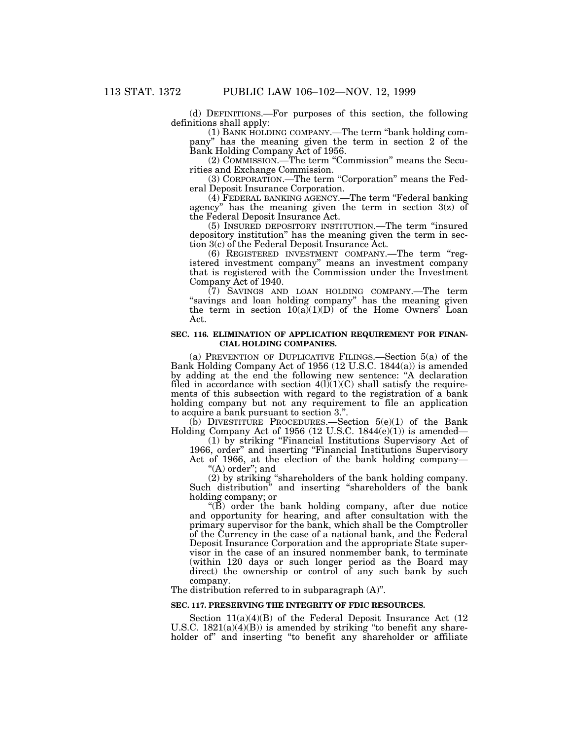(d) DEFINITIONS.—For purposes of this section, the following definitions shall apply:

(1) BANK HOLDING COMPANY.—The term ''bank holding company'' has the meaning given the term in section 2 of the Bank Holding Company Act of 1956.

(2) COMMISSION.—The term ''Commission'' means the Securities and Exchange Commission.

(3) CORPORATION.—The term ''Corporation'' means the Federal Deposit Insurance Corporation.

(4) FEDERAL BANKING AGENCY.—The term ''Federal banking agency" has the meaning given the term in section  $3(z)$  of the Federal Deposit Insurance Act.

(5) INSURED DEPOSITORY INSTITUTION.—The term ''insured depository institution'' has the meaning given the term in section 3(c) of the Federal Deposit Insurance Act.

(6) REGISTERED INVESTMENT COMPANY.—The term ''registered investment company'' means an investment company that is registered with the Commission under the Investment Company Act of 1940.

(7) SAVINGS AND LOAN HOLDING COMPANY.—The term "savings and loan holding company" has the meaning given the term in section  $10(a)(1)(D)$  of the Home Owners' Loan Act.

## **SEC. 116. ELIMINATION OF APPLICATION REQUIREMENT FOR FINAN-CIAL HOLDING COMPANIES.**

(a) PREVENTION OF DUPLICATIVE FILINGS.—Section 5(a) of the Bank Holding Company Act of 1956 (12 U.S.C. 1844(a)) is amended by adding at the end the following new sentence: ''A declaration filed in accordance with section  $4(I)(1)(C)$  shall satisfy the requirements of this subsection with regard to the registration of a bank holding company but not any requirement to file an application to acquire a bank pursuant to section 3.''.

(b) DIVESTITURE PROCEDURES.—Section 5(e)(1) of the Bank Holding Company Act of 1956 (12 U.S.C. 1844(e)(1)) is amended—

(1) by striking ''Financial Institutions Supervisory Act of 1966, order'' and inserting ''Financial Institutions Supervisory Act of 1966, at the election of the bank holding company— ''(A) order''; and

(2) by striking ''shareholders of the bank holding company. Such distribution'' and inserting ''shareholders of the bank holding company; or

''(B) order the bank holding company, after due notice and opportunity for hearing, and after consultation with the primary supervisor for the bank, which shall be the Comptroller of the Currency in the case of a national bank, and the Federal Deposit Insurance Corporation and the appropriate State supervisor in the case of an insured nonmember bank, to terminate (within 120 days or such longer period as the Board may direct) the ownership or control of any such bank by such company.

The distribution referred to in subparagraph (A)''.

### **SEC. 117. PRESERVING THE INTEGRITY OF FDIC RESOURCES.**

Section  $11(a)(4)(B)$  of the Federal Deposit Insurance Act  $(12)$ U.S.C.  $1821(a)(4)(B)$ ) is amended by striking "to benefit any shareholder of'' and inserting ''to benefit any shareholder or affiliate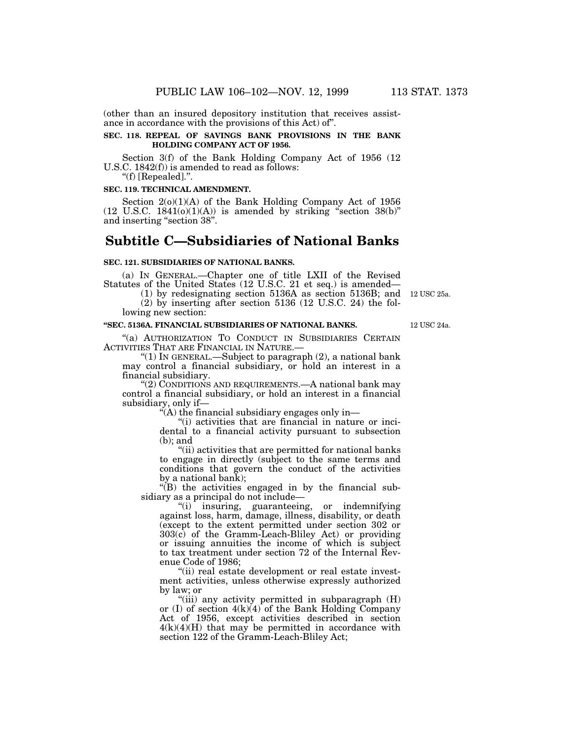(other than an insured depository institution that receives assistance in accordance with the provisions of this Act) of''.

### **SEC. 118. REPEAL OF SAVINGS BANK PROVISIONS IN THE BANK HOLDING COMPANY ACT OF 1956.**

Section 3(f) of the Bank Holding Company Act of 1956 (12 U.S.C. 1842(f)) is amended to read as follows:

''(f) [Repealed].''.

### **SEC. 119. TECHNICAL AMENDMENT.**

Section 2(o)(1)(A) of the Bank Holding Company Act of 1956  $(12 \text{ U.S.C. } 1841(o)(1)(\text{A}))$  is amended by striking "section 38(b)" and inserting ''section 38''.

# **Subtitle C—Subsidiaries of National Banks**

### **SEC. 121. SUBSIDIARIES OF NATIONAL BANKS.**

(a) IN GENERAL.—Chapter one of title LXII of the Revised Statutes of the United States (12 U.S.C. 21 et seq.) is amended—

(1) by redesignating section 5136A as section 5136B; and 12 USC 25a.

(2) by inserting after section 5136 (12 U.S.C. 24) the fol-

lowing new section:

#### **''SEC. 5136A. FINANCIAL SUBSIDIARIES OF NATIONAL BANKS.**

"(a) AUTHORIZATION TO CONDUCT IN SUBSIDIARIES CERTAIN ACTIVITIES THAT ARE FINANCIAL IN NATURE.—

" $(1)$  In GENERAL.—Subject to paragraph  $(2)$ , a national bank may control a financial subsidiary, or hold an interest in a financial subsidiary.

''(2) CONDITIONS AND REQUIREMENTS.—A national bank may control a financial subsidiary, or hold an interest in a financial subsidiary, only if—

 $\mathring{H}(\hat{A})$  the financial subsidiary engages only in—

"(i) activities that are financial in nature or incidental to a financial activity pursuant to subsection (b); and

''(ii) activities that are permitted for national banks to engage in directly (subject to the same terms and conditions that govern the conduct of the activities by a national bank);

''(B) the activities engaged in by the financial subsidiary as a principal do not include—

''(i) insuring, guaranteeing, or indemnifying against loss, harm, damage, illness, disability, or death (except to the extent permitted under section 302 or 303(c) of the Gramm-Leach-Bliley Act) or providing or issuing annuities the income of which is subject to tax treatment under section 72 of the Internal Revenue Code of 1986;

''(ii) real estate development or real estate investment activities, unless otherwise expressly authorized by law; or

"(iii) any activity permitted in subparagraph (H) or (I) of section  $4(k)(4)$  of the Bank Holding Company Act of 1956, except activities described in section  $4(k)(4)(H)$  that may be permitted in accordance with section 122 of the Gramm-Leach-Bliley Act;

12 USC 24a.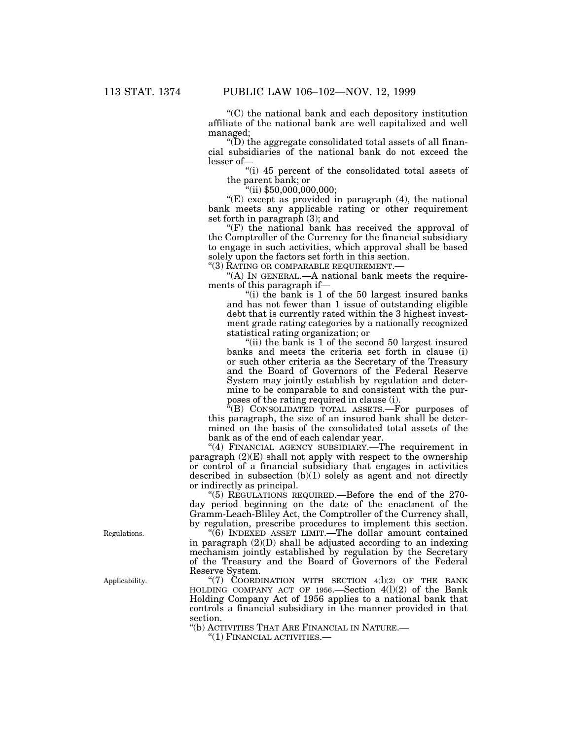''(C) the national bank and each depository institution affiliate of the national bank are well capitalized and well managed;

 $\mathrm{``(D)}$  the aggregate consolidated total assets of all financial subsidiaries of the national bank do not exceed the lesser of—

''(i) 45 percent of the consolidated total assets of the parent bank; or

 $\cdot$ "(ii) \$50,000,000,000;

" $(E)$  except as provided in paragraph  $(4)$ , the national bank meets any applicable rating or other requirement set forth in paragraph (3); and

 $(F)$  the national bank has received the approval of the Comptroller of the Currency for the financial subsidiary to engage in such activities, which approval shall be based solely upon the factors set forth in this section.

''(3) RATING OR COMPARABLE REQUIREMENT.—

"(A) IN GENERAL $-$ A national bank meets the requirements of this paragraph if—

"(i) the bank is 1 of the 50 largest insured banks and has not fewer than 1 issue of outstanding eligible debt that is currently rated within the 3 highest investment grade rating categories by a nationally recognized statistical rating organization; or

''(ii) the bank is 1 of the second 50 largest insured banks and meets the criteria set forth in clause (i) or such other criteria as the Secretary of the Treasury and the Board of Governors of the Federal Reserve System may jointly establish by regulation and determine to be comparable to and consistent with the purposes of the rating required in clause (i).

''(B) CONSOLIDATED TOTAL ASSETS.—For purposes of this paragraph, the size of an insured bank shall be determined on the basis of the consolidated total assets of the bank as of the end of each calendar year.

"(4) FINANCIAL AGENCY SUBSIDIARY.—The requirement in paragraph  $(2)(E)$  shall not apply with respect to the ownership or control of a financial subsidiary that engages in activities described in subsection (b)(1) solely as agent and not directly or indirectly as principal.

''(5) REGULATIONS REQUIRED.—Before the end of the 270 day period beginning on the date of the enactment of the Gramm-Leach-Bliley Act, the Comptroller of the Currency shall, by regulation, prescribe procedures to implement this section.

''(6) INDEXED ASSET LIMIT.—The dollar amount contained in paragraph  $(2)(D)$  shall be adjusted according to an indexing mechanism jointly established by regulation by the Secretary of the Treasury and the Board of Governors of the Federal Reserve System.

" $(7)$  COORDINATION WITH SECTION  $4(l)(2)$  OF THE BANK HOLDING COMPANY ACT OF 1956.—Section  $4(1)(2)$  of the Bank Holding Company Act of 1956 applies to a national bank that controls a financial subsidiary in the manner provided in that section.

''(b) ACTIVITIES THAT ARE FINANCIAL IN NATURE.—

''(1) FINANCIAL ACTIVITIES.—

Regulations.

Applicability.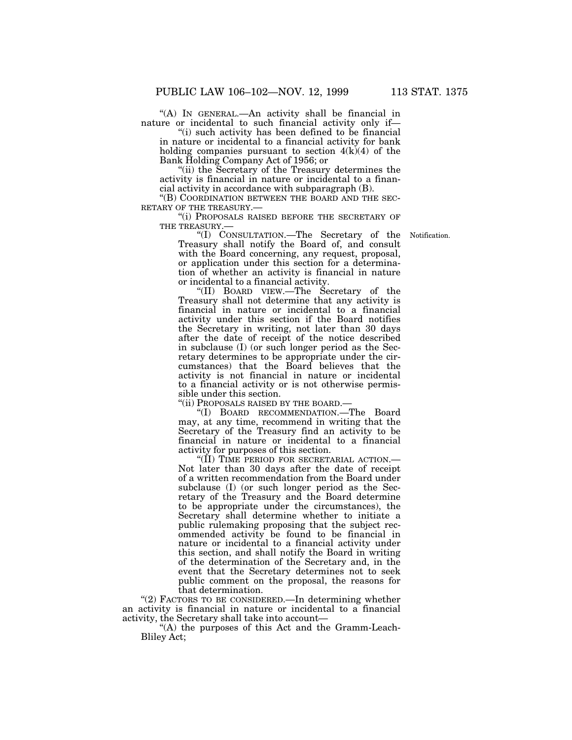''(A) IN GENERAL.—An activity shall be financial in nature or incidental to such financial activity only if—

"(i) such activity has been defined to be financial in nature or incidental to a financial activity for bank holding companies pursuant to section  $4(k)(4)$  of the Bank Holding Company Act of 1956; or

''(ii) the Secretary of the Treasury determines the activity is financial in nature or incidental to a financial activity in accordance with subparagraph (B).

''(B) COORDINATION BETWEEN THE BOARD AND THE SEC-RETARY OF THE TREASURY.—

''(i) PROPOSALS RAISED BEFORE THE SECRETARY OF THE TREASURY.

Notification.

''(I) CONSULTATION.—The Secretary of the Treasury shall notify the Board of, and consult with the Board concerning, any request, proposal, or application under this section for a determination of whether an activity is financial in nature or incidental to a financial activity.

''(II) BOARD VIEW.—The Secretary of the Treasury shall not determine that any activity is financial in nature or incidental to a financial activity under this section if the Board notifies the Secretary in writing, not later than 30 days after the date of receipt of the notice described in subclause (I) (or such longer period as the Secretary determines to be appropriate under the circumstances) that the Board believes that the activity is not financial in nature or incidental to a financial activity or is not otherwise permissible under this section.

"(ii) PROPOSALS RAISED BY THE BOARD.-

''(I) BOARD RECOMMENDATION.—The Board may, at any time, recommend in writing that the Secretary of the Treasury find an activity to be financial in nature or incidental to a financial activity for purposes of this section.

''(II) TIME PERIOD FOR SECRETARIAL ACTION.— Not later than 30 days after the date of receipt of a written recommendation from the Board under subclause (I) (or such longer period as the Secretary of the Treasury and the Board determine to be appropriate under the circumstances), the Secretary shall determine whether to initiate a public rulemaking proposing that the subject recommended activity be found to be financial in nature or incidental to a financial activity under this section, and shall notify the Board in writing of the determination of the Secretary and, in the event that the Secretary determines not to seek public comment on the proposal, the reasons for that determination.

"(2) FACTORS TO BE CONSIDERED.—In determining whether an activity is financial in nature or incidental to a financial activity, the Secretary shall take into account—

"(A) the purposes of this Act and the Gramm-Leach-Bliley Act;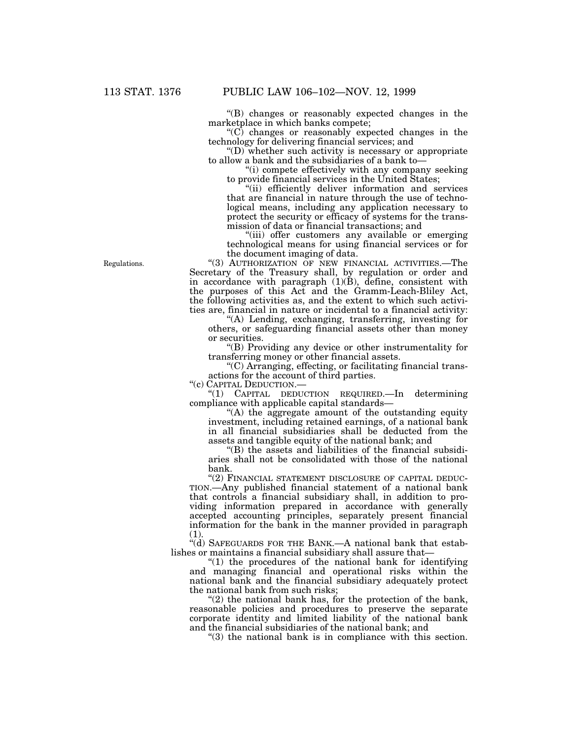''(B) changes or reasonably expected changes in the marketplace in which banks compete;

 $(C)$  changes or reasonably expected changes in the technology for delivering financial services; and

''(D) whether such activity is necessary or appropriate to allow a bank and the subsidiaries of a bank to—

''(i) compete effectively with any company seeking to provide financial services in the United States;

"(ii) efficiently deliver information and services that are financial in nature through the use of technological means, including any application necessary to protect the security or efficacy of systems for the transmission of data or financial transactions; and

"(iii) offer customers any available or emerging technological means for using financial services or for the document imaging of data.

"(3) AUTHORIZATION OF NEW FINANCIAL ACTIVITIES.-The Secretary of the Treasury shall, by regulation or order and in accordance with paragraph (1)(B), define, consistent with the purposes of this Act and the Gramm-Leach-Bliley Act, the following activities as, and the extent to which such activities are, financial in nature or incidental to a financial activity:

''(A) Lending, exchanging, transferring, investing for others, or safeguarding financial assets other than money or securities.

''(B) Providing any device or other instrumentality for transferring money or other financial assets.

''(C) Arranging, effecting, or facilitating financial transactions for the account of third parties.

''(c) CAPITAL DEDUCTION.—

''(1) CAPITAL DEDUCTION REQUIRED.—In determining compliance with applicable capital standards—

 $(A)$  the aggregate amount of the outstanding equity investment, including retained earnings, of a national bank in all financial subsidiaries shall be deducted from the assets and tangible equity of the national bank; and

''(B) the assets and liabilities of the financial subsidiaries shall not be consolidated with those of the national bank.

"(2) FINANCIAL STATEMENT DISCLOSURE OF CAPITAL DEDUC-TION.—Any published financial statement of a national bank that controls a financial subsidiary shall, in addition to providing information prepared in accordance with generally accepted accounting principles, separately present financial information for the bank in the manner provided in paragraph (1).

''(d) SAFEGUARDS FOR THE BANK.—A national bank that establishes or maintains a financial subsidiary shall assure that—

''(1) the procedures of the national bank for identifying and managing financial and operational risks within the national bank and the financial subsidiary adequately protect the national bank from such risks;

 $(2)$  the national bank has, for the protection of the bank, reasonable policies and procedures to preserve the separate corporate identity and limited liability of the national bank and the financial subsidiaries of the national bank; and

''(3) the national bank is in compliance with this section.

Regulations.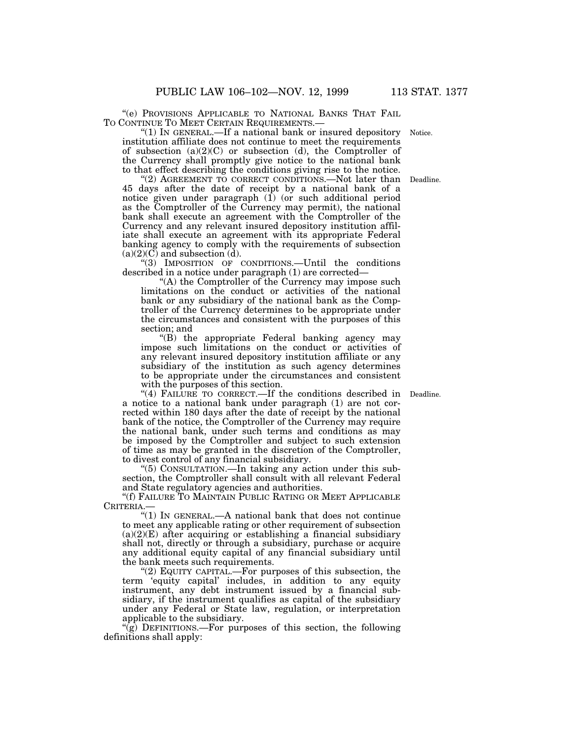"(e) PROVISIONS APPLICABLE TO NATIONAL BANKS THAT FAIL TO CONTINUE TO MEET CERTAIN REQUIREMENTS.—

" $(1)$  In GENERAL.—If a national bank or insured depository institution affiliate does not continue to meet the requirements of subsection  $(a)(2)(C)$  or subsection (d), the Comptroller of the Currency shall promptly give notice to the national bank to that effect describing the conditions giving rise to the notice.

"(2) AGREEMENT TO CORRECT CONDITIONS.—Not later than Deadline. 45 days after the date of receipt by a national bank of a notice given under paragraph (1) (or such additional period as the Comptroller of the Currency may permit), the national bank shall execute an agreement with the Comptroller of the Currency and any relevant insured depository institution affiliate shall execute an agreement with its appropriate Federal banking agency to comply with the requirements of subsection  $(a)(2)(\overline{C})$  and subsection  $(d)$ .

''(3) IMPOSITION OF CONDITIONS.—Until the conditions described in a notice under paragraph (1) are corrected—

"(A) the Comptroller of the Currency may impose such limitations on the conduct or activities of the national bank or any subsidiary of the national bank as the Comptroller of the Currency determines to be appropriate under the circumstances and consistent with the purposes of this section; and

''(B) the appropriate Federal banking agency may impose such limitations on the conduct or activities of any relevant insured depository institution affiliate or any subsidiary of the institution as such agency determines to be appropriate under the circumstances and consistent with the purposes of this section.

"(4) FAILURE TO CORRECT.—If the conditions described in Deadline. a notice to a national bank under paragraph (1) are not corrected within 180 days after the date of receipt by the national bank of the notice, the Comptroller of the Currency may require the national bank, under such terms and conditions as may be imposed by the Comptroller and subject to such extension of time as may be granted in the discretion of the Comptroller, to divest control of any financial subsidiary.

''(5) CONSULTATION.—In taking any action under this subsection, the Comptroller shall consult with all relevant Federal and State regulatory agencies and authorities.

''(f) FAILURE TO MAINTAIN PUBLIC RATING OR MEET APPLICABLE **CRITERIA** 

''(1) IN GENERAL.—A national bank that does not continue to meet any applicable rating or other requirement of subsection  $(a)(2)(E)$  after acquiring or establishing a financial subsidiary shall not, directly or through a subsidiary, purchase or acquire any additional equity capital of any financial subsidiary until the bank meets such requirements.

" $(2)$  EQUITY CAPITAL.—For purposes of this subsection, the term 'equity capital' includes, in addition to any equity instrument, any debt instrument issued by a financial subsidiary, if the instrument qualifies as capital of the subsidiary under any Federal or State law, regulation, or interpretation applicable to the subsidiary.

 $\mathcal{L}(g)$  DEFINITIONS.—For purposes of this section, the following definitions shall apply:

Notice.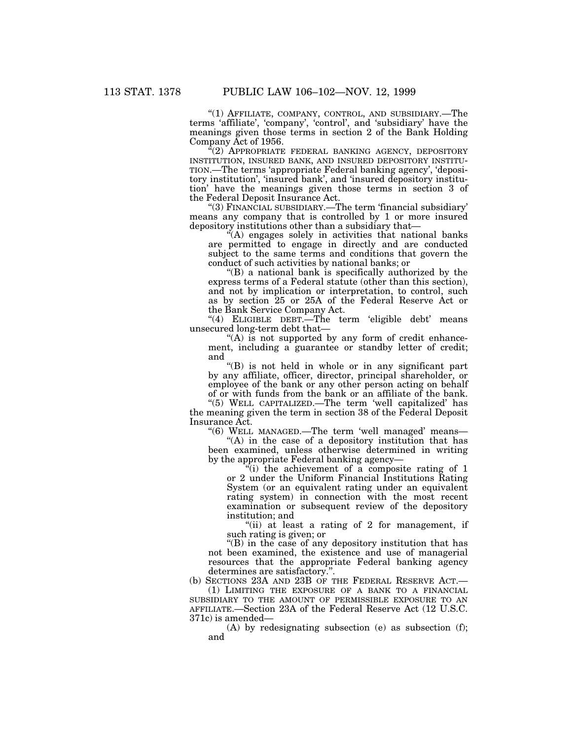''(1) AFFILIATE, COMPANY, CONTROL, AND SUBSIDIARY.—The terms 'affiliate', 'company', 'control', and 'subsidiary' have the meanings given those terms in section 2 of the Bank Holding Company Act of 1956.

 $\langle (2)$  APPROPRIATE FEDERAL BANKING AGENCY, DEPOSITORY INSTITUTION, INSURED BANK, AND INSURED DEPOSITORY INSTITU-TION.—The terms 'appropriate Federal banking agency', 'depository institution', 'insured bank', and 'insured depository institution' have the meanings given those terms in section 3 of the Federal Deposit Insurance Act.

''(3) FINANCIAL SUBSIDIARY.—The term 'financial subsidiary' means any company that is controlled by 1 or more insured depository institutions other than a subsidiary that—

''(A) engages solely in activities that national banks are permitted to engage in directly and are conducted subject to the same terms and conditions that govern the conduct of such activities by national banks; or

''(B) a national bank is specifically authorized by the express terms of a Federal statute (other than this section), and not by implication or interpretation, to control, such as by section 25 or 25A of the Federal Reserve Act or the Bank Service Company Act.

"(4) ELIGIBLE DEBT.—The term 'eligible debt' means unsecured long-term debt that—

" $(A)$  is not supported by any form of credit enhancement, including a guarantee or standby letter of credit; and

''(B) is not held in whole or in any significant part by any affiliate, officer, director, principal shareholder, or employee of the bank or any other person acting on behalf of or with funds from the bank or an affiliate of the bank.

"(5) WELL CAPITALIZED.—The term 'well capitalized' has the meaning given the term in section 38 of the Federal Deposit Insurance Act.

"(6) WELL MANAGED.—The term 'well managed' means—

"(A) in the case of a depository institution that has been examined, unless otherwise determined in writing by the appropriate Federal banking agency—

''(i) the achievement of a composite rating of 1 or 2 under the Uniform Financial Institutions Rating System (or an equivalent rating under an equivalent rating system) in connection with the most recent examination or subsequent review of the depository institution; and

''(ii) at least a rating of 2 for management, if such rating is given; or

''(B) in the case of any depository institution that has not been examined, the existence and use of managerial resources that the appropriate Federal banking agency determines are satisfactory.''.

(b) SECTIONS 23A AND 23B OF THE FEDERAL RESERVE ACT.— (1) LIMITING THE EXPOSURE OF A BANK TO A FINANCIAL

SUBSIDIARY TO THE AMOUNT OF PERMISSIBLE EXPOSURE TO AN AFFILIATE.—Section 23A of the Federal Reserve Act (12 U.S.C. 371c) is amended—

(A) by redesignating subsection (e) as subsection (f); and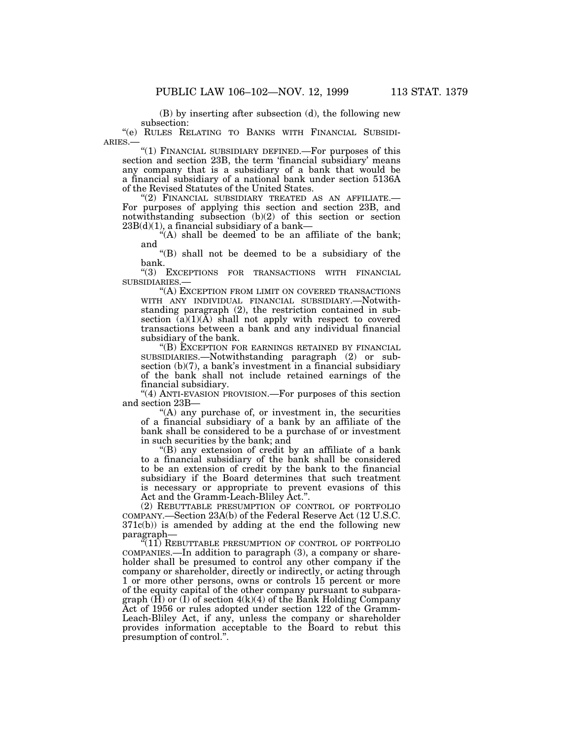(B) by inserting after subsection (d), the following new subsection:

''(e) RULES RELATING TO BANKS WITH FINANCIAL SUBSIDI- ARIES.—

''(1) FINANCIAL SUBSIDIARY DEFINED.—For purposes of this section and section 23B, the term 'financial subsidiary' means any company that is a subsidiary of a bank that would be a financial subsidiary of a national bank under section 5136A of the Revised Statutes of the United States.

"(2) FINANCIAL SUBSIDIARY TREATED AS AN AFFILIATE.— For purposes of applying this section and section 23B, and notwithstanding subsection (b)(2) of this section or section  $23B(d)(1)$ , a financial subsidiary of a bank–

 $(A)$  shall be deemed to be an affiliate of the bank; and

''(B) shall not be deemed to be a subsidiary of the bank.

''(3) EXCEPTIONS FOR TRANSACTIONS WITH FINANCIAL SUBSIDIARIES.—

''(A) EXCEPTION FROM LIMIT ON COVERED TRANSACTIONS WITH ANY INDIVIDUAL FINANCIAL SUBSIDIARY.—Notwithstanding paragraph (2), the restriction contained in subsection  $(a)(1)(\overline{A})$  shall not apply with respect to covered transactions between a bank and any individual financial subsidiary of the bank.

''(B) EXCEPTION FOR EARNINGS RETAINED BY FINANCIAL SUBSIDIARIES.—Notwithstanding paragraph (2) or subsection (b)(7), a bank's investment in a financial subsidiary of the bank shall not include retained earnings of the financial subsidiary.

''(4) ANTI-EVASION PROVISION.—For purposes of this section and section 23B—

 $<sup>"</sup>(A)$  any purchase of, or investment in, the securities</sup> of a financial subsidiary of a bank by an affiliate of the bank shall be considered to be a purchase of or investment in such securities by the bank; and

''(B) any extension of credit by an affiliate of a bank to a financial subsidiary of the bank shall be considered to be an extension of credit by the bank to the financial subsidiary if the Board determines that such treatment is necessary or appropriate to prevent evasions of this Act and the Gramm-Leach-Bliley Act.''.

(2) REBUTTABLE PRESUMPTION OF CONTROL OF PORTFOLIO COMPANY.—Section 23A(b) of the Federal Reserve Act (12 U.S.C.  $371c(b)$  is amended by adding at the end the following new paragraph—

 $f(11)$  REBUTTABLE PRESUMPTION OF CONTROL OF PORTFOLIO COMPANIES.—In addition to paragraph (3), a company or shareholder shall be presumed to control any other company if the company or shareholder, directly or indirectly, or acting through 1 or more other persons, owns or controls 15 percent or more of the equity capital of the other company pursuant to subparagraph (H) or (I) of section 4(k)(4) of the Bank Holding Company Act of 1956 or rules adopted under section 122 of the Gramm-Leach-Bliley Act, if any, unless the company or shareholder provides information acceptable to the Board to rebut this presumption of control.''.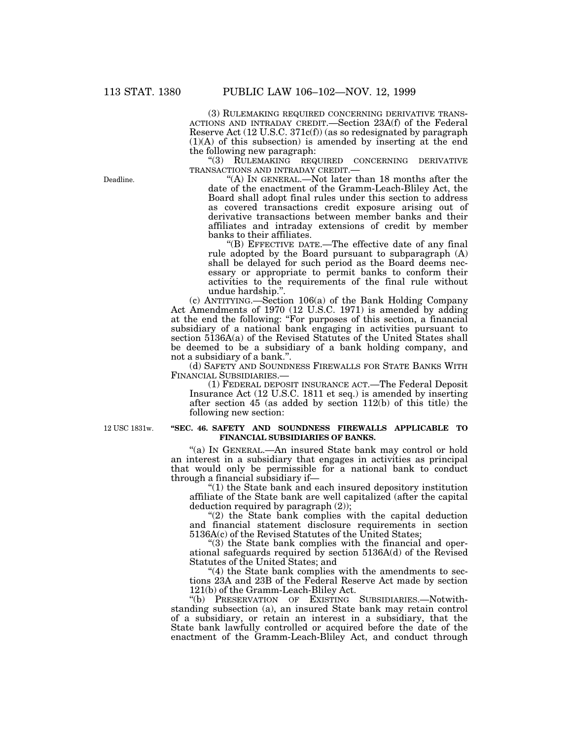(3) RULEMAKING REQUIRED CONCERNING DERIVATIVE TRANS- ACTIONS AND INTRADAY CREDIT.—Section 23A(f) of the Federal Reserve Act (12 U.S.C. 371c(f)) (as so redesignated by paragraph (1)(A) of this subsection) is amended by inserting at the end the following new paragraph:

''(3) RULEMAKING REQUIRED CONCERNING DERIVATIVE TRANSACTIONS AND INTRADAY CREDIT.—

''(A) IN GENERAL.—Not later than 18 months after the date of the enactment of the Gramm-Leach-Bliley Act, the Board shall adopt final rules under this section to address as covered transactions credit exposure arising out of derivative transactions between member banks and their affiliates and intraday extensions of credit by member banks to their affiliates.

''(B) EFFECTIVE DATE.—The effective date of any final rule adopted by the Board pursuant to subparagraph (A) shall be delayed for such period as the Board deems necessary or appropriate to permit banks to conform their activities to the requirements of the final rule without undue hardship.''.

(c) ANTITYING.—Section 106(a) of the Bank Holding Company Act Amendments of 1970 (12 U.S.C. 1971) is amended by adding at the end the following: ''For purposes of this section, a financial subsidiary of a national bank engaging in activities pursuant to section 5136A(a) of the Revised Statutes of the United States shall be deemed to be a subsidiary of a bank holding company, and not a subsidiary of a bank.''.

(d) SAFETY AND SOUNDNESS FIREWALLS FOR STATE BANKS WITH FINANCIAL SUBSIDIARIES.—

(1) FEDERAL DEPOSIT INSURANCE ACT.—The Federal Deposit Insurance Act (12 U.S.C. 1811 et seq.) is amended by inserting after section 45 (as added by section 112(b) of this title) the following new section:

12 USC 1831w.

### **''SEC. 46. SAFETY AND SOUNDNESS FIREWALLS APPLICABLE TO FINANCIAL SUBSIDIARIES OF BANKS.**

''(a) IN GENERAL.—An insured State bank may control or hold an interest in a subsidiary that engages in activities as principal that would only be permissible for a national bank to conduct through a financial subsidiary if—

 $(1)$  the State bank and each insured depository institution affiliate of the State bank are well capitalized (after the capital deduction required by paragraph (2));

 $(2)$  the State bank complies with the capital deduction and financial statement disclosure requirements in section 5136A(c) of the Revised Statutes of the United States;

''(3) the State bank complies with the financial and operational safeguards required by section 5136A(d) of the Revised Statutes of the United States; and

 $*(4)$  the State bank complies with the amendments to sections 23A and 23B of the Federal Reserve Act made by section 121(b) of the Gramm-Leach-Bliley Act.

''(b) PRESERVATION OF EXISTING SUBSIDIARIES.—Notwithstanding subsection (a), an insured State bank may retain control of a subsidiary, or retain an interest in a subsidiary, that the State bank lawfully controlled or acquired before the date of the enactment of the Gramm-Leach-Bliley Act, and conduct through

Deadline.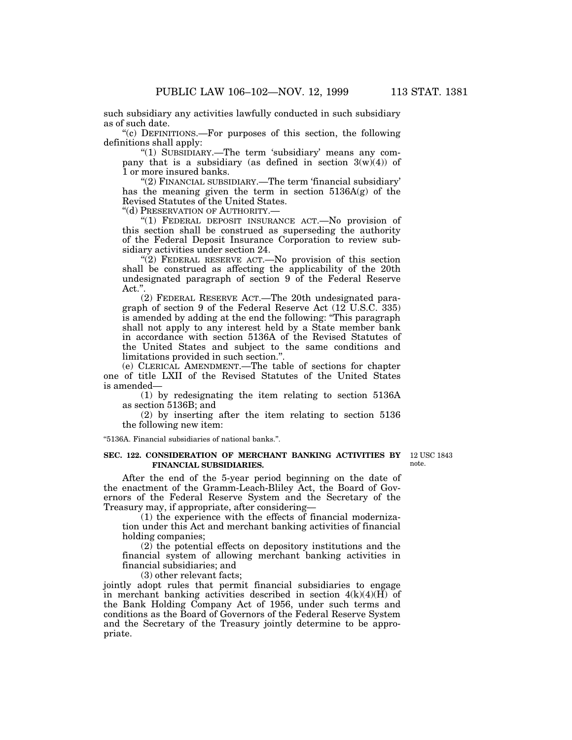such subsidiary any activities lawfully conducted in such subsidiary as of such date.

''(c) DEFINITIONS.—For purposes of this section, the following definitions shall apply:

"(1) SUBSIDIARY.—The term 'subsidiary' means any company that is a subsidiary (as defined in section  $3(w)(4)$ ) of 1 or more insured banks.

''(2) FINANCIAL SUBSIDIARY.—The term 'financial subsidiary' has the meaning given the term in section 5136A(g) of the Revised Statutes of the United States.

''(d) PRESERVATION OF AUTHORITY.—

''(1) FEDERAL DEPOSIT INSURANCE ACT.—No provision of this section shall be construed as superseding the authority of the Federal Deposit Insurance Corporation to review subsidiary activities under section 24.

"(2) FEDERAL RESERVE ACT.—No provision of this section shall be construed as affecting the applicability of the 20th undesignated paragraph of section 9 of the Federal Reserve Act.''.

(2) FEDERAL RESERVE ACT.—The 20th undesignated paragraph of section 9 of the Federal Reserve Act (12 U.S.C. 335) is amended by adding at the end the following: ''This paragraph shall not apply to any interest held by a State member bank in accordance with section 5136A of the Revised Statutes of the United States and subject to the same conditions and limitations provided in such section.''.

(e) CLERICAL AMENDMENT.—The table of sections for chapter one of title LXII of the Revised Statutes of the United States is amended—

(1) by redesignating the item relating to section 5136A as section 5136B; and

(2) by inserting after the item relating to section 5136 the following new item:

''5136A. Financial subsidiaries of national banks.''.

### **SEC. 122. CONSIDERATION OF MERCHANT BANKING ACTIVITIES BY** 12 USC 1843 **FINANCIAL SUBSIDIARIES.**

note.

After the end of the 5-year period beginning on the date of the enactment of the Gramm-Leach-Bliley Act, the Board of Governors of the Federal Reserve System and the Secretary of the Treasury may, if appropriate, after considering—

(1) the experience with the effects of financial modernization under this Act and merchant banking activities of financial holding companies;

(2) the potential effects on depository institutions and the financial system of allowing merchant banking activities in financial subsidiaries; and

(3) other relevant facts;

jointly adopt rules that permit financial subsidiaries to engage in merchant banking activities described in section  $4(k)(4)(H)$  of the Bank Holding Company Act of 1956, under such terms and conditions as the Board of Governors of the Federal Reserve System and the Secretary of the Treasury jointly determine to be appropriate.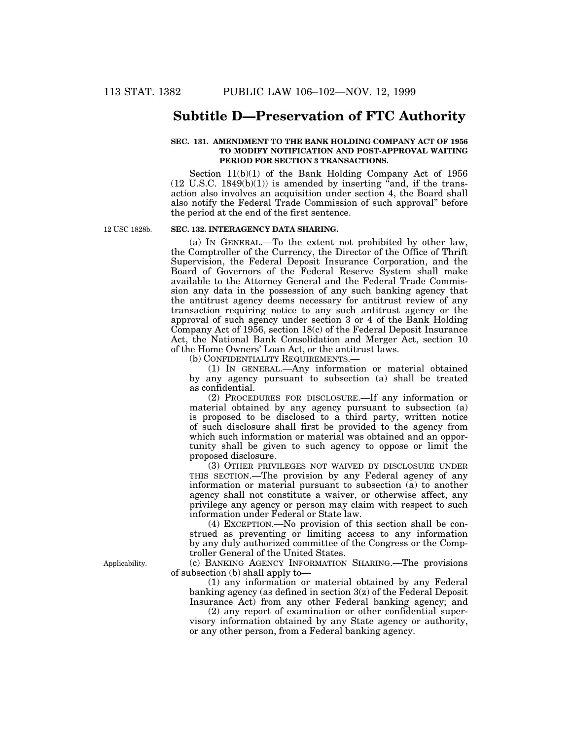### **Subtitle D—Preservation of FTC Authority**

### **SEC. 131. AMENDMENT TO THE BANK HOLDING COMPANY ACT OF 1956 TO MODIFY NOTIFICATION AND POST-APPROVAL WAITING PERIOD FOR SECTION 3 TRANSACTIONS.**

Section 11(b)(1) of the Bank Holding Company Act of 1956  $(12 \text{ U.S.C. } 1849(b)(1))$  is amended by inserting "and, if the transaction also involves an acquisition under section 4, the Board shall also notify the Federal Trade Commission of such approval'' before the period at the end of the first sentence.

12 USC 1828b.

### **SEC. 132. INTERAGENCY DATA SHARING.**

(a) IN GENERAL.—To the extent not prohibited by other law, the Comptroller of the Currency, the Director of the Office of Thrift Supervision, the Federal Deposit Insurance Corporation, and the Board of Governors of the Federal Reserve System shall make available to the Attorney General and the Federal Trade Commission any data in the possession of any such banking agency that the antitrust agency deems necessary for antitrust review of any transaction requiring notice to any such antitrust agency or the approval of such agency under section 3 or 4 of the Bank Holding Company Act of 1956, section 18(c) of the Federal Deposit Insurance Act, the National Bank Consolidation and Merger Act, section 10 of the Home Owners' Loan Act, or the antitrust laws.

(b) CONFIDENTIALITY REQUIREMENTS.—

(1) IN GENERAL.—Any information or material obtained by any agency pursuant to subsection (a) shall be treated as confidential.

(2) PROCEDURES FOR DISCLOSURE.—If any information or material obtained by any agency pursuant to subsection (a) is proposed to be disclosed to a third party, written notice of such disclosure shall first be provided to the agency from which such information or material was obtained and an opportunity shall be given to such agency to oppose or limit the proposed disclosure.

(3) OTHER PRIVILEGES NOT WAIVED BY DISCLOSURE UNDER THIS SECTION.—The provision by any Federal agency of any information or material pursuant to subsection (a) to another agency shall not constitute a waiver, or otherwise affect, any privilege any agency or person may claim with respect to such information under Federal or State law.

(4) EXCEPTION.—No provision of this section shall be construed as preventing or limiting access to any information by any duly authorized committee of the Congress or the Comptroller General of the United States.

(c) BANKING AGENCY INFORMATION SHARING.—The provisions of subsection (b) shall apply to—

(1) any information or material obtained by any Federal banking agency (as defined in section 3(z) of the Federal Deposit Insurance Act) from any other Federal banking agency; and

(2) any report of examination or other confidential supervisory information obtained by any State agency or authority, or any other person, from a Federal banking agency.

Applicability.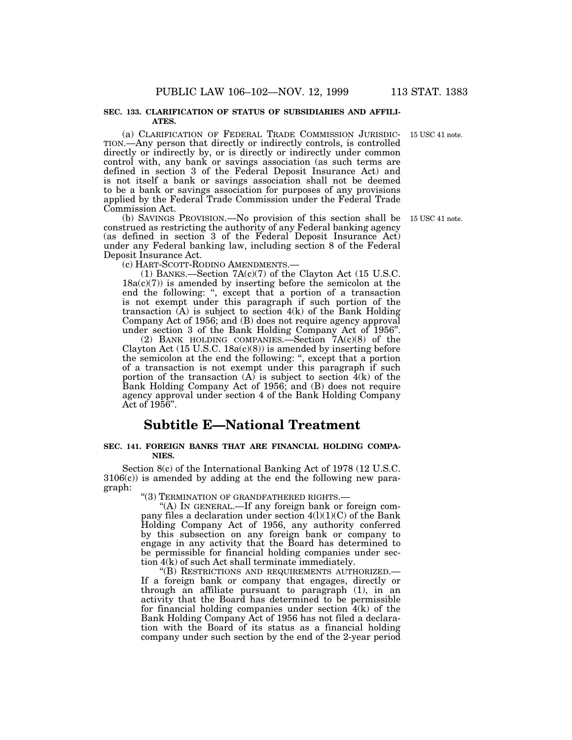### **SEC. 133. CLARIFICATION OF STATUS OF SUBSIDIARIES AND AFFILI-ATES.**

(a) CLARIFICATION OF FEDERAL TRADE COMMISSION JURISDIC- TION.—Any person that directly or indirectly controls, is controlled directly or indirectly by, or is directly or indirectly under common control with, any bank or savings association (as such terms are defined in section 3 of the Federal Deposit Insurance Act) and is not itself a bank or savings association shall not be deemed to be a bank or savings association for purposes of any provisions applied by the Federal Trade Commission under the Federal Trade Commission Act.

(b) SAVINGS PROVISION.—No provision of this section shall be 15 USC 41 note. construed as restricting the authority of any Federal banking agency (as defined in section 3 of the Federal Deposit Insurance Act) under any Federal banking law, including section 8 of the Federal Deposit Insurance Act.

(c) HART-SCOTT-RODINO AMENDMENTS.—

(1) BANKS.—Section 7A(c)(7) of the Clayton Act (15 U.S.C.  $18a(c)(7)$  is amended by inserting before the semicolon at the end the following: '', except that a portion of a transaction is not exempt under this paragraph if such portion of the transaction  $(A)$  is subject to section  $4(k)$  of the Bank Holding Company Act of 1956; and (B) does not require agency approval under section 3 of the Bank Holding Company Act of 1956''.

(2) BANK HOLDING COMPANIES.—Section 7A(c)(8) of the Clayton Act  $(15 \text{ U.S.C. } 18a(c)(8))$  is amended by inserting before the semicolon at the end the following: '', except that a portion of a transaction is not exempt under this paragraph if such portion of the transaction  $(A)$  is subject to section  $4(k)$  of the Bank Holding Company Act of 1956; and (B) does not require agency approval under section 4 of the Bank Holding Company Act of 1956''.

### **Subtitle E—National Treatment**

### **SEC. 141. FOREIGN BANKS THAT ARE FINANCIAL HOLDING COMPA-NIES.**

Section 8(c) of the International Banking Act of 1978 (12 U.S.C. 3106(c)) is amended by adding at the end the following new paragraph:

''(3) TERMINATION OF GRANDFATHERED RIGHTS.—

"(A) In GENERAL.—If any foreign bank or foreign company files a declaration under section  $4(l)(1)(C)$  of the Bank Holding Company Act of 1956, any authority conferred by this subsection on any foreign bank or company to engage in any activity that the Board has determined to be permissible for financial holding companies under section 4(k) of such Act shall terminate immediately.

''(B) RESTRICTIONS AND REQUIREMENTS AUTHORIZED.— If a foreign bank or company that engages, directly or through an affiliate pursuant to paragraph (1), in an activity that the Board has determined to be permissible for financial holding companies under section 4(k) of the Bank Holding Company Act of 1956 has not filed a declaration with the Board of its status as a financial holding company under such section by the end of the 2-year period

15 USC 41 note.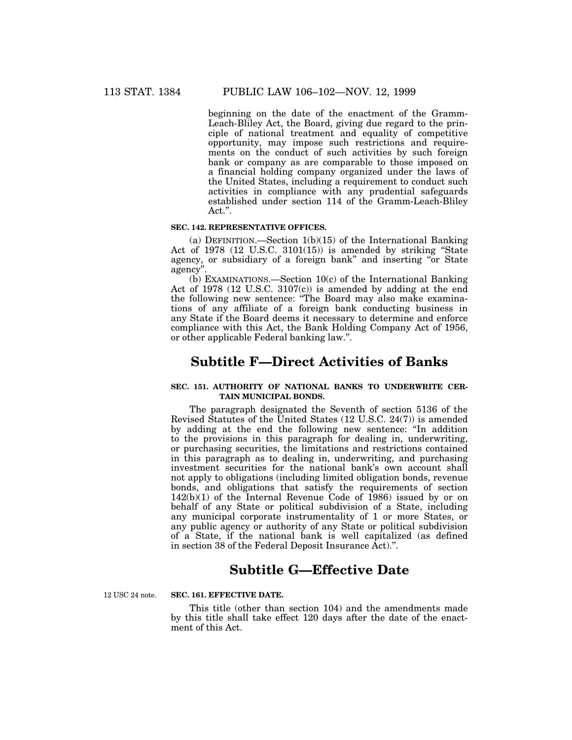beginning on the date of the enactment of the Gramm-Leach-Bliley Act, the Board, giving due regard to the principle of national treatment and equality of competitive opportunity, may impose such restrictions and requirements on the conduct of such activities by such foreign bank or company as are comparable to those imposed on a financial holding company organized under the laws of the United States, including a requirement to conduct such activities in compliance with any prudential safeguards established under section 114 of the Gramm-Leach-Bliley Act.''.

### **SEC. 142. REPRESENTATIVE OFFICES.**

(a) DEFINITION.—Section  $1(b)(15)$  of the International Banking Act of 1978 (12 U.S.C. 3101(15)) is amended by striking "State agency, or subsidiary of a foreign bank'' and inserting ''or State agency<sup>'</sup>

(b) EXAMINATIONS.—Section 10(c) of the International Banking Act of 1978 (12 U.S.C. 3107(c)) is amended by adding at the end the following new sentence: ''The Board may also make examinations of any affiliate of a foreign bank conducting business in any State if the Board deems it necessary to determine and enforce compliance with this Act, the Bank Holding Company Act of 1956, or other applicable Federal banking law.''.

# **Subtitle F—Direct Activities of Banks**

### **SEC. 151. AUTHORITY OF NATIONAL BANKS TO UNDERWRITE CER-TAIN MUNICIPAL BONDS.**

The paragraph designated the Seventh of section 5136 of the Revised Statutes of the United States (12 U.S.C. 24(7)) is amended by adding at the end the following new sentence: ''In addition to the provisions in this paragraph for dealing in, underwriting, or purchasing securities, the limitations and restrictions contained in this paragraph as to dealing in, underwriting, and purchasing investment securities for the national bank's own account shall not apply to obligations (including limited obligation bonds, revenue bonds, and obligations that satisfy the requirements of section  $142(b)(1)$  of the Internal Revenue Code of 1986) issued by or on behalf of any State or political subdivision of a State, including any municipal corporate instrumentality of 1 or more States, or any public agency or authority of any State or political subdivision of a State, if the national bank is well capitalized (as defined in section 38 of the Federal Deposit Insurance Act).''.

## **Subtitle G—Effective Date**

12 USC 24 note.

### **SEC. 161. EFFECTIVE DATE.**

This title (other than section 104) and the amendments made by this title shall take effect 120 days after the date of the enactment of this Act.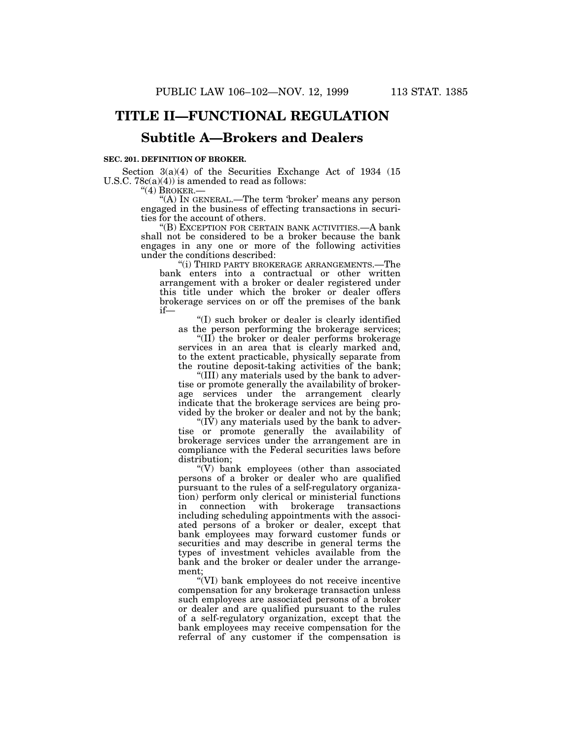# **TITLE II—FUNCTIONAL REGULATION**

## **Subtitle A—Brokers and Dealers**

### **SEC. 201. DEFINITION OF BROKER.**

Section 3(a)(4) of the Securities Exchange Act of 1934 (15 U.S.C.  $78c(a)(4)$ ) is amended to read as follows:<br>"(4) BROKER.—

"(A) IN GENERAL.—The term 'broker' means any person engaged in the business of effecting transactions in securities for the account of others.

''(B) EXCEPTION FOR CERTAIN BANK ACTIVITIES.—A bank shall not be considered to be a broker because the bank engages in any one or more of the following activities under the conditions described:

''(i) THIRD PARTY BROKERAGE ARRANGEMENTS.—The bank enters into a contractual or other written arrangement with a broker or dealer registered under this title under which the broker or dealer offers brokerage services on or off the premises of the bank if—

''(I) such broker or dealer is clearly identified as the person performing the brokerage services;

''(II) the broker or dealer performs brokerage services in an area that is clearly marked and, to the extent practicable, physically separate from the routine deposit-taking activities of the bank;

''(III) any materials used by the bank to advertise or promote generally the availability of brokerage services under the arrangement clearly indicate that the brokerage services are being provided by the broker or dealer and not by the bank;

" $(IV)$  any materials used by the bank to advertise or promote generally the availability of brokerage services under the arrangement are in compliance with the Federal securities laws before distribution;

''(V) bank employees (other than associated persons of a broker or dealer who are qualified pursuant to the rules of a self-regulatory organization) perform only clerical or ministerial functions in connection with brokerage transactions including scheduling appointments with the associated persons of a broker or dealer, except that bank employees may forward customer funds or securities and may describe in general terms the types of investment vehicles available from the bank and the broker or dealer under the arrangement;

''(VI) bank employees do not receive incentive compensation for any brokerage transaction unless such employees are associated persons of a broker or dealer and are qualified pursuant to the rules of a self-regulatory organization, except that the bank employees may receive compensation for the referral of any customer if the compensation is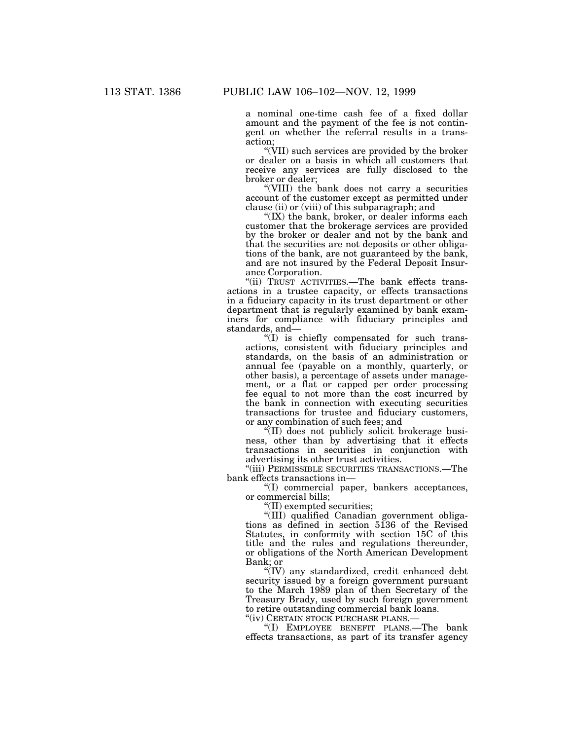a nominal one-time cash fee of a fixed dollar amount and the payment of the fee is not contingent on whether the referral results in a transaction;

"(VII) such services are provided by the broker or dealer on a basis in which all customers that receive any services are fully disclosed to the broker or dealer;

''(VIII) the bank does not carry a securities account of the customer except as permitted under clause (ii) or (viii) of this subparagraph; and

"(IX) the bank, broker, or dealer informs each customer that the brokerage services are provided by the broker or dealer and not by the bank and that the securities are not deposits or other obligations of the bank, are not guaranteed by the bank, and are not insured by the Federal Deposit Insurance Corporation.

"(ii) TRUST ACTIVITIES.—The bank effects transactions in a trustee capacity, or effects transactions in a fiduciary capacity in its trust department or other department that is regularly examined by bank examiners for compliance with fiduciary principles and standards, and—

''(I) is chiefly compensated for such transactions, consistent with fiduciary principles and standards, on the basis of an administration or annual fee (payable on a monthly, quarterly, or other basis), a percentage of assets under management, or a flat or capped per order processing fee equal to not more than the cost incurred by the bank in connection with executing securities transactions for trustee and fiduciary customers, or any combination of such fees; and

''(II) does not publicly solicit brokerage business, other than by advertising that it effects transactions in securities in conjunction with advertising its other trust activities.

''(iii) PERMISSIBLE SECURITIES TRANSACTIONS.—The bank effects transactions in—

''(I) commercial paper, bankers acceptances, or commercial bills;

''(II) exempted securities;

''(III) qualified Canadian government obligations as defined in section 5136 of the Revised Statutes, in conformity with section 15C of this title and the rules and regulations thereunder, or obligations of the North American Development Bank; or

''(IV) any standardized, credit enhanced debt security issued by a foreign government pursuant to the March 1989 plan of then Secretary of the Treasury Brady, used by such foreign government to retire outstanding commercial bank loans.

''(iv) CERTAIN STOCK PURCHASE PLANS.—

''(I) EMPLOYEE BENEFIT PLANS.—The bank effects transactions, as part of its transfer agency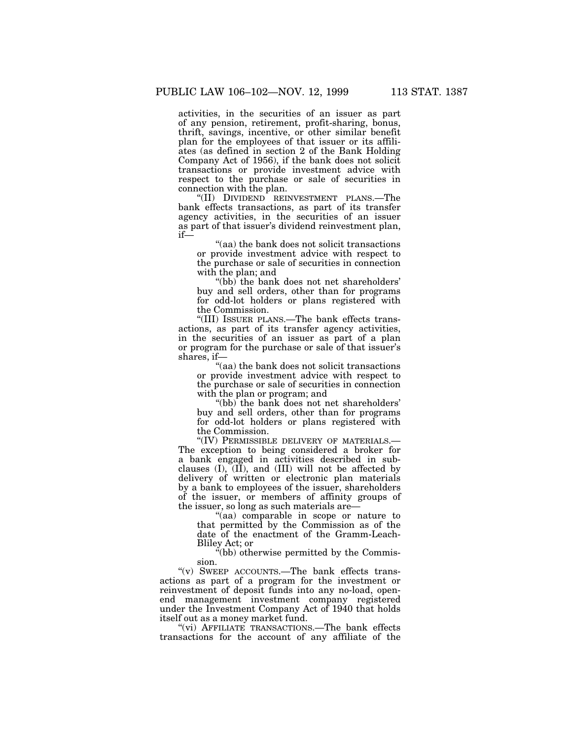activities, in the securities of an issuer as part of any pension, retirement, profit-sharing, bonus, thrift, savings, incentive, or other similar benefit plan for the employees of that issuer or its affiliates (as defined in section 2 of the Bank Holding Company Act of 1956), if the bank does not solicit transactions or provide investment advice with respect to the purchase or sale of securities in connection with the plan.

''(II) DIVIDEND REINVESTMENT PLANS.—The bank effects transactions, as part of its transfer agency activities, in the securities of an issuer as part of that issuer's dividend reinvestment plan, if—

''(aa) the bank does not solicit transactions or provide investment advice with respect to the purchase or sale of securities in connection with the plan; and

''(bb) the bank does not net shareholders' buy and sell orders, other than for programs for odd-lot holders or plans registered with the Commission.

''(III) ISSUER PLANS.—The bank effects transactions, as part of its transfer agency activities, in the securities of an issuer as part of a plan or program for the purchase or sale of that issuer's shares, if—

''(aa) the bank does not solicit transactions or provide investment advice with respect to the purchase or sale of securities in connection with the plan or program; and

''(bb) the bank does not net shareholders' buy and sell orders, other than for programs for odd-lot holders or plans registered with the Commission.

''(IV) PERMISSIBLE DELIVERY OF MATERIALS.— The exception to being considered a broker for a bank engaged in activities described in subclauses (I), (II), and (III) will not be affected by delivery of written or electronic plan materials by a bank to employees of the issuer, shareholders of the issuer, or members of affinity groups of the issuer, so long as such materials are—

''(aa) comparable in scope or nature to that permitted by the Commission as of the date of the enactment of the Gramm-Leach-Bliley Act; or

''(bb) otherwise permitted by the Commission.

''(v) SWEEP ACCOUNTS.—The bank effects transactions as part of a program for the investment or reinvestment of deposit funds into any no-load, openend management investment company registered under the Investment Company Act of 1940 that holds itself out as a money market fund.

''(vi) AFFILIATE TRANSACTIONS.—The bank effects transactions for the account of any affiliate of the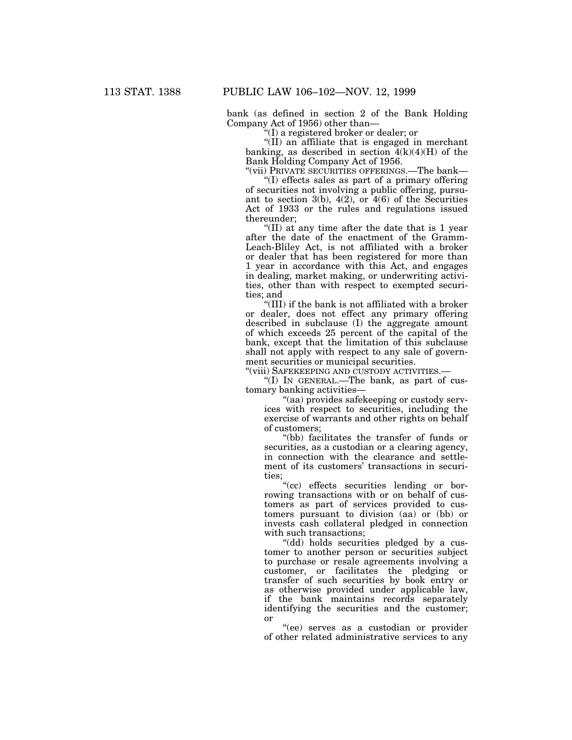bank (as defined in section 2 of the Bank Holding Company Act of 1956) other than—

 $f(I)$  a registered broker or dealer; or

''(II) an affiliate that is engaged in merchant banking, as described in section  $4(k)(4)(H)$  of the Bank Holding Company Act of 1956.

''(vii) PRIVATE SECURITIES OFFERINGS.—The bank—

''(I) effects sales as part of a primary offering of securities not involving a public offering, pursuant to section 3(b),  $4(2)$ , or  $4(6)$  of the Securities Act of 1933 or the rules and regulations issued thereunder;

''(II) at any time after the date that is 1 year after the date of the enactment of the Gramm-Leach-Bliley Act, is not affiliated with a broker or dealer that has been registered for more than 1 year in accordance with this Act, and engages in dealing, market making, or underwriting activities, other than with respect to exempted securities; and

''(III) if the bank is not affiliated with a broker or dealer, does not effect any primary offering described in subclause (I) the aggregate amount of which exceeds 25 percent of the capital of the bank, except that the limitation of this subclause shall not apply with respect to any sale of government securities or municipal securities.

''(viii) SAFEKEEPING AND CUSTODY ACTIVITIES.—

"(I) IN GENERAL.—The bank, as part of customary banking activities—

''(aa) provides safekeeping or custody services with respect to securities, including the exercise of warrants and other rights on behalf of customers;

''(bb) facilitates the transfer of funds or securities, as a custodian or a clearing agency, in connection with the clearance and settlement of its customers' transactions in securities;

''(cc) effects securities lending or borrowing transactions with or on behalf of customers as part of services provided to customers pursuant to division (aa) or (bb) or invests cash collateral pledged in connection with such transactions;

''(dd) holds securities pledged by a customer to another person or securities subject to purchase or resale agreements involving a customer, or facilitates the pledging or transfer of such securities by book entry or as otherwise provided under applicable law, if the bank maintains records separately identifying the securities and the customer; or

''(ee) serves as a custodian or provider of other related administrative services to any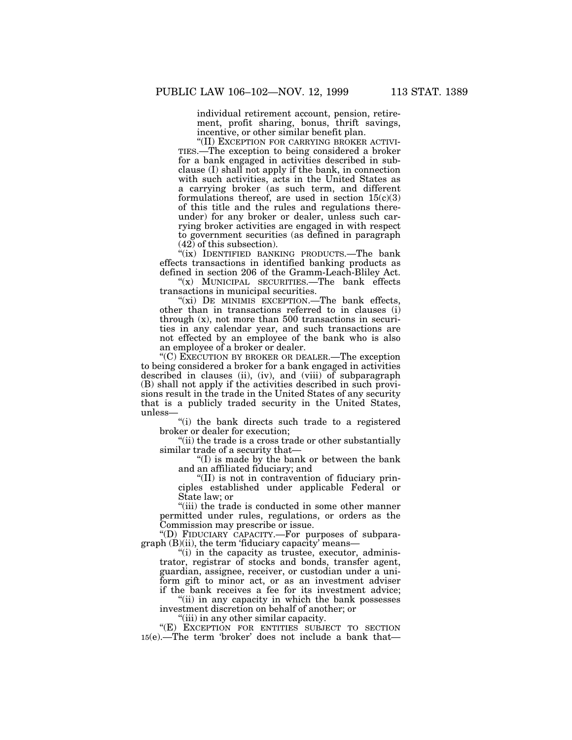individual retirement account, pension, retirement, profit sharing, bonus, thrift savings, incentive, or other similar benefit plan.

''(II) EXCEPTION FOR CARRYING BROKER ACTIVI-TIES.—The exception to being considered a broker for a bank engaged in activities described in subclause (I) shall not apply if the bank, in connection with such activities, acts in the United States as a carrying broker (as such term, and different formulations thereof, are used in section  $15(c)(3)$ of this title and the rules and regulations thereunder) for any broker or dealer, unless such carrying broker activities are engaged in with respect to government securities (as defined in paragraph (42) of this subsection).

"(ix) IDENTIFIED BANKING PRODUCTS.—The bank effects transactions in identified banking products as defined in section 206 of the Gramm-Leach-Bliley Act.

"(x) MUNICIPAL SECURITIES.—The bank effects transactions in municipal securities.

"(xi) DE MINIMIS EXCEPTION.—The bank effects, other than in transactions referred to in clauses (i) through (x), not more than 500 transactions in securities in any calendar year, and such transactions are not effected by an employee of the bank who is also an employee of a broker or dealer.

''(C) EXECUTION BY BROKER OR DEALER.—The exception to being considered a broker for a bank engaged in activities described in clauses (ii), (iv), and (viii) of subparagraph (B) shall not apply if the activities described in such provisions result in the trade in the United States of any security that is a publicly traded security in the United States, unless—

''(i) the bank directs such trade to a registered broker or dealer for execution;

"(ii) the trade is a cross trade or other substantially similar trade of a security that—

''(I) is made by the bank or between the bank and an affiliated fiduciary; and

''(II) is not in contravention of fiduciary principles established under applicable Federal or State law; or

''(iii) the trade is conducted in some other manner permitted under rules, regulations, or orders as the Commission may prescribe or issue.

''(D) FIDUCIARY CAPACITY.—For purposes of subpara $graph (B)(ii)$ , the term 'fiduciary capacity' means-

"(i) in the capacity as trustee, executor, administrator, registrar of stocks and bonds, transfer agent, guardian, assignee, receiver, or custodian under a uniform gift to minor act, or as an investment adviser if the bank receives a fee for its investment advice;

"(ii) in any capacity in which the bank possesses investment discretion on behalf of another; or

''(iii) in any other similar capacity.

''(E) EXCEPTION FOR ENTITIES SUBJECT TO SECTION 15(e).—The term 'broker' does not include a bank that—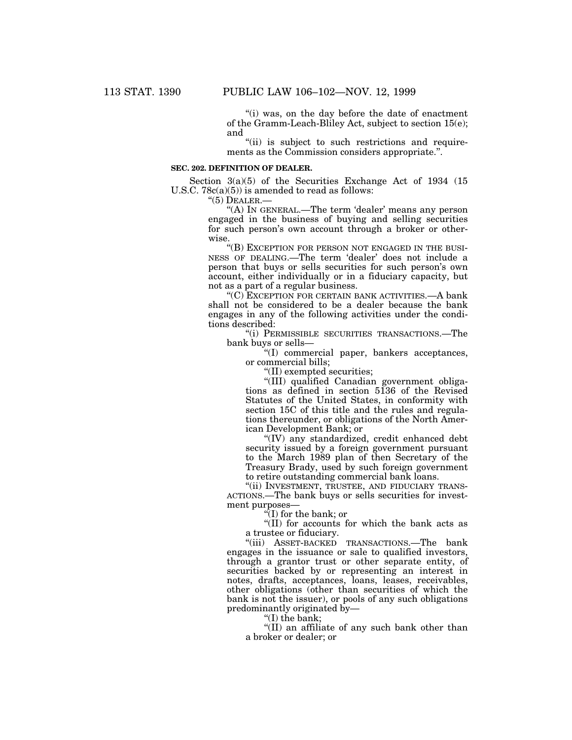''(i) was, on the day before the date of enactment of the Gramm-Leach-Bliley Act, subject to section 15(e); and

"(ii) is subject to such restrictions and requirements as the Commission considers appropriate.''.

### **SEC. 202. DEFINITION OF DEALER.**

Section  $3(a)(5)$  of the Securities Exchange Act of 1934 (15 U.S.C. 78c(a)(5)) is amended to read as follows:

 $"(5)$  DEALER. $-$ 

"(A) IN GENERAL.—The term 'dealer' means any person engaged in the business of buying and selling securities for such person's own account through a broker or otherwise.

''(B) EXCEPTION FOR PERSON NOT ENGAGED IN THE BUSI-NESS OF DEALING.—The term 'dealer' does not include a person that buys or sells securities for such person's own account, either individually or in a fiduciary capacity, but not as a part of a regular business.

"(C) EXCEPTION FOR CERTAIN BANK ACTIVITIES.—A bank shall not be considered to be a dealer because the bank engages in any of the following activities under the conditions described:

''(i) PERMISSIBLE SECURITIES TRANSACTIONS.—The bank buys or sells—

''(I) commercial paper, bankers acceptances, or commercial bills;

''(II) exempted securities;

''(III) qualified Canadian government obligations as defined in section 5136 of the Revised Statutes of the United States, in conformity with section 15C of this title and the rules and regulations thereunder, or obligations of the North American Development Bank; or

''(IV) any standardized, credit enhanced debt security issued by a foreign government pursuant to the March 1989 plan of then Secretary of the Treasury Brady, used by such foreign government to retire outstanding commercial bank loans.

"(ii) INVESTMENT, TRUSTEE, AND FIDUCIARY TRANS-ACTIONS.—The bank buys or sells securities for investment purposes—

 $\sqrt{\ }$ (I) for the bank; or

''(II) for accounts for which the bank acts as a trustee or fiduciary.

''(iii) ASSET-BACKED TRANSACTIONS.—The bank engages in the issuance or sale to qualified investors, through a grantor trust or other separate entity, of securities backed by or representing an interest in notes, drafts, acceptances, loans, leases, receivables, other obligations (other than securities of which the bank is not the issuer), or pools of any such obligations predominantly originated by—

''(I) the bank;

''(II) an affiliate of any such bank other than a broker or dealer; or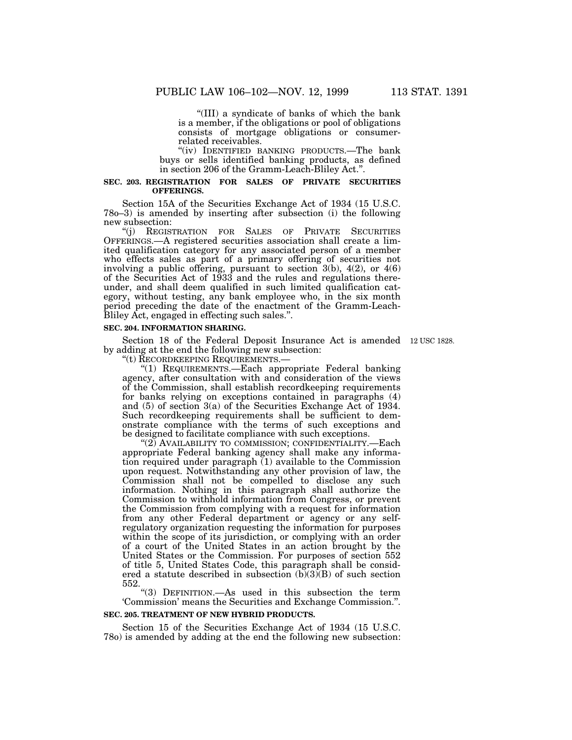''(III) a syndicate of banks of which the bank is a member, if the obligations or pool of obligations consists of mortgage obligations or consumerrelated receivables.

"(iv) IDENTIFIED BANKING PRODUCTS.—The bank buys or sells identified banking products, as defined in section 206 of the Gramm-Leach-Bliley Act.''.

### **SEC. 203. REGISTRATION FOR SALES OF PRIVATE SECURITIES OFFERINGS.**

Section 15A of the Securities Exchange Act of 1934 (15 U.S.C. 78o–3) is amended by inserting after subsection (i) the following new subsection:

''(j) REGISTRATION FOR SALES OF PRIVATE SECURITIES OFFERINGS.—A registered securities association shall create a limited qualification category for any associated person of a member who effects sales as part of a primary offering of securities not involving a public offering, pursuant to section 3(b), 4(2), or 4(6) of the Securities Act of 1933 and the rules and regulations thereunder, and shall deem qualified in such limited qualification category, without testing, any bank employee who, in the six month period preceding the date of the enactment of the Gramm-Leach-Bliley Act, engaged in effecting such sales.''.

### **SEC. 204. INFORMATION SHARING.**

Section 18 of the Federal Deposit Insurance Act is amended 12 USC 1828. by adding at the end the following new subsection:<br>"(t) RECORDKEEPING REQUIREMENTS.—

" $(1)$  REQUIREMENTS.—Each appropriate Federal banking agency, after consultation with and consideration of the views of the Commission, shall establish recordkeeping requirements for banks relying on exceptions contained in paragraphs (4) and (5) of section 3(a) of the Securities Exchange Act of 1934. Such recordkeeping requirements shall be sufficient to demonstrate compliance with the terms of such exceptions and be designed to facilitate compliance with such exceptions.

"(2) AVAILABILITY TO COMMISSION; CONFIDENTIALITY.—Each appropriate Federal banking agency shall make any information required under paragraph  $(1)$  available to the Commission upon request. Notwithstanding any other provision of law, the Commission shall not be compelled to disclose any such information. Nothing in this paragraph shall authorize the Commission to withhold information from Congress, or prevent the Commission from complying with a request for information from any other Federal department or agency or any selfregulatory organization requesting the information for purposes within the scope of its jurisdiction, or complying with an order of a court of the United States in an action brought by the United States or the Commission. For purposes of section 552 of title 5, United States Code, this paragraph shall be considered a statute described in subsection  $(b)(3)(B)$  of such section 552.

''(3) DEFINITION.—As used in this subsection the term 'Commission' means the Securities and Exchange Commission.''.

#### **SEC. 205. TREATMENT OF NEW HYBRID PRODUCTS.**

Section 15 of the Securities Exchange Act of 1934 (15 U.S.C. 78o) is amended by adding at the end the following new subsection: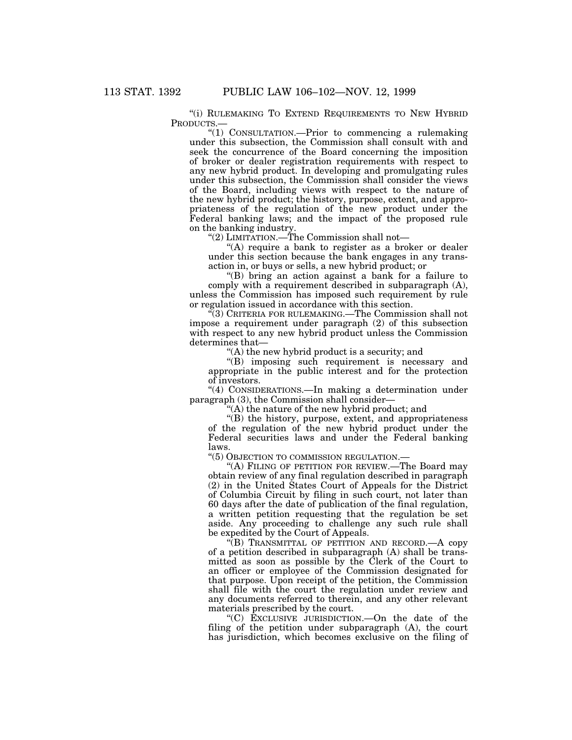"(i) RULEMAKING TO EXTEND REQUIREMENTS TO NEW HYBRID PRODUCTS.—

''(1) CONSULTATION.—Prior to commencing a rulemaking under this subsection, the Commission shall consult with and seek the concurrence of the Board concerning the imposition of broker or dealer registration requirements with respect to any new hybrid product. In developing and promulgating rules under this subsection, the Commission shall consider the views of the Board, including views with respect to the nature of the new hybrid product; the history, purpose, extent, and appropriateness of the regulation of the new product under the Federal banking laws; and the impact of the proposed rule on the banking industry.

''(2) LIMITATION.—The Commission shall not—

" $(A)$  require a bank to register as a broker or dealer under this section because the bank engages in any transaction in, or buys or sells, a new hybrid product; or

''(B) bring an action against a bank for a failure to comply with a requirement described in subparagraph (A), unless the Commission has imposed such requirement by rule or regulation issued in accordance with this section.

''(3) CRITERIA FOR RULEMAKING.—The Commission shall not impose a requirement under paragraph (2) of this subsection with respect to any new hybrid product unless the Commission determines that—

''(A) the new hybrid product is a security; and

''(B) imposing such requirement is necessary and appropriate in the public interest and for the protection of investors.

''(4) CONSIDERATIONS.—In making a determination under paragraph (3), the Commission shall consider—

 $(A)$  the nature of the new hybrid product; and

''(B) the history, purpose, extent, and appropriateness of the regulation of the new hybrid product under the Federal securities laws and under the Federal banking laws.

''(5) OBJECTION TO COMMISSION REGULATION.—

''(A) FILING OF PETITION FOR REVIEW.—The Board may obtain review of any final regulation described in paragraph (2) in the United States Court of Appeals for the District of Columbia Circuit by filing in such court, not later than 60 days after the date of publication of the final regulation, a written petition requesting that the regulation be set aside. Any proceeding to challenge any such rule shall be expedited by the Court of Appeals.

"(B) TRANSMITTAL OF PETITION AND RECORD.—A copy of a petition described in subparagraph (A) shall be transmitted as soon as possible by the Clerk of the Court to an officer or employee of the Commission designated for that purpose. Upon receipt of the petition, the Commission shall file with the court the regulation under review and any documents referred to therein, and any other relevant materials prescribed by the court.

''(C) EXCLUSIVE JURISDICTION.—On the date of the filing of the petition under subparagraph (A), the court has jurisdiction, which becomes exclusive on the filing of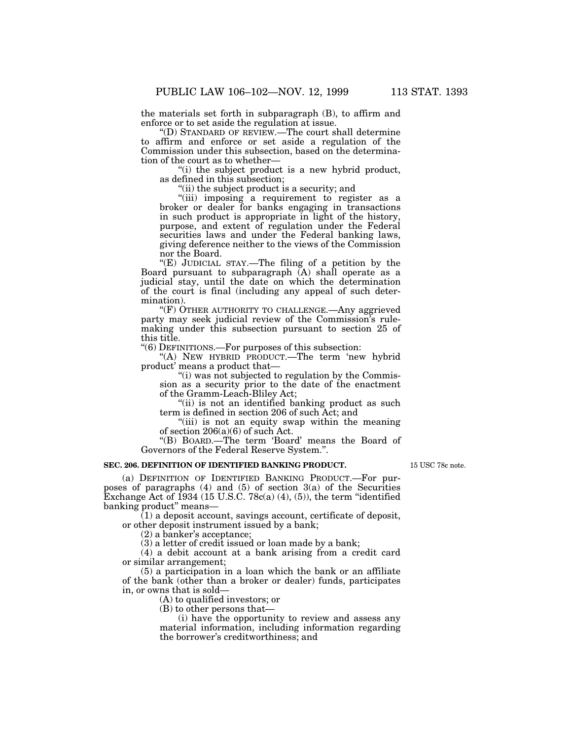the materials set forth in subparagraph (B), to affirm and enforce or to set aside the regulation at issue.

''(D) STANDARD OF REVIEW.—The court shall determine to affirm and enforce or set aside a regulation of the Commission under this subsection, based on the determination of the court as to whether—

''(i) the subject product is a new hybrid product, as defined in this subsection;

''(ii) the subject product is a security; and

"(iii) imposing a requirement to register as a broker or dealer for banks engaging in transactions in such product is appropriate in light of the history, purpose, and extent of regulation under the Federal securities laws and under the Federal banking laws, giving deference neither to the views of the Commission nor the Board.

"(E) JUDICIAL STAY.—The filing of a petition by the Board pursuant to subparagraph  $(A)$  shall operate as a judicial stay, until the date on which the determination of the court is final (including any appeal of such determination).

"(F) OTHER AUTHORITY TO CHALLENGE.—Any aggrieved party may seek judicial review of the Commission's rulemaking under this subsection pursuant to section 25 of this title.

''(6) DEFINITIONS.—For purposes of this subsection:

''(A) NEW HYBRID PRODUCT.—The term 'new hybrid product' means a product that—

''(i) was not subjected to regulation by the Commission as a security prior to the date of the enactment of the Gramm-Leach-Bliley Act;

"(ii) is not an identified banking product as such term is defined in section 206 of such Act; and

''(iii) is not an equity swap within the meaning of section 206(a)(6) of such Act.

''(B) BOARD.—The term 'Board' means the Board of Governors of the Federal Reserve System.''.

### **SEC. 206. DEFINITION OF IDENTIFIED BANKING PRODUCT.**

15 USC 78c note.

(a) DEFINITION OF IDENTIFIED BANKING PRODUCT.—For purposes of paragraphs (4) and (5) of section 3(a) of the Securities Exchange Act of  $1934$  (15 U.S.C. 78c(a) (4), (5)), the term "identified banking product'' means—

 $(1)$  a deposit account, savings account, certificate of deposit, or other deposit instrument issued by a bank;

(2) a banker's acceptance;

(3) a letter of credit issued or loan made by a bank;

(4) a debit account at a bank arising from a credit card or similar arrangement;

(5) a participation in a loan which the bank or an affiliate of the bank (other than a broker or dealer) funds, participates in, or owns that is sold—

(A) to qualified investors; or

(B) to other persons that—

(i) have the opportunity to review and assess any material information, including information regarding the borrower's creditworthiness; and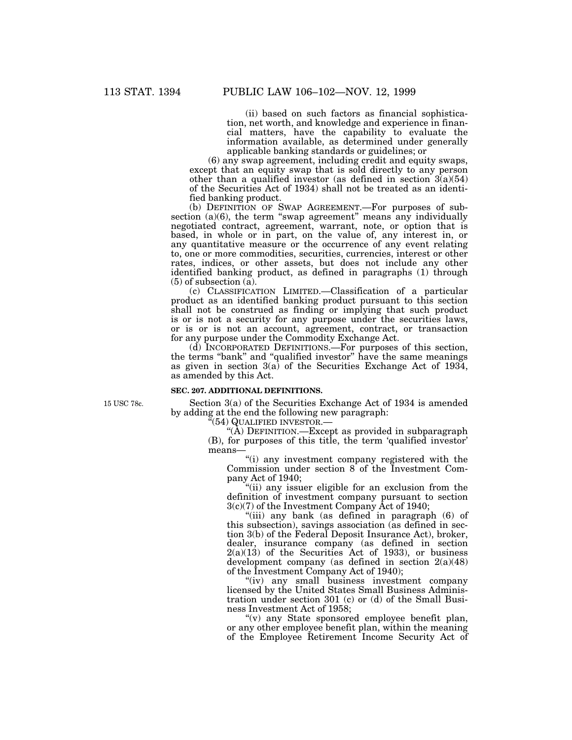(ii) based on such factors as financial sophistication, net worth, and knowledge and experience in financial matters, have the capability to evaluate the information available, as determined under generally applicable banking standards or guidelines; or

(6) any swap agreement, including credit and equity swaps, except that an equity swap that is sold directly to any person other than a qualified investor (as defined in section  $3(a)(54)$ ) of the Securities Act of 1934) shall not be treated as an identified banking product.

(b) DEFINITION OF SWAP AGREEMENT.—For purposes of subsection (a)(6), the term "swap agreement" means any individually negotiated contract, agreement, warrant, note, or option that is based, in whole or in part, on the value of, any interest in, or any quantitative measure or the occurrence of any event relating to, one or more commodities, securities, currencies, interest or other rates, indices, or other assets, but does not include any other identified banking product, as defined in paragraphs (1) through  $(5)$  of subsection  $(a)$ .

(c) CLASSIFICATION LIMITED.—Classification of a particular product as an identified banking product pursuant to this section shall not be construed as finding or implying that such product is or is not a security for any purpose under the securities laws, or is or is not an account, agreement, contract, or transaction for any purpose under the Commodity Exchange Act.

(d) INCORPORATED DEFINITIONS.—For purposes of this section, the terms "bank" and "qualified investor" have the same meanings as given in section 3(a) of the Securities Exchange Act of 1934, as amended by this Act.

### **SEC. 207. ADDITIONAL DEFINITIONS.**

15 USC 78c.

Section 3(a) of the Securities Exchange Act of 1934 is amended by adding at the end the following new paragraph:

 $\mathrm{``(54)}$  Qualified investor.—

''(A) DEFINITION.—Except as provided in subparagraph (B), for purposes of this title, the term 'qualified investor' means—

''(i) any investment company registered with the Commission under section 8 of the Investment Company Act of 1940;

''(ii) any issuer eligible for an exclusion from the definition of investment company pursuant to section 3(c)(7) of the Investment Company Act of 1940;

''(iii) any bank (as defined in paragraph (6) of this subsection), savings association (as defined in section 3(b) of the Federal Deposit Insurance Act), broker, dealer, insurance company (as defined in section  $2(a)(13)$  of the Securities Act of 1933), or business development company (as defined in section  $2(a)(48)$ of the Investment Company Act of 1940);

"(iv) any small business investment company licensed by the United States Small Business Administration under section 301 (c) or (d) of the Small Business Investment Act of 1958;

''(v) any State sponsored employee benefit plan, or any other employee benefit plan, within the meaning of the Employee Retirement Income Security Act of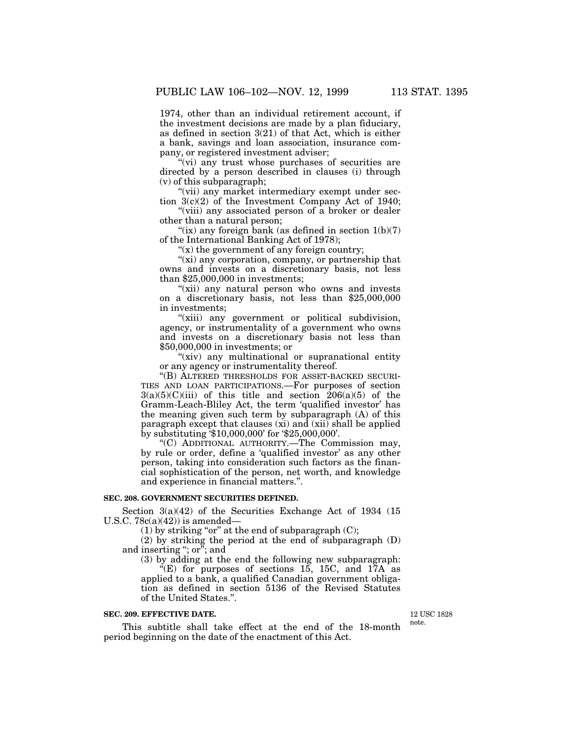1974, other than an individual retirement account, if the investment decisions are made by a plan fiduciary, as defined in section 3(21) of that Act, which is either a bank, savings and loan association, insurance company, or registered investment adviser;

"(vi) any trust whose purchases of securities are directed by a person described in clauses (i) through (v) of this subparagraph;

''(vii) any market intermediary exempt under section 3(c)(2) of the Investment Company Act of 1940;

"(viii) any associated person of a broker or dealer other than a natural person;

"(ix) any foreign bank (as defined in section  $1(b)(7)$ of the International Banking Act of 1978);

" $(x)$  the government of any foreign country;

"(xi) any corporation, company, or partnership that owns and invests on a discretionary basis, not less than \$25,000,000 in investments;

"(xii) any natural person who owns and invests on a discretionary basis, not less than \$25,000,000 in investments;

"(xiii) any government or political subdivision, agency, or instrumentality of a government who owns and invests on a discretionary basis not less than \$50,000,000 in investments; or

"(xiv) any multinational or supranational entity or any agency or instrumentality thereof.

''(B) ALTERED THRESHOLDS FOR ASSET-BACKED SECURI-TIES AND LOAN PARTICIPATIONS.—For purposes of section  $3(a)(5)(C)(iii)$  of this title and section  $206(a)(5)$  of the Gramm-Leach-Bliley Act, the term 'qualified investor' has the meaning given such term by subparagraph (A) of this paragraph except that clauses  $(x_i)$  and  $(x_i)$  shall be applied by substituting '\$10,000,000' for '\$25,000,000'.

''(C) ADDITIONAL AUTHORITY.—The Commission may, by rule or order, define a 'qualified investor' as any other person, taking into consideration such factors as the financial sophistication of the person, net worth, and knowledge and experience in financial matters.''.

### **SEC. 208. GOVERNMENT SECURITIES DEFINED.**

Section  $3(a)(42)$  of the Securities Exchange Act of 1934 (15 U.S.C.  $78c(a)(42)$  is amended–

(1) by striking "or" at the end of subparagraph  $(C)$ ;

(2) by striking the period at the end of subparagraph (D) and inserting ''; or''; and

(3) by adding at the end the following new subparagraph:  $E(E)$  for purposes of sections 15, 15C, and 17A as applied to a bank, a qualified Canadian government obligation as defined in section 5136 of the Revised Statutes of the United States.''.

### **SEC. 209. EFFECTIVE DATE.**

This subtitle shall take effect at the end of the 18-month period beginning on the date of the enactment of this Act.

12 USC 1828 note.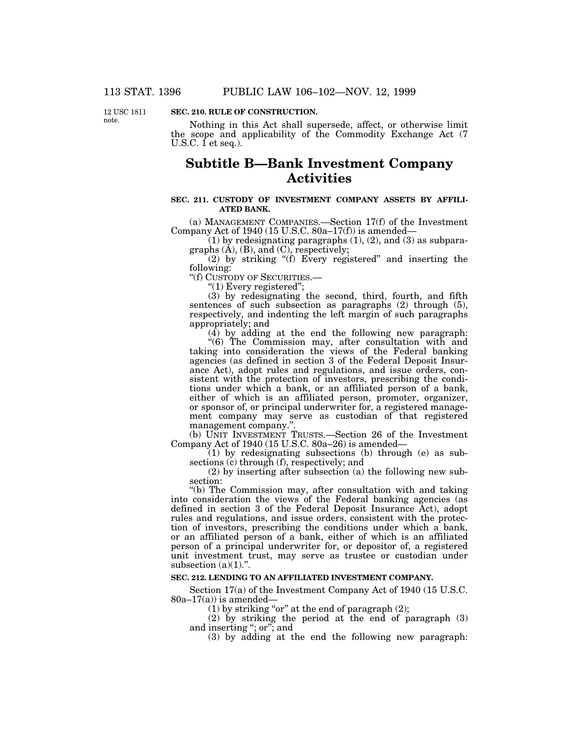12 USC 1811 note.

### **SEC. 210. RULE OF CONSTRUCTION.**

Nothing in this Act shall supersede, affect, or otherwise limit the scope and applicability of the Commodity Exchange Act (7 U.S.C.  $1$  et seq.).

# **Subtitle B—Bank Investment Company Activities**

### **SEC. 211. CUSTODY OF INVESTMENT COMPANY ASSETS BY AFFILI-ATED BANK.**

(a) MANAGEMENT COMPANIES.—Section 17(f) of the Investment Company Act of  $1940 (15 \text{ U.S.C. } 80a-17(f))$  is amended-

 $(1)$  by redesignating paragraphs  $(1)$ ,  $(2)$ , and  $(3)$  as subparagraphs (A), (B), and (C), respectively;

(2) by striking " $(f)$  Every registered" and inserting the following:

''(f) CUSTODY OF SECURITIES.— ''(1) Every registered'';

(3) by redesignating the second, third, fourth, and fifth sentences of such subsection as paragraphs (2) through (5), respectively, and indenting the left margin of such paragraphs appropriately; and

 $(\hat{4})$  by adding at the end the following new paragraph:

"(6) The Commission may, after consultation with and taking into consideration the views of the Federal banking agencies (as defined in section 3 of the Federal Deposit Insurance Act), adopt rules and regulations, and issue orders, consistent with the protection of investors, prescribing the conditions under which a bank, or an affiliated person of a bank, either of which is an affiliated person, promoter, organizer, or sponsor of, or principal underwriter for, a registered management company may serve as custodian of that registered management company.''.

(b) UNIT INVESTMENT TRUSTS.—Section 26 of the Investment Company Act of 1940 (15 U.S.C. 80a–26) is amended—

(1) by redesignating subsections (b) through (e) as subsections (c) through (f), respectively; and

(2) by inserting after subsection (a) the following new subsection:

''(b) The Commission may, after consultation with and taking into consideration the views of the Federal banking agencies (as defined in section 3 of the Federal Deposit Insurance Act), adopt rules and regulations, and issue orders, consistent with the protection of investors, prescribing the conditions under which a bank, or an affiliated person of a bank, either of which is an affiliated person of a principal underwriter for, or depositor of, a registered unit investment trust, may serve as trustee or custodian under subsection  $(a)(1)$ .".

### **SEC. 212. LENDING TO AN AFFILIATED INVESTMENT COMPANY.**

Section 17(a) of the Investment Company Act of 1940 (15 U.S.C.  $80a-17(a)$  is amended-

 $(1)$  by striking "or" at the end of paragraph  $(2)$ ;

(2) by striking the period at the end of paragraph (3) and inserting ''; or''; and

(3) by adding at the end the following new paragraph: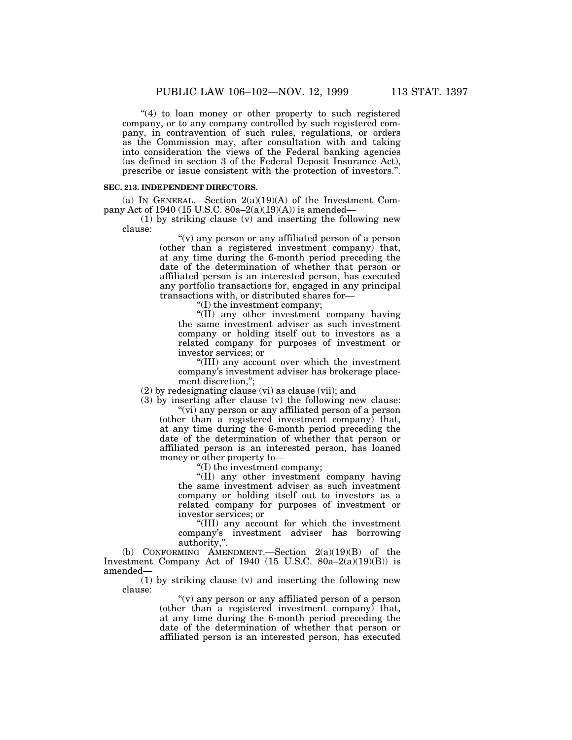"(4) to loan money or other property to such registered company, or to any company controlled by such registered company, in contravention of such rules, regulations, or orders as the Commission may, after consultation with and taking into consideration the views of the Federal banking agencies (as defined in section 3 of the Federal Deposit Insurance Act), prescribe or issue consistent with the protection of investors.''.

#### **SEC. 213. INDEPENDENT DIRECTORS.**

(a) IN GENERAL.—Section  $2(a)(19)(A)$  of the Investment Company Act of 1940 (15 U.S.C. 80a–2(a)(19)(A)) is amended—

(1) by striking clause (v) and inserting the following new clause:

> " $(v)$  any person or any affiliated person of a person (other than a registered investment company) that, at any time during the 6-month period preceding the date of the determination of whether that person or affiliated person is an interested person, has executed any portfolio transactions for, engaged in any principal transactions with, or distributed shares for—

''(I) the investment company;

''(II) any other investment company having the same investment adviser as such investment company or holding itself out to investors as a related company for purposes of investment or investor services; or

''(III) any account over which the investment company's investment adviser has brokerage placement discretion,'';

(2) by redesignating clause (vi) as clause (vii); and

(3) by inserting after clause (v) the following new clause:

''(vi) any person or any affiliated person of a person (other than a registered investment company) that, at any time during the 6-month period preceding the date of the determination of whether that person or affiliated person is an interested person, has loaned money or other property to—

''(I) the investment company;

''(II) any other investment company having the same investment adviser as such investment company or holding itself out to investors as a related company for purposes of investment or investor services; or

''(III) any account for which the investment company's investment adviser has borrowing authority,

(b) CONFORMING AMENDMENT.—Section 2(a)(19)(B) of the Investment Company Act of 1940 (15 U.S.C.  $80a-2(a)(19)(B)$ ) is amended—

(1) by striking clause (v) and inserting the following new clause:

" $(v)$  any person or any affiliated person of a person (other than a registered investment company) that, at any time during the 6-month period preceding the date of the determination of whether that person or affiliated person is an interested person, has executed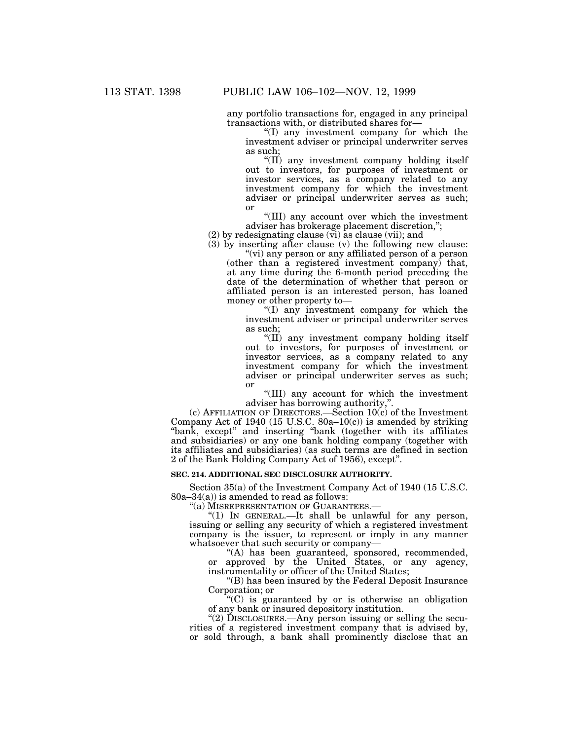any portfolio transactions for, engaged in any principal transactions with, or distributed shares for—

''(I) any investment company for which the investment adviser or principal underwriter serves as such;

 $\mathcal{L}(\mathbf{II})$  any investment company holding itself out to investors, for purposes of investment or investor services, as a company related to any investment company for which the investment adviser or principal underwriter serves as such; or

''(III) any account over which the investment adviser has brokerage placement discretion,'';

(2) by redesignating clause (vi) as clause (vii); and

(3) by inserting after clause (v) the following new clause: ''(vi) any person or any affiliated person of a person

(other than a registered investment company) that, at any time during the 6-month period preceding the date of the determination of whether that person or affiliated person is an interested person, has loaned money or other property to—

''(I) any investment company for which the investment adviser or principal underwriter serves as such;

''(II) any investment company holding itself out to investors, for purposes of investment or investor services, as a company related to any investment company for which the investment adviser or principal underwriter serves as such; or

''(III) any account for which the investment adviser has borrowing authority,"

(c) AFFILIATION OF DIRECTORS.—Section  $10(c)$  of the Investment Company Act of 1940 (15 U.S.C. 80a–10 $(c)$ ) is amended by striking ''bank, except'' and inserting ''bank (together with its affiliates and subsidiaries) or any one bank holding company (together with its affiliates and subsidiaries) (as such terms are defined in section 2 of the Bank Holding Company Act of 1956), except''.

### **SEC. 214. ADDITIONAL SEC DISCLOSURE AUTHORITY.**

Section 35(a) of the Investment Company Act of 1940 (15 U.S.C.  $80a-34(a)$ ) is amended to read as follows:

''(a) MISREPRESENTATION OF GUARANTEES.—

''(1) IN GENERAL.—It shall be unlawful for any person, issuing or selling any security of which a registered investment company is the issuer, to represent or imply in any manner whatsoever that such security or company—

''(A) has been guaranteed, sponsored, recommended, or approved by the United States, or any agency, instrumentality or officer of the United States;

''(B) has been insured by the Federal Deposit Insurance Corporation; or

 $(C)$  is guaranteed by or is otherwise an obligation of any bank or insured depository institution.

''(2) DISCLOSURES.—Any person issuing or selling the securities of a registered investment company that is advised by, or sold through, a bank shall prominently disclose that an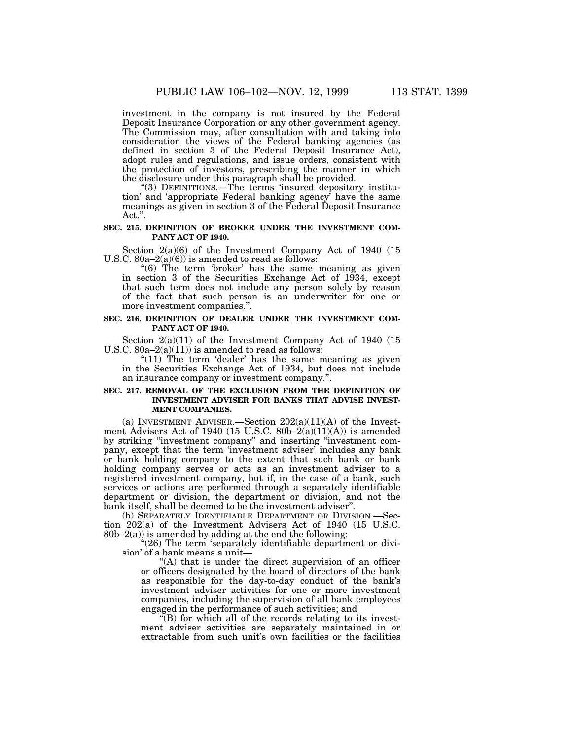investment in the company is not insured by the Federal Deposit Insurance Corporation or any other government agency. The Commission may, after consultation with and taking into consideration the views of the Federal banking agencies (as defined in section 3 of the Federal Deposit Insurance Act), adopt rules and regulations, and issue orders, consistent with the protection of investors, prescribing the manner in which the disclosure under this paragraph shall be provided.

''(3) DEFINITIONS.—The terms 'insured depository institution' and 'appropriate Federal banking agency' have the same meanings as given in section 3 of the Federal Deposit Insurance Act.''.

### **SEC. 215. DEFINITION OF BROKER UNDER THE INVESTMENT COM-PANY ACT OF 1940.**

Section  $2(a)(6)$  of the Investment Company Act of 1940 (15 U.S.C.  $80a-2(a)(6)$  is amended to read as follows:

" $(6)$  The term 'broker' has the same meaning as given in section 3 of the Securities Exchange Act of 1934, except that such term does not include any person solely by reason of the fact that such person is an underwriter for one or more investment companies.''.

### **SEC. 216. DEFINITION OF DEALER UNDER THE INVESTMENT COM-PANY ACT OF 1940.**

Section  $2(a)(11)$  of the Investment Company Act of 1940 (15 U.S.C.  $80a-2(a)(11)$  is amended to read as follows:

" $(11)$  The term 'dealer' has the same meaning as given in the Securities Exchange Act of 1934, but does not include an insurance company or investment company.''.

### **SEC. 217. REMOVAL OF THE EXCLUSION FROM THE DEFINITION OF INVESTMENT ADVISER FOR BANKS THAT ADVISE INVEST-MENT COMPANIES.**

(a) INVESTMENT ADVISER.—Section  $202(a)(11)(A)$  of the Investment Advisers Act of 1940 (15 U.S.C. 80b–2(a)(11)(A)) is amended by striking ''investment company'' and inserting ''investment company, except that the term 'investment adviser' includes any bank or bank holding company to the extent that such bank or bank holding company serves or acts as an investment adviser to a registered investment company, but if, in the case of a bank, such services or actions are performed through a separately identifiable department or division, the department or division, and not the bank itself, shall be deemed to be the investment adviser''.

(b) SEPARATELY IDENTIFIABLE DEPARTMENT OR DIVISION.—Section 202(a) of the Investment Advisers Act of 1940 (15 U.S.C.  $80b-2(a)$  is amended by adding at the end the following:

"(26) The term 'separately identifiable department or division' of a bank means a unit—

"(A) that is under the direct supervision of an officer or officers designated by the board of directors of the bank as responsible for the day-to-day conduct of the bank's investment adviser activities for one or more investment companies, including the supervision of all bank employees engaged in the performance of such activities; and

''(B) for which all of the records relating to its investment adviser activities are separately maintained in or extractable from such unit's own facilities or the facilities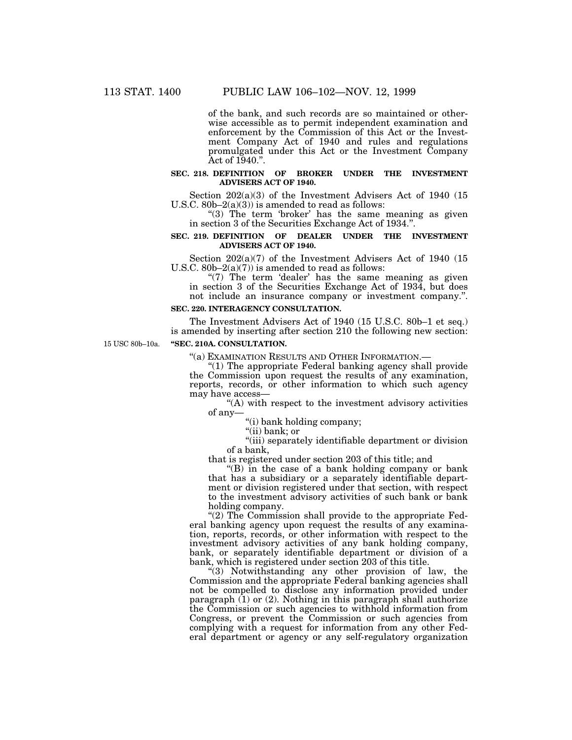of the bank, and such records are so maintained or otherwise accessible as to permit independent examination and enforcement by the Commission of this Act or the Investment Company Act of 1940 and rules and regulations promulgated under this Act or the Investment Company Act of 1940.''.

### **SEC. 218. DEFINITION OF BROKER UNDER THE INVESTMENT ADVISERS ACT OF 1940.**

Section 202(a)(3) of the Investment Advisers Act of 1940 (15 U.S.C.  $80b-2(a)(3)$  is amended to read as follows:

" $(3)$  The term 'broker' has the same meaning as given in section 3 of the Securities Exchange Act of 1934.''.

### **SEC. 219. DEFINITION OF DEALER UNDER THE INVESTMENT ADVISERS ACT OF 1940.**

Section  $202(a)(7)$  of the Investment Advisers Act of 1940 (15 U.S.C.  $80b-2(a)(7)$  is amended to read as follows:

"(7) The term 'dealer' has the same meaning as given in section 3 of the Securities Exchange Act of 1934, but does not include an insurance company or investment company.''.

### **SEC. 220. INTERAGENCY CONSULTATION.**

The Investment Advisers Act of 1940 (15 U.S.C. 80b–1 et seq.) is amended by inserting after section 210 the following new section:

15 USC 80b–10a.

### **''SEC. 210A. CONSULTATION.**

''(a) EXAMINATION RESULTS AND OTHER INFORMATION.—

" $(1)$  The appropriate Federal banking agency shall provide the Commission upon request the results of any examination, reports, records, or other information to which such agency may have access—

"(A) with respect to the investment advisory activities of any—

"(i) bank holding company;

''(ii) bank; or

''(iii) separately identifiable department or division of a bank,

that is registered under section 203 of this title; and

" $(B)$  in the case of a bank holding company or bank that has a subsidiary or a separately identifiable department or division registered under that section, with respect to the investment advisory activities of such bank or bank holding company.

"(2) The Commission shall provide to the appropriate Federal banking agency upon request the results of any examination, reports, records, or other information with respect to the investment advisory activities of any bank holding company, bank, or separately identifiable department or division of a bank, which is registered under section 203 of this title.

''(3) Notwithstanding any other provision of law, the Commission and the appropriate Federal banking agencies shall not be compelled to disclose any information provided under paragraph  $(1)$  or  $(2)$ . Nothing in this paragraph shall authorize the Commission or such agencies to withhold information from Congress, or prevent the Commission or such agencies from complying with a request for information from any other Federal department or agency or any self-regulatory organization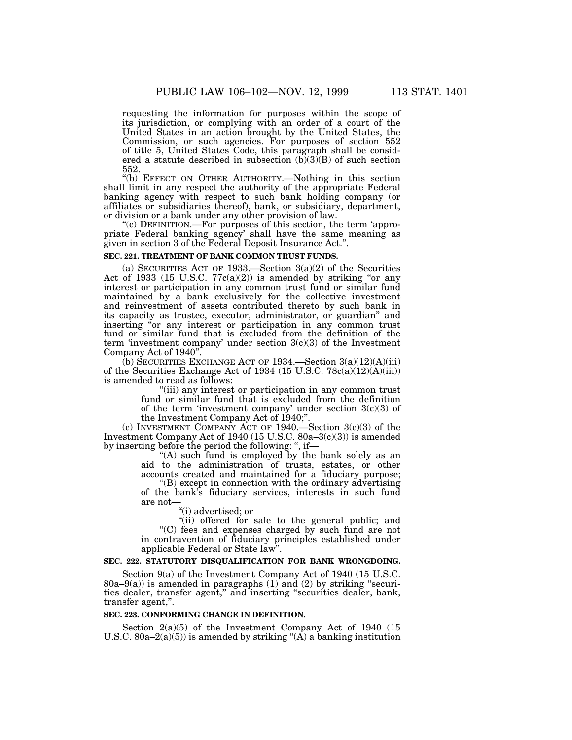requesting the information for purposes within the scope of its jurisdiction, or complying with an order of a court of the United States in an action brought by the United States, the Commission, or such agencies. For purposes of section 552 of title 5, United States Code, this paragraph shall be considered a statute described in subsection  $(b)(3)(B)$  of such section 552.

''(b) EFFECT ON OTHER AUTHORITY.—Nothing in this section shall limit in any respect the authority of the appropriate Federal banking agency with respect to such bank holding company (or affiliates or subsidiaries thereof), bank, or subsidiary, department, or division or a bank under any other provision of law.

"(c) DEFINITION.—For purposes of this section, the term 'appropriate Federal banking agency' shall have the same meaning as given in section 3 of the Federal Deposit Insurance Act.''.

### **SEC. 221. TREATMENT OF BANK COMMON TRUST FUNDS.**

(a) SECURITIES ACT OF 1933.—Section  $3(a)(2)$  of the Securities Act of 1933 (15 U.S.C.  $77c(a)(2)$ ) is amended by striking "or any interest or participation in any common trust fund or similar fund maintained by a bank exclusively for the collective investment and reinvestment of assets contributed thereto by such bank in its capacity as trustee, executor, administrator, or guardian'' and inserting "or any interest or participation in any common trust fund or similar fund that is excluded from the definition of the term 'investment company' under section  $3(c)(3)$  of the Investment Company Act of 1940''.

(b) SECURITIES EXCHANGE ACT OF  $1934$ . Section  $3(a)(12)(A)(iii)$ of the Securities Exchange Act of 1934 (15 U.S.C. 78c(a)(12)(A)(iii)) is amended to read as follows:

"(iii) any interest or participation in any common trust fund or similar fund that is excluded from the definition of the term 'investment company' under section  $3(c)(3)$  of the Investment Company Act of 1940;''.

(c) INVESTMENT COMPANY ACT OF 1940.—Section 3(c)(3) of the Investment Company Act of 1940 (15 U.S.C. 80a–3(c)(3)) is amended by inserting before the period the following: '', if—

"(A) such fund is employed by the bank solely as an aid to the administration of trusts, estates, or other accounts created and maintained for a fiduciary purpose;

''(B) except in connection with the ordinary advertising of the bank's fiduciary services, interests in such fund are not—

''(i) advertised; or

''(ii) offered for sale to the general public; and ''(C) fees and expenses charged by such fund are not in contravention of fiduciary principles established under applicable Federal or State law''.

### **SEC. 222. STATUTORY DISQUALIFICATION FOR BANK WRONGDOING.**

Section 9(a) of the Investment Company Act of 1940 (15 U.S.C. 80a–9(a)) is amended in paragraphs  $(1)$  and  $(2)$  by striking "securities dealer, transfer agent,'' and inserting ''securities dealer, bank, transfer agent,''.

### **SEC. 223. CONFORMING CHANGE IN DEFINITION.**

Section  $2(a)(5)$  of the Investment Company Act of 1940 (15 U.S.C. 80a–2(a)(5)) is amended by striking " $(\overrightarrow{A})$  a banking institution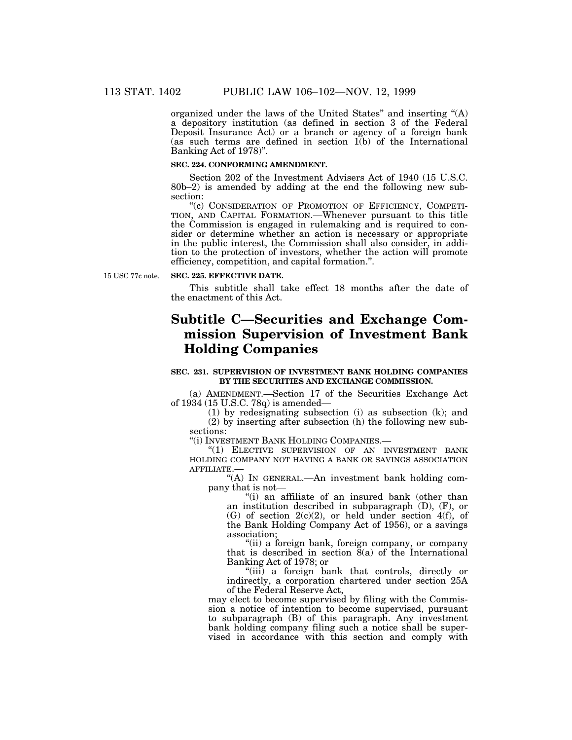organized under the laws of the United States'' and inserting ''(A) a depository institution (as defined in section 3 of the Federal Deposit Insurance Act) or a branch or agency of a foreign bank (as such terms are defined in section  $1(b)$  of the International Banking Act of 1978)''.

### **SEC. 224. CONFORMING AMENDMENT.**

Section 202 of the Investment Advisers Act of 1940 (15 U.S.C. 80b–2) is amended by adding at the end the following new subsection:<br>"(c) CONSIDERATION OF PROMOTION OF EFFICIENCY, COMPETI-

TION, AND CAPITAL FORMATION.—Whenever pursuant to this title the Commission is engaged in rulemaking and is required to consider or determine whether an action is necessary or appropriate in the public interest, the Commission shall also consider, in addition to the protection of investors, whether the action will promote efficiency, competition, and capital formation.''.

15 USC 77c note.

### **SEC. 225. EFFECTIVE DATE.**

This subtitle shall take effect 18 months after the date of the enactment of this Act.

# **Subtitle C—Securities and Exchange Commission Supervision of Investment Bank Holding Companies**

### **SEC. 231. SUPERVISION OF INVESTMENT BANK HOLDING COMPANIES BY THE SECURITIES AND EXCHANGE COMMISSION.**

(a) AMENDMENT.—Section 17 of the Securities Exchange Act of 1934 (15 U.S.C. 78q) is amended—

(1) by redesignating subsection (i) as subsection (k); and (2) by inserting after subsection (h) the following new subsections:

''(i) INVESTMENT BANK HOLDING COMPANIES.—

"(1) ELECTIVE SUPERVISION OF AN INVESTMENT BANK HOLDING COMPANY NOT HAVING A BANK OR SAVINGS ASSOCIATION AFFILIATE.—

''(A) IN GENERAL.—An investment bank holding company that is not—

"(i) an affiliate of an insured bank (other than an institution described in subparagraph (D), (F), or  $(G)$  of section  $2(c)(2)$ , or held under section  $4(f)$ , of the Bank Holding Company Act of 1956), or a savings association;

''(ii) a foreign bank, foreign company, or company that is described in section  $\bar{8}$ (a) of the International Banking Act of 1978; or

"(iii) a foreign bank that controls, directly or indirectly, a corporation chartered under section 25A of the Federal Reserve Act,

may elect to become supervised by filing with the Commission a notice of intention to become supervised, pursuant to subparagraph (B) of this paragraph. Any investment bank holding company filing such a notice shall be supervised in accordance with this section and comply with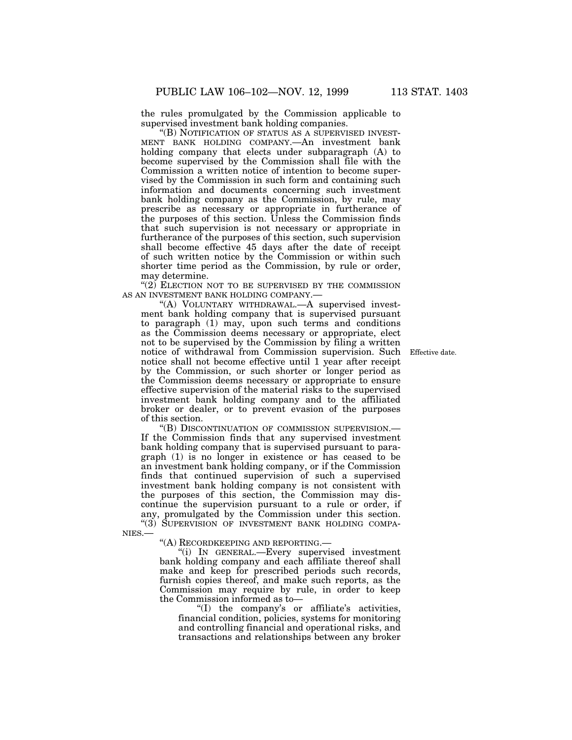the rules promulgated by the Commission applicable to supervised investment bank holding companies.

''(B) NOTIFICATION OF STATUS AS A SUPERVISED INVEST-MENT BANK HOLDING COMPANY.—An investment bank holding company that elects under subparagraph (A) to become supervised by the Commission shall file with the Commission a written notice of intention to become supervised by the Commission in such form and containing such information and documents concerning such investment bank holding company as the Commission, by rule, may prescribe as necessary or appropriate in furtherance of the purposes of this section. Unless the Commission finds that such supervision is not necessary or appropriate in furtherance of the purposes of this section, such supervision shall become effective 45 days after the date of receipt of such written notice by the Commission or within such shorter time period as the Commission, by rule or order, may determine.

" $(2)$  ELECTION NOT TO BE SUPERVISED BY THE COMMISSION AS AN INVESTMENT BANK HOLDING COMPANY.—

''(A) VOLUNTARY WITHDRAWAL.—A supervised investment bank holding company that is supervised pursuant to paragraph (1) may, upon such terms and conditions as the Commission deems necessary or appropriate, elect not to be supervised by the Commission by filing a written notice of withdrawal from Commission supervision. Such notice shall not become effective until 1 year after receipt by the Commission, or such shorter or longer period as the Commission deems necessary or appropriate to ensure effective supervision of the material risks to the supervised investment bank holding company and to the affiliated broker or dealer, or to prevent evasion of the purposes of this section.

''(B) DISCONTINUATION OF COMMISSION SUPERVISION.— If the Commission finds that any supervised investment bank holding company that is supervised pursuant to paragraph (1) is no longer in existence or has ceased to be an investment bank holding company, or if the Commission finds that continued supervision of such a supervised investment bank holding company is not consistent with the purposes of this section, the Commission may discontinue the supervision pursuant to a rule or order, if any, promulgated by the Commission under this section. "(3) SUPERVISION OF INVESTMENT BANK HOLDING COMPA-

NIES.—

''(A) RECORDKEEPING AND REPORTING.—

''(i) IN GENERAL.—Every supervised investment bank holding company and each affiliate thereof shall make and keep for prescribed periods such records, furnish copies thereof, and make such reports, as the Commission may require by rule, in order to keep the Commission informed as to—

''(I) the company's or affiliate's activities, financial condition, policies, systems for monitoring and controlling financial and operational risks, and transactions and relationships between any broker

Effective date.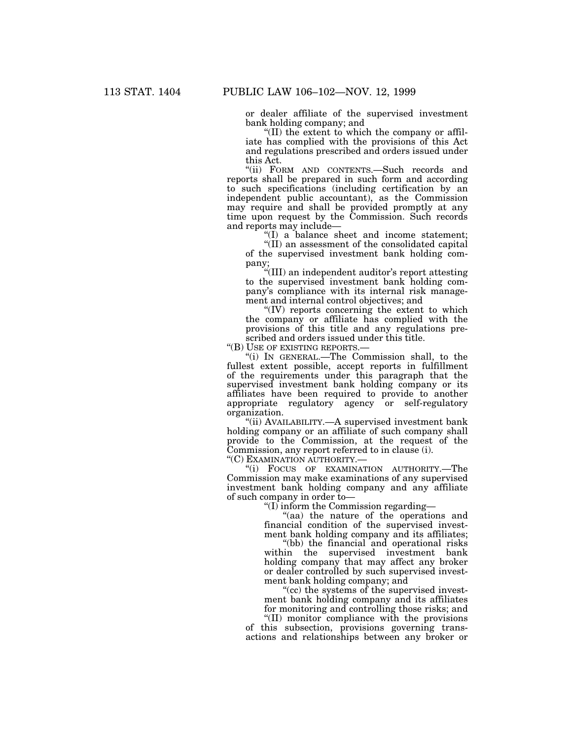or dealer affiliate of the supervised investment bank holding company; and

''(II) the extent to which the company or affiliate has complied with the provisions of this Act and regulations prescribed and orders issued under this Act.

''(ii) FORM AND CONTENTS.—Such records and reports shall be prepared in such form and according to such specifications (including certification by an independent public accountant), as the Commission may require and shall be provided promptly at any time upon request by the Commission. Such records and reports may include—

''(I) a balance sheet and income statement;

''(II) an assessment of the consolidated capital of the supervised investment bank holding company;

''(III) an independent auditor's report attesting to the supervised investment bank holding company's compliance with its internal risk management and internal control objectives; and

 $\Gamma(W)$  reports concerning the extent to which the company or affiliate has complied with the provisions of this title and any regulations prescribed and orders issued under this title.

''(B) USE OF EXISTING REPORTS.—

''(i) IN GENERAL.—The Commission shall, to the fullest extent possible, accept reports in fulfillment of the requirements under this paragraph that the supervised investment bank holding company or its affiliates have been required to provide to another appropriate regulatory agency or self-regulatory organization.

''(ii) AVAILABILITY.—A supervised investment bank holding company or an affiliate of such company shall provide to the Commission, at the request of the Commission, any report referred to in clause (i).

''(C) EXAMINATION AUTHORITY.—

''(i) FOCUS OF EXAMINATION AUTHORITY.—The Commission may make examinations of any supervised investment bank holding company and any affiliate of such company in order to—

''(I) inform the Commission regarding—

''(aa) the nature of the operations and financial condition of the supervised investment bank holding company and its affiliates;

''(bb) the financial and operational risks within the supervised investment bank holding company that may affect any broker or dealer controlled by such supervised investment bank holding company; and

"(cc) the systems of the supervised investment bank holding company and its affiliates for monitoring and controlling those risks; and

''(II) monitor compliance with the provisions of this subsection, provisions governing transactions and relationships between any broker or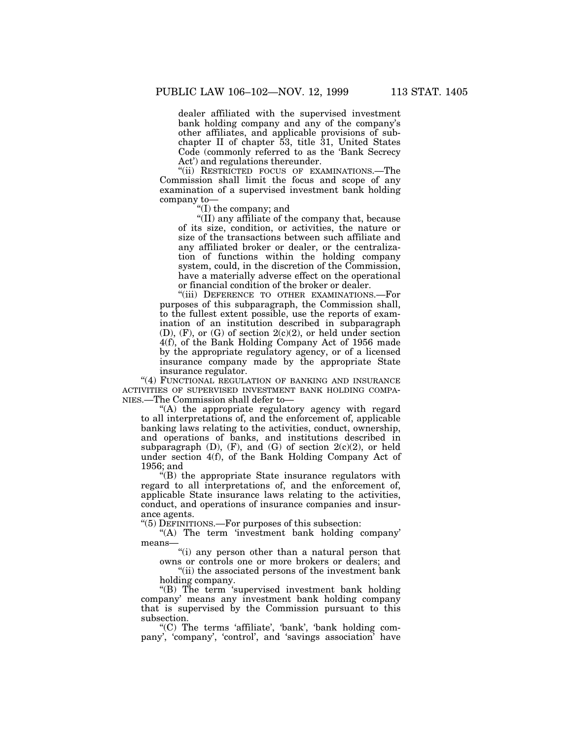dealer affiliated with the supervised investment bank holding company and any of the company's other affiliates, and applicable provisions of subchapter II of chapter 53, title 31, United States Code (commonly referred to as the 'Bank Secrecy Act') and regulations thereunder.

"(ii) RESTRICTED FOCUS OF EXAMINATIONS.-The Commission shall limit the focus and scope of any examination of a supervised investment bank holding company to—

''(I) the company; and

''(II) any affiliate of the company that, because of its size, condition, or activities, the nature or size of the transactions between such affiliate and any affiliated broker or dealer, or the centralization of functions within the holding company system, could, in the discretion of the Commission, have a materially adverse effect on the operational or financial condition of the broker or dealer.

"(iii) DEFERENCE TO OTHER EXAMINATIONS.-For purposes of this subparagraph, the Commission shall, to the fullest extent possible, use the reports of examination of an institution described in subparagraph  $(D)$ ,  $(F)$ , or  $(G)$  of section  $2(c)(2)$ , or held under section 4(f), of the Bank Holding Company Act of 1956 made by the appropriate regulatory agency, or of a licensed insurance company made by the appropriate State insurance regulator.

"(4) FUNCTIONAL REGULATION OF BANKING AND INSURANCE ACTIVITIES OF SUPERVISED INVESTMENT BANK HOLDING COMPA-NIES.—The Commission shall defer to—

"(A) the appropriate regulatory agency with regard to all interpretations of, and the enforcement of, applicable banking laws relating to the activities, conduct, ownership, and operations of banks, and institutions described in subparagraph (D), (F), and (G) of section 2(c)(2), or held under section 4(f), of the Bank Holding Company Act of 1956; and

 $\cdot$ (B) the appropriate State insurance regulators with regard to all interpretations of, and the enforcement of, applicable State insurance laws relating to the activities, conduct, and operations of insurance companies and insurance agents.

" $(5)$  DEFINITIONS.—For purposes of this subsection:

''(A) The term 'investment bank holding company' means—

"(i) any person other than a natural person that owns or controls one or more brokers or dealers; and

"(ii) the associated persons of the investment bank holding company.

''(B) The term 'supervised investment bank holding company' means any investment bank holding company that is supervised by the Commission pursuant to this subsection.

''(C) The terms 'affiliate', 'bank', 'bank holding company', 'company', 'control', and 'savings association' have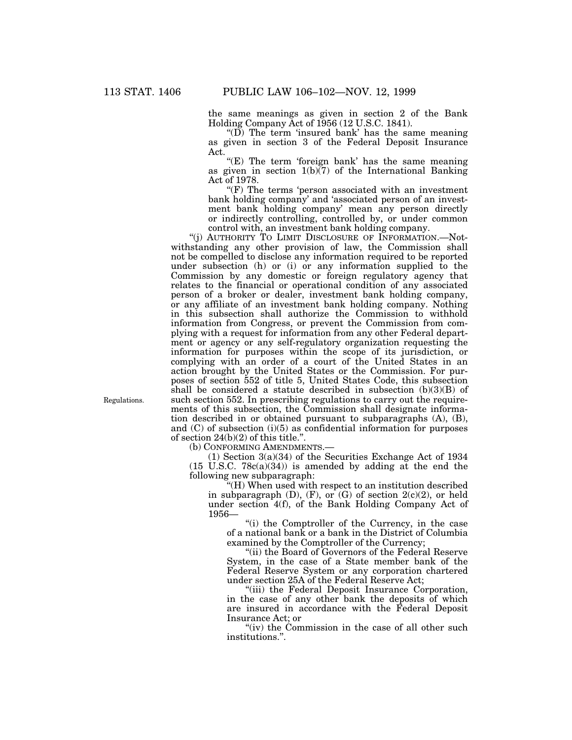the same meanings as given in section 2 of the Bank Holding Company Act of 1956 (12 U.S.C. 1841).

" $(D)$  The term 'insured bank' has the same meaning as given in section 3 of the Federal Deposit Insurance Act.

"(E) The term 'foreign bank' has the same meaning as given in section  $1(b)\bar{7}$  of the International Banking Act of 1978.

 $F(F)$  The terms 'person associated with an investment bank holding company' and 'associated person of an investment bank holding company' mean any person directly or indirectly controlling, controlled by, or under common control with, an investment bank holding company.

''(j) AUTHORITY TO LIMIT DISCLOSURE OF INFORMATION.—Notwithstanding any other provision of law, the Commission shall not be compelled to disclose any information required to be reported under subsection (h) or (i) or any information supplied to the Commission by any domestic or foreign regulatory agency that relates to the financial or operational condition of any associated person of a broker or dealer, investment bank holding company, or any affiliate of an investment bank holding company. Nothing in this subsection shall authorize the Commission to withhold information from Congress, or prevent the Commission from complying with a request for information from any other Federal department or agency or any self-regulatory organization requesting the information for purposes within the scope of its jurisdiction, or complying with an order of a court of the United States in an action brought by the United States or the Commission. For purposes of section 552 of title 5, United States Code, this subsection shall be considered a statute described in subsection (b)(3)(B) of such section 552. In prescribing regulations to carry out the requirements of this subsection, the Commission shall designate information described in or obtained pursuant to subparagraphs (A), (B), and  $(C)$  of subsection  $(i)(5)$  as confidential information for purposes of section 24(b)(2) of this title.''.

(b) CONFORMING AMENDMENTS.—

 $(1)$  Section 3(a)(34) of the Securities Exchange Act of 1934  $(15 \text{ U.S.C. } 78c(a)(34))$  is amended by adding at the end the following new subparagraph:

''(H) When used with respect to an institution described in subparagraph  $(D)$ ,  $(F)$ , or  $(G)$  of section  $2(c)(2)$ , or held under section 4(f), of the Bank Holding Company Act of 1956—

''(i) the Comptroller of the Currency, in the case of a national bank or a bank in the District of Columbia examined by the Comptroller of the Currency;

''(ii) the Board of Governors of the Federal Reserve System, in the case of a State member bank of the Federal Reserve System or any corporation chartered under section 25A of the Federal Reserve Act;

''(iii) the Federal Deposit Insurance Corporation, in the case of any other bank the deposits of which are insured in accordance with the Federal Deposit Insurance Act; or

"(iv) the Commission in the case of all other such institutions.''.

Regulations.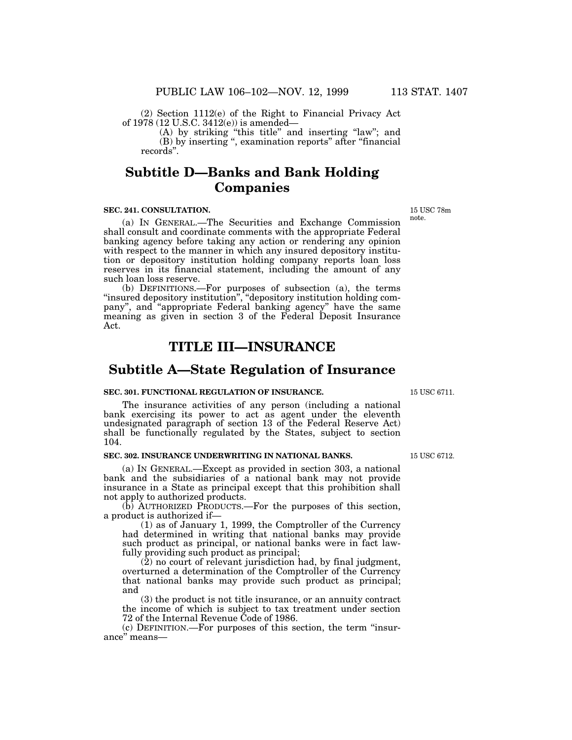(2) Section 1112(e) of the Right to Financial Privacy Act of 1978 (12 U.S.C. 3412(e)) is amended—

(A) by striking ''this title'' and inserting ''law''; and (B) by inserting '', examination reports'' after ''financial records''.

# **Subtitle D—Banks and Bank Holding Companies**

### **SEC. 241. CONSULTATION.**

(a) IN GENERAL.—The Securities and Exchange Commission shall consult and coordinate comments with the appropriate Federal banking agency before taking any action or rendering any opinion with respect to the manner in which any insured depository institution or depository institution holding company reports loan loss reserves in its financial statement, including the amount of any such loan loss reserve.

(b) DEFINITIONS.—For purposes of subsection (a), the terms "insured depository institution", "depository institution holding company'', and ''appropriate Federal banking agency'' have the same meaning as given in section 3 of the Federal Deposit Insurance Act.

### **TITLE III—INSURANCE**

### **Subtitle A—State Regulation of Insurance**

### **SEC. 301. FUNCTIONAL REGULATION OF INSURANCE.**

The insurance activities of any person (including a national bank exercising its power to act as agent under the eleventh undesignated paragraph of section 13 of the Federal Reserve Act) shall be functionally regulated by the States, subject to section 104.

### **SEC. 302. INSURANCE UNDERWRITING IN NATIONAL BANKS.**

(a) IN GENERAL.—Except as provided in section 303, a national bank and the subsidiaries of a national bank may not provide insurance in a State as principal except that this prohibition shall not apply to authorized products.

(b) AUTHORIZED PRODUCTS.—For the purposes of this section, a product is authorized if—

(1) as of January 1, 1999, the Comptroller of the Currency had determined in writing that national banks may provide such product as principal, or national banks were in fact lawfully providing such product as principal;

(2) no court of relevant jurisdiction had, by final judgment, overturned a determination of the Comptroller of the Currency that national banks may provide such product as principal; and

(3) the product is not title insurance, or an annuity contract the income of which is subject to tax treatment under section 72 of the Internal Revenue Code of 1986.

(c) DEFINITION.—For purposes of this section, the term ''insurance'' means—

15 USC 6712.

15 USC 6711.

note.

15 USC 78m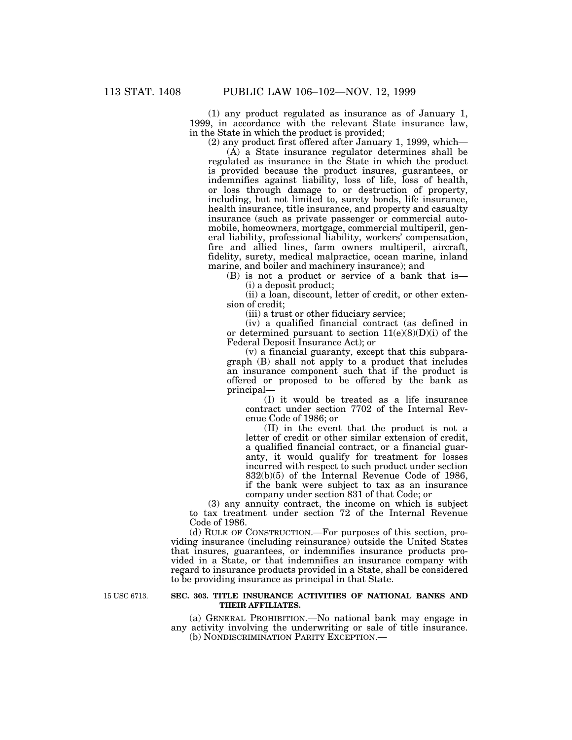(1) any product regulated as insurance as of January 1, 1999, in accordance with the relevant State insurance law, in the State in which the product is provided;

(2) any product first offered after January 1, 1999, which—

(A) a State insurance regulator determines shall be regulated as insurance in the State in which the product is provided because the product insures, guarantees, or indemnifies against liability, loss of life, loss of health, or loss through damage to or destruction of property, including, but not limited to, surety bonds, life insurance, health insurance, title insurance, and property and casualty insurance (such as private passenger or commercial automobile, homeowners, mortgage, commercial multiperil, general liability, professional liability, workers' compensation, fire and allied lines, farm owners multiperil, aircraft, fidelity, surety, medical malpractice, ocean marine, inland marine, and boiler and machinery insurance); and

(B) is not a product or service of a bank that is— (i) a deposit product;

(ii) a loan, discount, letter of credit, or other extension of credit;

(iii) a trust or other fiduciary service;

(iv) a qualified financial contract (as defined in or determined pursuant to section  $11(e)(8)(D)(i)$  of the Federal Deposit Insurance Act); or

(v) a financial guaranty, except that this subparagraph (B) shall not apply to a product that includes an insurance component such that if the product is offered or proposed to be offered by the bank as principal—

(I) it would be treated as a life insurance contract under section 7702 of the Internal Revenue Code of 1986; or

(II) in the event that the product is not a letter of credit or other similar extension of credit, a qualified financial contract, or a financial guaranty, it would qualify for treatment for losses incurred with respect to such product under section 832(b)(5) of the Internal Revenue Code of 1986, if the bank were subject to tax as an insurance company under section 831 of that Code; or

(3) any annuity contract, the income on which is subject to tax treatment under section 72 of the Internal Revenue Code of 1986.

(d) RULE OF CONSTRUCTION.—For purposes of this section, providing insurance (including reinsurance) outside the United States that insures, guarantees, or indemnifies insurance products provided in a State, or that indemnifies an insurance company with regard to insurance products provided in a State, shall be considered to be providing insurance as principal in that State.

15 USC 6713.

### **SEC. 303. TITLE INSURANCE ACTIVITIES OF NATIONAL BANKS AND THEIR AFFILIATES.**

(a) GENERAL PROHIBITION.—No national bank may engage in any activity involving the underwriting or sale of title insurance. (b) NONDISCRIMINATION PARITY EXCEPTION.—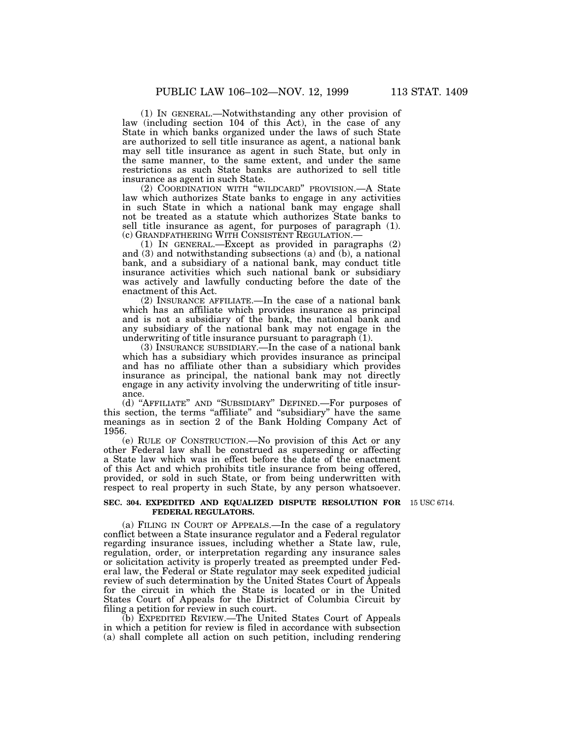(1) IN GENERAL.—Notwithstanding any other provision of law (including section 104 of this Act), in the case of any State in which banks organized under the laws of such State are authorized to sell title insurance as agent, a national bank may sell title insurance as agent in such State, but only in the same manner, to the same extent, and under the same restrictions as such State banks are authorized to sell title insurance as agent in such State.

(2) COORDINATION WITH ''WILDCARD'' PROVISION.—A State law which authorizes State banks to engage in any activities in such State in which a national bank may engage shall not be treated as a statute which authorizes State banks to sell title insurance as agent, for purposes of paragraph (1). (c) GRANDFATHERING WITH CONSISTENT REGULATION.—

(1) IN GENERAL.—Except as provided in paragraphs (2) and (3) and notwithstanding subsections (a) and (b), a national bank, and a subsidiary of a national bank, may conduct title insurance activities which such national bank or subsidiary was actively and lawfully conducting before the date of the enactment of this Act.

(2) INSURANCE AFFILIATE.—In the case of a national bank which has an affiliate which provides insurance as principal and is not a subsidiary of the bank, the national bank and any subsidiary of the national bank may not engage in the underwriting of title insurance pursuant to paragraph (1).

(3) INSURANCE SUBSIDIARY.—In the case of a national bank which has a subsidiary which provides insurance as principal and has no affiliate other than a subsidiary which provides insurance as principal, the national bank may not directly engage in any activity involving the underwriting of title insurance.

(d) ''AFFILIATE'' AND ''SUBSIDIARY'' DEFINED.—For purposes of this section, the terms "affiliate" and "subsidiary" have the same meanings as in section 2 of the Bank Holding Company Act of 1956.

(e) RULE OF CONSTRUCTION.—No provision of this Act or any other Federal law shall be construed as superseding or affecting a State law which was in effect before the date of the enactment of this Act and which prohibits title insurance from being offered, provided, or sold in such State, or from being underwritten with respect to real property in such State, by any person whatsoever.

#### **SEC. 304. EXPEDITED AND EQUALIZED DISPUTE RESOLUTION FOR** 15 USC 6714. **FEDERAL REGULATORS.**

(a) FILING IN COURT OF APPEALS.—In the case of a regulatory conflict between a State insurance regulator and a Federal regulator regarding insurance issues, including whether a State law, rule, regulation, order, or interpretation regarding any insurance sales or solicitation activity is properly treated as preempted under Federal law, the Federal or State regulator may seek expedited judicial review of such determination by the United States Court of Appeals for the circuit in which the State is located or in the United States Court of Appeals for the District of Columbia Circuit by filing a petition for review in such court.

(b) EXPEDITED REVIEW.—The United States Court of Appeals in which a petition for review is filed in accordance with subsection (a) shall complete all action on such petition, including rendering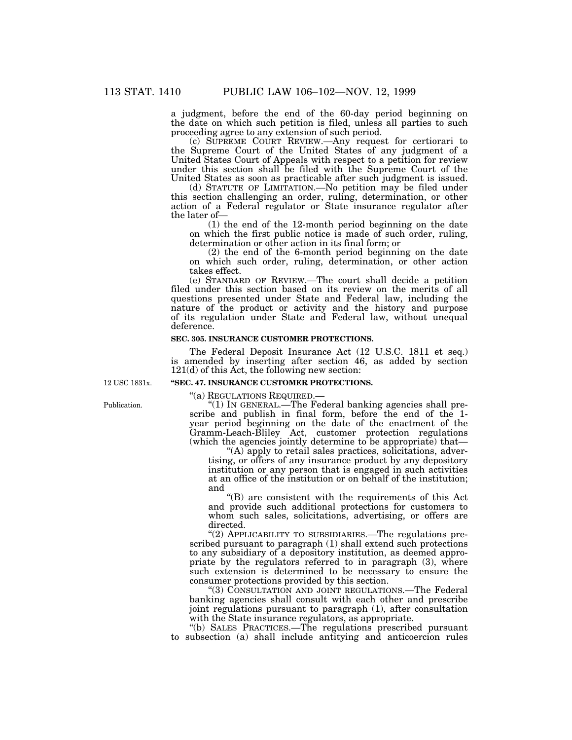a judgment, before the end of the 60-day period beginning on the date on which such petition is filed, unless all parties to such proceeding agree to any extension of such period.

(c) SUPREME COURT REVIEW.—Any request for certiorari to the Supreme Court of the United States of any judgment of a United States Court of Appeals with respect to a petition for review under this section shall be filed with the Supreme Court of the United States as soon as practicable after such judgment is issued.

(d) STATUTE OF LIMITATION.—No petition may be filed under this section challenging an order, ruling, determination, or other action of a Federal regulator or State insurance regulator after the later of—

(1) the end of the 12-month period beginning on the date on which the first public notice is made of such order, ruling, determination or other action in its final form; or

(2) the end of the 6-month period beginning on the date on which such order, ruling, determination, or other action takes effect.

(e) STANDARD OF REVIEW.—The court shall decide a petition filed under this section based on its review on the merits of all questions presented under State and Federal law, including the nature of the product or activity and the history and purpose of its regulation under State and Federal law, without unequal deference.

### **SEC. 305. INSURANCE CUSTOMER PROTECTIONS.**

The Federal Deposit Insurance Act (12 U.S.C. 1811 et seq.) is amended by inserting after section 46, as added by section 121(d) of this Act, the following new section:

**''SEC. 47. INSURANCE CUSTOMER PROTECTIONS.**

Publication. 12 USC 1831x.

''(a) REGULATIONS REQUIRED.— ''(1) IN GENERAL.—The Federal banking agencies shall prescribe and publish in final form, before the end of the 1 year period beginning on the date of the enactment of the Gramm-Leach-Bliley Act, customer protection regulations (which the agencies jointly determine to be appropriate) that—

''(A) apply to retail sales practices, solicitations, advertising, or offers of any insurance product by any depository institution or any person that is engaged in such activities at an office of the institution or on behalf of the institution; and

''(B) are consistent with the requirements of this Act and provide such additional protections for customers to whom such sales, solicitations, advertising, or offers are directed.

"(2) APPLICABILITY TO SUBSIDIARIES.—The regulations prescribed pursuant to paragraph (1) shall extend such protections to any subsidiary of a depository institution, as deemed appropriate by the regulators referred to in paragraph (3), where such extension is determined to be necessary to ensure the consumer protections provided by this section.

"(3) CONSULTATION AND JOINT REGULATIONS.—The Federal banking agencies shall consult with each other and prescribe joint regulations pursuant to paragraph (1), after consultation with the State insurance regulators, as appropriate.

''(b) SALES PRACTICES.—The regulations prescribed pursuant to subsection (a) shall include antitying and anticoercion rules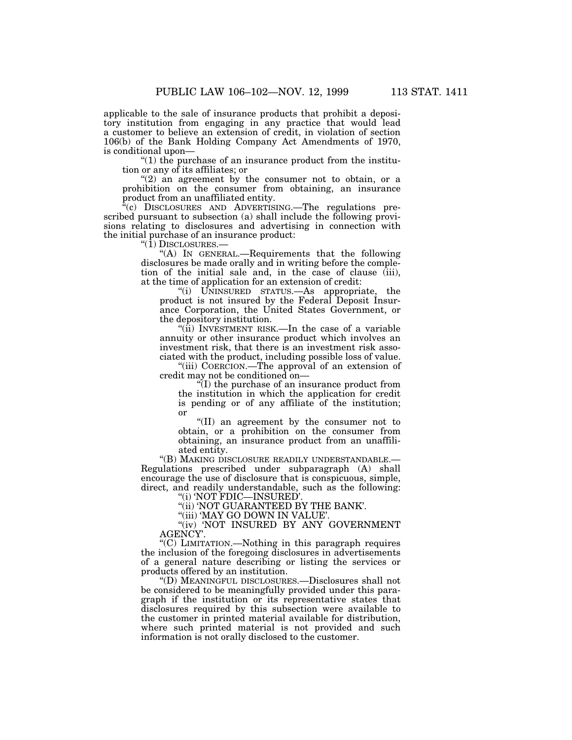applicable to the sale of insurance products that prohibit a depository institution from engaging in any practice that would lead a customer to believe an extension of credit, in violation of section 106(b) of the Bank Holding Company Act Amendments of 1970, is conditional upon—

 $(1)$  the purchase of an insurance product from the institution or any of its affiliates; or

"(2) an agreement by the consumer not to obtain, or a prohibition on the consumer from obtaining, an insurance product from an unaffiliated entity.

(c) DISCLOSURES AND ADVERTISING.—The regulations prescribed pursuant to subsection (a) shall include the following provisions relating to disclosures and advertising in connection with the initial purchase of an insurance product:

"(1) DISCLOSURES.-

"(A) In GENERAL.—Requirements that the following disclosures be made orally and in writing before the completion of the initial sale and, in the case of clause (iii), at the time of application for an extension of credit:

''(i) UNINSURED STATUS.—As appropriate, the product is not insured by the Federal Deposit Insurance Corporation, the United States Government, or the depository institution.

" $(i)$  INVESTMENT RISK.—In the case of a variable annuity or other insurance product which involves an investment risk, that there is an investment risk associated with the product, including possible loss of value.

"(iii) COERCION.—The approval of an extension of credit may not be conditioned on—

''(I) the purchase of an insurance product from the institution in which the application for credit is pending or of any affiliate of the institution; or

''(II) an agreement by the consumer not to obtain, or a prohibition on the consumer from obtaining, an insurance product from an unaffiliated entity.

''(B) MAKING DISCLOSURE READILY UNDERSTANDABLE.— Regulations prescribed under subparagraph (A) shall encourage the use of disclosure that is conspicuous, simple, direct, and readily understandable, such as the following:

''(i) 'NOT FDIC—INSURED'.

"(ii) 'NOT GUARANTEED BY THE BANK'.

"(iii) 'MAY GO DOWN IN VALUE'.

"(iv) 'NOT INSURED BY ANY GOVERNMENT AGENCY'.

''(C) LIMITATION.—Nothing in this paragraph requires the inclusion of the foregoing disclosures in advertisements of a general nature describing or listing the services or products offered by an institution.

''(D) MEANINGFUL DISCLOSURES.—Disclosures shall not be considered to be meaningfully provided under this paragraph if the institution or its representative states that disclosures required by this subsection were available to the customer in printed material available for distribution, where such printed material is not provided and such information is not orally disclosed to the customer.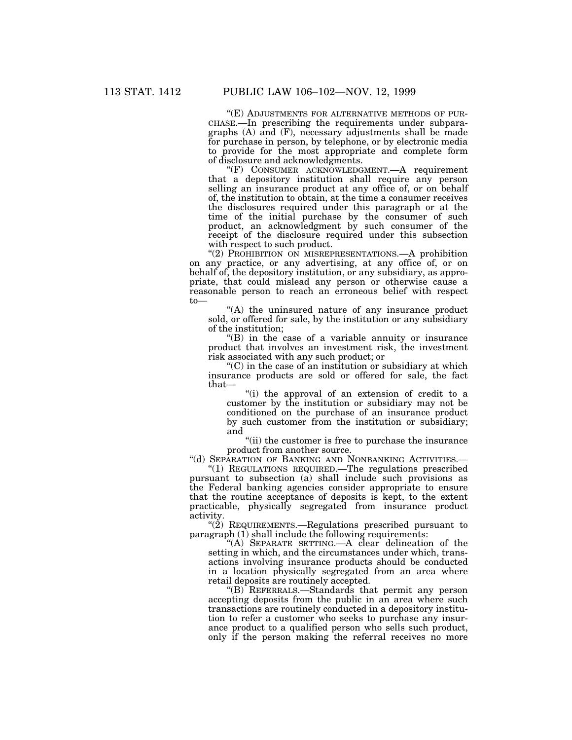''(E) ADJUSTMENTS FOR ALTERNATIVE METHODS OF PUR- CHASE.—In prescribing the requirements under subparagraphs (A) and (F), necessary adjustments shall be made for purchase in person, by telephone, or by electronic media to provide for the most appropriate and complete form of disclosure and acknowledgments.

 $F(F)$  CONSUMER ACKNOWLEDGMENT.  $-A$  requirement that a depository institution shall require any person selling an insurance product at any office of, or on behalf of, the institution to obtain, at the time a consumer receives the disclosures required under this paragraph or at the time of the initial purchase by the consumer of such product, an acknowledgment by such consumer of the receipt of the disclosure required under this subsection with respect to such product.

"(2) PROHIBITION ON MISREPRESENTATIONS.—A prohibition on any practice, or any advertising, at any office of, or on behalf of, the depository institution, or any subsidiary, as appropriate, that could mislead any person or otherwise cause a reasonable person to reach an erroneous belief with respect to—

''(A) the uninsured nature of any insurance product sold, or offered for sale, by the institution or any subsidiary of the institution;

 $'(B)$  in the case of a variable annuity or insurance product that involves an investment risk, the investment risk associated with any such product; or

 $C$ ) in the case of an institution or subsidiary at which insurance products are sold or offered for sale, the fact that—

''(i) the approval of an extension of credit to a customer by the institution or subsidiary may not be conditioned on the purchase of an insurance product by such customer from the institution or subsidiary; and

"(ii) the customer is free to purchase the insurance product from another source.

''(d) SEPARATION OF BANKING AND NONBANKING ACTIVITIES.—

"(1) REGULATIONS REQUIRED.—The regulations prescribed pursuant to subsection (a) shall include such provisions as the Federal banking agencies consider appropriate to ensure that the routine acceptance of deposits is kept, to the extent practicable, physically segregated from insurance product activity.

" $(2)$  REQUIREMENTS.—Regulations prescribed pursuant to paragraph (1) shall include the following requirements:

''(A) SEPARATE SETTING.—A clear delineation of the setting in which, and the circumstances under which, transactions involving insurance products should be conducted in a location physically segregated from an area where retail deposits are routinely accepted.

''(B) REFERRALS.—Standards that permit any person accepting deposits from the public in an area where such transactions are routinely conducted in a depository institution to refer a customer who seeks to purchase any insurance product to a qualified person who sells such product, only if the person making the referral receives no more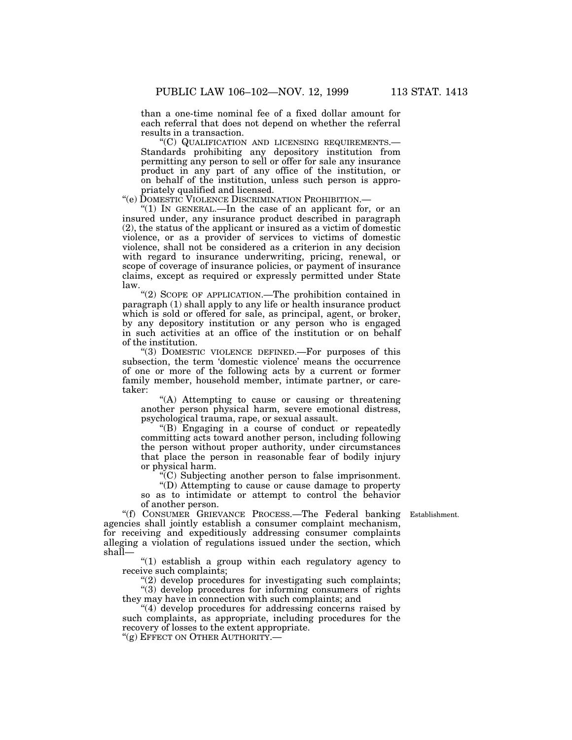than a one-time nominal fee of a fixed dollar amount for each referral that does not depend on whether the referral results in a transaction.

''(C) QUALIFICATION AND LICENSING REQUIREMENTS.— Standards prohibiting any depository institution from permitting any person to sell or offer for sale any insurance product in any part of any office of the institution, or on behalf of the institution, unless such person is appropriately qualified and licensed.

''(e) DOMESTIC VIOLENCE DISCRIMINATION PROHIBITION.—

"(1) IN GENERAL.—In the case of an applicant for, or an insured under, any insurance product described in paragraph (2), the status of the applicant or insured as a victim of domestic violence, or as a provider of services to victims of domestic violence, shall not be considered as a criterion in any decision with regard to insurance underwriting, pricing, renewal, or scope of coverage of insurance policies, or payment of insurance claims, except as required or expressly permitted under State law.

"(2) SCOPE OF APPLICATION.—The prohibition contained in paragraph (1) shall apply to any life or health insurance product which is sold or offered for sale, as principal, agent, or broker, by any depository institution or any person who is engaged in such activities at an office of the institution or on behalf of the institution.

''(3) DOMESTIC VIOLENCE DEFINED.—For purposes of this subsection, the term 'domestic violence' means the occurrence of one or more of the following acts by a current or former family member, household member, intimate partner, or caretaker:

''(A) Attempting to cause or causing or threatening another person physical harm, severe emotional distress, psychological trauma, rape, or sexual assault.

''(B) Engaging in a course of conduct or repeatedly committing acts toward another person, including following the person without proper authority, under circumstances that place the person in reasonable fear of bodily injury or physical harm.

 $\mathcal{C}(\mathcal{C})$  Subjecting another person to false imprisonment.

''(D) Attempting to cause or cause damage to property so as to intimidate or attempt to control the behavior of another person.

''(f) CONSUMER GRIEVANCE PROCESS.—The Federal banking Establishment. agencies shall jointly establish a consumer complaint mechanism, for receiving and expeditiously addressing consumer complaints alleging a violation of regulations issued under the section, which shall—

"(1) establish a group within each regulatory agency to receive such complaints;

"(2) develop procedures for investigating such complaints; ''(3) develop procedures for informing consumers of rights they may have in connection with such complaints; and

''(4) develop procedures for addressing concerns raised by such complaints, as appropriate, including procedures for the recovery of losses to the extent appropriate.

"(g) EFFECT ON OTHER AUTHORITY.—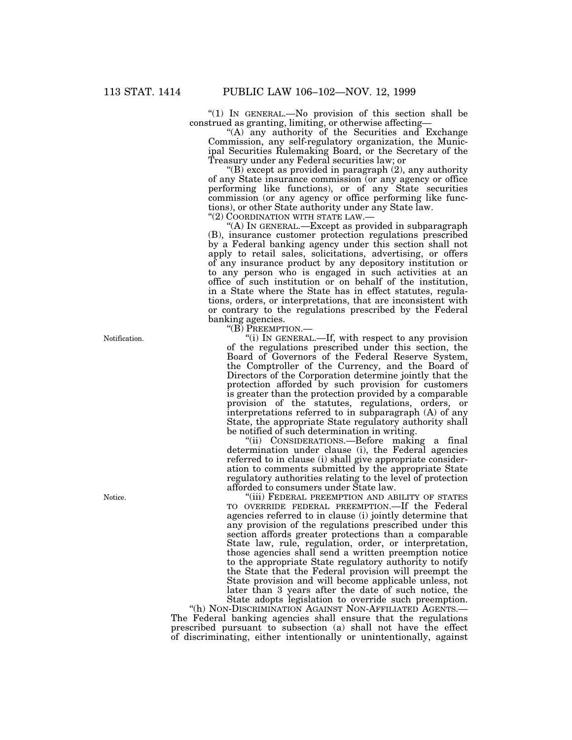''(1) IN GENERAL.—No provision of this section shall be construed as granting, limiting, or otherwise affecting—

"(A) any authority of the Securities and Exchange Commission, any self-regulatory organization, the Municipal Securities Rulemaking Board, or the Secretary of the Treasury under any Federal securities law; or

''(B) except as provided in paragraph (2), any authority of any State insurance commission (or any agency or office performing like functions), or of any State securities commission (or any agency or office performing like functions), or other State authority under any State law.

"(2) COORDINATION WITH STATE LAW.-

''(A) IN GENERAL.—Except as provided in subparagraph (B), insurance customer protection regulations prescribed by a Federal banking agency under this section shall not apply to retail sales, solicitations, advertising, or offers of any insurance product by any depository institution or to any person who is engaged in such activities at an office of such institution or on behalf of the institution, in a State where the State has in effect statutes, regulations, orders, or interpretations, that are inconsistent with or contrary to the regulations prescribed by the Federal banking agencies.

"(B) PREEMPTION.

''(i) IN GENERAL.—If, with respect to any provision of the regulations prescribed under this section, the Board of Governors of the Federal Reserve System, the Comptroller of the Currency, and the Board of Directors of the Corporation determine jointly that the protection afforded by such provision for customers is greater than the protection provided by a comparable provision of the statutes, regulations, orders, or interpretations referred to in subparagraph (A) of any State, the appropriate State regulatory authority shall be notified of such determination in writing.

''(ii) CONSIDERATIONS.—Before making a final determination under clause (i), the Federal agencies referred to in clause (i) shall give appropriate consideration to comments submitted by the appropriate State regulatory authorities relating to the level of protection afforded to consumers under State law.

"(iii) FEDERAL PREEMPTION AND ABILITY OF STATES TO OVERRIDE FEDERAL PREEMPTION.—If the Federal agencies referred to in clause (i) jointly determine that any provision of the regulations prescribed under this section affords greater protections than a comparable State law, rule, regulation, order, or interpretation, those agencies shall send a written preemption notice to the appropriate State regulatory authority to notify the State that the Federal provision will preempt the State provision and will become applicable unless, not later than 3 years after the date of such notice, the State adopts legislation to override such preemption.

"(h) NON-DISCRIMINATION AGAINST NON-AFFILIATED AGENTS.-The Federal banking agencies shall ensure that the regulations prescribed pursuant to subsection (a) shall not have the effect of discriminating, either intentionally or unintentionally, against

Notification.

Notice.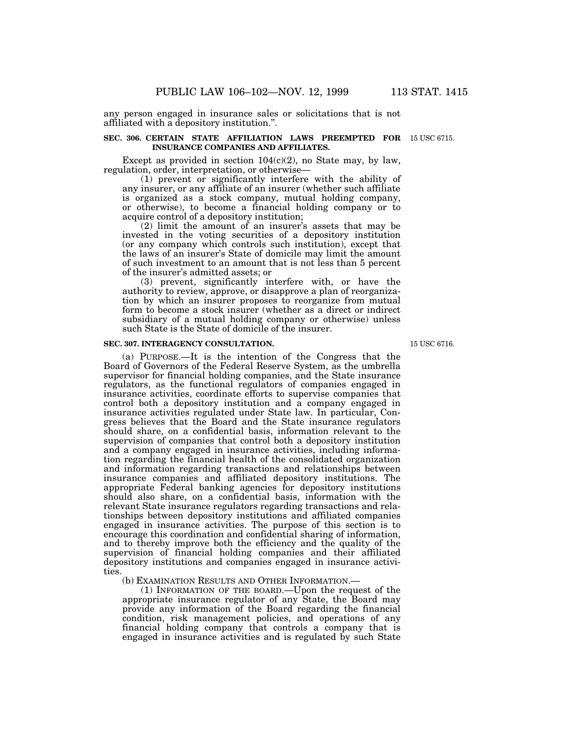any person engaged in insurance sales or solicitations that is not affiliated with a depository institution.''.

#### **SEC. 306. CERTAIN STATE AFFILIATION LAWS PREEMPTED FOR** 15 USC 6715. **INSURANCE COMPANIES AND AFFILIATES.**

Except as provided in section  $104(c)(2)$ , no State may, by law, regulation, order, interpretation, or otherwise—

(1) prevent or significantly interfere with the ability of any insurer, or any affiliate of an insurer (whether such affiliate is organized as a stock company, mutual holding company, or otherwise), to become a financial holding company or to acquire control of a depository institution;

 $(2)$  limit the amount of an insurer's assets that may be invested in the voting securities of a depository institution (or any company which controls such institution), except that the laws of an insurer's State of domicile may limit the amount of such investment to an amount that is not less than 5 percent of the insurer's admitted assets; or

(3) prevent, significantly interfere with, or have the authority to review, approve, or disapprove a plan of reorganization by which an insurer proposes to reorganize from mutual form to become a stock insurer (whether as a direct or indirect subsidiary of a mutual holding company or otherwise) unless such State is the State of domicile of the insurer.

### **SEC. 307. INTERAGENCY CONSULTATION.**

(a) PURPOSE.—It is the intention of the Congress that the Board of Governors of the Federal Reserve System, as the umbrella supervisor for financial holding companies, and the State insurance regulators, as the functional regulators of companies engaged in insurance activities, coordinate efforts to supervise companies that control both a depository institution and a company engaged in insurance activities regulated under State law. In particular, Congress believes that the Board and the State insurance regulators should share, on a confidential basis, information relevant to the supervision of companies that control both a depository institution and a company engaged in insurance activities, including information regarding the financial health of the consolidated organization and information regarding transactions and relationships between insurance companies and affiliated depository institutions. The appropriate Federal banking agencies for depository institutions should also share, on a confidential basis, information with the relevant State insurance regulators regarding transactions and relationships between depository institutions and affiliated companies engaged in insurance activities. The purpose of this section is to encourage this coordination and confidential sharing of information, and to thereby improve both the efficiency and the quality of the supervision of financial holding companies and their affiliated depository institutions and companies engaged in insurance activities.

(b) EXAMINATION RESULTS AND OTHER INFORMATION.—

(1) INFORMATION OF THE BOARD.—Upon the request of the appropriate insurance regulator of any State, the Board may provide any information of the Board regarding the financial condition, risk management policies, and operations of any financial holding company that controls a company that is engaged in insurance activities and is regulated by such State

15 USC 6716.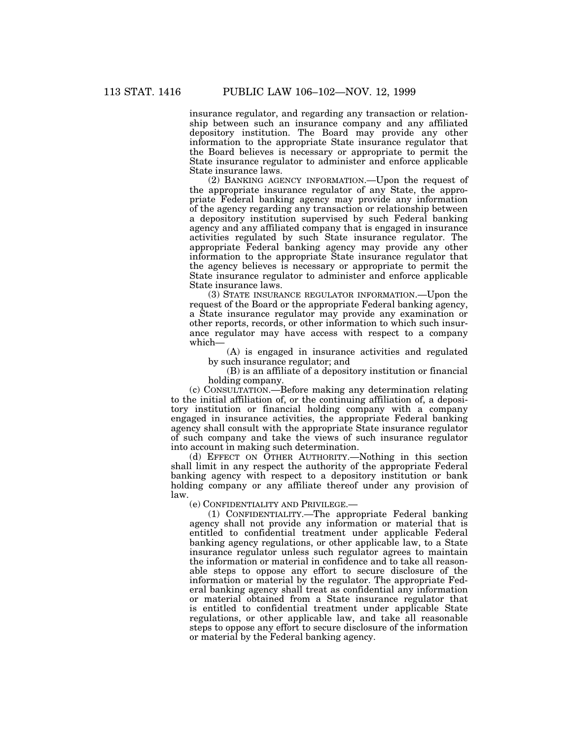insurance regulator, and regarding any transaction or relationship between such an insurance company and any affiliated depository institution. The Board may provide any other information to the appropriate State insurance regulator that the Board believes is necessary or appropriate to permit the State insurance regulator to administer and enforce applicable State insurance laws.

(2) BANKING AGENCY INFORMATION.—Upon the request of the appropriate insurance regulator of any State, the appropriate Federal banking agency may provide any information of the agency regarding any transaction or relationship between a depository institution supervised by such Federal banking agency and any affiliated company that is engaged in insurance activities regulated by such State insurance regulator. The appropriate Federal banking agency may provide any other information to the appropriate State insurance regulator that the agency believes is necessary or appropriate to permit the State insurance regulator to administer and enforce applicable State insurance laws.

(3) STATE INSURANCE REGULATOR INFORMATION.—Upon the request of the Board or the appropriate Federal banking agency, a State insurance regulator may provide any examination or other reports, records, or other information to which such insurance regulator may have access with respect to a company which—

(A) is engaged in insurance activities and regulated by such insurance regulator; and

(B) is an affiliate of a depository institution or financial holding company.

(c) CONSULTATION.—Before making any determination relating to the initial affiliation of, or the continuing affiliation of, a depository institution or financial holding company with a company engaged in insurance activities, the appropriate Federal banking agency shall consult with the appropriate State insurance regulator of such company and take the views of such insurance regulator into account in making such determination.

(d) EFFECT ON OTHER AUTHORITY.—Nothing in this section shall limit in any respect the authority of the appropriate Federal banking agency with respect to a depository institution or bank holding company or any affiliate thereof under any provision of law.

(e) CONFIDENTIALITY AND PRIVILEGE.—

(1) CONFIDENTIALITY.—The appropriate Federal banking agency shall not provide any information or material that is entitled to confidential treatment under applicable Federal banking agency regulations, or other applicable law, to a State insurance regulator unless such regulator agrees to maintain the information or material in confidence and to take all reasonable steps to oppose any effort to secure disclosure of the information or material by the regulator. The appropriate Federal banking agency shall treat as confidential any information or material obtained from a State insurance regulator that is entitled to confidential treatment under applicable State regulations, or other applicable law, and take all reasonable steps to oppose any effort to secure disclosure of the information or material by the Federal banking agency.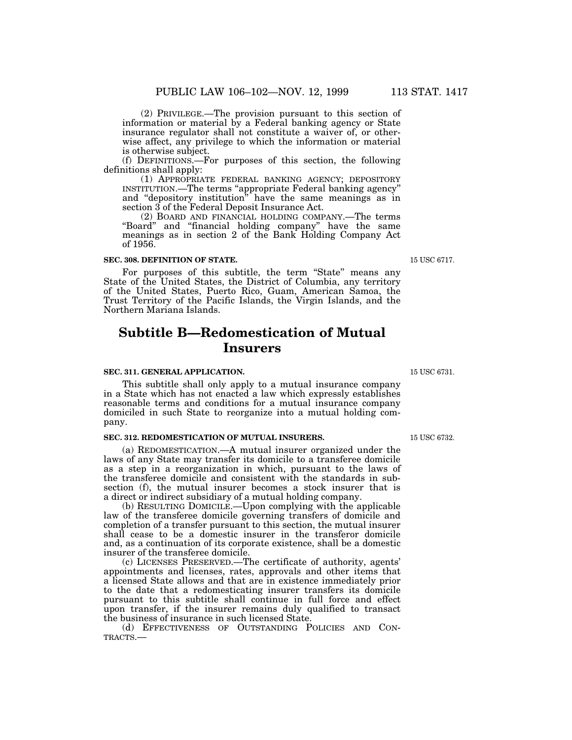(2) PRIVILEGE.—The provision pursuant to this section of information or material by a Federal banking agency or State insurance regulator shall not constitute a waiver of, or otherwise affect, any privilege to which the information or material is otherwise subject.

(f) DEFINITIONS.—For purposes of this section, the following definitions shall apply:

(1) APPROPRIATE FEDERAL BANKING AGENCY; DEPOSITORY INSTITUTION.—The terms ''appropriate Federal banking agency'' and "depository institution" have the same meanings as in section 3 of the Federal Deposit Insurance Act.

(2) BOARD AND FINANCIAL HOLDING COMPANY.—The terms ''Board'' and ''financial holding company'' have the same meanings as in section 2 of the Bank Holding Company Act of 1956.

#### **SEC. 308. DEFINITION OF STATE.**

For purposes of this subtitle, the term "State" means any State of the United States, the District of Columbia, any territory of the United States, Puerto Rico, Guam, American Samoa, the Trust Territory of the Pacific Islands, the Virgin Islands, and the Northern Mariana Islands.

# **Subtitle B—Redomestication of Mutual Insurers**

#### **SEC. 311. GENERAL APPLICATION.**

This subtitle shall only apply to a mutual insurance company in a State which has not enacted a law which expressly establishes reasonable terms and conditions for a mutual insurance company domiciled in such State to reorganize into a mutual holding company.

## **SEC. 312. REDOMESTICATION OF MUTUAL INSURERS.**

(a) REDOMESTICATION.—A mutual insurer organized under the laws of any State may transfer its domicile to a transferee domicile as a step in a reorganization in which, pursuant to the laws of the transferee domicile and consistent with the standards in subsection (f), the mutual insurer becomes a stock insurer that is a direct or indirect subsidiary of a mutual holding company.

(b) RESULTING DOMICILE.—Upon complying with the applicable law of the transferee domicile governing transfers of domicile and completion of a transfer pursuant to this section, the mutual insurer shall cease to be a domestic insurer in the transferor domicile and, as a continuation of its corporate existence, shall be a domestic insurer of the transferee domicile.

(c) LICENSES PRESERVED.—The certificate of authority, agents' appointments and licenses, rates, approvals and other items that a licensed State allows and that are in existence immediately prior to the date that a redomesticating insurer transfers its domicile pursuant to this subtitle shall continue in full force and effect upon transfer, if the insurer remains duly qualified to transact the business of insurance in such licensed State.

(d) EFFECTIVENESS OF OUTSTANDING POLICIES AND CON-TRACTS.—

15 USC 6732.

15 USC 6731.

15 USC 6717.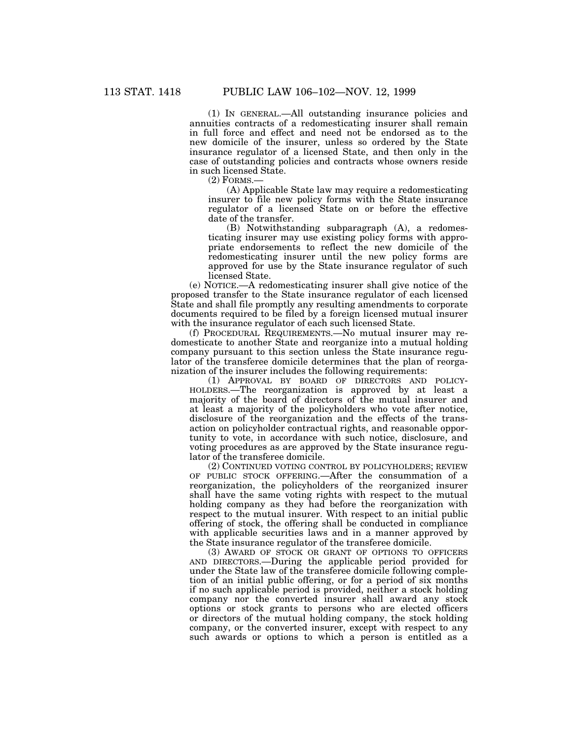(1) IN GENERAL.—All outstanding insurance policies and annuities contracts of a redomesticating insurer shall remain in full force and effect and need not be endorsed as to the new domicile of the insurer, unless so ordered by the State insurance regulator of a licensed State, and then only in the case of outstanding policies and contracts whose owners reside in such licensed State.

(2) FORMS.—

(A) Applicable State law may require a redomesticating insurer to file new policy forms with the State insurance regulator of a licensed State on or before the effective date of the transfer.

(B) Notwithstanding subparagraph (A), a redomesticating insurer may use existing policy forms with appropriate endorsements to reflect the new domicile of the redomesticating insurer until the new policy forms are approved for use by the State insurance regulator of such licensed State.

(e) NOTICE.—A redomesticating insurer shall give notice of the proposed transfer to the State insurance regulator of each licensed State and shall file promptly any resulting amendments to corporate documents required to be filed by a foreign licensed mutual insurer with the insurance regulator of each such licensed State.

(f) PROCEDURAL REQUIREMENTS.—No mutual insurer may redomesticate to another State and reorganize into a mutual holding company pursuant to this section unless the State insurance regulator of the transferee domicile determines that the plan of reorganization of the insurer includes the following requirements:

(1) APPROVAL BY BOARD OF DIRECTORS AND POLICY-HOLDERS.—The reorganization is approved by at least a majority of the board of directors of the mutual insurer and at least a majority of the policyholders who vote after notice, disclosure of the reorganization and the effects of the transaction on policyholder contractual rights, and reasonable opportunity to vote, in accordance with such notice, disclosure, and voting procedures as are approved by the State insurance regulator of the transferee domicile.

(2) CONTINUED VOTING CONTROL BY POLICYHOLDERS; REVIEW OF PUBLIC STOCK OFFERING.—After the consummation of a reorganization, the policyholders of the reorganized insurer shall have the same voting rights with respect to the mutual holding company as they had before the reorganization with respect to the mutual insurer. With respect to an initial public offering of stock, the offering shall be conducted in compliance with applicable securities laws and in a manner approved by the State insurance regulator of the transferee domicile.

(3) AWARD OF STOCK OR GRANT OF OPTIONS TO OFFICERS AND DIRECTORS.—During the applicable period provided for under the State law of the transferee domicile following completion of an initial public offering, or for a period of six months if no such applicable period is provided, neither a stock holding company nor the converted insurer shall award any stock options or stock grants to persons who are elected officers or directors of the mutual holding company, the stock holding company, or the converted insurer, except with respect to any such awards or options to which a person is entitled as a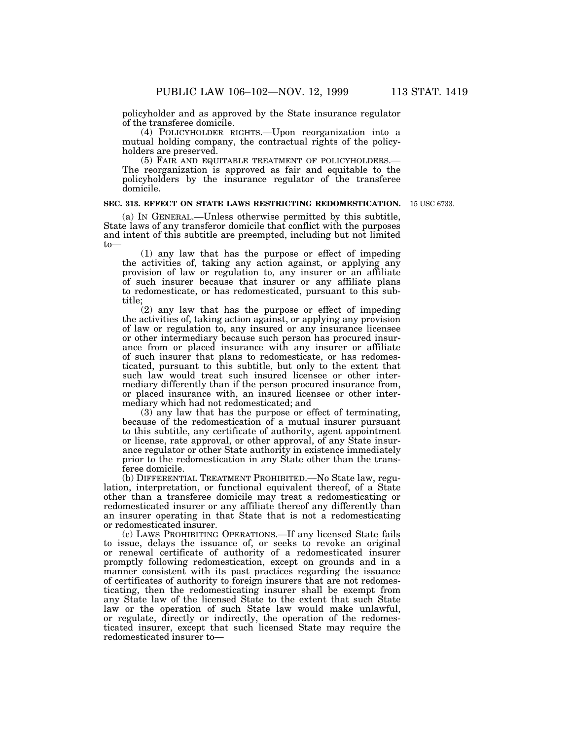policyholder and as approved by the State insurance regulator of the transferee domicile.

(4) POLICYHOLDER RIGHTS.—Upon reorganization into a mutual holding company, the contractual rights of the policyholders are preserved.

(5) FAIR AND EQUITABLE TREATMENT OF POLICYHOLDERS.— The reorganization is approved as fair and equitable to the policyholders by the insurance regulator of the transferee domicile.

#### **SEC. 313. EFFECT ON STATE LAWS RESTRICTING REDOMESTICATION.** 15 USC 6733.

(a) IN GENERAL.—Unless otherwise permitted by this subtitle, State laws of any transferor domicile that conflict with the purposes and intent of this subtitle are preempted, including but not limited to—

(1) any law that has the purpose or effect of impeding the activities of, taking any action against, or applying any provision of law or regulation to, any insurer or an affiliate of such insurer because that insurer or any affiliate plans to redomesticate, or has redomesticated, pursuant to this subtitle;

(2) any law that has the purpose or effect of impeding the activities of, taking action against, or applying any provision of law or regulation to, any insured or any insurance licensee or other intermediary because such person has procured insurance from or placed insurance with any insurer or affiliate of such insurer that plans to redomesticate, or has redomesticated, pursuant to this subtitle, but only to the extent that such law would treat such insured licensee or other intermediary differently than if the person procured insurance from, or placed insurance with, an insured licensee or other intermediary which had not redomesticated; and

(3) any law that has the purpose or effect of terminating, because of the redomestication of a mutual insurer pursuant to this subtitle, any certificate of authority, agent appointment or license, rate approval, or other approval, of any State insurance regulator or other State authority in existence immediately prior to the redomestication in any State other than the transferee domicile.

(b) DIFFERENTIAL TREATMENT PROHIBITED.—No State law, regulation, interpretation, or functional equivalent thereof, of a State other than a transferee domicile may treat a redomesticating or redomesticated insurer or any affiliate thereof any differently than an insurer operating in that State that is not a redomesticating or redomesticated insurer.

(c) LAWS PROHIBITING OPERATIONS.—If any licensed State fails to issue, delays the issuance of, or seeks to revoke an original or renewal certificate of authority of a redomesticated insurer promptly following redomestication, except on grounds and in a manner consistent with its past practices regarding the issuance of certificates of authority to foreign insurers that are not redomesticating, then the redomesticating insurer shall be exempt from any State law of the licensed State to the extent that such State law or the operation of such State law would make unlawful, or regulate, directly or indirectly, the operation of the redomesticated insurer, except that such licensed State may require the redomesticated insurer to—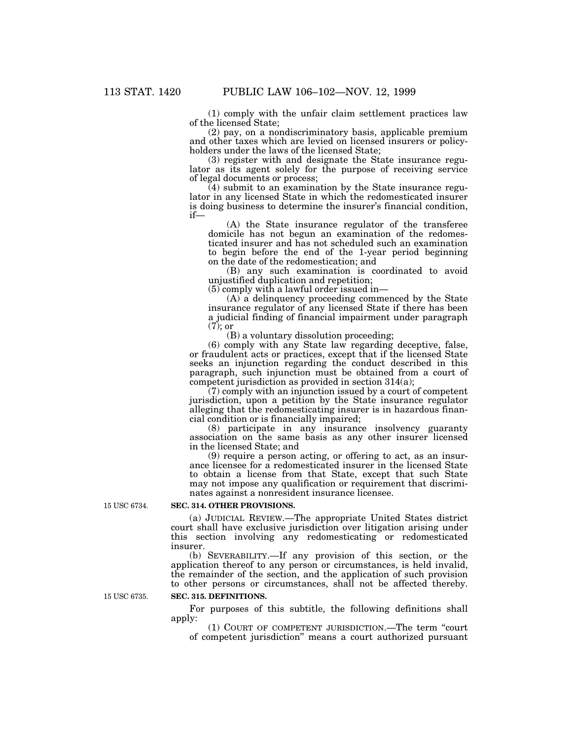(1) comply with the unfair claim settlement practices law of the licensed State;

(2) pay, on a nondiscriminatory basis, applicable premium and other taxes which are levied on licensed insurers or policyholders under the laws of the licensed State;

(3) register with and designate the State insurance regulator as its agent solely for the purpose of receiving service of legal documents or process;

(4) submit to an examination by the State insurance regulator in any licensed State in which the redomesticated insurer is doing business to determine the insurer's financial condition, if—

(A) the State insurance regulator of the transferee domicile has not begun an examination of the redomesticated insurer and has not scheduled such an examination to begin before the end of the 1-year period beginning on the date of the redomestication; and

(B) any such examination is coordinated to avoid unjustified duplication and repetition;

 $(5)$  comply with a lawful order issued in—

(A) a delinquency proceeding commenced by the State insurance regulator of any licensed State if there has been a judicial finding of financial impairment under paragraph (7); or

(B) a voluntary dissolution proceeding;

(6) comply with any State law regarding deceptive, false, or fraudulent acts or practices, except that if the licensed State seeks an injunction regarding the conduct described in this paragraph, such injunction must be obtained from a court of competent jurisdiction as provided in section 314(a);

(7) comply with an injunction issued by a court of competent jurisdiction, upon a petition by the State insurance regulator alleging that the redomesticating insurer is in hazardous financial condition or is financially impaired;

(8) participate in any insurance insolvency guaranty association on the same basis as any other insurer licensed in the licensed State; and

(9) require a person acting, or offering to act, as an insurance licensee for a redomesticated insurer in the licensed State to obtain a license from that State, except that such State may not impose any qualification or requirement that discriminates against a nonresident insurance licensee.

15 USC 6734.

#### **SEC. 314. OTHER PROVISIONS.**

(a) JUDICIAL REVIEW.—The appropriate United States district court shall have exclusive jurisdiction over litigation arising under this section involving any redomesticating or redomesticated insurer.

(b) SEVERABILITY.—If any provision of this section, or the application thereof to any person or circumstances, is held invalid, the remainder of the section, and the application of such provision to other persons or circumstances, shall not be affected thereby.

15 USC 6735.

#### **SEC. 315. DEFINITIONS.**

For purposes of this subtitle, the following definitions shall apply:

(1) COURT OF COMPETENT JURISDICTION.—The term ''court of competent jurisdiction'' means a court authorized pursuant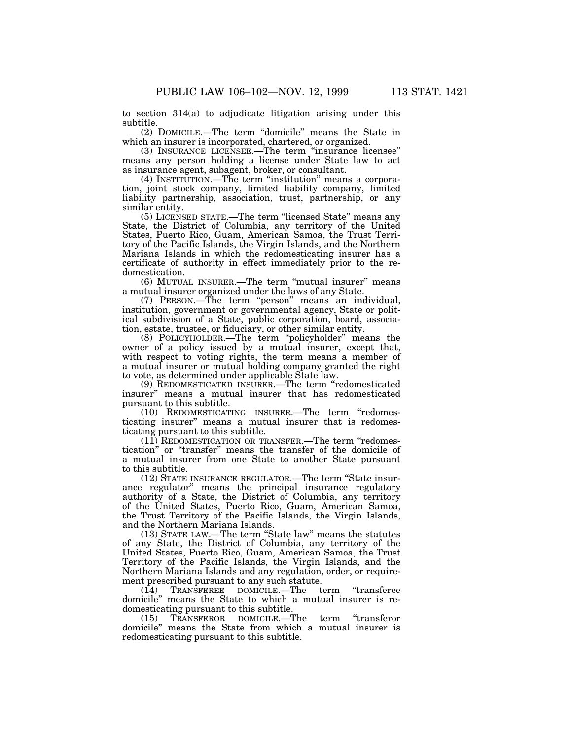to section 314(a) to adjudicate litigation arising under this subtitle.

(2) DOMICILE.—The term ''domicile'' means the State in which an insurer is incorporated, chartered, or organized.

(3) INSURANCE LICENSEE.—The term ''insurance licensee'' means any person holding a license under State law to act as insurance agent, subagent, broker, or consultant.

(4) INSTITUTION.—The term ''institution'' means a corporation, joint stock company, limited liability company, limited liability partnership, association, trust, partnership, or any similar entity.

(5) LICENSED STATE.—The term ''licensed State'' means any State, the District of Columbia, any territory of the United States, Puerto Rico, Guam, American Samoa, the Trust Territory of the Pacific Islands, the Virgin Islands, and the Northern Mariana Islands in which the redomesticating insurer has a certificate of authority in effect immediately prior to the redomestication.

(6) MUTUAL INSURER.—The term ''mutual insurer'' means a mutual insurer organized under the laws of any State.

(7) PERSON.—The term ''person'' means an individual, institution, government or governmental agency, State or political subdivision of a State, public corporation, board, association, estate, trustee, or fiduciary, or other similar entity.

(8) POLICYHOLDER.—The term ''policyholder'' means the owner of a policy issued by a mutual insurer, except that, with respect to voting rights, the term means a member of a mutual insurer or mutual holding company granted the right to vote, as determined under applicable State law.

(9) REDOMESTICATED INSURER.—The term ''redomesticated insurer'' means a mutual insurer that has redomesticated pursuant to this subtitle.

(10) REDOMESTICATING INSURER.—The term ''redomesticating insurer'' means a mutual insurer that is redomesticating pursuant to this subtitle.

(11) REDOMESTICATION OR TRANSFER.—The term ''redomestication'' or ''transfer'' means the transfer of the domicile of a mutual insurer from one State to another State pursuant to this subtitle.

(12) STATE INSURANCE REGULATOR.—The term ''State insurance regulator'' means the principal insurance regulatory authority of a State, the District of Columbia, any territory of the United States, Puerto Rico, Guam, American Samoa, the Trust Territory of the Pacific Islands, the Virgin Islands, and the Northern Mariana Islands.

(13) STATE LAW.—The term ''State law'' means the statutes of any State, the District of Columbia, any territory of the United States, Puerto Rico, Guam, American Samoa, the Trust Territory of the Pacific Islands, the Virgin Islands, and the Northern Mariana Islands and any regulation, order, or requirement prescribed pursuant to any such statute.

(14) TRANSFEREE DOMICILE.—The term ''transferee domicile'' means the State to which a mutual insurer is redomesticating pursuant to this subtitle.

(15) TRANSFEROR DOMICILE.—The term ''transferor domicile'' means the State from which a mutual insurer is redomesticating pursuant to this subtitle.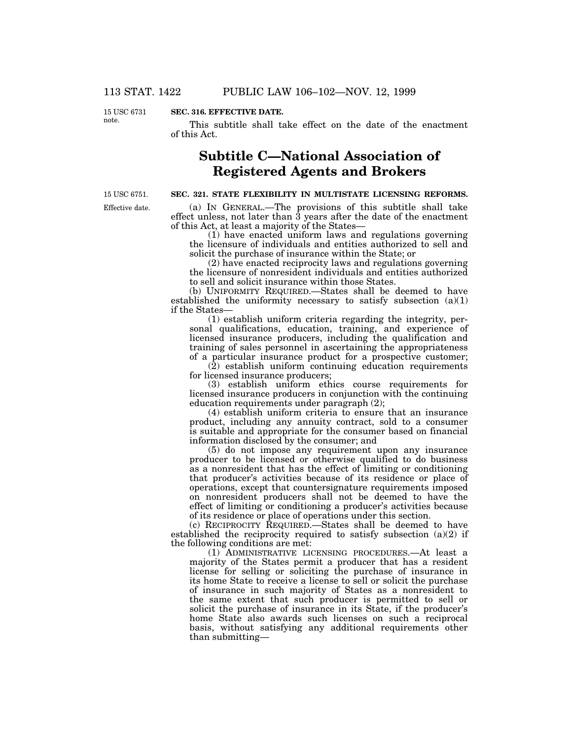15 USC 6731 note.

## **SEC. 316. EFFECTIVE DATE.**

This subtitle shall take effect on the date of the enactment of this Act.

# **Subtitle C—National Association of Registered Agents and Brokers**

Effective date. 15 USC 6751.

## **SEC. 321. STATE FLEXIBILITY IN MULTISTATE LICENSING REFORMS.**

(a) IN GENERAL.—The provisions of this subtitle shall take effect unless, not later than 3 years after the date of the enactment of this Act, at least a majority of the States—

(1) have enacted uniform laws and regulations governing the licensure of individuals and entities authorized to sell and solicit the purchase of insurance within the State; or

(2) have enacted reciprocity laws and regulations governing the licensure of nonresident individuals and entities authorized to sell and solicit insurance within those States.

(b) UNIFORMITY REQUIRED.—States shall be deemed to have established the uniformity necessary to satisfy subsection  $(a)(1)$ if the States—

(1) establish uniform criteria regarding the integrity, personal qualifications, education, training, and experience of licensed insurance producers, including the qualification and training of sales personnel in ascertaining the appropriateness of a particular insurance product for a prospective customer;

(2) establish uniform continuing education requirements for licensed insurance producers;

(3) establish uniform ethics course requirements for licensed insurance producers in conjunction with the continuing education requirements under paragraph (2);

(4) establish uniform criteria to ensure that an insurance product, including any annuity contract, sold to a consumer is suitable and appropriate for the consumer based on financial information disclosed by the consumer; and

(5) do not impose any requirement upon any insurance producer to be licensed or otherwise qualified to do business as a nonresident that has the effect of limiting or conditioning that producer's activities because of its residence or place of operations, except that countersignature requirements imposed on nonresident producers shall not be deemed to have the effect of limiting or conditioning a producer's activities because of its residence or place of operations under this section.

(c) RECIPROCITY REQUIRED.—States shall be deemed to have established the reciprocity required to satisfy subsection (a)(2) if the following conditions are met:

(1) ADMINISTRATIVE LICENSING PROCEDURES.—At least a majority of the States permit a producer that has a resident license for selling or soliciting the purchase of insurance in its home State to receive a license to sell or solicit the purchase of insurance in such majority of States as a nonresident to the same extent that such producer is permitted to sell or solicit the purchase of insurance in its State, if the producer's home State also awards such licenses on such a reciprocal basis, without satisfying any additional requirements other than submitting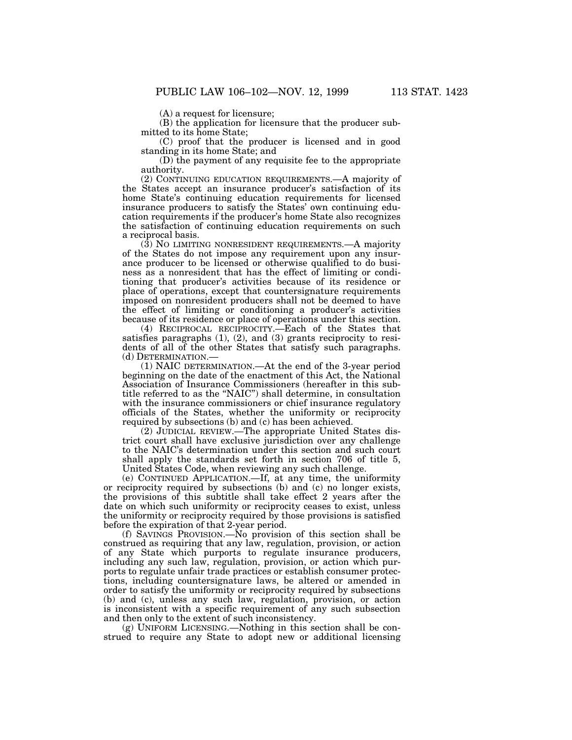(A) a request for licensure;

(B) the application for licensure that the producer submitted to its home State;

(C) proof that the producer is licensed and in good standing in its home State; and

(D) the payment of any requisite fee to the appropriate authority.

(2) CONTINUING EDUCATION REQUIREMENTS.—A majority of the States accept an insurance producer's satisfaction of its home State's continuing education requirements for licensed insurance producers to satisfy the States' own continuing education requirements if the producer's home State also recognizes the satisfaction of continuing education requirements on such a reciprocal basis.

(3) NO LIMITING NONRESIDENT REQUIREMENTS.—A majority of the States do not impose any requirement upon any insurance producer to be licensed or otherwise qualified to do business as a nonresident that has the effect of limiting or conditioning that producer's activities because of its residence or place of operations, except that countersignature requirements imposed on nonresident producers shall not be deemed to have the effect of limiting or conditioning a producer's activities because of its residence or place of operations under this section.

(4) RECIPROCAL RECIPROCITY.—Each of the States that satisfies paragraphs (1), (2), and (3) grants reciprocity to residents of all of the other States that satisfy such paragraphs. (d) DETERMINATION.—

(1) NAIC DETERMINATION.—At the end of the 3-year period beginning on the date of the enactment of this Act, the National Association of Insurance Commissioners (hereafter in this subtitle referred to as the ''NAIC'') shall determine, in consultation with the insurance commissioners or chief insurance regulatory officials of the States, whether the uniformity or reciprocity required by subsections (b) and (c) has been achieved.

(2) JUDICIAL REVIEW.—The appropriate United States district court shall have exclusive jurisdiction over any challenge to the NAIC's determination under this section and such court shall apply the standards set forth in section 706 of title 5, United States Code, when reviewing any such challenge.

(e) CONTINUED APPLICATION.—If, at any time, the uniformity or reciprocity required by subsections (b) and (c) no longer exists, the provisions of this subtitle shall take effect 2 years after the date on which such uniformity or reciprocity ceases to exist, unless the uniformity or reciprocity required by those provisions is satisfied before the expiration of that 2-year period.

(f) SAVINGS PROVISION.—No provision of this section shall be construed as requiring that any law, regulation, provision, or action of any State which purports to regulate insurance producers, including any such law, regulation, provision, or action which purports to regulate unfair trade practices or establish consumer protections, including countersignature laws, be altered or amended in order to satisfy the uniformity or reciprocity required by subsections (b) and (c), unless any such law, regulation, provision, or action is inconsistent with a specific requirement of any such subsection and then only to the extent of such inconsistency.

(g) UNIFORM LICENSING.—Nothing in this section shall be construed to require any State to adopt new or additional licensing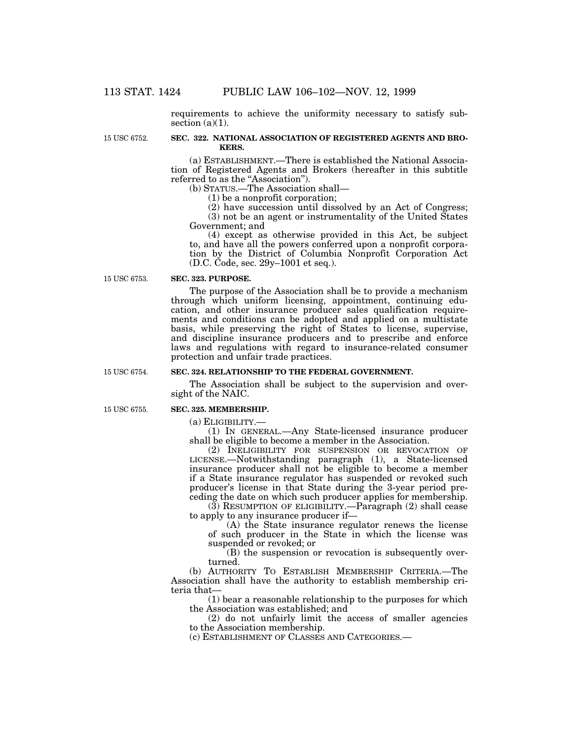requirements to achieve the uniformity necessary to satisfy subsection  $(a)(1)$ .

15 USC 6752.

## **SEC. 322. NATIONAL ASSOCIATION OF REGISTERED AGENTS AND BRO-KERS.**

(a) ESTABLISHMENT.—There is established the National Association of Registered Agents and Brokers (hereafter in this subtitle referred to as the "Association").

(b) STATUS.—The Association shall—

(1) be a nonprofit corporation;

(2) have succession until dissolved by an Act of Congress;

(3) not be an agent or instrumentality of the United States Government; and

(4) except as otherwise provided in this Act, be subject to, and have all the powers conferred upon a nonprofit corporation by the District of Columbia Nonprofit Corporation Act (D.C. Code, sec. 29y–1001 et seq.).

15 USC 6753.

## **SEC. 323. PURPOSE.**

The purpose of the Association shall be to provide a mechanism through which uniform licensing, appointment, continuing education, and other insurance producer sales qualification requirements and conditions can be adopted and applied on a multistate basis, while preserving the right of States to license, supervise, and discipline insurance producers and to prescribe and enforce laws and regulations with regard to insurance-related consumer protection and unfair trade practices.

15 USC 6754.

## **SEC. 324. RELATIONSHIP TO THE FEDERAL GOVERNMENT.**

The Association shall be subject to the supervision and oversight of the NAIC.

15 USC 6755.

#### **SEC. 325. MEMBERSHIP.**

(a) ELIGIBILITY.—

(1) IN GENERAL.—Any State-licensed insurance producer shall be eligible to become a member in the Association.

(2) INELIGIBILITY FOR SUSPENSION OR REVOCATION OF LICENSE.—Notwithstanding paragraph (1), a State-licensed insurance producer shall not be eligible to become a member if a State insurance regulator has suspended or revoked such producer's license in that State during the 3-year period preceding the date on which such producer applies for membership.

(3) RESUMPTION OF ELIGIBILITY.—Paragraph (2) shall cease to apply to any insurance producer if—

(A) the State insurance regulator renews the license of such producer in the State in which the license was suspended or revoked; or

(B) the suspension or revocation is subsequently overturned.

(b) AUTHORITY TO ESTABLISH MEMBERSHIP CRITERIA.—The Association shall have the authority to establish membership criteria that—

(1) bear a reasonable relationship to the purposes for which the Association was established; and

(2) do not unfairly limit the access of smaller agencies to the Association membership.

(c) ESTABLISHMENT OF CLASSES AND CATEGORIES.—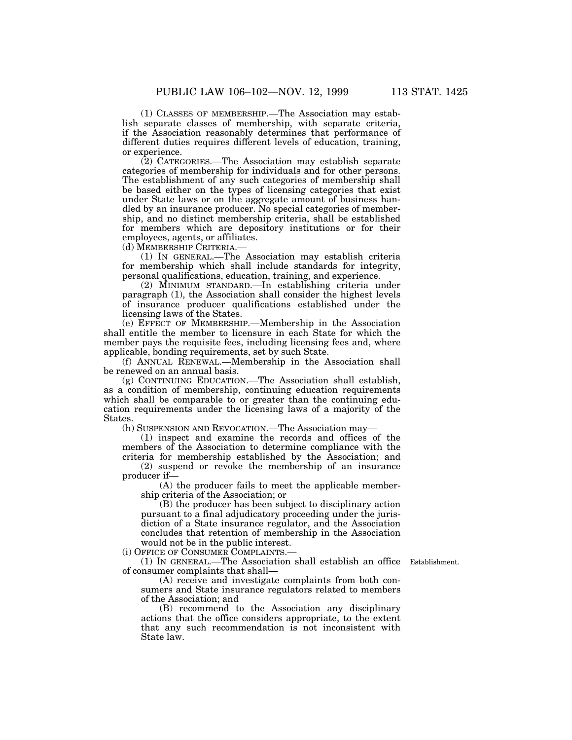(1) CLASSES OF MEMBERSHIP.—The Association may establish separate classes of membership, with separate criteria, if the Association reasonably determines that performance of different duties requires different levels of education, training, or experience.

(2) CATEGORIES.—The Association may establish separate categories of membership for individuals and for other persons. The establishment of any such categories of membership shall be based either on the types of licensing categories that exist under State laws or on the aggregate amount of business handled by an insurance producer. No special categories of membership, and no distinct membership criteria, shall be established for members which are depository institutions or for their employees, agents, or affiliates.

(d) MEMBERSHIP CRITERIA.—

(1) IN GENERAL.—The Association may establish criteria for membership which shall include standards for integrity, personal qualifications, education, training, and experience.

(2) MINIMUM STANDARD.—In establishing criteria under paragraph (1), the Association shall consider the highest levels of insurance producer qualifications established under the licensing laws of the States.

(e) EFFECT OF MEMBERSHIP.—Membership in the Association shall entitle the member to licensure in each State for which the member pays the requisite fees, including licensing fees and, where applicable, bonding requirements, set by such State.

(f) ANNUAL RENEWAL.—Membership in the Association shall be renewed on an annual basis.

(g) CONTINUING EDUCATION.—The Association shall establish, as a condition of membership, continuing education requirements which shall be comparable to or greater than the continuing education requirements under the licensing laws of a majority of the States.

(h) SUSPENSION AND REVOCATION.—The Association may—

(1) inspect and examine the records and offices of the members of the Association to determine compliance with the criteria for membership established by the Association; and

(2) suspend or revoke the membership of an insurance producer if—

(A) the producer fails to meet the applicable membership criteria of the Association; or

(B) the producer has been subject to disciplinary action pursuant to a final adjudicatory proceeding under the jurisdiction of a State insurance regulator, and the Association concludes that retention of membership in the Association would not be in the public interest.

(i) OFFICE OF CONSUMER COMPLAINTS.—

(1) IN GENERAL.—The Association shall establish an office Establishment. of consumer complaints that shall—

(A) receive and investigate complaints from both consumers and State insurance regulators related to members of the Association; and

(B) recommend to the Association any disciplinary actions that the office considers appropriate, to the extent that any such recommendation is not inconsistent with State law.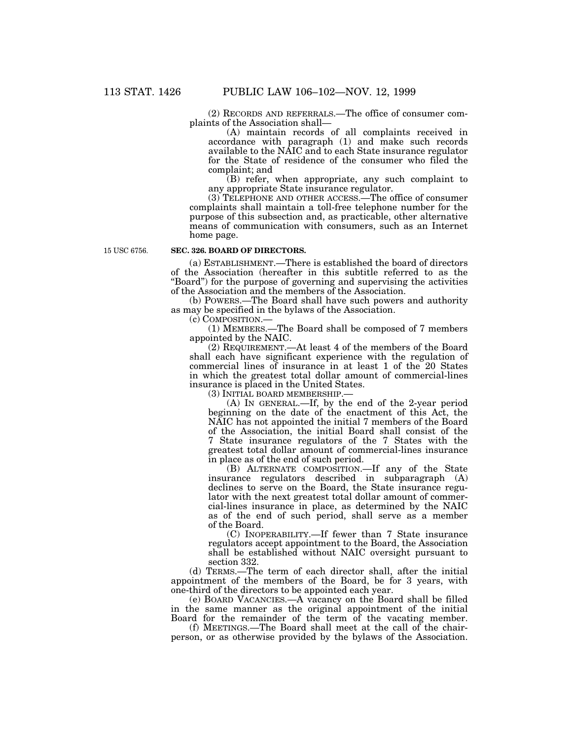(2) RECORDS AND REFERRALS.—The office of consumer complaints of the Association shall—

(A) maintain records of all complaints received in accordance with paragraph (1) and make such records available to the NAIC and to each State insurance regulator for the State of residence of the consumer who filed the complaint; and

(B) refer, when appropriate, any such complaint to any appropriate State insurance regulator.

(3) TELEPHONE AND OTHER ACCESS.—The office of consumer complaints shall maintain a toll-free telephone number for the purpose of this subsection and, as practicable, other alternative means of communication with consumers, such as an Internet home page.

15 USC 6756.

#### **SEC. 326. BOARD OF DIRECTORS.**

(a) ESTABLISHMENT.—There is established the board of directors of the Association (hereafter in this subtitle referred to as the "Board") for the purpose of governing and supervising the activities of the Association and the members of the Association.

(b) POWERS.—The Board shall have such powers and authority as may be specified in the bylaws of the Association.

(c) COMPOSITION.—

(1) MEMBERS.—The Board shall be composed of 7 members appointed by the NAIC.

(2) REQUIREMENT.—At least 4 of the members of the Board shall each have significant experience with the regulation of commercial lines of insurance in at least 1 of the 20 States in which the greatest total dollar amount of commercial-lines insurance is placed in the United States.

(3) INITIAL BOARD MEMBERSHIP.—

(A) IN GENERAL.—If, by the end of the 2-year period beginning on the date of the enactment of this Act, the NAIC has not appointed the initial 7 members of the Board of the Association, the initial Board shall consist of the 7 State insurance regulators of the 7 States with the greatest total dollar amount of commercial-lines insurance in place as of the end of such period.

(B) ALTERNATE COMPOSITION.—If any of the State insurance regulators described in subparagraph (A) declines to serve on the Board, the State insurance regulator with the next greatest total dollar amount of commercial-lines insurance in place, as determined by the NAIC as of the end of such period, shall serve as a member of the Board.

(C) INOPERABILITY.—If fewer than 7 State insurance regulators accept appointment to the Board, the Association shall be established without NAIC oversight pursuant to section 332.

(d) TERMS.—The term of each director shall, after the initial appointment of the members of the Board, be for 3 years, with one-third of the directors to be appointed each year.

(e) BOARD VACANCIES.—A vacancy on the Board shall be filled in the same manner as the original appointment of the initial Board for the remainder of the term of the vacating member.

(f) MEETINGS.—The Board shall meet at the call of the chairperson, or as otherwise provided by the bylaws of the Association.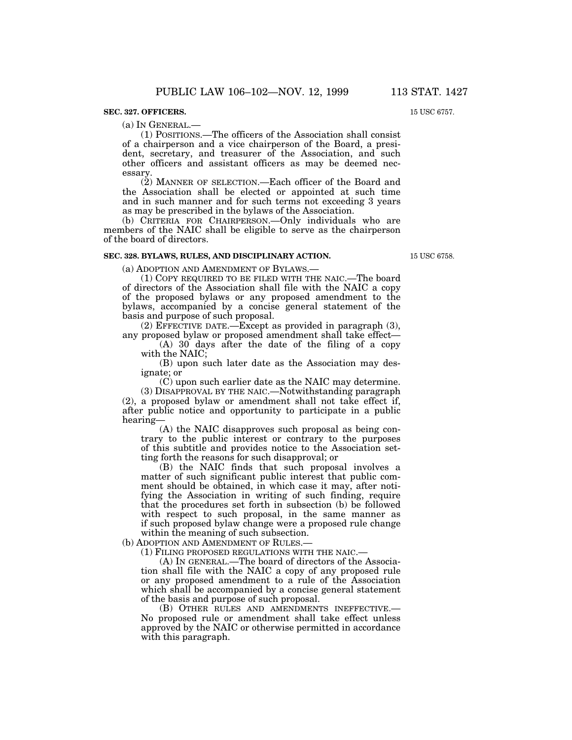## **SEC. 327. OFFICERS.**

(a) IN GENERAL.—

(1) POSITIONS.—The officers of the Association shall consist of a chairperson and a vice chairperson of the Board, a president, secretary, and treasurer of the Association, and such other officers and assistant officers as may be deemed necessary.

(2) MANNER OF SELECTION.—Each officer of the Board and the Association shall be elected or appointed at such time and in such manner and for such terms not exceeding 3 years as may be prescribed in the bylaws of the Association.

(b) CRITERIA FOR CHAIRPERSON.—Only individuals who are members of the NAIC shall be eligible to serve as the chairperson of the board of directors.

## **SEC. 328. BYLAWS, RULES, AND DISCIPLINARY ACTION.**

15 USC 6758.

(a) ADOPTION AND AMENDMENT OF BYLAWS.—

(1) COPY REQUIRED TO BE FILED WITH THE NAIC.—The board of directors of the Association shall file with the NAIC a copy of the proposed bylaws or any proposed amendment to the bylaws, accompanied by a concise general statement of the basis and purpose of such proposal.

(2) EFFECTIVE DATE.—Except as provided in paragraph (3), any proposed bylaw or proposed amendment shall take effect—

(A) 30 days after the date of the filing of a copy with the NAIC;

(B) upon such later date as the Association may designate; or

(C) upon such earlier date as the NAIC may determine. (3) DISAPPROVAL BY THE NAIC.—Notwithstanding paragraph (2), a proposed bylaw or amendment shall not take effect if, after public notice and opportunity to participate in a public hearing—

(A) the NAIC disapproves such proposal as being contrary to the public interest or contrary to the purposes of this subtitle and provides notice to the Association setting forth the reasons for such disapproval; or

(B) the NAIC finds that such proposal involves a matter of such significant public interest that public comment should be obtained, in which case it may, after notifying the Association in writing of such finding, require that the procedures set forth in subsection (b) be followed with respect to such proposal, in the same manner as if such proposed bylaw change were a proposed rule change within the meaning of such subsection.

(b) ADOPTION AND AMENDMENT OF RULES.—

(1) FILING PROPOSED REGULATIONS WITH THE NAIC.—

(A) IN GENERAL.—The board of directors of the Association shall file with the NAIC a copy of any proposed rule or any proposed amendment to a rule of the Association which shall be accompanied by a concise general statement of the basis and purpose of such proposal.

(B) OTHER RULES AND AMENDMENTS INEFFECTIVE.— No proposed rule or amendment shall take effect unless approved by the NAIC or otherwise permitted in accordance with this paragraph.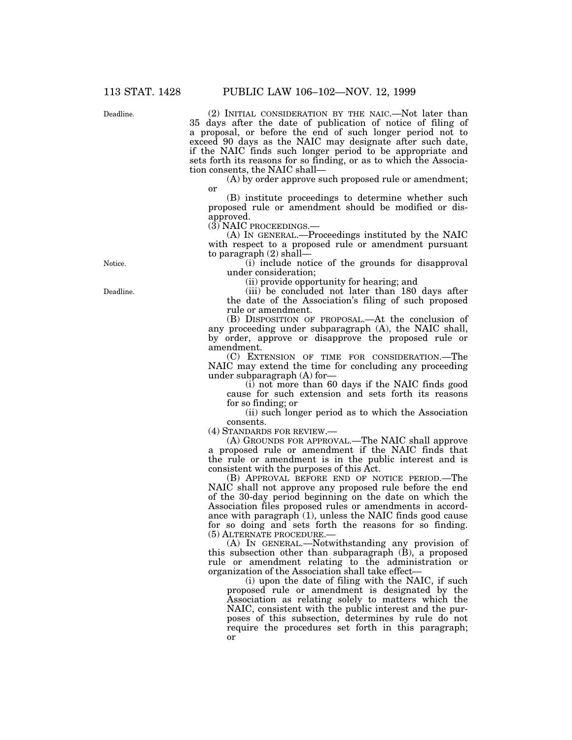Deadline.

(2) INITIAL CONSIDERATION BY THE NAIC.—Not later than 35 days after the date of publication of notice of filing of a proposal, or before the end of such longer period not to exceed 90 days as the NAIC may designate after such date, if the NAIC finds such longer period to be appropriate and sets forth its reasons for so finding, or as to which the Association consents, the NAIC shall—

(A) by order approve such proposed rule or amendment; or

(B) institute proceedings to determine whether such proposed rule or amendment should be modified or disapproved.

(3) NAIC PROCEEDINGS.—

(A) IN GENERAL.—Proceedings instituted by the NAIC with respect to a proposed rule or amendment pursuant to paragraph (2) shall—

(i) include notice of the grounds for disapproval under consideration;

(ii) provide opportunity for hearing; and

(iii) be concluded not later than 180 days after the date of the Association's filing of such proposed rule or amendment.

(B) DISPOSITION OF PROPOSAL.—At the conclusion of any proceeding under subparagraph (A), the NAIC shall, by order, approve or disapprove the proposed rule or amendment.

(C) EXTENSION OF TIME FOR CONSIDERATION.—The NAIC may extend the time for concluding any proceeding under subparagraph (A) for—

(i) not more than 60 days if the NAIC finds good cause for such extension and sets forth its reasons for so finding; or

(ii) such longer period as to which the Association consents.

(4) STANDARDS FOR REVIEW.—

(A) GROUNDS FOR APPROVAL.—The NAIC shall approve a proposed rule or amendment if the NAIC finds that the rule or amendment is in the public interest and is consistent with the purposes of this Act.

(B) APPROVAL BEFORE END OF NOTICE PERIOD.—The NAIC shall not approve any proposed rule before the end of the 30-day period beginning on the date on which the Association files proposed rules or amendments in accordance with paragraph (1), unless the NAIC finds good cause for so doing and sets forth the reasons for so finding. (5) ALTERNATE PROCEDURE.—

(A) IN GENERAL.—Notwithstanding any provision of this subsection other than subparagraph  $(\dot{B})$ , a proposed rule or amendment relating to the administration or organization of the Association shall take effect—

(i) upon the date of filing with the NAIC, if such proposed rule or amendment is designated by the Association as relating solely to matters which the NAIC, consistent with the public interest and the purposes of this subsection, determines by rule do not require the procedures set forth in this paragraph; or

Notice.

Deadline.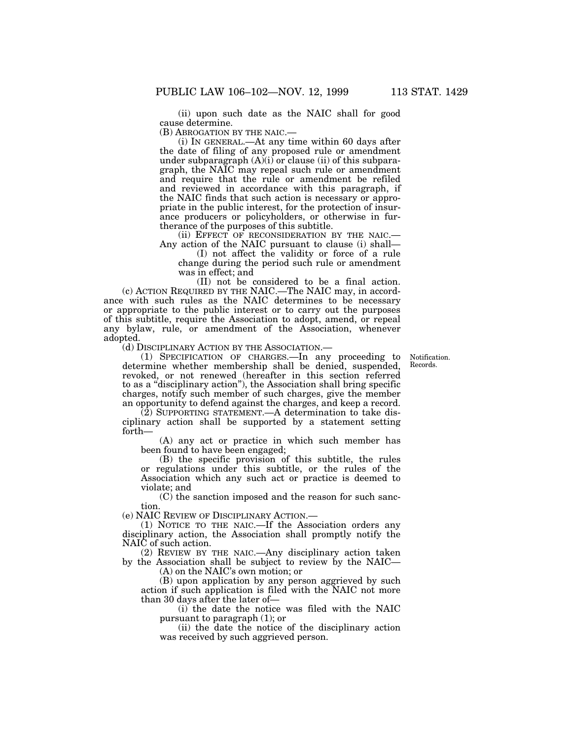(ii) upon such date as the NAIC shall for good cause determine.<br>(B) ABROGATION BY THE NAIC.

(B) ABROGATION BY THE NAIC.— (i) IN GENERAL.—At any time within 60 days after the date of filing of any proposed rule or amendment under subparagraph (A)(i) or clause (ii) of this subparagraph, the NAIC may repeal such rule or amendment and require that the rule or amendment be refiled and reviewed in accordance with this paragraph, if the NAIC finds that such action is necessary or appropriate in the public interest, for the protection of insurance producers or policyholders, or otherwise in furtherance of the purposes of this subtitle.

(ii) EFFECT OF RECONSIDERATION BY THE NAIC.— Any action of the NAIC pursuant to clause (i) shall—

(I) not affect the validity or force of a rule change during the period such rule or amendment was in effect; and

(II) not be considered to be a final action. (c) ACTION REQUIRED BY THE NAIC.—The NAIC may, in accordance with such rules as the NAIC determines to be necessary or appropriate to the public interest or to carry out the purposes of this subtitle, require the Association to adopt, amend, or repeal any bylaw, rule, or amendment of the Association, whenever adopted.

(d) DISCIPLINARY ACTION BY THE ASSOCIATION.—

Notification. Records.

(1) SPECIFICATION OF CHARGES.—In any proceeding to determine whether membership shall be denied, suspended, revoked, or not renewed (hereafter in this section referred to as a ''disciplinary action''), the Association shall bring specific charges, notify such member of such charges, give the member an opportunity to defend against the charges, and keep a record.

 $(2)$  SUPPORTING STATEMENT.—A determination to take disciplinary action shall be supported by a statement setting forth—

(A) any act or practice in which such member has been found to have been engaged;

(B) the specific provision of this subtitle, the rules or regulations under this subtitle, or the rules of the Association which any such act or practice is deemed to violate; and

(C) the sanction imposed and the reason for such sanction.

(e) NAIC REVIEW OF DISCIPLINARY ACTION.—

(1) NOTICE TO THE NAIC.—If the Association orders any disciplinary action, the Association shall promptly notify the NAIC of such action.

(2) REVIEW BY THE NAIC.—Any disciplinary action taken by the Association shall be subject to review by the NAIC—

(A) on the NAIC's own motion; or

(B) upon application by any person aggrieved by such action if such application is filed with the NAIC not more than 30 days after the later of—

(i) the date the notice was filed with the NAIC pursuant to paragraph (1); or

(ii) the date the notice of the disciplinary action was received by such aggrieved person.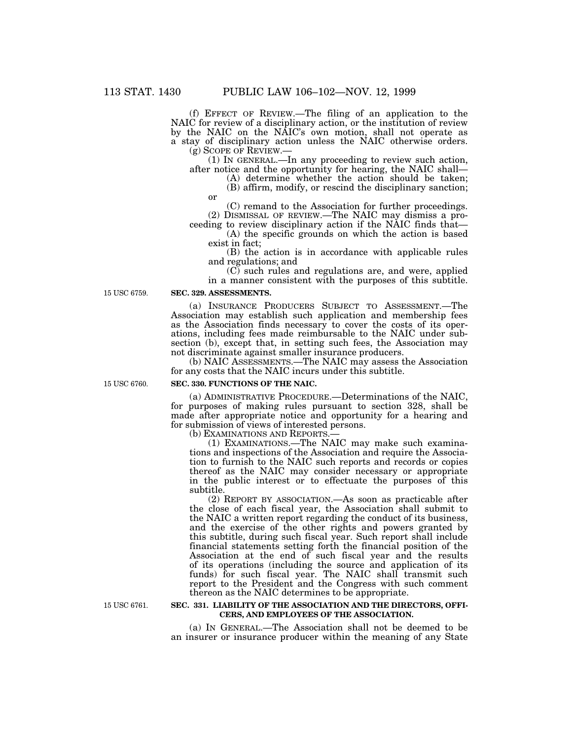(f) EFFECT OF REVIEW.—The filing of an application to the NAIC for review of a disciplinary action, or the institution of review by the NAIC on the NAIC's own motion, shall not operate as a stay of disciplinary action unless the NAIC otherwise orders.

(g) SCOPE OF REVIEW.— (1) IN GENERAL.—In any proceeding to review such action, after notice and the opportunity for hearing, the NAIC shall—

(A) determine whether the action should be taken; (B) affirm, modify, or rescind the disciplinary sanction;

or (C) remand to the Association for further proceedings. (2) DISMISSAL OF REVIEW.—The NAIC may dismiss a pro-

ceeding to review disciplinary action if the NAIC finds that— (A) the specific grounds on which the action is based exist in fact;

(B) the action is in accordance with applicable rules and regulations; and

 $(C)$  such rules and regulations are, and were, applied in a manner consistent with the purposes of this subtitle.

15 USC 6759.

# **SEC. 329. ASSESSMENTS.**

(a) INSURANCE PRODUCERS SUBJECT TO ASSESSMENT.—The Association may establish such application and membership fees as the Association finds necessary to cover the costs of its operations, including fees made reimbursable to the NAIC under subsection (b), except that, in setting such fees, the Association may not discriminate against smaller insurance producers.

(b) NAIC ASSESSMENTS.—The NAIC may assess the Association for any costs that the NAIC incurs under this subtitle.

## **SEC. 330. FUNCTIONS OF THE NAIC.**

(a) ADMINISTRATIVE PROCEDURE.—Determinations of the NAIC, for purposes of making rules pursuant to section 328, shall be made after appropriate notice and opportunity for a hearing and for submission of views of interested persons.<br>(b) EXAMINATIONS AND REPORTS.—

(1) EXAMINATIONS.— The NAIC may make such examinations and inspections of the Association and require the Association to furnish to the NAIC such reports and records or copies thereof as the NAIC may consider necessary or appropriate in the public interest or to effectuate the purposes of this subtitle.

(2) REPORT BY ASSOCIATION.—As soon as practicable after the close of each fiscal year, the Association shall submit to the NAIC a written report regarding the conduct of its business, and the exercise of the other rights and powers granted by this subtitle, during such fiscal year. Such report shall include financial statements setting forth the financial position of the Association at the end of such fiscal year and the results of its operations (including the source and application of its funds) for such fiscal year. The NAIC shall transmit such report to the President and the Congress with such comment thereon as the NAIC determines to be appropriate.

15 USC 6761.

#### **SEC. 331. LIABILITY OF THE ASSOCIATION AND THE DIRECTORS, OFFI-CERS, AND EMPLOYEES OF THE ASSOCIATION.**

(a) IN GENERAL.—The Association shall not be deemed to be an insurer or insurance producer within the meaning of any State

15 USC 6760.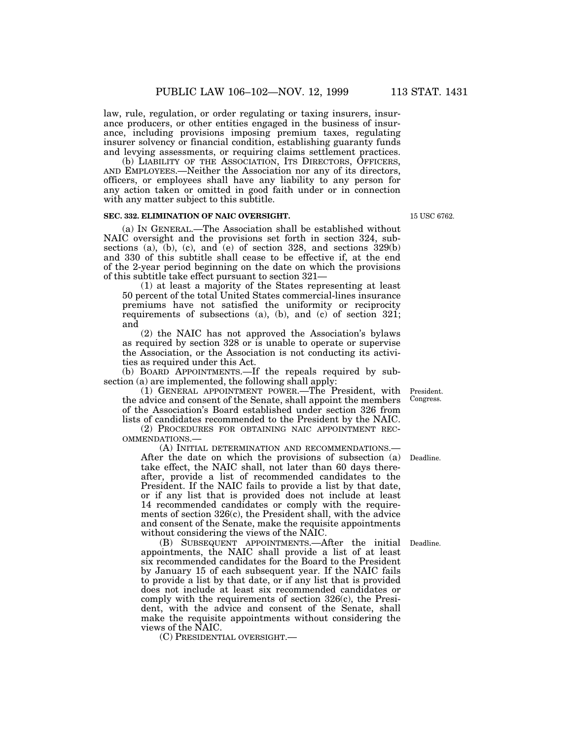law, rule, regulation, or order regulating or taxing insurers, insurance producers, or other entities engaged in the business of insurance, including provisions imposing premium taxes, regulating insurer solvency or financial condition, establishing guaranty funds and levying assessments, or requiring claims settlement practices.

(b) LIABILITY OF THE ASSOCIATION, ITS DIRECTORS, OFFICERS, AND EMPLOYEES.—Neither the Association nor any of its directors, officers, or employees shall have any liability to any person for any action taken or omitted in good faith under or in connection with any matter subject to this subtitle.

## **SEC. 332. ELIMINATION OF NAIC OVERSIGHT.**

(a) IN GENERAL.—The Association shall be established without NAIC oversight and the provisions set forth in section 324, subsections (a), (b), (c), and (e) of section 328, and sections  $329(b)$ and 330 of this subtitle shall cease to be effective if, at the end of the 2-year period beginning on the date on which the provisions of this subtitle take effect pursuant to section 321—

(1) at least a majority of the States representing at least 50 percent of the total United States commercial-lines insurance premiums have not satisfied the uniformity or reciprocity requirements of subsections (a), (b), and (c) of section 321; and

(2) the NAIC has not approved the Association's bylaws as required by section 328 or is unable to operate or supervise the Association, or the Association is not conducting its activities as required under this Act.

(b) BOARD APPOINTMENTS.—If the repeals required by subsection (a) are implemented, the following shall apply:

(1) GENERAL APPOINTMENT POWER.—The President, with the advice and consent of the Senate, shall appoint the members of the Association's Board established under section 326 from lists of candidates recommended to the President by the NAIC.

(2) PROCEDURES FOR OBTAINING NAIC APPOINTMENT REC-OMMENDATIONS.—

(A) INITIAL DETERMINATION AND RECOMMENDATIONS.— After the date on which the provisions of subsection (a) Deadline. take effect, the NAIC shall, not later than 60 days thereafter, provide a list of recommended candidates to the President. If the NAIC fails to provide a list by that date, or if any list that is provided does not include at least 14 recommended candidates or comply with the requirements of section 326(c), the President shall, with the advice and consent of the Senate, make the requisite appointments without considering the views of the NAIC.

(B) SUBSEQUENT APPOINTMENTS.—After the initial appointments, the NAIC shall provide a list of at least six recommended candidates for the Board to the President by January 15 of each subsequent year. If the NAIC fails to provide a list by that date, or if any list that is provided does not include at least six recommended candidates or comply with the requirements of section 326(c), the President, with the advice and consent of the Senate, shall make the requisite appointments without considering the views of the NAIC.

(C) PRESIDENTIAL OVERSIGHT.—

President. Congress.

Deadline.

15 USC 6762.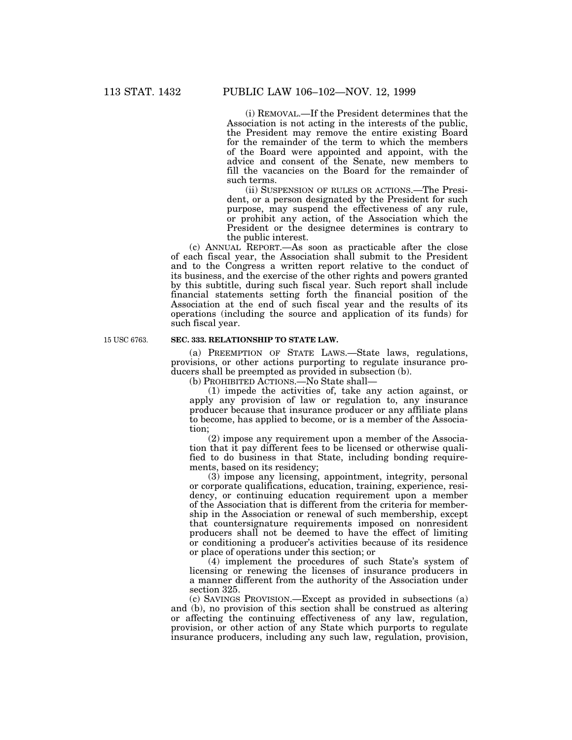15 USC 6763.

(i) REMOVAL.—If the President determines that the Association is not acting in the interests of the public, the President may remove the entire existing Board for the remainder of the term to which the members of the Board were appointed and appoint, with the advice and consent of the Senate, new members to fill the vacancies on the Board for the remainder of such terms.

(ii) SUSPENSION OF RULES OR ACTIONS.—The President, or a person designated by the President for such purpose, may suspend the effectiveness of any rule, or prohibit any action, of the Association which the President or the designee determines is contrary to the public interest.

(c) ANNUAL REPORT.—As soon as practicable after the close of each fiscal year, the Association shall submit to the President and to the Congress a written report relative to the conduct of its business, and the exercise of the other rights and powers granted by this subtitle, during such fiscal year. Such report shall include financial statements setting forth the financial position of the Association at the end of such fiscal year and the results of its operations (including the source and application of its funds) for such fiscal year.

## **SEC. 333. RELATIONSHIP TO STATE LAW.**

(a) PREEMPTION OF STATE LAWS.—State laws, regulations, provisions, or other actions purporting to regulate insurance producers shall be preempted as provided in subsection (b).

(b) PROHIBITED ACTIONS.—No State shall—

(1) impede the activities of, take any action against, or apply any provision of law or regulation to, any insurance producer because that insurance producer or any affiliate plans to become, has applied to become, or is a member of the Association;

(2) impose any requirement upon a member of the Association that it pay different fees to be licensed or otherwise qualified to do business in that State, including bonding requirements, based on its residency;

(3) impose any licensing, appointment, integrity, personal or corporate qualifications, education, training, experience, residency, or continuing education requirement upon a member of the Association that is different from the criteria for membership in the Association or renewal of such membership, except that countersignature requirements imposed on nonresident producers shall not be deemed to have the effect of limiting or conditioning a producer's activities because of its residence or place of operations under this section; or

(4) implement the procedures of such State's system of licensing or renewing the licenses of insurance producers in a manner different from the authority of the Association under section 325.

(c) SAVINGS PROVISION.—Except as provided in subsections (a) and (b), no provision of this section shall be construed as altering or affecting the continuing effectiveness of any law, regulation, provision, or other action of any State which purports to regulate insurance producers, including any such law, regulation, provision,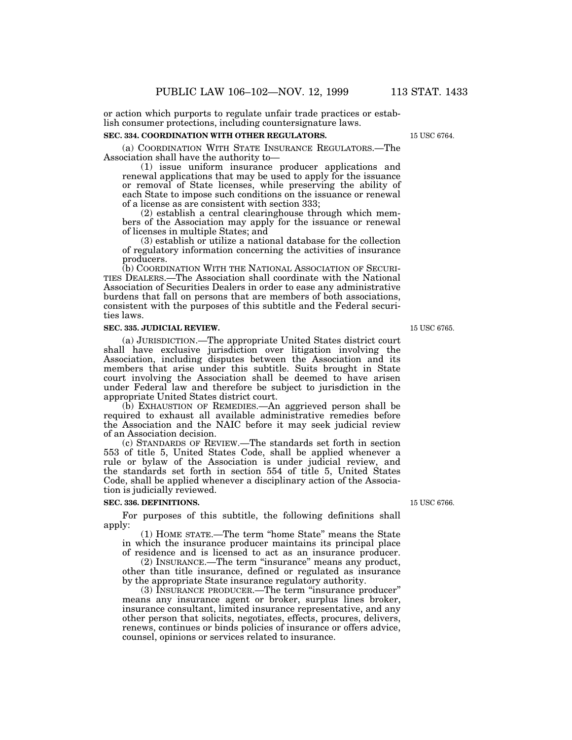or action which purports to regulate unfair trade practices or establish consumer protections, including countersignature laws.

# **SEC. 334. COORDINATION WITH OTHER REGULATORS.**

(a) COORDINATION WITH STATE INSURANCE REGULATORS.—The Association shall have the authority to—

(1) issue uniform insurance producer applications and renewal applications that may be used to apply for the issuance or removal of State licenses, while preserving the ability of each State to impose such conditions on the issuance or renewal of a license as are consistent with section 333;

(2) establish a central clearinghouse through which members of the Association may apply for the issuance or renewal of licenses in multiple States; and

(3) establish or utilize a national database for the collection of regulatory information concerning the activities of insurance producers.

(b) COORDINATION WITH THE NATIONAL ASSOCIATION OF SECURI- TIES DEALERS.—The Association shall coordinate with the National Association of Securities Dealers in order to ease any administrative burdens that fall on persons that are members of both associations, consistent with the purposes of this subtitle and the Federal securities laws.

#### **SEC. 335. JUDICIAL REVIEW.**

(a) JURISDICTION.—The appropriate United States district court shall have exclusive jurisdiction over litigation involving the Association, including disputes between the Association and its members that arise under this subtitle. Suits brought in State court involving the Association shall be deemed to have arisen under Federal law and therefore be subject to jurisdiction in the appropriate United States district court.

(b) EXHAUSTION OF REMEDIES.—An aggrieved person shall be required to exhaust all available administrative remedies before the Association and the NAIC before it may seek judicial review of an Association decision.

(c) STANDARDS OF REVIEW.—The standards set forth in section 553 of title 5, United States Code, shall be applied whenever a rule or bylaw of the Association is under judicial review, and the standards set forth in section 554 of title 5, United States Code, shall be applied whenever a disciplinary action of the Association is judicially reviewed.

#### **SEC. 336. DEFINITIONS.**

For purposes of this subtitle, the following definitions shall apply:

(1) HOME STATE.—The term ''home State'' means the State in which the insurance producer maintains its principal place of residence and is licensed to act as an insurance producer.

(2) INSURANCE.—The term ''insurance'' means any product, other than title insurance, defined or regulated as insurance by the appropriate State insurance regulatory authority.

(3) INSURANCE PRODUCER.—The term ''insurance producer'' means any insurance agent or broker, surplus lines broker, insurance consultant, limited insurance representative, and any other person that solicits, negotiates, effects, procures, delivers, renews, continues or binds policies of insurance or offers advice, counsel, opinions or services related to insurance.

15 USC 6766.

15 USC 6765.

15 USC 6764.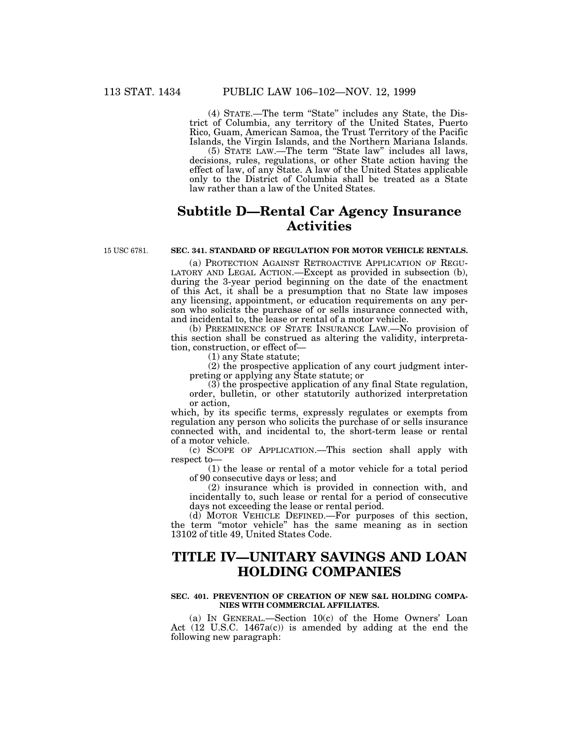(4) STATE.—The term ''State'' includes any State, the District of Columbia, any territory of the United States, Puerto Rico, Guam, American Samoa, the Trust Territory of the Pacific Islands, the Virgin Islands, and the Northern Mariana Islands.

(5) STATE LAW.—The term ''State law'' includes all laws, decisions, rules, regulations, or other State action having the effect of law, of any State. A law of the United States applicable only to the District of Columbia shall be treated as a State law rather than a law of the United States.

# **Subtitle D—Rental Car Agency Insurance Activities**

15 USC 6781.

## **SEC. 341. STANDARD OF REGULATION FOR MOTOR VEHICLE RENTALS.**

(a) PROTECTION AGAINST RETROACTIVE APPLICATION OF REGU-LATORY AND LEGAL ACTION.—Except as provided in subsection (b), during the 3-year period beginning on the date of the enactment of this Act, it shall be a presumption that no State law imposes any licensing, appointment, or education requirements on any person who solicits the purchase of or sells insurance connected with, and incidental to, the lease or rental of a motor vehicle.

(b) PREEMINENCE OF STATE INSURANCE LAW.—No provision of this section shall be construed as altering the validity, interpretation, construction, or effect of—

(1) any State statute;

(2) the prospective application of any court judgment interpreting or applying any State statute; or

 $(3)$  the prospective application of any final State regulation, order, bulletin, or other statutorily authorized interpretation or action,

which, by its specific terms, expressly regulates or exempts from regulation any person who solicits the purchase of or sells insurance connected with, and incidental to, the short-term lease or rental of a motor vehicle.

(c) SCOPE OF APPLICATION.—This section shall apply with respect to—

(1) the lease or rental of a motor vehicle for a total period of 90 consecutive days or less; and

(2) insurance which is provided in connection with, and incidentally to, such lease or rental for a period of consecutive days not exceeding the lease or rental period.

(d) MOTOR VEHICLE DEFINED.—For purposes of this section, the term ''motor vehicle'' has the same meaning as in section 13102 of title 49, United States Code.

# **TITLE IV—UNITARY SAVINGS AND LOAN HOLDING COMPANIES**

### **SEC. 401. PREVENTION OF CREATION OF NEW S&L HOLDING COMPA-NIES WITH COMMERCIAL AFFILIATES.**

(a) IN GENERAL.—Section 10(c) of the Home Owners' Loan Act (12 U.S.C. 1467a(c)) is amended by adding at the end the following new paragraph: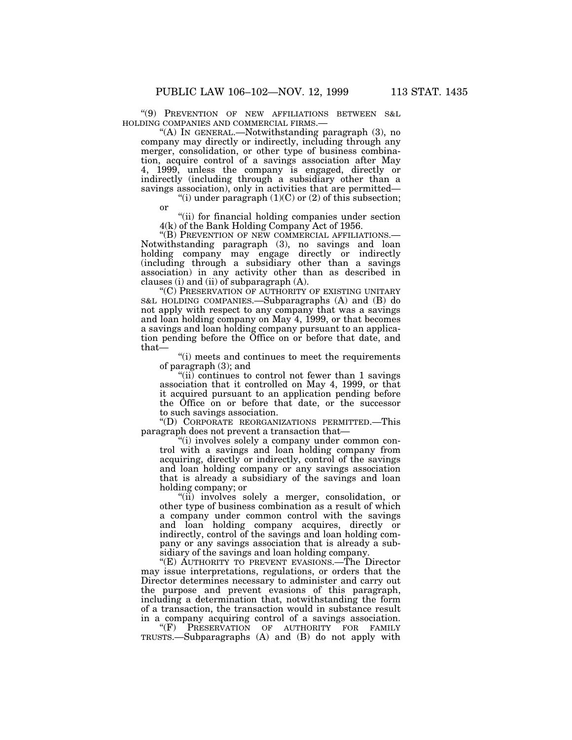"(9) PREVENTION OF NEW AFFILIATIONS BETWEEN S&L HOLDING COMPANIES AND COMMERCIAL FIRMS.—

"(A) In GENERAL.—Notwithstanding paragraph  $(3)$ , no company may directly or indirectly, including through any merger, consolidation, or other type of business combination, acquire control of a savings association after May 4, 1999, unless the company is engaged, directly or indirectly (including through a subsidiary other than a savings association), only in activities that are permitted—

"(i) under paragraph  $(1)(C)$  or  $(2)$  of this subsection; or

"(ii) for financial holding companies under section 4(k) of the Bank Holding Company Act of 1956.

''(B) PREVENTION OF NEW COMMERCIAL AFFILIATIONS.— Notwithstanding paragraph (3), no savings and loan holding company may engage directly or indirectly (including through a subsidiary other than a savings association) in any activity other than as described in clauses (i) and (ii) of subparagraph (A).

''(C) PRESERVATION OF AUTHORITY OF EXISTING UNITARY S&L HOLDING COMPANIES.—Subparagraphs (A) and (B) do not apply with respect to any company that was a savings and loan holding company on May 4, 1999, or that becomes a savings and loan holding company pursuant to an application pending before the Office on or before that date, and that—

''(i) meets and continues to meet the requirements of paragraph (3); and

"(ii) continues to control not fewer than 1 savings association that it controlled on May 4, 1999, or that it acquired pursuant to an application pending before the Office on or before that date, or the successor to such savings association.

''(D) CORPORATE REORGANIZATIONS PERMITTED.—This paragraph does not prevent a transaction that—

''(i) involves solely a company under common control with a savings and loan holding company from acquiring, directly or indirectly, control of the savings and loan holding company or any savings association that is already a subsidiary of the savings and loan holding company; or

''(ii) involves solely a merger, consolidation, or other type of business combination as a result of which a company under common control with the savings and loan holding company acquires, directly or indirectly, control of the savings and loan holding company or any savings association that is already a subsidiary of the savings and loan holding company.

"(E) AUTHORITY TO PREVENT EVASIONS.—The Director may issue interpretations, regulations, or orders that the Director determines necessary to administer and carry out the purpose and prevent evasions of this paragraph, including a determination that, notwithstanding the form of a transaction, the transaction would in substance result in a company acquiring control of a savings association.

"(F) PRESERVATION OF AUTHORITY FOR FAMILY TRUSTS.—Subparagraphs (A) and (B) do not apply with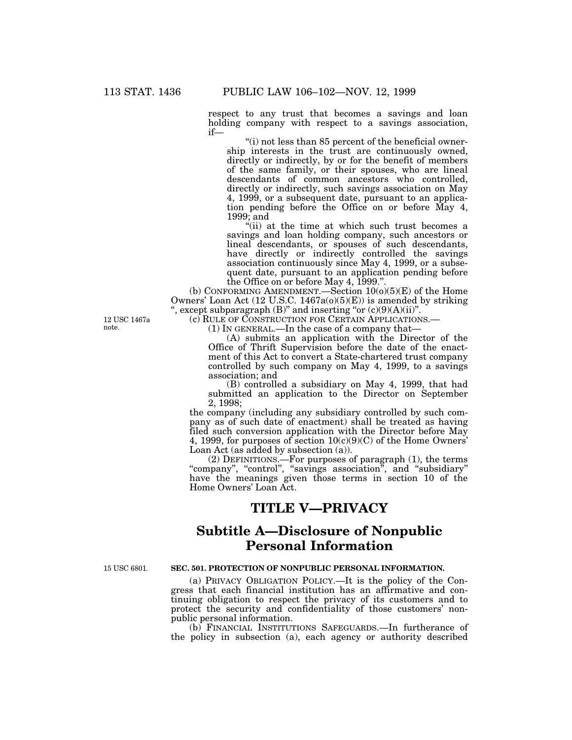respect to any trust that becomes a savings and loan holding company with respect to a savings association, if—

"(i) not less than 85 percent of the beneficial ownership interests in the trust are continuously owned, directly or indirectly, by or for the benefit of members of the same family, or their spouses, who are lineal descendants of common ancestors who controlled, directly or indirectly, such savings association on May 4, 1999, or a subsequent date, pursuant to an application pending before the Office on or before May 4, 1999; and

 $i$ (ii) at the time at which such trust becomes a savings and loan holding company, such ancestors or lineal descendants, or spouses of such descendants, have directly or indirectly controlled the savings association continuously since May 4, 1999, or a subsequent date, pursuant to an application pending before the Office on or before May 4, 1999.''.

(b) CONFORMING AMENDMENT.—Section  $10(0)(5)(E)$  of the Home Owners' Loan Act (12 U.S.C. 1467a(o)(5)(E)) is amended by striking ", except subparagraph  $(B)$ " and inserting "or  $(c)(9)(A)(ii)$ ".

(c) RULE OF CONSTRUCTION FOR CERTAIN APPLICATIONS.—

(1) IN GENERAL.—In the case of a company that—

(A) submits an application with the Director of the Office of Thrift Supervision before the date of the enactment of this Act to convert a State-chartered trust company controlled by such company on May 4, 1999, to a savings association; and

(B) controlled a subsidiary on May 4, 1999, that had submitted an application to the Director on September 2, 1998;

the company (including any subsidiary controlled by such company as of such date of enactment) shall be treated as having filed such conversion application with the Director before May 4, 1999, for purposes of section  $10(c)(9)(C)$  of the Home Owners' Loan Act (as added by subsection (a)).

(2) DEFINITIONS.—For purposes of paragraph (1), the terms "company", "control", "savings association", and "subsidiary" have the meanings given those terms in section 10 of the Home Owners' Loan Act.

# **TITLE V—PRIVACY**

# **Subtitle A—Disclosure of Nonpublic Personal Information**

15 USC 6801.

## **SEC. 501. PROTECTION OF NONPUBLIC PERSONAL INFORMATION.**

(a) PRIVACY OBLIGATION POLICY.—It is the policy of the Congress that each financial institution has an affirmative and continuing obligation to respect the privacy of its customers and to protect the security and confidentiality of those customers' nonpublic personal information.

(b) FINANCIAL INSTITUTIONS SAFEGUARDS.—In furtherance of the policy in subsection (a), each agency or authority described

12 USC 1467a note.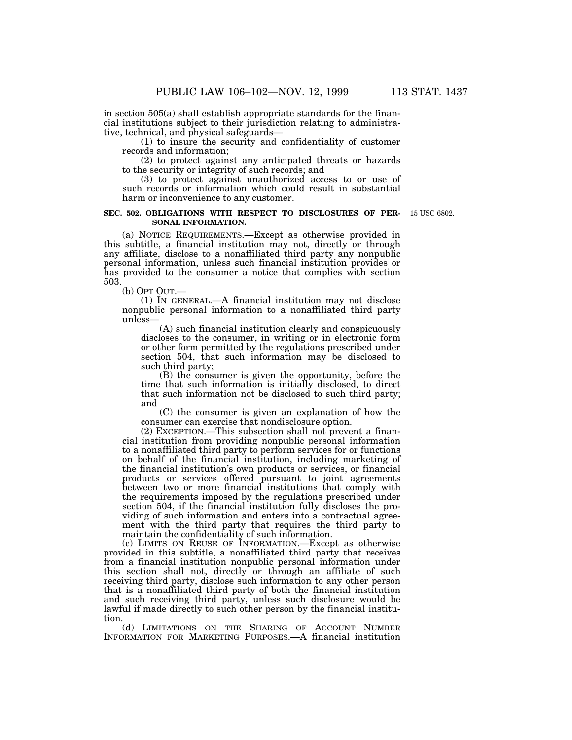in section 505(a) shall establish appropriate standards for the financial institutions subject to their jurisdiction relating to administrative, technical, and physical safeguards—

(1) to insure the security and confidentiality of customer records and information;

(2) to protect against any anticipated threats or hazards to the security or integrity of such records; and

(3) to protect against unauthorized access to or use of such records or information which could result in substantial harm or inconvenience to any customer.

#### **SEC. 502. OBLIGATIONS WITH RESPECT TO DISCLOSURES OF PER-**15 USC 6802. **SONAL INFORMATION.**

(a) NOTICE REQUIREMENTS.—Except as otherwise provided in this subtitle, a financial institution may not, directly or through any affiliate, disclose to a nonaffiliated third party any nonpublic personal information, unless such financial institution provides or has provided to the consumer a notice that complies with section 503.

(b) OPT OUT.—

(1) IN GENERAL.—A financial institution may not disclose nonpublic personal information to a nonaffiliated third party unless—

(A) such financial institution clearly and conspicuously discloses to the consumer, in writing or in electronic form or other form permitted by the regulations prescribed under section 504, that such information may be disclosed to such third party;

(B) the consumer is given the opportunity, before the time that such information is initially disclosed, to direct that such information not be disclosed to such third party; and

(C) the consumer is given an explanation of how the consumer can exercise that nondisclosure option.

(2) EXCEPTION.—This subsection shall not prevent a financial institution from providing nonpublic personal information to a nonaffiliated third party to perform services for or functions on behalf of the financial institution, including marketing of the financial institution's own products or services, or financial products or services offered pursuant to joint agreements between two or more financial institutions that comply with the requirements imposed by the regulations prescribed under section 504, if the financial institution fully discloses the providing of such information and enters into a contractual agreement with the third party that requires the third party to maintain the confidentiality of such information.

(c) LIMITS ON REUSE OF INFORMATION.—Except as otherwise provided in this subtitle, a nonaffiliated third party that receives from a financial institution nonpublic personal information under this section shall not, directly or through an affiliate of such receiving third party, disclose such information to any other person that is a nonaffiliated third party of both the financial institution and such receiving third party, unless such disclosure would be lawful if made directly to such other person by the financial institution.

(d) LIMITATIONS ON THE SHARING OF ACCOUNT NUMBER INFORMATION FOR MARKETING PURPOSES.—A financial institution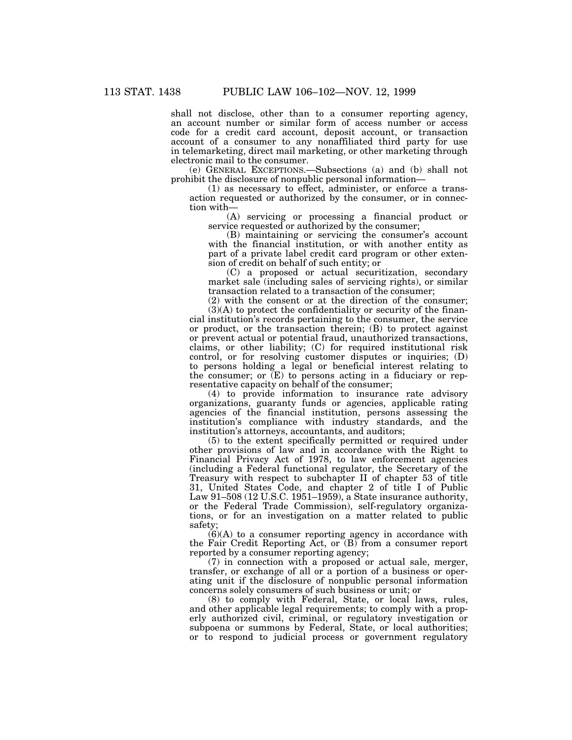shall not disclose, other than to a consumer reporting agency, an account number or similar form of access number or access code for a credit card account, deposit account, or transaction account of a consumer to any nonaffiliated third party for use in telemarketing, direct mail marketing, or other marketing through electronic mail to the consumer.

(e) GENERAL EXCEPTIONS.—Subsections (a) and (b) shall not prohibit the disclosure of nonpublic personal information—

(1) as necessary to effect, administer, or enforce a transaction requested or authorized by the consumer, or in connection with—

(A) servicing or processing a financial product or service requested or authorized by the consumer;

(B) maintaining or servicing the consumer's account with the financial institution, or with another entity as part of a private label credit card program or other extension of credit on behalf of such entity; or

(C) a proposed or actual securitization, secondary market sale (including sales of servicing rights), or similar transaction related to a transaction of the consumer;

(2) with the consent or at the direction of the consumer; (3)(A) to protect the confidentiality or security of the financial institution's records pertaining to the consumer, the service or product, or the transaction therein; (B) to protect against or prevent actual or potential fraud, unauthorized transactions, claims, or other liability; (C) for required institutional risk control, or for resolving customer disputes or inquiries; (D) to persons holding a legal or beneficial interest relating to the consumer; or  $(E)$  to persons acting in a fiduciary or representative capacity on behalf of the consumer;

(4) to provide information to insurance rate advisory organizations, guaranty funds or agencies, applicable rating agencies of the financial institution, persons assessing the institution's compliance with industry standards, and the institution's attorneys, accountants, and auditors;

(5) to the extent specifically permitted or required under other provisions of law and in accordance with the Right to Financial Privacy Act of 1978, to law enforcement agencies (including a Federal functional regulator, the Secretary of the Treasury with respect to subchapter II of chapter 53 of title 31, United States Code, and chapter 2 of title I of Public Law 91–508 (12 U.S.C. 1951–1959), a State insurance authority, or the Federal Trade Commission), self-regulatory organizations, or for an investigation on a matter related to public safety;

(6)(A) to a consumer reporting agency in accordance with the Fair Credit Reporting Act, or (B) from a consumer report reported by a consumer reporting agency;

(7) in connection with a proposed or actual sale, merger, transfer, or exchange of all or a portion of a business or operating unit if the disclosure of nonpublic personal information concerns solely consumers of such business or unit; or

(8) to comply with Federal, State, or local laws, rules, and other applicable legal requirements; to comply with a properly authorized civil, criminal, or regulatory investigation or subpoena or summons by Federal, State, or local authorities; or to respond to judicial process or government regulatory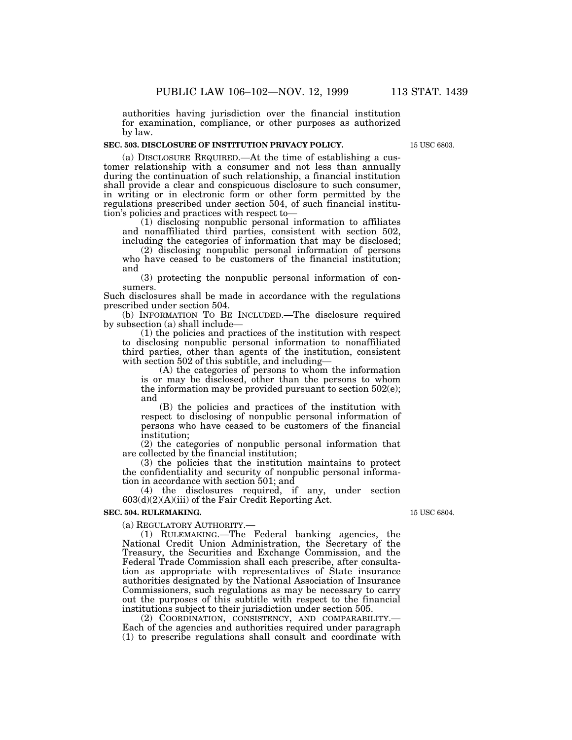authorities having jurisdiction over the financial institution for examination, compliance, or other purposes as authorized by law.

#### **SEC. 503. DISCLOSURE OF INSTITUTION PRIVACY POLICY.**

(a) DISCLOSURE REQUIRED.—At the time of establishing a customer relationship with a consumer and not less than annually during the continuation of such relationship, a financial institution shall provide a clear and conspicuous disclosure to such consumer, in writing or in electronic form or other form permitted by the regulations prescribed under section 504, of such financial institution's policies and practices with respect to—

(1) disclosing nonpublic personal information to affiliates and nonaffiliated third parties, consistent with section 502, including the categories of information that may be disclosed;

(2) disclosing nonpublic personal information of persons who have ceased to be customers of the financial institution; and

(3) protecting the nonpublic personal information of consumers.

Such disclosures shall be made in accordance with the regulations prescribed under section 504.

(b) INFORMATION TO BE INCLUDED.—The disclosure required by subsection (a) shall include—

(1) the policies and practices of the institution with respect to disclosing nonpublic personal information to nonaffiliated third parties, other than agents of the institution, consistent with section 502 of this subtitle, and including—

(A) the categories of persons to whom the information is or may be disclosed, other than the persons to whom the information may be provided pursuant to section 502(e); and

(B) the policies and practices of the institution with respect to disclosing of nonpublic personal information of persons who have ceased to be customers of the financial institution;

(2) the categories of nonpublic personal information that are collected by the financial institution;

(3) the policies that the institution maintains to protect the confidentiality and security of nonpublic personal information in accordance with section 501; and

(4) the disclosures required, if any, under section  $603(d)(2)(A)(iii)$  of the Fair Credit Reporting Act.

#### **SEC. 504. RULEMAKING.**

(a) REGULATORY AUTHORITY.— (1) RULEMAKING.—The Federal banking agencies, the National Credit Union Administration, the Secretary of the Treasury, the Securities and Exchange Commission, and the Federal Trade Commission shall each prescribe, after consultation as appropriate with representatives of State insurance authorities designated by the National Association of Insurance Commissioners, such regulations as may be necessary to carry out the purposes of this subtitle with respect to the financial institutions subject to their jurisdiction under section 505.

(2) COORDINATION, CONSISTENCY, AND COMPARABILITY.— Each of the agencies and authorities required under paragraph (1) to prescribe regulations shall consult and coordinate with

15 USC 6804.

15 USC 6803.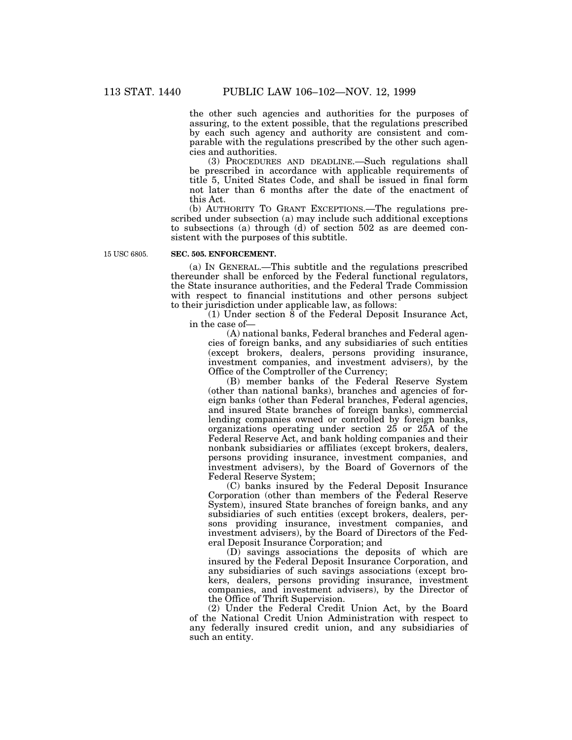the other such agencies and authorities for the purposes of assuring, to the extent possible, that the regulations prescribed by each such agency and authority are consistent and comparable with the regulations prescribed by the other such agencies and authorities.

(3) PROCEDURES AND DEADLINE.—Such regulations shall be prescribed in accordance with applicable requirements of title 5, United States Code, and shall be issued in final form not later than 6 months after the date of the enactment of this Act.

(b) AUTHORITY TO GRANT EXCEPTIONS.—The regulations prescribed under subsection (a) may include such additional exceptions to subsections (a) through (d) of section 502 as are deemed consistent with the purposes of this subtitle.

15 USC 6805.

#### **SEC. 505. ENFORCEMENT.**

(a) IN GENERAL.—This subtitle and the regulations prescribed thereunder shall be enforced by the Federal functional regulators, the State insurance authorities, and the Federal Trade Commission with respect to financial institutions and other persons subject to their jurisdiction under applicable law, as follows:

 $(1)$  Under section  $\hat{8}$  of the Federal Deposit Insurance Act, in the case of—

(A) national banks, Federal branches and Federal agencies of foreign banks, and any subsidiaries of such entities (except brokers, dealers, persons providing insurance, investment companies, and investment advisers), by the Office of the Comptroller of the Currency;

(B) member banks of the Federal Reserve System (other than national banks), branches and agencies of foreign banks (other than Federal branches, Federal agencies, and insured State branches of foreign banks), commercial lending companies owned or controlled by foreign banks, organizations operating under section 25 or 25A of the Federal Reserve Act, and bank holding companies and their nonbank subsidiaries or affiliates (except brokers, dealers, persons providing insurance, investment companies, and investment advisers), by the Board of Governors of the Federal Reserve System;

(C) banks insured by the Federal Deposit Insurance Corporation (other than members of the Federal Reserve System), insured State branches of foreign banks, and any subsidiaries of such entities (except brokers, dealers, persons providing insurance, investment companies, and investment advisers), by the Board of Directors of the Federal Deposit Insurance Corporation; and

(D) savings associations the deposits of which are insured by the Federal Deposit Insurance Corporation, and any subsidiaries of such savings associations (except brokers, dealers, persons providing insurance, investment companies, and investment advisers), by the Director of the Office of Thrift Supervision.

(2) Under the Federal Credit Union Act, by the Board of the National Credit Union Administration with respect to any federally insured credit union, and any subsidiaries of such an entity.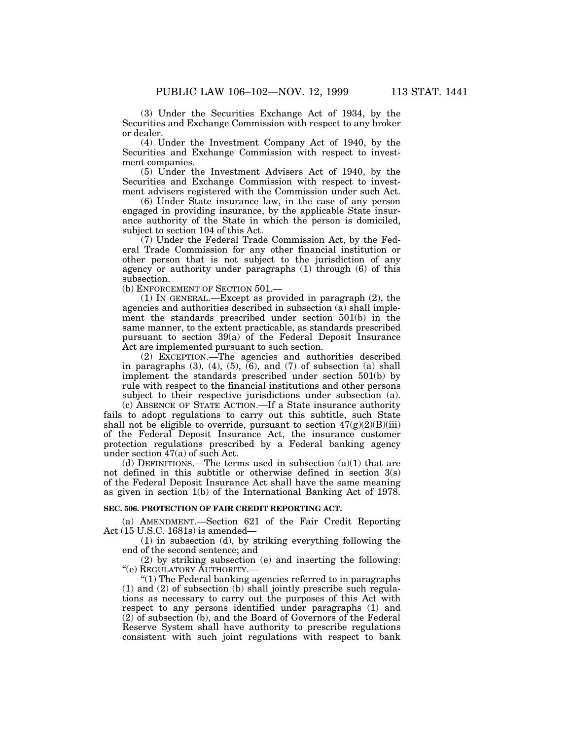(3) Under the Securities Exchange Act of 1934, by the Securities and Exchange Commission with respect to any broker or dealer.

(4) Under the Investment Company Act of 1940, by the Securities and Exchange Commission with respect to investment companies.

(5) Under the Investment Advisers Act of 1940, by the Securities and Exchange Commission with respect to investment advisers registered with the Commission under such Act.

(6) Under State insurance law, in the case of any person engaged in providing insurance, by the applicable State insurance authority of the State in which the person is domiciled, subject to section 104 of this Act.

(7) Under the Federal Trade Commission Act, by the Federal Trade Commission for any other financial institution or other person that is not subject to the jurisdiction of any agency or authority under paragraphs (1) through (6) of this subsection.

(b) ENFORCEMENT OF SECTION 501.—

(1) IN GENERAL.—Except as provided in paragraph (2), the agencies and authorities described in subsection (a) shall implement the standards prescribed under section 501(b) in the same manner, to the extent practicable, as standards prescribed pursuant to section 39(a) of the Federal Deposit Insurance Act are implemented pursuant to such section.

(2) EXCEPTION.—The agencies and authorities described in paragraphs  $(3)$ ,  $(4)$ ,  $(5)$ ,  $(6)$ , and  $(7)$  of subsection  $(a)$  shall implement the standards prescribed under section 501(b) by rule with respect to the financial institutions and other persons subject to their respective jurisdictions under subsection (a).

(c) ABSENCE OF STATE ACTION.—If a State insurance authority fails to adopt regulations to carry out this subtitle, such State shall not be eligible to override, pursuant to section  $47(g)(2)(B)(iii)$ of the Federal Deposit Insurance Act, the insurance customer protection regulations prescribed by a Federal banking agency under section 47(a) of such Act.

(d) DEFINITIONS.—The terms used in subsection  $(a)(1)$  that are not defined in this subtitle or otherwise defined in section 3(s) of the Federal Deposit Insurance Act shall have the same meaning as given in section 1(b) of the International Banking Act of 1978.

# **SEC. 506. PROTECTION OF FAIR CREDIT REPORTING ACT.**

(a) AMENDMENT.—Section 621 of the Fair Credit Reporting Act (15 U.S.C. 1681s) is amended—

(1) in subsection (d), by striking everything following the end of the second sentence; and

(2) by striking subsection (e) and inserting the following: ''(e) REGULATORY AUTHORITY.—

''(1) The Federal banking agencies referred to in paragraphs (1) and (2) of subsection (b) shall jointly prescribe such regulations as necessary to carry out the purposes of this Act with respect to any persons identified under paragraphs (1) and (2) of subsection (b), and the Board of Governors of the Federal Reserve System shall have authority to prescribe regulations consistent with such joint regulations with respect to bank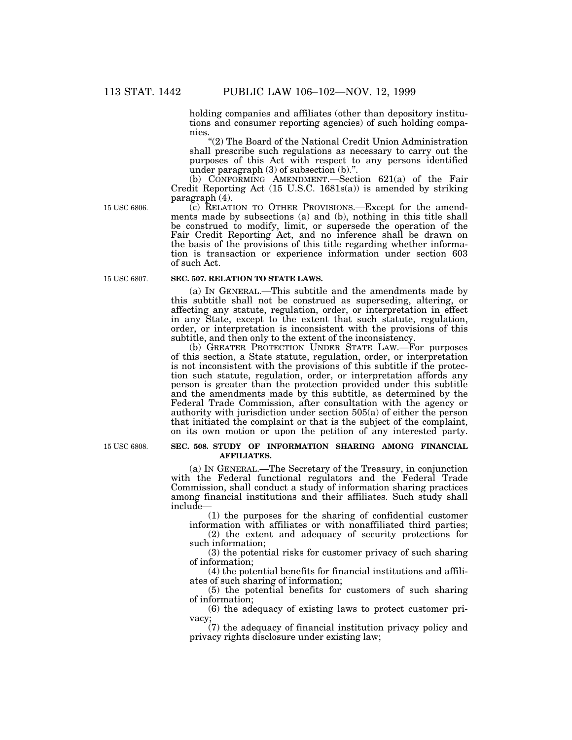holding companies and affiliates (other than depository institutions and consumer reporting agencies) of such holding companies.

''(2) The Board of the National Credit Union Administration shall prescribe such regulations as necessary to carry out the purposes of this Act with respect to any persons identified under paragraph  $(3)$  of subsection  $(b)$ .".

(b) CONFORMING AMENDMENT.—Section 621(a) of the Fair Credit Reporting Act (15 U.S.C. 1681s(a)) is amended by striking paragraph (4).

(c) RELATION TO OTHER PROVISIONS.—Except for the amendments made by subsections (a) and (b), nothing in this title shall be construed to modify, limit, or supersede the operation of the Fair Credit Reporting Act, and no inference shall be drawn on the basis of the provisions of this title regarding whether information is transaction or experience information under section 603 of such Act.

#### **SEC. 507. RELATION TO STATE LAWS.**

(a) IN GENERAL.—This subtitle and the amendments made by this subtitle shall not be construed as superseding, altering, or affecting any statute, regulation, order, or interpretation in effect in any State, except to the extent that such statute, regulation, order, or interpretation is inconsistent with the provisions of this subtitle, and then only to the extent of the inconsistency.

(b) GREATER PROTECTION UNDER STATE LAW.—For purposes of this section, a State statute, regulation, order, or interpretation is not inconsistent with the provisions of this subtitle if the protection such statute, regulation, order, or interpretation affords any person is greater than the protection provided under this subtitle and the amendments made by this subtitle, as determined by the Federal Trade Commission, after consultation with the agency or authority with jurisdiction under section 505(a) of either the person that initiated the complaint or that is the subject of the complaint, on its own motion or upon the petition of any interested party.

## **SEC. 508. STUDY OF INFORMATION SHARING AMONG FINANCIAL AFFILIATES.**

(a) IN GENERAL.—The Secretary of the Treasury, in conjunction with the Federal functional regulators and the Federal Trade Commission, shall conduct a study of information sharing practices among financial institutions and their affiliates. Such study shall include—

(1) the purposes for the sharing of confidential customer

information with affiliates or with nonaffiliated third parties; (2) the extent and adequacy of security protections for such information;

(3) the potential risks for customer privacy of such sharing of information;

(4) the potential benefits for financial institutions and affiliates of such sharing of information;

(5) the potential benefits for customers of such sharing of information;

(6) the adequacy of existing laws to protect customer privacy;

(7) the adequacy of financial institution privacy policy and privacy rights disclosure under existing law;

15 USC 6806.

15 USC 6807.

15 USC 6808.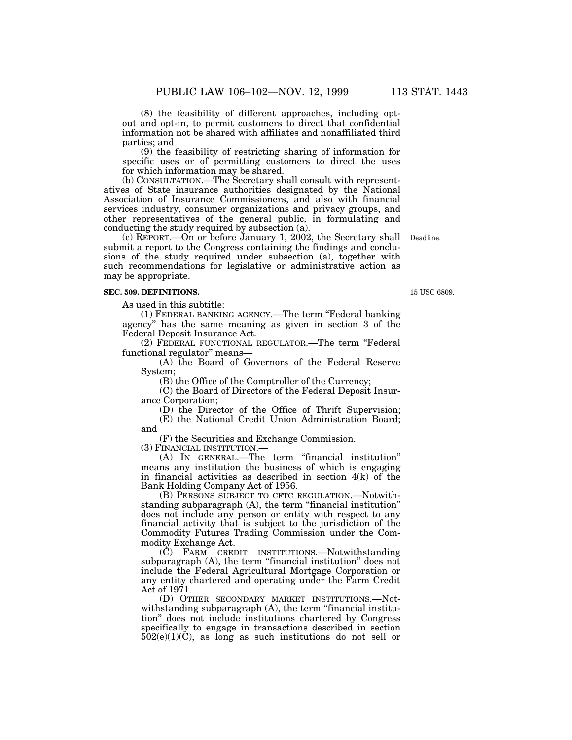(8) the feasibility of different approaches, including optout and opt-in, to permit customers to direct that confidential information not be shared with affiliates and nonaffiliated third parties; and

(9) the feasibility of restricting sharing of information for specific uses or of permitting customers to direct the uses for which information may be shared.

(b) CONSULTATION.—The Secretary shall consult with representatives of State insurance authorities designated by the National Association of Insurance Commissioners, and also with financial services industry, consumer organizations and privacy groups, and other representatives of the general public, in formulating and conducting the study required by subsection (a).

(c) REPORT.—On or before January 1, 2002, the Secretary shall Deadline. submit a report to the Congress containing the findings and conclusions of the study required under subsection (a), together with such recommendations for legislative or administrative action as may be appropriate.

## **SEC. 509. DEFINITIONS.**

As used in this subtitle:

(1) FEDERAL BANKING AGENCY.—The term ''Federal banking agency'' has the same meaning as given in section 3 of the Federal Deposit Insurance Act.

(2) FEDERAL FUNCTIONAL REGULATOR.—The term ''Federal functional regulator'' means—

(A) the Board of Governors of the Federal Reserve System;

(B) the Office of the Comptroller of the Currency;

(C) the Board of Directors of the Federal Deposit Insurance Corporation;

(D) the Director of the Office of Thrift Supervision; (E) the National Credit Union Administration Board;

and

(F) the Securities and Exchange Commission.

(3) FINANCIAL INSTITUTION.—

(A) IN GENERAL.—The term ''financial institution'' means any institution the business of which is engaging in financial activities as described in section 4(k) of the Bank Holding Company Act of 1956.

(B) PERSONS SUBJECT TO CFTC REGULATION.—Notwithstanding subparagraph (A), the term "financial institution" does not include any person or entity with respect to any financial activity that is subject to the jurisdiction of the Commodity Futures Trading Commission under the Commodity Exchange Act.

(C) FARM CREDIT INSTITUTIONS.—Notwithstanding subparagraph (A), the term "financial institution" does not include the Federal Agricultural Mortgage Corporation or any entity chartered and operating under the Farm Credit Act of 1971.

(D) OTHER SECONDARY MARKET INSTITUTIONS.—Notwithstanding subparagraph (A), the term "financial institution'' does not include institutions chartered by Congress specifically to engage in transactions described in section  $502(e)(1)(C)$ , as long as such institutions do not sell or

15 USC 6809.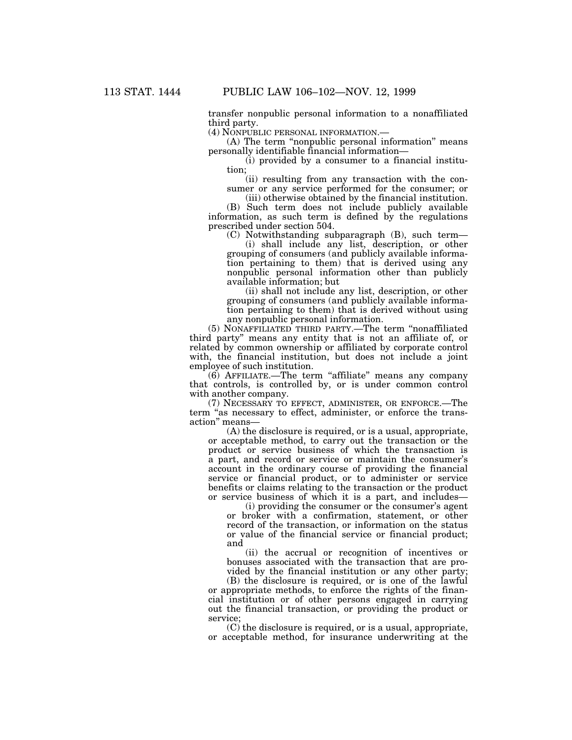transfer nonpublic personal information to a nonaffiliated third party.<br>(4) NONPUBLIC PERSONAL INFORMATION.—

(4) NONPUBLIC PERSONAL INFORMATION.— (A) The term ''nonpublic personal information'' means personally identifiable financial information—

(i) provided by a consumer to a financial institution;

(ii) resulting from any transaction with the consumer or any service performed for the consumer; or

(iii) otherwise obtained by the financial institution. (B) Such term does not include publicly available information, as such term is defined by the regulations prescribed under section 504.

(C) Notwithstanding subparagraph (B), such term—

(i) shall include any list, description, or other grouping of consumers (and publicly available information pertaining to them) that is derived using any nonpublic personal information other than publicly available information; but

(ii) shall not include any list, description, or other grouping of consumers (and publicly available information pertaining to them) that is derived without using any nonpublic personal information.

(5) NONAFFILIATED THIRD PARTY.—The term ''nonaffiliated third party'' means any entity that is not an affiliate of, or related by common ownership or affiliated by corporate control with, the financial institution, but does not include a joint employee of such institution.

 $(6)$  AFFILIATE.—The term "affiliate" means any company that controls, is controlled by, or is under common control with another company.

(7) NECESSARY TO EFFECT, ADMINISTER, OR ENFORCE.—The term ''as necessary to effect, administer, or enforce the transaction'' means—

(A) the disclosure is required, or is a usual, appropriate, or acceptable method, to carry out the transaction or the product or service business of which the transaction is a part, and record or service or maintain the consumer's account in the ordinary course of providing the financial service or financial product, or to administer or service benefits or claims relating to the transaction or the product or service business of which it is a part, and includes—

(i) providing the consumer or the consumer's agent or broker with a confirmation, statement, or other record of the transaction, or information on the status or value of the financial service or financial product; and

(ii) the accrual or recognition of incentives or bonuses associated with the transaction that are provided by the financial institution or any other party;

(B) the disclosure is required, or is one of the lawful or appropriate methods, to enforce the rights of the financial institution or of other persons engaged in carrying out the financial transaction, or providing the product or service;

(C) the disclosure is required, or is a usual, appropriate, or acceptable method, for insurance underwriting at the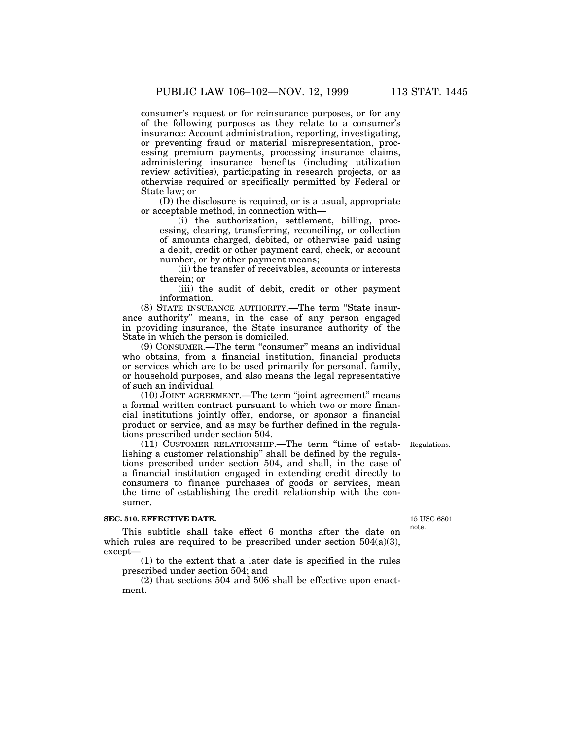consumer's request or for reinsurance purposes, or for any of the following purposes as they relate to a consumer's insurance: Account administration, reporting, investigating, or preventing fraud or material misrepresentation, processing premium payments, processing insurance claims, administering insurance benefits (including utilization review activities), participating in research projects, or as otherwise required or specifically permitted by Federal or State law; or

(D) the disclosure is required, or is a usual, appropriate or acceptable method, in connection with—

(i) the authorization, settlement, billing, processing, clearing, transferring, reconciling, or collection of amounts charged, debited, or otherwise paid using a debit, credit or other payment card, check, or account number, or by other payment means;

(ii) the transfer of receivables, accounts or interests therein; or

(iii) the audit of debit, credit or other payment information.

(8) STATE INSURANCE AUTHORITY.—The term ''State insurance authority'' means, in the case of any person engaged in providing insurance, the State insurance authority of the State in which the person is domiciled.

(9) CONSUMER.—The term "consumer" means an individual who obtains, from a financial institution, financial products or services which are to be used primarily for personal, family, or household purposes, and also means the legal representative of such an individual.

(10) JOINT AGREEMENT.—The term ''joint agreement'' means a formal written contract pursuant to which two or more financial institutions jointly offer, endorse, or sponsor a financial product or service, and as may be further defined in the regulations prescribed under section 504.

Regulations.

 $(11)$  CUSTOMER RELATIONSHIP.—The term "time of establishing a customer relationship'' shall be defined by the regulations prescribed under section 504, and shall, in the case of a financial institution engaged in extending credit directly to consumers to finance purchases of goods or services, mean the time of establishing the credit relationship with the consumer.

# **SEC. 510. EFFECTIVE DATE.**

This subtitle shall take effect 6 months after the date on which rules are required to be prescribed under section 504(a)(3), except—

(1) to the extent that a later date is specified in the rules prescribed under section 504; and

(2) that sections 504 and 506 shall be effective upon enactment.

15 USC 6801 note.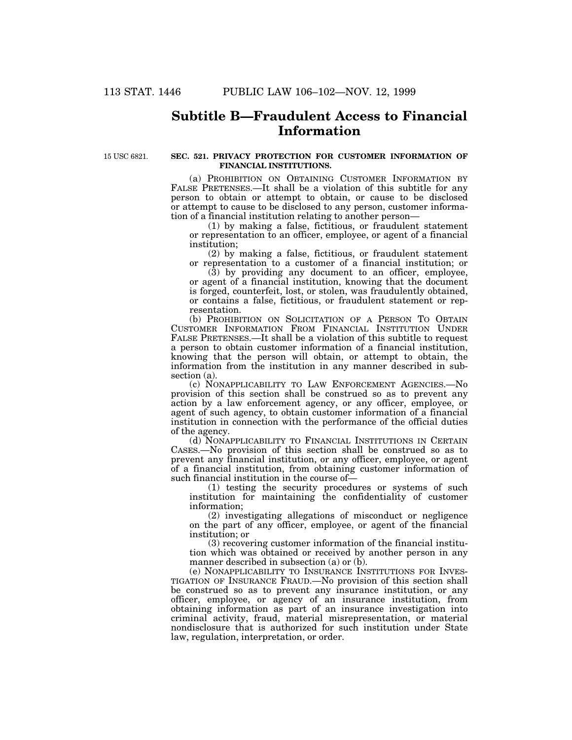# **Subtitle B—Fraudulent Access to Financial Information**

15 USC 6821.

# **SEC. 521. PRIVACY PROTECTION FOR CUSTOMER INFORMATION OF FINANCIAL INSTITUTIONS.**

(a) PROHIBITION ON OBTAINING CUSTOMER INFORMATION BY FALSE PRETENSES.—It shall be a violation of this subtitle for any person to obtain or attempt to obtain, or cause to be disclosed or attempt to cause to be disclosed to any person, customer information of a financial institution relating to another person—

(1) by making a false, fictitious, or fraudulent statement or representation to an officer, employee, or agent of a financial institution;

(2) by making a false, fictitious, or fraudulent statement or representation to a customer of a financial institution; or

(3) by providing any document to an officer, employee, or agent of a financial institution, knowing that the document is forged, counterfeit, lost, or stolen, was fraudulently obtained, or contains a false, fictitious, or fraudulent statement or representation.

(b) PROHIBITION ON SOLICITATION OF A PERSON TO OBTAIN CUSTOMER INFORMATION FROM FINANCIAL INSTITUTION UNDER FALSE PRETENSES.—It shall be a violation of this subtitle to request a person to obtain customer information of a financial institution, knowing that the person will obtain, or attempt to obtain, the information from the institution in any manner described in subsection (a).

(c) NONAPPLICABILITY TO LAW ENFORCEMENT AGENCIES.—No provision of this section shall be construed so as to prevent any action by a law enforcement agency, or any officer, employee, or agent of such agency, to obtain customer information of a financial institution in connection with the performance of the official duties of the agency.

(d) NONAPPLICABILITY TO FINANCIAL INSTITUTIONS IN CERTAIN CASES.—No provision of this section shall be construed so as to prevent any financial institution, or any officer, employee, or agent of a financial institution, from obtaining customer information of such financial institution in the course of—

(1) testing the security procedures or systems of such institution for maintaining the confidentiality of customer information;

(2) investigating allegations of misconduct or negligence on the part of any officer, employee, or agent of the financial institution; or

(3) recovering customer information of the financial institution which was obtained or received by another person in any manner described in subsection (a) or (b).

(e) NONAPPLICABILITY TO INSURANCE INSTITUTIONS FOR INVES-TIGATION OF INSURANCE FRAUD.—No provision of this section shall be construed so as to prevent any insurance institution, or any officer, employee, or agency of an insurance institution, from obtaining information as part of an insurance investigation into criminal activity, fraud, material misrepresentation, or material nondisclosure that is authorized for such institution under State law, regulation, interpretation, or order.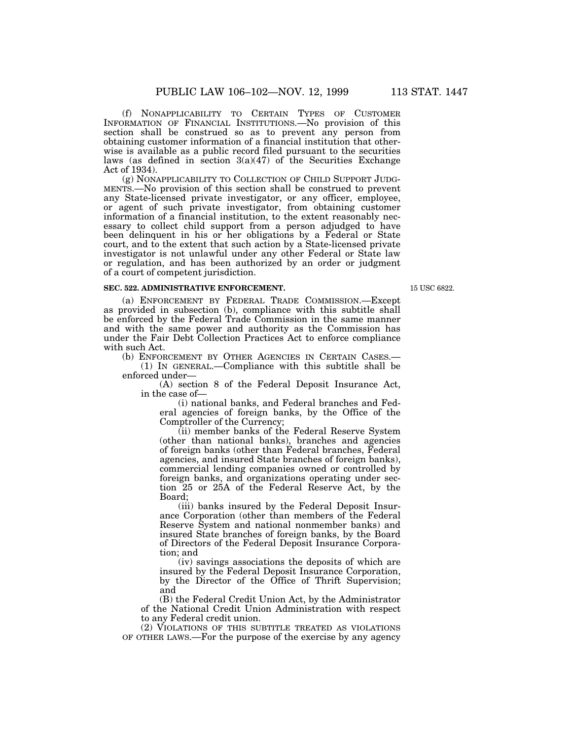(f) NONAPPLICABILITY TO CERTAIN TYPES OF CUSTOMER INFORMATION OF FINANCIAL INSTITUTIONS.—No provision of this section shall be construed so as to prevent any person from obtaining customer information of a financial institution that otherwise is available as a public record filed pursuant to the securities laws (as defined in section  $3(a)(47)$  of the Securities Exchange Act of 1934).

(g) NONAPPLICABILITY TO COLLECTION OF CHILD SUPPORT JUDG-MENTS.—No provision of this section shall be construed to prevent any State-licensed private investigator, or any officer, employee, or agent of such private investigator, from obtaining customer information of a financial institution, to the extent reasonably necessary to collect child support from a person adjudged to have been delinquent in his or her obligations by a Federal or State court, and to the extent that such action by a State-licensed private investigator is not unlawful under any other Federal or State law or regulation, and has been authorized by an order or judgment of a court of competent jurisdiction.

**SEC. 522. ADMINISTRATIVE ENFORCEMENT.**

15 USC 6822.

(a) ENFORCEMENT BY FEDERAL TRADE COMMISSION.—Except as provided in subsection (b), compliance with this subtitle shall be enforced by the Federal Trade Commission in the same manner and with the same power and authority as the Commission has under the Fair Debt Collection Practices Act to enforce compliance with such Act.

(b) ENFORCEMENT BY OTHER AGENCIES IN CERTAIN CASES.—

(1) IN GENERAL.—Compliance with this subtitle shall be enforced under—

(A) section 8 of the Federal Deposit Insurance Act, in the case of—

(i) national banks, and Federal branches and Federal agencies of foreign banks, by the Office of the Comptroller of the Currency;

(ii) member banks of the Federal Reserve System (other than national banks), branches and agencies of foreign banks (other than Federal branches, Federal agencies, and insured State branches of foreign banks), commercial lending companies owned or controlled by foreign banks, and organizations operating under section 25 or 25A of the Federal Reserve Act, by the Board;

(iii) banks insured by the Federal Deposit Insurance Corporation (other than members of the Federal Reserve System and national nonmember banks) and insured State branches of foreign banks, by the Board of Directors of the Federal Deposit Insurance Corporation; and

(iv) savings associations the deposits of which are insured by the Federal Deposit Insurance Corporation, by the Director of the Office of Thrift Supervision; and

(B) the Federal Credit Union Act, by the Administrator of the National Credit Union Administration with respect to any Federal credit union.

(2) VIOLATIONS OF THIS SUBTITLE TREATED AS VIOLATIONS OF OTHER LAWS.—For the purpose of the exercise by any agency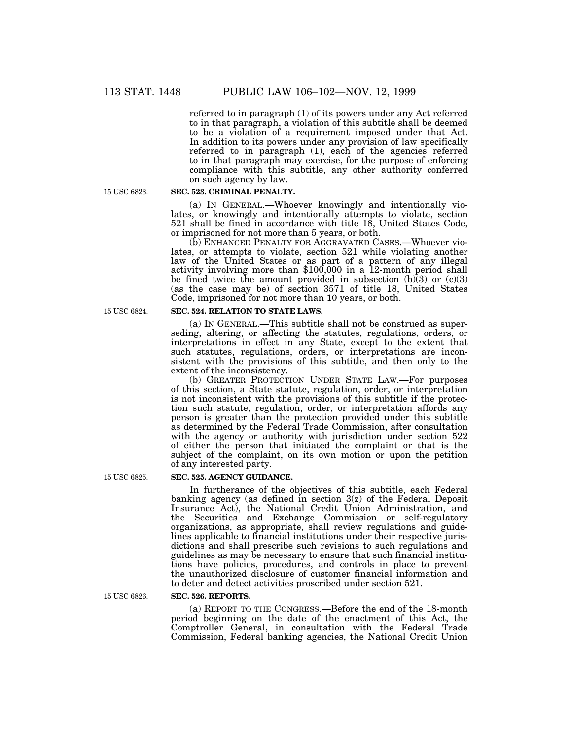referred to in paragraph (1) of its powers under any Act referred to in that paragraph, a violation of this subtitle shall be deemed to be a violation of a requirement imposed under that Act. In addition to its powers under any provision of law specifically referred to in paragraph (1), each of the agencies referred to in that paragraph may exercise, for the purpose of enforcing compliance with this subtitle, any other authority conferred on such agency by law.

15 USC 6823.

#### **SEC. 523. CRIMINAL PENALTY.**

(a) IN GENERAL.—Whoever knowingly and intentionally violates, or knowingly and intentionally attempts to violate, section 521 shall be fined in accordance with title 18, United States Code, or imprisoned for not more than 5 years, or both.

(b) ENHANCED PENALTY FOR AGGRAVATED CASES.—Whoever violates, or attempts to violate, section 521 while violating another law of the United States or as part of a pattern of any illegal activity involving more than \$100,000 in a 12-month period shall be fined twice the amount provided in subsection  $(b)(3)$  or  $(c)(3)$ (as the case may be) of section 3571 of title 18, United States Code, imprisoned for not more than 10 years, or both.

# **SEC. 524. RELATION TO STATE LAWS.**

(a) IN GENERAL.—This subtitle shall not be construed as superseding, altering, or affecting the statutes, regulations, orders, or interpretations in effect in any State, except to the extent that such statutes, regulations, orders, or interpretations are inconsistent with the provisions of this subtitle, and then only to the extent of the inconsistency.

(b) GREATER PROTECTION UNDER STATE LAW.—For purposes of this section, a State statute, regulation, order, or interpretation is not inconsistent with the provisions of this subtitle if the protection such statute, regulation, order, or interpretation affords any person is greater than the protection provided under this subtitle as determined by the Federal Trade Commission, after consultation with the agency or authority with jurisdiction under section 522 of either the person that initiated the complaint or that is the subject of the complaint, on its own motion or upon the petition of any interested party.

# **SEC. 525. AGENCY GUIDANCE.**

In furtherance of the objectives of this subtitle, each Federal banking agency (as defined in section 3(z) of the Federal Deposit Insurance Act), the National Credit Union Administration, and the Securities and Exchange Commission or self-regulatory organizations, as appropriate, shall review regulations and guidelines applicable to financial institutions under their respective jurisdictions and shall prescribe such revisions to such regulations and guidelines as may be necessary to ensure that such financial institutions have policies, procedures, and controls in place to prevent the unauthorized disclosure of customer financial information and to deter and detect activities proscribed under section 521.

15 USC 6826.

#### **SEC. 526. REPORTS.**

(a) REPORT TO THE CONGRESS.—Before the end of the 18-month period beginning on the date of the enactment of this Act, the Comptroller General, in consultation with the Federal Trade Commission, Federal banking agencies, the National Credit Union

15 USC 6824.

15 USC 6825.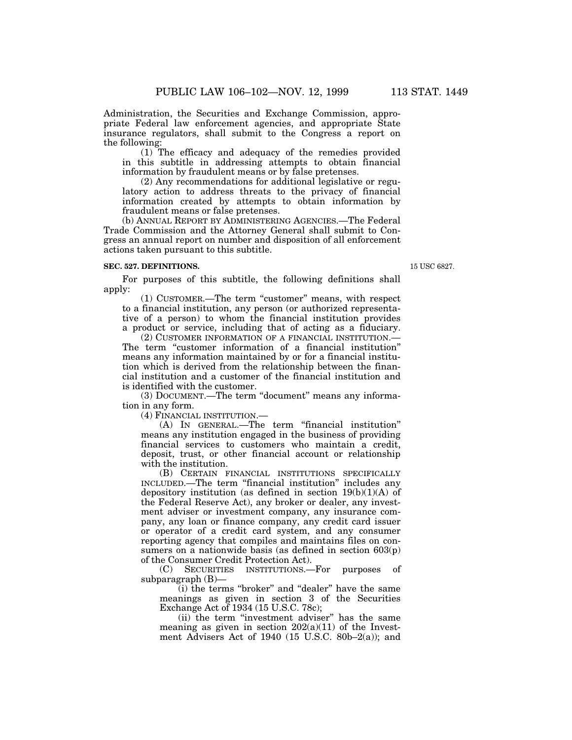Administration, the Securities and Exchange Commission, appropriate Federal law enforcement agencies, and appropriate State insurance regulators, shall submit to the Congress a report on the following:

(1) The efficacy and adequacy of the remedies provided in this subtitle in addressing attempts to obtain financial information by fraudulent means or by false pretenses.

(2) Any recommendations for additional legislative or regulatory action to address threats to the privacy of financial information created by attempts to obtain information by fraudulent means or false pretenses.

(b) ANNUAL REPORT BY ADMINISTERING AGENCIES.—The Federal Trade Commission and the Attorney General shall submit to Congress an annual report on number and disposition of all enforcement actions taken pursuant to this subtitle.

#### **SEC. 527. DEFINITIONS.**

15 USC 6827.

For purposes of this subtitle, the following definitions shall apply:

(1) CUSTOMER.—The term "customer" means, with respect to a financial institution, any person (or authorized representative of a person) to whom the financial institution provides a product or service, including that of acting as a fiduciary.

(2) CUSTOMER INFORMATION OF A FINANCIAL INSTITUTION.— The term "customer information of a financial institution" means any information maintained by or for a financial institution which is derived from the relationship between the financial institution and a customer of the financial institution and is identified with the customer.

(3) DOCUMENT.—The term ''document'' means any information in any form.

(4) FINANCIAL INSTITUTION.—

(A) IN GENERAL.—The term ''financial institution'' means any institution engaged in the business of providing financial services to customers who maintain a credit, deposit, trust, or other financial account or relationship with the institution.

(B) CERTAIN FINANCIAL INSTITUTIONS SPECIFICALLY INCLUDED.—The term ''financial institution'' includes any depository institution (as defined in section  $19(b)(1)(A)$  of the Federal Reserve Act), any broker or dealer, any investment adviser or investment company, any insurance company, any loan or finance company, any credit card issuer or operator of a credit card system, and any consumer reporting agency that compiles and maintains files on consumers on a nationwide basis (as defined in section 603(p) of the Consumer Credit Protection Act).<br>(C) SECURITIES INSTITUTIONS.

SECURITIES INSTITUTIONS.—For purposes of subparagraph (B)—

(i) the terms ''broker'' and ''dealer'' have the same meanings as given in section 3 of the Securities Exchange Act of 1934 (15 U.S.C. 78c);

(ii) the term ''investment adviser'' has the same meaning as given in section  $202(a)(11)$  of the Investment Advisers Act of 1940 (15 U.S.C. 80b–2(a)); and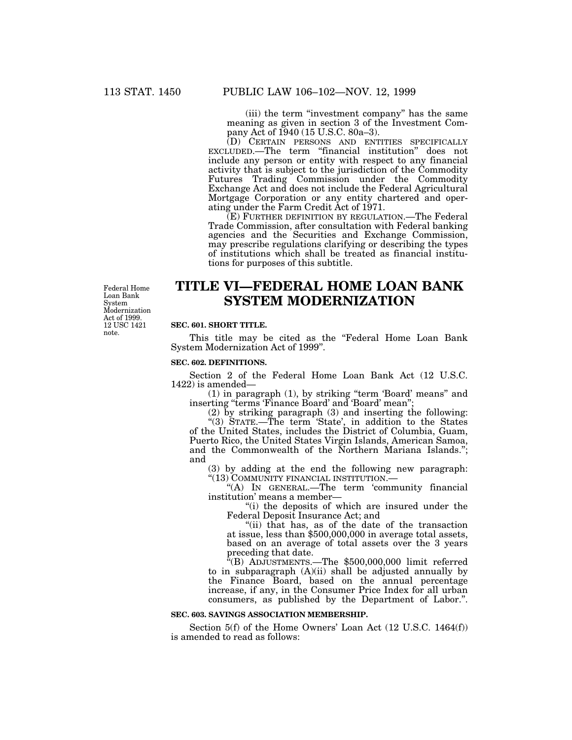(iii) the term ''investment company'' has the same meaning as given in section 3 of the Investment Company Act of 1940 (15 U.S.C. 80a–3).

(D) CERTAIN PERSONS AND ENTITIES SPECIFICALLY EXCLUDED.—The term ''financial institution'' does not include any person or entity with respect to any financial activity that is subject to the jurisdiction of the Commodity Futures Trading Commission under the Commodity Exchange Act and does not include the Federal Agricultural Mortgage Corporation or any entity chartered and operating under the Farm Credit Act of 1971.

(E) FURTHER DEFINITION BY REGULATION.—The Federal Trade Commission, after consultation with Federal banking agencies and the Securities and Exchange Commission, may prescribe regulations clarifying or describing the types of institutions which shall be treated as financial institutions for purposes of this subtitle.

12 USC 1421 note. Federal Home Loan Bank System Modernization Act of 1999.

# **TITLE VI—FEDERAL HOME LOAN BANK SYSTEM MODERNIZATION**

#### **SEC. 601. SHORT TITLE.**

This title may be cited as the "Federal Home Loan Bank System Modernization Act of 1999''.

#### **SEC. 602. DEFINITIONS.**

Section 2 of the Federal Home Loan Bank Act (12 U.S.C. 1422) is amended—

(1) in paragraph (1), by striking ''term 'Board' means'' and inserting ''terms 'Finance Board' and 'Board' mean'';

(2) by striking paragraph (3) and inserting the following: ''(3) STATE.—The term 'State', in addition to the States of the United States, includes the District of Columbia, Guam, Puerto Rico, the United States Virgin Islands, American Samoa,

and the Commonwealth of the Northern Mariana Islands.''; and (3) by adding at the end the following new paragraph:

"(13) COMMUNITY FINANCIAL INSTITUTION.—

''(A) IN GENERAL.—The term 'community financial institution' means a member—

''(i) the deposits of which are insured under the Federal Deposit Insurance Act; and

''(ii) that has, as of the date of the transaction at issue, less than \$500,000,000 in average total assets, based on an average of total assets over the 3 years preceding that date.

''(B) ADJUSTMENTS.—The \$500,000,000 limit referred to in subparagraph (A)(ii) shall be adjusted annually by the Finance Board, based on the annual percentage increase, if any, in the Consumer Price Index for all urban consumers, as published by the Department of Labor.''.

# **SEC. 603. SAVINGS ASSOCIATION MEMBERSHIP.**

Section 5(f) of the Home Owners' Loan Act (12 U.S.C. 1464(f)) is amended to read as follows: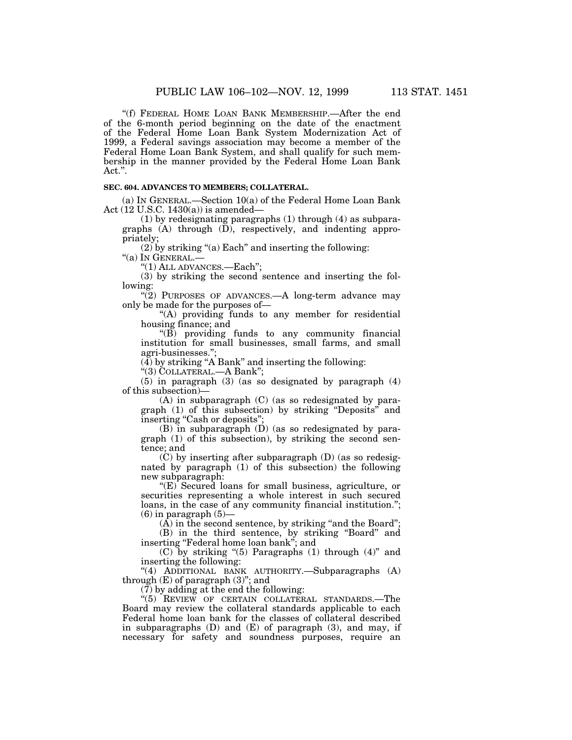''(f) FEDERAL HOME LOAN BANK MEMBERSHIP.—After the end of the 6-month period beginning on the date of the enactment of the Federal Home Loan Bank System Modernization Act of 1999, a Federal savings association may become a member of the Federal Home Loan Bank System, and shall qualify for such membership in the manner provided by the Federal Home Loan Bank Act.''.

#### **SEC. 604. ADVANCES TO MEMBERS; COLLATERAL.**

(a) IN GENERAL.—Section 10(a) of the Federal Home Loan Bank Act (12 U.S.C. 1430(a)) is amended—

(1) by redesignating paragraphs (1) through (4) as subparagraphs (A) through (D), respectively, and indenting appropriately;

 $(2)$  by striking "(a) Each" and inserting the following:

"(a) In GENERAL.-

''(1) ALL ADVANCES.—Each'';

(3) by striking the second sentence and inserting the following:

"(2) PURPOSES OF ADVANCES.—A long-term advance may only be made for the purposes of—

"(A) providing funds to any member for residential housing finance; and

 $\cdot$ (B) providing funds to any community financial institution for small businesses, small farms, and small agri-businesses.'';

 $\overline{(4)}$  by striking "A Bank" and inserting the following:

''(3) COLLATERAL.—A Bank'';

(5) in paragraph (3) (as so designated by paragraph (4) of this subsection)—

(A) in subparagraph (C) (as so redesignated by paragraph (1) of this subsection) by striking ''Deposits'' and inserting "Cash or deposits";

(B) in subparagraph (D) (as so redesignated by paragraph (1) of this subsection), by striking the second sentence; and

(C) by inserting after subparagraph (D) (as so redesignated by paragraph (1) of this subsection) the following new subparagraph:

"(E) Secured loans for small business, agriculture, or securities representing a whole interest in such secured loans, in the case of any community financial institution.'';  $(6)$  in paragraph  $(5)$ —

 $(A)$  in the second sentence, by striking "and the Board"; (B) in the third sentence, by striking ''Board'' and inserting ''Federal home loan bank''; and

(C) by striking "(5) Paragraphs  $(1)$  through  $(4)$ " and inserting the following:

"(4) ADDITIONAL BANK AUTHORITY.-Subparagraphs (A) through (E) of paragraph (3)"; and

(7) by adding at the end the following:

''(5) REVIEW OF CERTAIN COLLATERAL STANDARDS.—The Board may review the collateral standards applicable to each Federal home loan bank for the classes of collateral described in subparagraphs (D) and (E) of paragraph (3), and may, if necessary for safety and soundness purposes, require an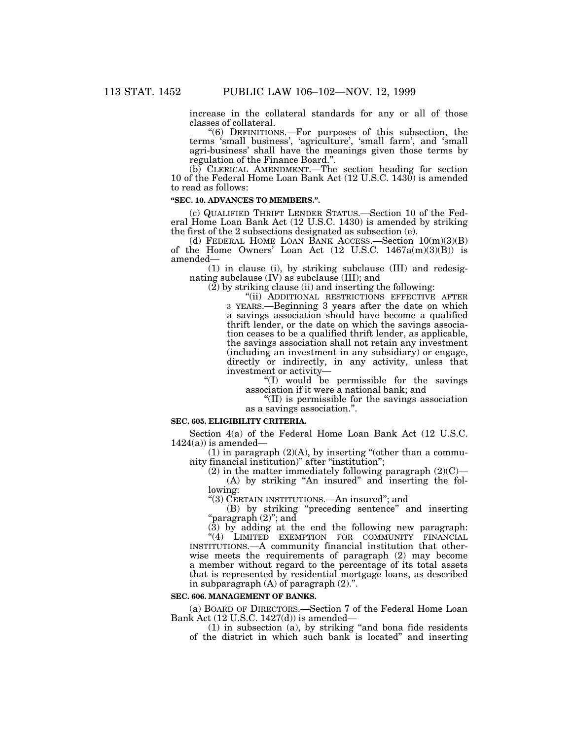increase in the collateral standards for any or all of those classes of collateral.

''(6) DEFINITIONS.—For purposes of this subsection, the terms 'small business', 'agriculture', 'small farm', and 'small agri-business' shall have the meanings given those terms by regulation of the Finance Board.''.

(b) CLERICAL AMENDMENT.—The section heading for section 10 of the Federal Home Loan Bank Act (12 U.S.C. 1430) is amended to read as follows:

# **''SEC. 10. ADVANCES TO MEMBERS.''.**

(c) QUALIFIED THRIFT LENDER STATUS.—Section 10 of the Federal Home Loan Bank Act (12 U.S.C. 1430) is amended by striking the first of the 2 subsections designated as subsection (e).

(d) FEDERAL HOME LOAN BANK ACCESS.—Section 10(m)(3)(B) of the Home Owners' Loan Act (12 U.S.C. 1467a(m)(3)(B)) is amended—

(1) in clause (i), by striking subclause (III) and redesignating subclause (IV) as subclause (III); and

 $(2)$  by striking clause (ii) and inserting the following:

"(ii) ADDITIONAL RESTRICTIONS EFFECTIVE AFTER 3 YEARS.—Beginning 3 years after the date on which a savings association should have become a qualified thrift lender, or the date on which the savings association ceases to be a qualified thrift lender, as applicable, the savings association shall not retain any investment (including an investment in any subsidiary) or engage, directly or indirectly, in any activity, unless that investment or activity—

''(I) would be permissible for the savings association if it were a national bank; and

''(II) is permissible for the savings association as a savings association.''.

#### **SEC. 605. ELIGIBILITY CRITERIA.**

Section 4(a) of the Federal Home Loan Bank Act (12 U.S.C.  $1424(a)$ ) is amended-

(1) in paragraph  $(2)(A)$ , by inserting "(other than a community financial institution)'' after ''institution'';

(2) in the matter immediately following paragraph  $(2)(C)$ — (A) by striking ''An insured'' and inserting the fol-

lowing:

''(3) CERTAIN INSTITUTIONS.—An insured''; and

(B) by striking ''preceding sentence'' and inserting "paragraph (2)"; and

(3) by adding at the end the following new paragraph:

"(4) LIMITED EXEMPTION FOR COMMUNITY FINANCIAL INSTITUTIONS.—A community financial institution that otherwise meets the requirements of paragraph (2) may become a member without regard to the percentage of its total assets that is represented by residential mortgage loans, as described in subparagraph  $(A)$  of paragraph  $(2)$ .".

#### **SEC. 606. MANAGEMENT OF BANKS.**

(a) BOARD OF DIRECTORS.—Section 7 of the Federal Home Loan Bank Act (12 U.S.C. 1427(d)) is amended—

 $(1)$  in subsection  $(a)$ , by striking "and bona fide residents of the district in which such bank is located'' and inserting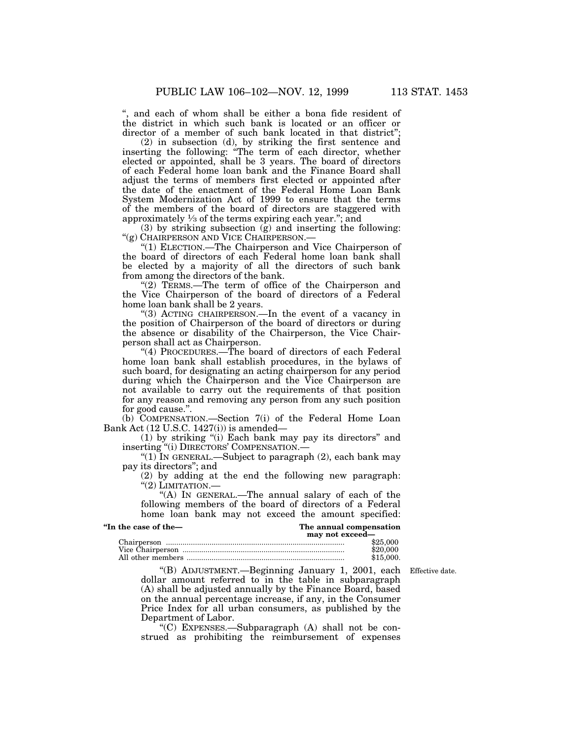'', and each of whom shall be either a bona fide resident of the district in which such bank is located or an officer or director of a member of such bank located in that district'';

(2) in subsection (d), by striking the first sentence and inserting the following: ''The term of each director, whether elected or appointed, shall be 3 years. The board of directors of each Federal home loan bank and the Finance Board shall adjust the terms of members first elected or appointed after the date of the enactment of the Federal Home Loan Bank System Modernization Act of 1999 to ensure that the terms of the members of the board of directors are staggered with approximately  $\frac{1}{3}$  of the terms expiring each year."; and

(3) by striking subsection (g) and inserting the following: ''(g) CHAIRPERSON AND VICE CHAIRPERSON.—

''(1) ELECTION.—The Chairperson and Vice Chairperson of the board of directors of each Federal home loan bank shall be elected by a majority of all the directors of such bank from among the directors of the bank.

"(2) TERMS.—The term of office of the Chairperson and the Vice Chairperson of the board of directors of a Federal home loan bank shall be 2 years.

"(3) ACTING CHAIRPERSON.—In the event of a vacancy in the position of Chairperson of the board of directors or during the absence or disability of the Chairperson, the Vice Chairperson shall act as Chairperson.

"(4) PROCEDURES.—The board of directors of each Federal home loan bank shall establish procedures, in the bylaws of such board, for designating an acting chairperson for any period during which the Chairperson and the Vice Chairperson are not available to carry out the requirements of that position for any reason and removing any person from any such position for good cause.''.

(b) COMPENSATION.—Section 7(i) of the Federal Home Loan Bank Act (12 U.S.C. 1427(i)) is amended—

(1) by striking ''(i) Each bank may pay its directors'' and inserting ''(i) DIRECTORS' COMPENSATION.—

"(1) IN GENERAL.—Subject to paragraph  $(2)$ , each bank may pay its directors''; and

(2) by adding at the end the following new paragraph: "(2) LIMITATION.-

"(A) In GENERAL.—The annual salary of each of the following members of the board of directors of a Federal home loan bank may not exceed the amount specified:

**''In the case of the— The annual compensation**

| may not exceed- |
|-----------------|
| \$25,000        |
| \$20,000        |
| \$15.000.       |

''(B) ADJUSTMENT.—Beginning January 1, 2001, each Effective date. dollar amount referred to in the table in subparagraph (A) shall be adjusted annually by the Finance Board, based on the annual percentage increase, if any, in the Consumer Price Index for all urban consumers, as published by the Department of Labor.

''(C) EXPENSES.—Subparagraph (A) shall not be construed as prohibiting the reimbursement of expenses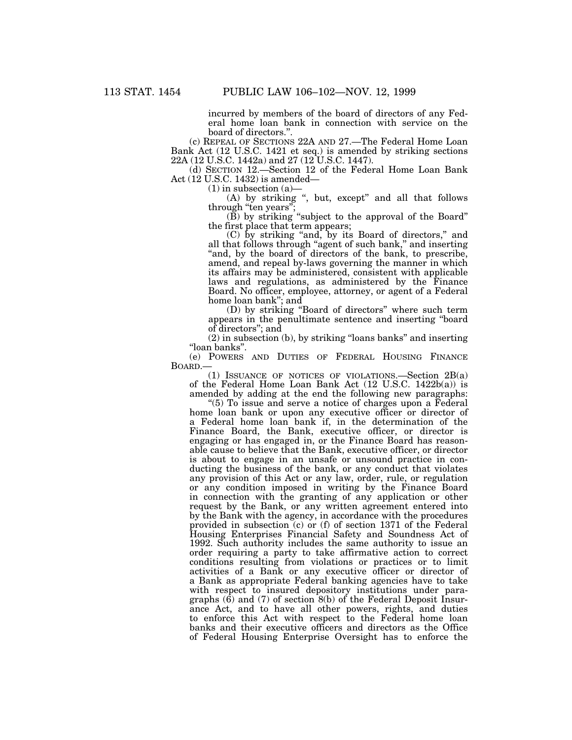incurred by members of the board of directors of any Federal home loan bank in connection with service on the board of directors."

(c) REPEAL OF SECTIONS 22A AND 27.—The Federal Home Loan Bank Act (12 U.S.C. 1421 et seq.) is amended by striking sections 22A (12 U.S.C. 1442a) and 27 (12 U.S.C. 1447).

(d) SECTION 12.—Section 12 of the Federal Home Loan Bank Act (12 U.S.C. 1432) is amended—

 $(1)$  in subsection  $(a)$ —

(A) by striking ", but, except" and all that follows through ''ten years'';

(B) by striking ''subject to the approval of the Board'' the first place that term appears;

(C) by striking ''and, by its Board of directors,'' and all that follows through "agent of such bank," and inserting "and, by the board of directors of the bank, to prescribe, amend, and repeal by-laws governing the manner in which its affairs may be administered, consistent with applicable laws and regulations, as administered by the Finance Board. No officer, employee, attorney, or agent of a Federal home loan bank''; and

(D) by striking ''Board of directors'' where such term appears in the penultimate sentence and inserting ''board of directors''; and

(2) in subsection (b), by striking ''loans banks'' and inserting ''loan banks''.

(e) POWERS AND DUTIES OF FEDERAL HOUSING FINANCE BOARD.—

(1) ISSUANCE OF NOTICES OF VIOLATIONS.—Section 2B(a) of the Federal Home Loan Bank Act (12 U.S.C. 1422b(a)) is amended by adding at the end the following new paragraphs:

''(5) To issue and serve a notice of charges upon a Federal home loan bank or upon any executive officer or director of a Federal home loan bank if, in the determination of the Finance Board, the Bank, executive officer, or director is engaging or has engaged in, or the Finance Board has reasonable cause to believe that the Bank, executive officer, or director is about to engage in an unsafe or unsound practice in conducting the business of the bank, or any conduct that violates any provision of this Act or any law, order, rule, or regulation or any condition imposed in writing by the Finance Board in connection with the granting of any application or other request by the Bank, or any written agreement entered into by the Bank with the agency, in accordance with the procedures provided in subsection (c) or (f) of section 1371 of the Federal Housing Enterprises Financial Safety and Soundness Act of 1992. Such authority includes the same authority to issue an order requiring a party to take affirmative action to correct conditions resulting from violations or practices or to limit activities of a Bank or any executive officer or director of a Bank as appropriate Federal banking agencies have to take with respect to insured depository institutions under paragraphs  $(\hat{6})$  and  $(7)$  of section  $8(b)$  of the Federal Deposit Insurance Act, and to have all other powers, rights, and duties to enforce this Act with respect to the Federal home loan banks and their executive officers and directors as the Office of Federal Housing Enterprise Oversight has to enforce the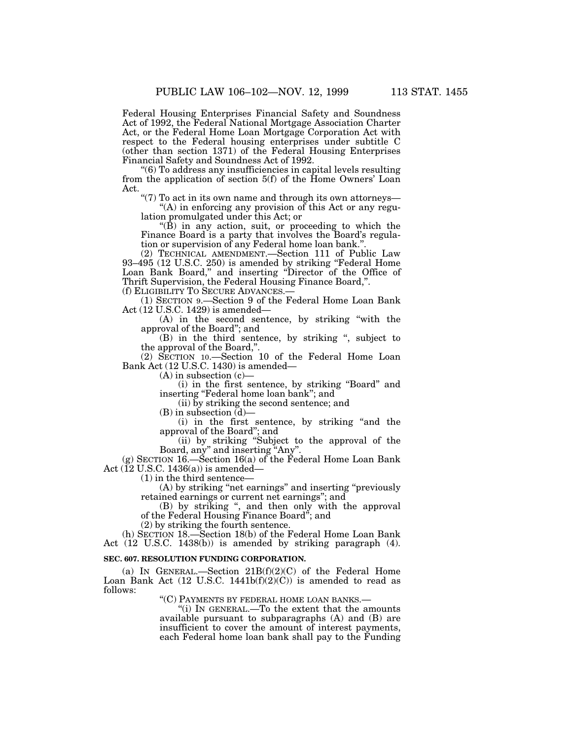Federal Housing Enterprises Financial Safety and Soundness Act of 1992, the Federal National Mortgage Association Charter Act, or the Federal Home Loan Mortgage Corporation Act with respect to the Federal housing enterprises under subtitle C (other than section 1371) of the Federal Housing Enterprises Financial Safety and Soundness Act of 1992.

''(6) To address any insufficiencies in capital levels resulting from the application of section 5(f) of the Home Owners' Loan Act.

"(7) To act in its own name and through its own attorneys-

''(A) in enforcing any provision of this Act or any regulation promulgated under this Act; or

" $(\hat{B})$  in any action, suit, or proceeding to which the Finance Board is a party that involves the Board's regulation or supervision of any Federal home loan bank.''.

(2) TECHNICAL AMENDMENT.—Section 111 of Public Law 93–495 (12 U.S.C. 250) is amended by striking ''Federal Home Loan Bank Board,'' and inserting ''Director of the Office of Thrift Supervision, the Federal Housing Finance Board,''.

(f) ELIGIBILITY TO SECURE ADVANCES.—

(1) SECTION 9.—Section 9 of the Federal Home Loan Bank Act (12 U.S.C. 1429) is amended—

(A) in the second sentence, by striking ''with the approval of the Board''; and

(B) in the third sentence, by striking '', subject to the approval of the Board,''.

(2) SECTION 10.—Section 10 of the Federal Home Loan Bank Act (12 U.S.C. 1430) is amended—

 $(A)$  in subsection  $(c)$ —

(i) in the first sentence, by striking ''Board'' and inserting "Federal home loan bank"; and

(ii) by striking the second sentence; and

 $(B)$  in subsection  $\bar{d}$ )–

(i) in the first sentence, by striking ''and the approval of the Board''; and

(ii) by striking ''Subject to the approval of the Board, any'' and inserting ''Any''.

(g) SECTION 16.—Section 16(a) of the Federal Home Loan Bank Act  $(12 \text{ U.S.C. } 1436(a))$  is amended—

(1) in the third sentence—

(A) by striking "net earnings" and inserting "previously retained earnings or current net earnings''; and

(B) by striking ", and then only with the approval of the Federal Housing Finance Board''; and

(2) by striking the fourth sentence.

(h) SECTION 18.—Section 18(b) of the Federal Home Loan Bank Act (12 U.S.C. 1438(b)) is amended by striking paragraph (4).

#### **SEC. 607. RESOLUTION FUNDING CORPORATION.**

(a) IN GENERAL.—Section  $21B(f)(2)(C)$  of the Federal Home Loan Bank Act (12 U.S.C. 1441b $(f)(2)(C)$ ) is amended to read as follows:

''(C) PAYMENTS BY FEDERAL HOME LOAN BANKS.—

''(i) IN GENERAL.—To the extent that the amounts available pursuant to subparagraphs (A) and (B) are insufficient to cover the amount of interest payments, each Federal home loan bank shall pay to the Funding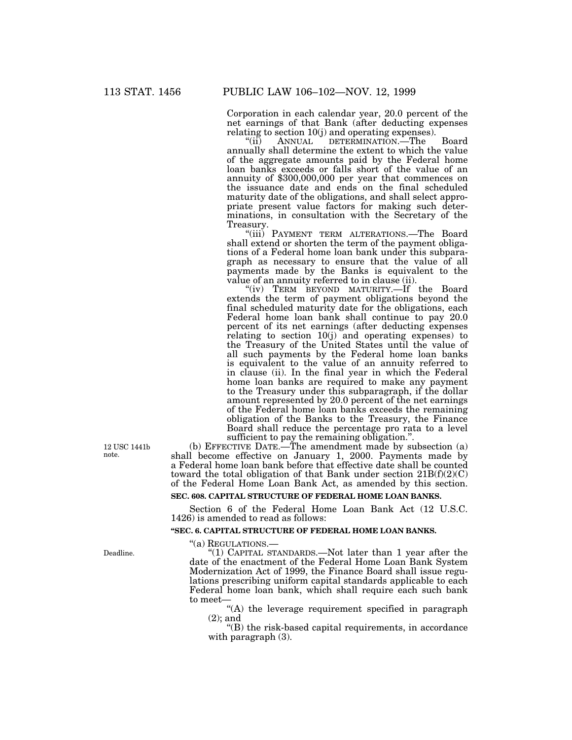Corporation in each calendar year, 20.0 percent of the net earnings of that Bank (after deducting expenses relating to section 10(j) and operating expenses).

''(ii) ANNUAL DETERMINATION.—The Board annually shall determine the extent to which the value of the aggregate amounts paid by the Federal home loan banks exceeds or falls short of the value of an annuity of \$300,000,000 per year that commences on the issuance date and ends on the final scheduled maturity date of the obligations, and shall select appropriate present value factors for making such determinations, in consultation with the Secretary of the Treasury.

''(iii) PAYMENT TERM ALTERATIONS.—The Board shall extend or shorten the term of the payment obligations of a Federal home loan bank under this subparagraph as necessary to ensure that the value of all payments made by the Banks is equivalent to the value of an annuity referred to in clause (ii).

"(iv) TERM BEYOND MATURITY.—If the Board extends the term of payment obligations beyond the final scheduled maturity date for the obligations, each Federal home loan bank shall continue to pay 20.0 percent of its net earnings (after deducting expenses relating to section 10(j) and operating expenses) to the Treasury of the United States until the value of all such payments by the Federal home loan banks is equivalent to the value of an annuity referred to in clause (ii). In the final year in which the Federal home loan banks are required to make any payment to the Treasury under this subparagraph, if the dollar amount represented by 20.0 percent of the net earnings of the Federal home loan banks exceeds the remaining obligation of the Banks to the Treasury, the Finance Board shall reduce the percentage pro rata to a level sufficient to pay the remaining obligation.".

(b) EFFECTIVE DATE.—The amendment made by subsection (a) shall become effective on January 1, 2000. Payments made by a Federal home loan bank before that effective date shall be counted toward the total obligation of that Bank under section  $21B(f)(2)(C)$ of the Federal Home Loan Bank Act, as amended by this section.

# **SEC. 608. CAPITAL STRUCTURE OF FEDERAL HOME LOAN BANKS.**

Section 6 of the Federal Home Loan Bank Act (12 U.S.C. 1426) is amended to read as follows:

# **''SEC. 6. CAPITAL STRUCTURE OF FEDERAL HOME LOAN BANKS.**

''(a) REGULATIONS.— ''(1) CAPITAL STANDARDS.—Not later than 1 year after the date of the enactment of the Federal Home Loan Bank System Modernization Act of 1999, the Finance Board shall issue regulations prescribing uniform capital standards applicable to each Federal home loan bank, which shall require each such bank to meet-

"(A) the leverage requirement specified in paragraph (2); and

''(B) the risk-based capital requirements, in accordance with paragraph  $(3)$ .

12 USC 1441b note.

Deadline.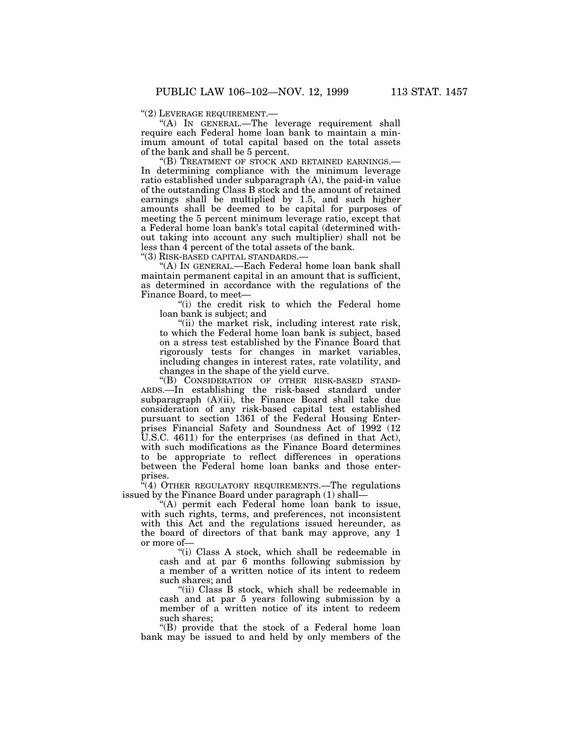''(2) LEVERAGE REQUIREMENT.—

"(A) In GENERAL.—The leverage requirement shall require each Federal home loan bank to maintain a minimum amount of total capital based on the total assets of the bank and shall be 5 percent.

''(B) TREATMENT OF STOCK AND RETAINED EARNINGS.— In determining compliance with the minimum leverage ratio established under subparagraph (A), the paid-in value of the outstanding Class B stock and the amount of retained earnings shall be multiplied by 1.5, and such higher amounts shall be deemed to be capital for purposes of meeting the 5 percent minimum leverage ratio, except that a Federal home loan bank's total capital (determined without taking into account any such multiplier) shall not be less than 4 percent of the total assets of the bank.

''(3) RISK-BASED CAPITAL STANDARDS.—

''(A) IN GENERAL.—Each Federal home loan bank shall maintain permanent capital in an amount that is sufficient, as determined in accordance with the regulations of the Finance Board, to meet—

''(i) the credit risk to which the Federal home loan bank is subject; and

"(ii) the market risk, including interest rate risk, to which the Federal home loan bank is subject, based on a stress test established by the Finance Board that rigorously tests for changes in market variables, including changes in interest rates, rate volatility, and changes in the shape of the yield curve.

''(B) CONSIDERATION OF OTHER RISK-BASED STAND-ARDS.—In establishing the risk-based standard under subparagraph (A)(ii), the Finance Board shall take due consideration of any risk-based capital test established pursuant to section 1361 of the Federal Housing Enterprises Financial Safety and Soundness Act of 1992 (12 U.S.C. 4611) for the enterprises (as defined in that Act), with such modifications as the Finance Board determines to be appropriate to reflect differences in operations between the Federal home loan banks and those enterprises.

 $\sqrt{4}$  OTHER REGULATORY REQUIREMENTS.—The regulations issued by the Finance Board under paragraph (1) shall—

''(A) permit each Federal home loan bank to issue, with such rights, terms, and preferences, not inconsistent with this Act and the regulations issued hereunder, as the board of directors of that bank may approve, any 1 or more of—

''(i) Class A stock, which shall be redeemable in cash and at par 6 months following submission by a member of a written notice of its intent to redeem such shares; and

''(ii) Class B stock, which shall be redeemable in cash and at par 5 years following submission by a member of a written notice of its intent to redeem such shares;

''(B) provide that the stock of a Federal home loan bank may be issued to and held by only members of the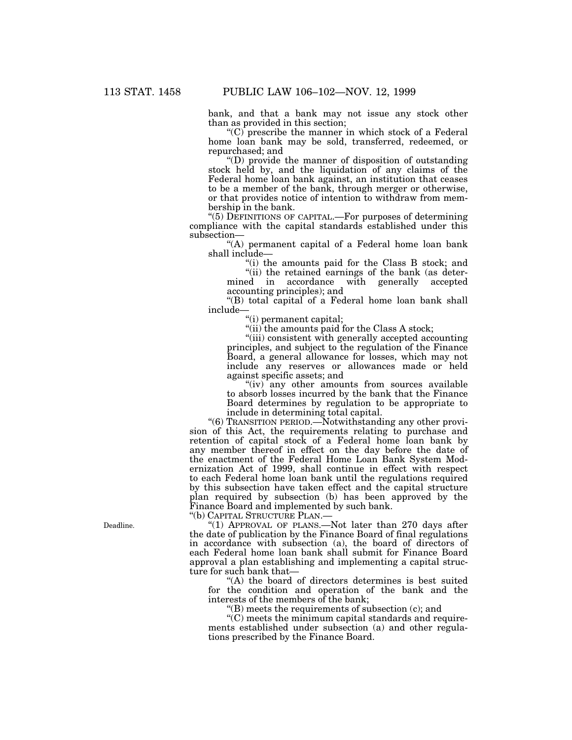bank, and that a bank may not issue any stock other than as provided in this section;

''(C) prescribe the manner in which stock of a Federal home loan bank may be sold, transferred, redeemed, or repurchased; and

''(D) provide the manner of disposition of outstanding stock held by, and the liquidation of any claims of the Federal home loan bank against, an institution that ceases to be a member of the bank, through merger or otherwise, or that provides notice of intention to withdraw from membership in the bank.

''(5) DEFINITIONS OF CAPITAL.—For purposes of determining compliance with the capital standards established under this subsection—

''(A) permanent capital of a Federal home loan bank shall include—

''(i) the amounts paid for the Class B stock; and "(ii) the retained earnings of the bank (as deter-

mined in accordance with generally accepted accounting principles); and

''(B) total capital of a Federal home loan bank shall include—

"(i) permanent capital;

''(ii) the amounts paid for the Class A stock;

''(iii) consistent with generally accepted accounting principles, and subject to the regulation of the Finance Board, a general allowance for losses, which may not include any reserves or allowances made or held against specific assets; and

"(iv) any other amounts from sources available to absorb losses incurred by the bank that the Finance Board determines by regulation to be appropriate to include in determining total capital.

''(6) TRANSITION PERIOD.—Notwithstanding any other provision of this Act, the requirements relating to purchase and retention of capital stock of a Federal home loan bank by any member thereof in effect on the day before the date of the enactment of the Federal Home Loan Bank System Modernization Act of 1999, shall continue in effect with respect to each Federal home loan bank until the regulations required by this subsection have taken effect and the capital structure plan required by subsection (b) has been approved by the Finance Board and implemented by such bank.

''(b) CAPITAL STRUCTURE PLAN.—

"(1) APPROVAL OF PLANS.—Not later than 270 days after the date of publication by the Finance Board of final regulations in accordance with subsection (a), the board of directors of each Federal home loan bank shall submit for Finance Board approval a plan establishing and implementing a capital structure for such bank that—

"(A) the board of directors determines is best suited for the condition and operation of the bank and the interests of the members of the bank;

 $'(B)$  meets the requirements of subsection  $(c)$ ; and

''(C) meets the minimum capital standards and requirements established under subsection (a) and other regulations prescribed by the Finance Board.

Deadline.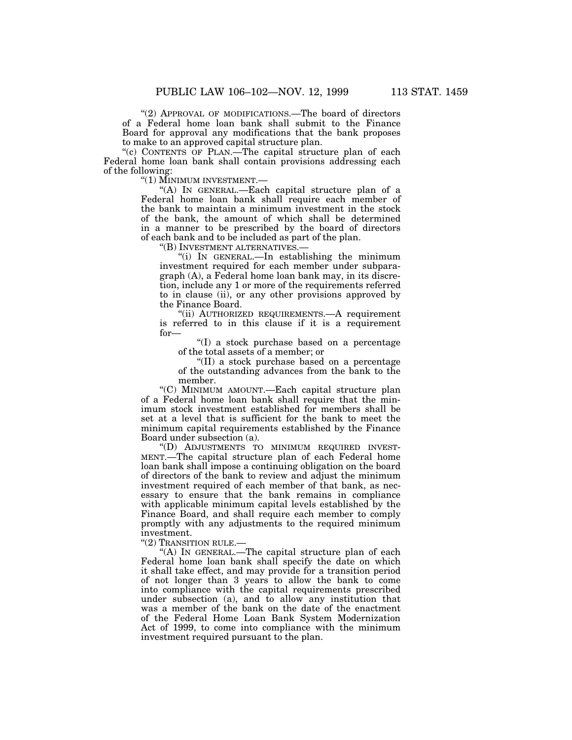"(2) APPROVAL OF MODIFICATIONS.—The board of directors of a Federal home loan bank shall submit to the Finance Board for approval any modifications that the bank proposes to make to an approved capital structure plan.

"(c) CONTENTS OF PLAN.—The capital structure plan of each Federal home loan bank shall contain provisions addressing each of the following:

"(1) MINIMUM INVESTMENT.—

''(A) IN GENERAL.—Each capital structure plan of a Federal home loan bank shall require each member of the bank to maintain a minimum investment in the stock of the bank, the amount of which shall be determined in a manner to be prescribed by the board of directors of each bank and to be included as part of the plan.

''(B) INVESTMENT ALTERNATIVES.—

''(i) IN GENERAL.—In establishing the minimum investment required for each member under subparagraph (A), a Federal home loan bank may, in its discretion, include any 1 or more of the requirements referred to in clause (ii), or any other provisions approved by the Finance Board.

''(ii) AUTHORIZED REQUIREMENTS.—A requirement is referred to in this clause if it is a requirement for—

''(I) a stock purchase based on a percentage of the total assets of a member; or

''(II) a stock purchase based on a percentage of the outstanding advances from the bank to the member.

''(C) MINIMUM AMOUNT.—Each capital structure plan of a Federal home loan bank shall require that the minimum stock investment established for members shall be set at a level that is sufficient for the bank to meet the minimum capital requirements established by the Finance Board under subsection (a).

''(D) ADJUSTMENTS TO MINIMUM REQUIRED INVEST-MENT.—The capital structure plan of each Federal home loan bank shall impose a continuing obligation on the board of directors of the bank to review and adjust the minimum investment required of each member of that bank, as necessary to ensure that the bank remains in compliance with applicable minimum capital levels established by the Finance Board, and shall require each member to comply promptly with any adjustments to the required minimum investment.

''(2) TRANSITION RULE.—

''(A) IN GENERAL.—The capital structure plan of each Federal home loan bank shall specify the date on which it shall take effect, and may provide for a transition period of not longer than 3 years to allow the bank to come into compliance with the capital requirements prescribed under subsection (a), and to allow any institution that was a member of the bank on the date of the enactment of the Federal Home Loan Bank System Modernization Act of 1999, to come into compliance with the minimum investment required pursuant to the plan.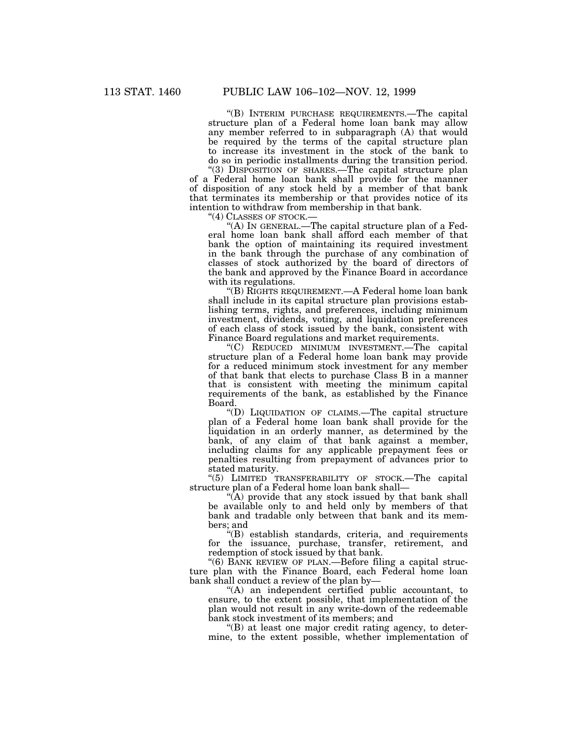''(B) INTERIM PURCHASE REQUIREMENTS.—The capital structure plan of a Federal home loan bank may allow any member referred to in subparagraph (A) that would be required by the terms of the capital structure plan to increase its investment in the stock of the bank to do so in periodic installments during the transition period.

"(3) DISPOSITION OF SHARES.—The capital structure plan of a Federal home loan bank shall provide for the manner of disposition of any stock held by a member of that bank that terminates its membership or that provides notice of its intention to withdraw from membership in that bank.

"(4) CLASSES OF STOCK.-

''(A) IN GENERAL.—The capital structure plan of a Federal home loan bank shall afford each member of that bank the option of maintaining its required investment in the bank through the purchase of any combination of classes of stock authorized by the board of directors of the bank and approved by the Finance Board in accordance with its regulations.

''(B) RIGHTS REQUIREMENT.—A Federal home loan bank shall include in its capital structure plan provisions establishing terms, rights, and preferences, including minimum investment, dividends, voting, and liquidation preferences of each class of stock issued by the bank, consistent with Finance Board regulations and market requirements.

''(C) REDUCED MINIMUM INVESTMENT.—The capital structure plan of a Federal home loan bank may provide for a reduced minimum stock investment for any member of that bank that elects to purchase Class B in a manner that is consistent with meeting the minimum capital requirements of the bank, as established by the Finance Board.

''(D) LIQUIDATION OF CLAIMS.—The capital structure plan of a Federal home loan bank shall provide for the liquidation in an orderly manner, as determined by the bank, of any claim of that bank against a member, including claims for any applicable prepayment fees or penalties resulting from prepayment of advances prior to stated maturity.

"(5) LIMITED TRANSFERABILITY OF STOCK.—The capital structure plan of a Federal home loan bank shall—

"(A) provide that any stock issued by that bank shall be available only to and held only by members of that bank and tradable only between that bank and its members; and

''(B) establish standards, criteria, and requirements for the issuance, purchase, transfer, retirement, and redemption of stock issued by that bank.

''(6) BANK REVIEW OF PLAN.—Before filing a capital structure plan with the Finance Board, each Federal home loan bank shall conduct a review of the plan by-

"(A) an independent certified public accountant, to ensure, to the extent possible, that implementation of the plan would not result in any write-down of the redeemable bank stock investment of its members; and

''(B) at least one major credit rating agency, to determine, to the extent possible, whether implementation of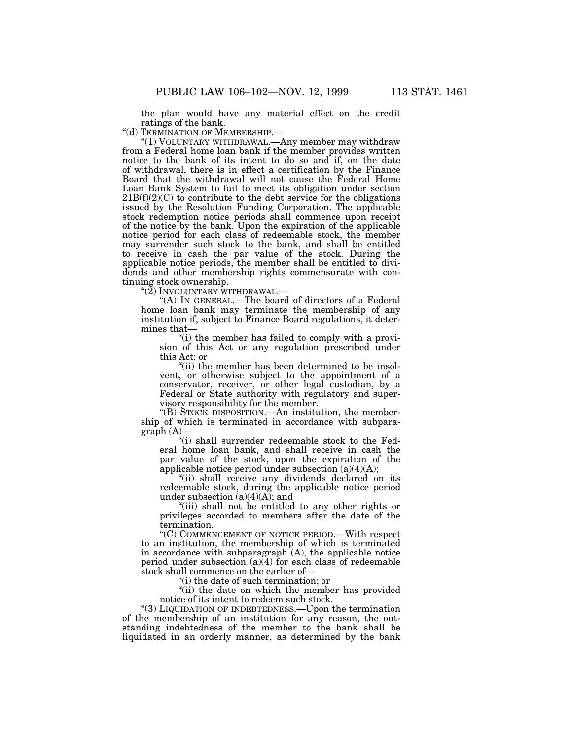the plan would have any material effect on the credit ratings of the bank.<br>"(d) TERMINATION OF MEMBERSHIP.

"(1) VOLUNTARY WITHDRAWAL.—Any member may withdraw from a Federal home loan bank if the member provides written notice to the bank of its intent to do so and if, on the date of withdrawal, there is in effect a certification by the Finance Board that the withdrawal will not cause the Federal Home Loan Bank System to fail to meet its obligation under section  $21B(f)(2)(C)$  to contribute to the debt service for the obligations issued by the Resolution Funding Corporation. The applicable stock redemption notice periods shall commence upon receipt of the notice by the bank. Upon the expiration of the applicable notice period for each class of redeemable stock, the member may surrender such stock to the bank, and shall be entitled to receive in cash the par value of the stock. During the applicable notice periods, the member shall be entitled to dividends and other membership rights commensurate with continuing stock ownership.

''(2) INVOLUNTARY WITHDRAWAL.—

''(A) IN GENERAL.—The board of directors of a Federal home loan bank may terminate the membership of any institution if, subject to Finance Board regulations, it determines that—

"(i) the member has failed to comply with a provision of this Act or any regulation prescribed under this Act; or

"(ii) the member has been determined to be insolvent, or otherwise subject to the appointment of a conservator, receiver, or other legal custodian, by a Federal or State authority with regulatory and supervisory responsibility for the member.

''(B) STOCK DISPOSITION.—An institution, the membership of which is terminated in accordance with subpara $graph (A)$ 

''(i) shall surrender redeemable stock to the Federal home loan bank, and shall receive in cash the par value of the stock, upon the expiration of the applicable notice period under subsection  $(a)(4)(A);$ 

"(ii) shall receive any dividends declared on its redeemable stock, during the applicable notice period under subsection  $(a)(4)(A)$ ; and

''(iii) shall not be entitled to any other rights or privileges accorded to members after the date of the termination.

''(C) COMMENCEMENT OF NOTICE PERIOD.—With respect to an institution, the membership of which is terminated in accordance with subparagraph  $(A)$ , the applicable notice period under subsection  $(a)(4)$  for each class of redeemable stock shall commence on the earlier of—

''(i) the date of such termination; or

"(ii) the date on which the member has provided notice of its intent to redeem such stock.

''(3) LIQUIDATION OF INDEBTEDNESS.—Upon the termination of the membership of an institution for any reason, the outstanding indebtedness of the member to the bank shall be liquidated in an orderly manner, as determined by the bank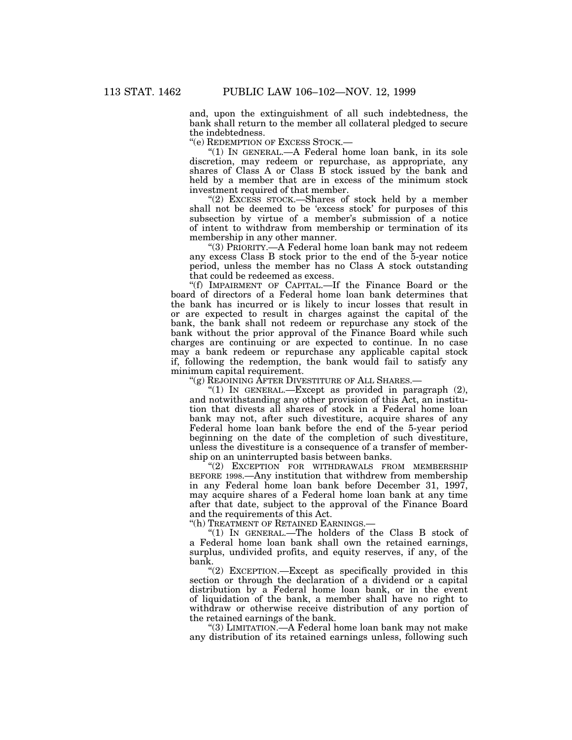and, upon the extinguishment of all such indebtedness, the bank shall return to the member all collateral pledged to secure the indebtedness.

''(e) REDEMPTION OF EXCESS STOCK.—

''(1) IN GENERAL.—A Federal home loan bank, in its sole discretion, may redeem or repurchase, as appropriate, any shares of Class A or Class B stock issued by the bank and held by a member that are in excess of the minimum stock investment required of that member.

"(2) EXCESS STOCK.—Shares of stock held by a member shall not be deemed to be 'excess stock' for purposes of this subsection by virtue of a member's submission of a notice of intent to withdraw from membership or termination of its membership in any other manner.

''(3) PRIORITY.—A Federal home loan bank may not redeem any excess Class B stock prior to the end of the 5-year notice period, unless the member has no Class A stock outstanding that could be redeemed as excess.

''(f) IMPAIRMENT OF CAPITAL.—If the Finance Board or the board of directors of a Federal home loan bank determines that the bank has incurred or is likely to incur losses that result in or are expected to result in charges against the capital of the bank, the bank shall not redeem or repurchase any stock of the bank without the prior approval of the Finance Board while such charges are continuing or are expected to continue. In no case may a bank redeem or repurchase any applicable capital stock if, following the redemption, the bank would fail to satisfy any minimum capital requirement.

''(g) REJOINING AFTER DIVESTITURE OF ALL SHARES.—

"(1) IN GENERAL.—Except as provided in paragraph (2), and notwithstanding any other provision of this Act, an institution that divests all shares of stock in a Federal home loan bank may not, after such divestiture, acquire shares of any Federal home loan bank before the end of the 5-year period beginning on the date of the completion of such divestiture, unless the divestiture is a consequence of a transfer of membership on an uninterrupted basis between banks.

''(2) EXCEPTION FOR WITHDRAWALS FROM MEMBERSHIP BEFORE 1998.—Any institution that withdrew from membership in any Federal home loan bank before December 31, 1997, may acquire shares of a Federal home loan bank at any time after that date, subject to the approval of the Finance Board and the requirements of this Act.

"(h) TREATMENT OF RETAINED EARNINGS.-

''(1) IN GENERAL.—The holders of the Class B stock of a Federal home loan bank shall own the retained earnings, surplus, undivided profits, and equity reserves, if any, of the bank.

"(2) EXCEPTION.—Except as specifically provided in this section or through the declaration of a dividend or a capital distribution by a Federal home loan bank, or in the event of liquidation of the bank, a member shall have no right to withdraw or otherwise receive distribution of any portion of the retained earnings of the bank.

"(3) LIMITATION.—A Federal home loan bank may not make any distribution of its retained earnings unless, following such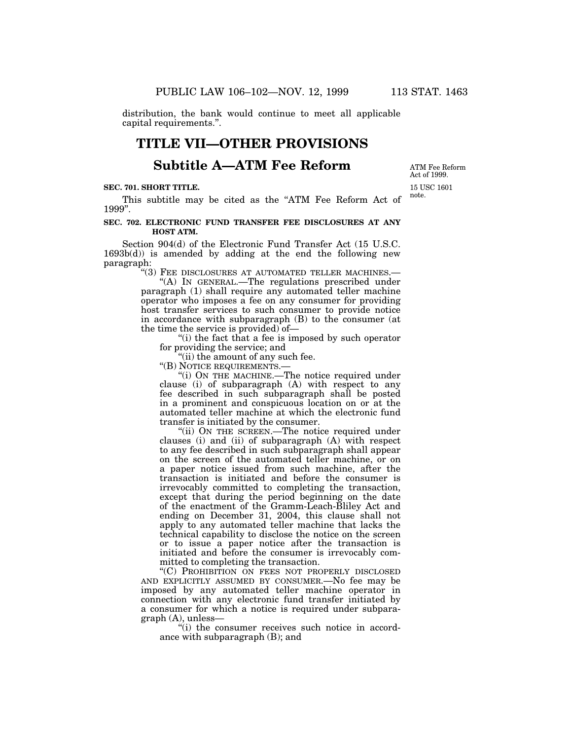distribution, the bank would continue to meet all applicable capital requirements.''.

# **TITLE VII—OTHER PROVISIONS**

# **Subtitle A—ATM Fee Reform**

# **SEC. 701. SHORT TITLE.**

This subtitle may be cited as the ''ATM Fee Reform Act of 1999''.

# **SEC. 702. ELECTRONIC FUND TRANSFER FEE DISCLOSURES AT ANY HOST ATM.**

Section 904(d) of the Electronic Fund Transfer Act (15 U.S.C.  $1693b(d)$  is amended by adding at the end the following new paragraph:

"(3) FEE DISCLOSURES AT AUTOMATED TELLER MACHINES.-

"(A) IN GENERAL.—The regulations prescribed under paragraph (1) shall require any automated teller machine operator who imposes a fee on any consumer for providing host transfer services to such consumer to provide notice in accordance with subparagraph (B) to the consumer (at the time the service is provided) of—

''(i) the fact that a fee is imposed by such operator for providing the service; and

''(ii) the amount of any such fee.

''(B) NOTICE REQUIREMENTS.—

''(i) ON THE MACHINE.—The notice required under clause (i) of subparagraph (A) with respect to any fee described in such subparagraph shall be posted in a prominent and conspicuous location on or at the automated teller machine at which the electronic fund transfer is initiated by the consumer.

''(ii) ON THE SCREEN.—The notice required under clauses (i) and (ii) of subparagraph (A) with respect to any fee described in such subparagraph shall appear on the screen of the automated teller machine, or on a paper notice issued from such machine, after the transaction is initiated and before the consumer is irrevocably committed to completing the transaction, except that during the period beginning on the date of the enactment of the Gramm-Leach-Bliley Act and ending on December 31, 2004, this clause shall not apply to any automated teller machine that lacks the technical capability to disclose the notice on the screen or to issue a paper notice after the transaction is initiated and before the consumer is irrevocably committed to completing the transaction.

''(C) PROHIBITION ON FEES NOT PROPERLY DISCLOSED AND EXPLICITLY ASSUMED BY CONSUMER.—No fee may be imposed by any automated teller machine operator in connection with any electronic fund transfer initiated by a consumer for which a notice is required under subparagraph (A), unless—

"(i) the consumer receives such notice in accordance with subparagraph (B); and

15 USC 1601 note. ATM Fee Reform Act of 1999.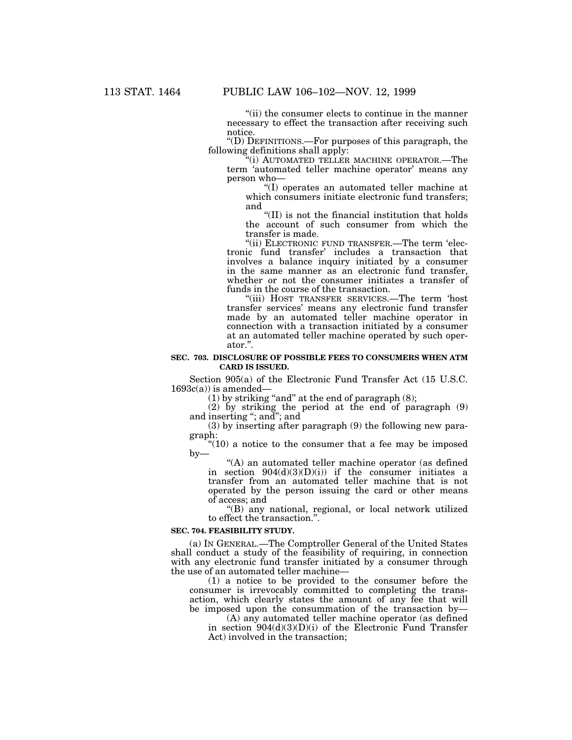''(ii) the consumer elects to continue in the manner necessary to effect the transaction after receiving such notice.

''(D) DEFINITIONS.—For purposes of this paragraph, the following definitions shall apply:

''(i) AUTOMATED TELLER MACHINE OPERATOR.—The term 'automated teller machine operator' means any person who—

''(I) operates an automated teller machine at which consumers initiate electronic fund transfers; and

''(II) is not the financial institution that holds the account of such consumer from which the transfer is made.

"(ii) ELECTRONIC FUND TRANSFER.—The term 'electronic fund transfer' includes a transaction that involves a balance inquiry initiated by a consumer in the same manner as an electronic fund transfer, whether or not the consumer initiates a transfer of funds in the course of the transaction.

''(iii) HOST TRANSFER SERVICES.—The term 'host transfer services' means any electronic fund transfer made by an automated teller machine operator in connection with a transaction initiated by a consumer at an automated teller machine operated by such operator.''.

#### **SEC. 703. DISCLOSURE OF POSSIBLE FEES TO CONSUMERS WHEN ATM CARD IS ISSUED.**

Section 905(a) of the Electronic Fund Transfer Act (15 U.S.C.  $1693c(a)$  is amended-

 $(1)$  by striking "and" at the end of paragraph  $(8)$ ;

(2) by striking the period at the end of paragraph (9) and inserting "; and"; and

(3) by inserting after paragraph (9) the following new paragraph:

" $(10)$  a notice to the consumer that a fee may be imposed  $by-$ 

''(A) an automated teller machine operator (as defined in section  $904(d)(3)(D)(i)$  if the consumer initiates a transfer from an automated teller machine that is not operated by the person issuing the card or other means of access; and

''(B) any national, regional, or local network utilized to effect the transaction.''.

# **SEC. 704. FEASIBILITY STUDY.**

(a) IN GENERAL.—The Comptroller General of the United States shall conduct a study of the feasibility of requiring, in connection with any electronic fund transfer initiated by a consumer through the use of an automated teller machine—

(1) a notice to be provided to the consumer before the consumer is irrevocably committed to completing the transaction, which clearly states the amount of any fee that will be imposed upon the consummation of the transaction by—

(A) any automated teller machine operator (as defined in section 904(d)(3)(D)(i) of the Electronic Fund Transfer Act) involved in the transaction;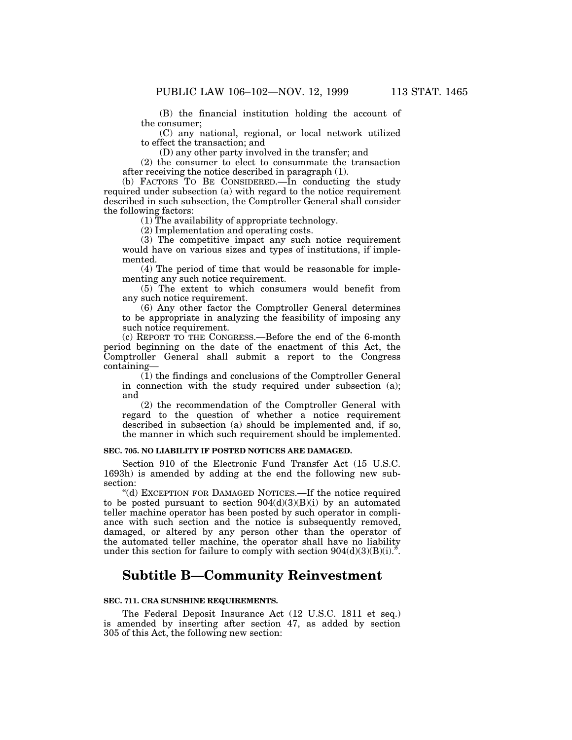(B) the financial institution holding the account of the consumer;

(C) any national, regional, or local network utilized to effect the transaction; and

(D) any other party involved in the transfer; and

(2) the consumer to elect to consummate the transaction after receiving the notice described in paragraph (1).

(b) FACTORS TO BE CONSIDERED.—In conducting the study required under subsection (a) with regard to the notice requirement described in such subsection, the Comptroller General shall consider the following factors:

(1) The availability of appropriate technology.

(2) Implementation and operating costs.

(3) The competitive impact any such notice requirement would have on various sizes and types of institutions, if implemented.

(4) The period of time that would be reasonable for implementing any such notice requirement.

(5) The extent to which consumers would benefit from any such notice requirement.

(6) Any other factor the Comptroller General determines to be appropriate in analyzing the feasibility of imposing any such notice requirement.

(c) REPORT TO THE CONGRESS.—Before the end of the 6-month period beginning on the date of the enactment of this Act, the Comptroller General shall submit a report to the Congress containing—

(1) the findings and conclusions of the Comptroller General in connection with the study required under subsection (a); and

(2) the recommendation of the Comptroller General with regard to the question of whether a notice requirement described in subsection (a) should be implemented and, if so, the manner in which such requirement should be implemented.

# **SEC. 705. NO LIABILITY IF POSTED NOTICES ARE DAMAGED.**

Section 910 of the Electronic Fund Transfer Act (15 U.S.C. 1693h) is amended by adding at the end the following new subsection:

''(d) EXCEPTION FOR DAMAGED NOTICES.—If the notice required to be posted pursuant to section  $904(d)(3)(B)(i)$  by an automated teller machine operator has been posted by such operator in compliance with such section and the notice is subsequently removed, damaged, or altered by any person other than the operator of the automated teller machine, the operator shall have no liability under this section for failure to comply with section  $904(d)(3)(B)(i)$ .".

# **Subtitle B—Community Reinvestment**

# **SEC. 711. CRA SUNSHINE REQUIREMENTS.**

The Federal Deposit Insurance Act (12 U.S.C. 1811 et seq.) is amended by inserting after section 47, as added by section 305 of this Act, the following new section: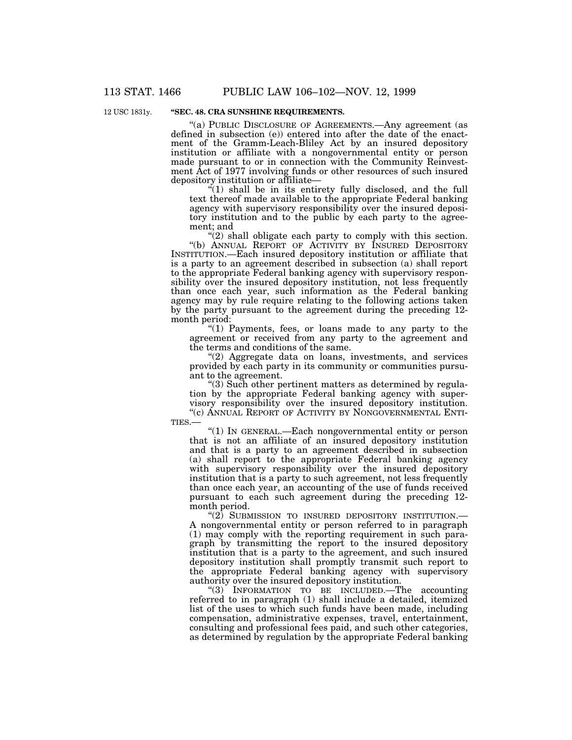12 USC 1831y.

# **''SEC. 48. CRA SUNSHINE REQUIREMENTS.**

"(a) PUBLIC DISCLOSURE OF AGREEMENTS.—Any agreement (as defined in subsection (e)) entered into after the date of the enactment of the Gramm-Leach-Bliley Act by an insured depository institution or affiliate with a nongovernmental entity or person made pursuant to or in connection with the Community Reinvestment Act of 1977 involving funds or other resources of such insured depository institution or affiliate—

 $\mathcal{L}(1)$  shall be in its entirety fully disclosed, and the full text thereof made available to the appropriate Federal banking agency with supervisory responsibility over the insured depository institution and to the public by each party to the agreement; and

 $\mathcal{L}(2)$  shall obligate each party to comply with this section. ''(b) ANNUAL REPORT OF ACTIVITY BY INSURED DEPOSITORY INSTITUTION.—Each insured depository institution or affiliate that is a party to an agreement described in subsection (a) shall report to the appropriate Federal banking agency with supervisory responsibility over the insured depository institution, not less frequently than once each year, such information as the Federal banking agency may by rule require relating to the following actions taken by the party pursuant to the agreement during the preceding 12 month period:

" $(1)$  Payments, fees, or loans made to any party to the agreement or received from any party to the agreement and the terms and conditions of the same.

''(2) Aggregate data on loans, investments, and services provided by each party in its community or communities pursuant to the agreement.

''(3) Such other pertinent matters as determined by regulation by the appropriate Federal banking agency with supervisory responsibility over the insured depository institution. ''(c) ANNUAL REPORT OF ACTIVITY BY NONGOVERNMENTAL ENTI-

TIES.—

''(1) IN GENERAL.—Each nongovernmental entity or person that is not an affiliate of an insured depository institution and that is a party to an agreement described in subsection (a) shall report to the appropriate Federal banking agency with supervisory responsibility over the insured depository institution that is a party to such agreement, not less frequently than once each year, an accounting of the use of funds received pursuant to each such agreement during the preceding 12 month period.

" $(2)$  SUBMISSION TO INSURED DEPOSITORY INSTITUTION.— A nongovernmental entity or person referred to in paragraph (1) may comply with the reporting requirement in such paragraph by transmitting the report to the insured depository institution that is a party to the agreement, and such insured depository institution shall promptly transmit such report to the appropriate Federal banking agency with supervisory authority over the insured depository institution.

''(3) INFORMATION TO BE INCLUDED.—The accounting referred to in paragraph (1) shall include a detailed, itemized list of the uses to which such funds have been made, including compensation, administrative expenses, travel, entertainment, consulting and professional fees paid, and such other categories, as determined by regulation by the appropriate Federal banking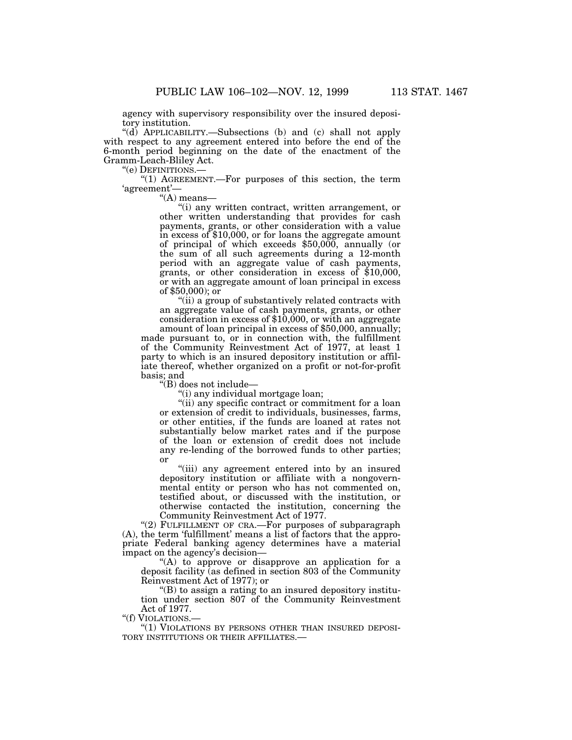agency with supervisory responsibility over the insured depository institution.

''(d) APPLICABILITY.—Subsections (b) and (c) shall not apply with respect to any agreement entered into before the end of the 6-month period beginning on the date of the enactment of the Gramm-Leach-Bliley Act.

''(e) DEFINITIONS.—

''(1) AGREEMENT.—For purposes of this section, the term 'agreement'—

''(A) means—

''(i) any written contract, written arrangement, or other written understanding that provides for cash payments, grants, or other consideration with a value in excess of \$10,000, or for loans the aggregate amount of principal of which exceeds  $$50,000$ , annually (or the sum of all such agreements during a 12-month period with an aggregate value of cash payments, grants, or other consideration in excess of \$10,000, or with an aggregate amount of loan principal in excess of \$50,000); or

''(ii) a group of substantively related contracts with an aggregate value of cash payments, grants, or other consideration in excess of \$10,000, or with an aggregate

amount of loan principal in excess of \$50,000, annually; made pursuant to, or in connection with, the fulfillment of the Community Reinvestment Act of 1977, at least 1 party to which is an insured depository institution or affiliate thereof, whether organized on a profit or not-for-profit basis; and

''(B) does not include—

''(i) any individual mortgage loan;

"(ii) any specific contract or commitment for a loan or extension of credit to individuals, businesses, farms, or other entities, if the funds are loaned at rates not substantially below market rates and if the purpose of the loan or extension of credit does not include any re-lending of the borrowed funds to other parties; or

''(iii) any agreement entered into by an insured depository institution or affiliate with a nongovernmental entity or person who has not commented on, testified about, or discussed with the institution, or otherwise contacted the institution, concerning the Community Reinvestment Act of 1977.

"(2) FULFILLMENT OF CRA.-For purposes of subparagraph (A), the term 'fulfillment' means a list of factors that the appropriate Federal banking agency determines have a material impact on the agency's decision—

''(A) to approve or disapprove an application for a deposit facility (as defined in section 803 of the Community Reinvestment Act of 1977); or

''(B) to assign a rating to an insured depository institution under section 807 of the Community Reinvestment Act of 1977.

"(f) VIOLATIONS.-

''(1) VIOLATIONS BY PERSONS OTHER THAN INSURED DEPOSI-TORY INSTITUTIONS OR THEIR AFFILIATES.—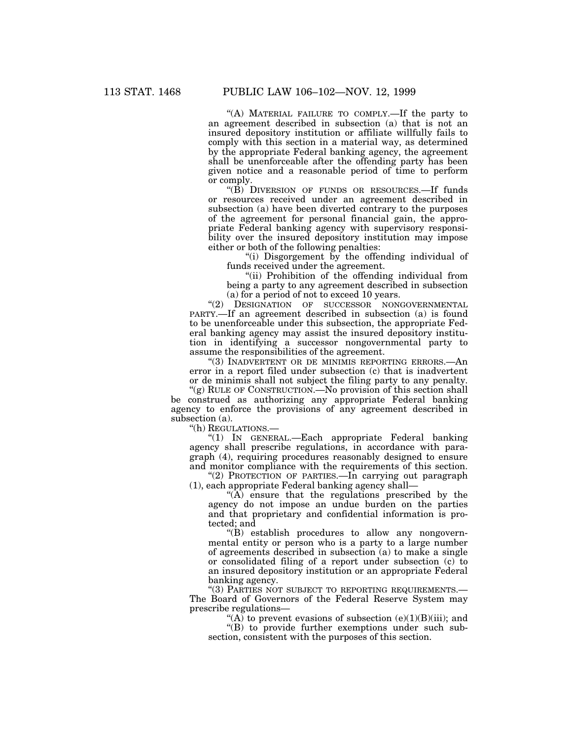''(A) MATERIAL FAILURE TO COMPLY.—If the party to an agreement described in subsection (a) that is not an insured depository institution or affiliate willfully fails to comply with this section in a material way, as determined by the appropriate Federal banking agency, the agreement shall be unenforceable after the offending party has been given notice and a reasonable period of time to perform or comply.

" $(\overline{B})$  DIVERSION OF FUNDS OR RESOURCES.—If funds or resources received under an agreement described in subsection (a) have been diverted contrary to the purposes of the agreement for personal financial gain, the appropriate Federal banking agency with supervisory responsibility over the insured depository institution may impose either or both of the following penalties:

"(i) Disgorgement by the offending individual of funds received under the agreement.

"(ii) Prohibition of the offending individual from being a party to any agreement described in subsection

(a) for a period of not to exceed 10 years.<br>" $(2)$  DESIGNATION OF SUCCESSOR NON DESIGNATION OF SUCCESSOR NONGOVERNMENTAL PARTY.—If an agreement described in subsection (a) is found to be unenforceable under this subsection, the appropriate Federal banking agency may assist the insured depository institution in identifying a successor nongovernmental party to assume the responsibilities of the agreement.

"(3) INADVERTENT OR DE MINIMIS REPORTING ERRORS.—An error in a report filed under subsection (c) that is inadvertent or de minimis shall not subject the filing party to any penalty.

"(g) RULE OF CONSTRUCTION.—No provision of this section shall be construed as authorizing any appropriate Federal banking agency to enforce the provisions of any agreement described in subsection (a).

''(h) REGULATIONS.—

''(1) IN GENERAL.—Each appropriate Federal banking agency shall prescribe regulations, in accordance with paragraph (4), requiring procedures reasonably designed to ensure and monitor compliance with the requirements of this section.

"(2) PROTECTION OF PARTIES.—In carrying out paragraph (1), each appropriate Federal banking agency shall—

''(A) ensure that the regulations prescribed by the agency do not impose an undue burden on the parties and that proprietary and confidential information is protected; and

''(B) establish procedures to allow any nongovernmental entity or person who is a party to a large number of agreements described in subsection (a) to make a single or consolidated filing of a report under subsection (c) to an insured depository institution or an appropriate Federal banking agency.

''(3) PARTIES NOT SUBJECT TO REPORTING REQUIREMENTS.— The Board of Governors of the Federal Reserve System may prescribe regulations—

"(A) to prevent evasions of subsection  $(e)(1)(B)(iii)$ ; and

"(B) to provide further exemptions under such subsection, consistent with the purposes of this section.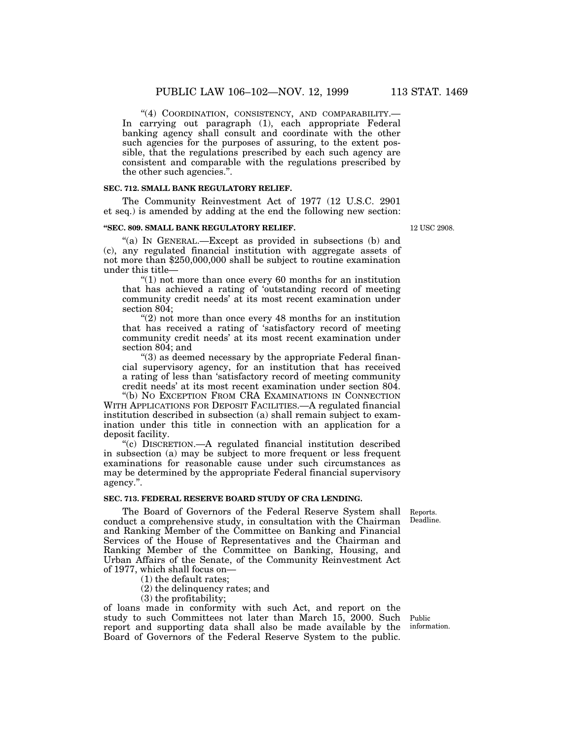"(4) COORDINATION, CONSISTENCY, AND COMPARABILITY.-In carrying out paragraph (1), each appropriate Federal banking agency shall consult and coordinate with the other such agencies for the purposes of assuring, to the extent possible, that the regulations prescribed by each such agency are consistent and comparable with the regulations prescribed by the other such agencies.''.

# **SEC. 712. SMALL BANK REGULATORY RELIEF.**

The Community Reinvestment Act of 1977 (12 U.S.C. 2901 et seq.) is amended by adding at the end the following new section:

# **''SEC. 809. SMALL BANK REGULATORY RELIEF.**

"(a) IN GENERAL.—Except as provided in subsections (b) and (c), any regulated financial institution with aggregate assets of not more than \$250,000,000 shall be subject to routine examination under this title—

 $(1)$  not more than once every 60 months for an institution that has achieved a rating of 'outstanding record of meeting community credit needs' at its most recent examination under section 804;

"(2) not more than once every 48 months for an institution that has received a rating of 'satisfactory record of meeting community credit needs' at its most recent examination under section 804; and

''(3) as deemed necessary by the appropriate Federal financial supervisory agency, for an institution that has received a rating of less than 'satisfactory record of meeting community credit needs' at its most recent examination under section 804.

''(b) NO EXCEPTION FROM CRA EXAMINATIONS IN CONNECTION WITH APPLICATIONS FOR DEPOSIT FACILITIES.—A regulated financial institution described in subsection (a) shall remain subject to examination under this title in connection with an application for a deposit facility.

''(c) DISCRETION.—A regulated financial institution described in subsection (a) may be subject to more frequent or less frequent examinations for reasonable cause under such circumstances as may be determined by the appropriate Federal financial supervisory agency.''.

# **SEC. 713. FEDERAL RESERVE BOARD STUDY OF CRA LENDING.**

The Board of Governors of the Federal Reserve System shall conduct a comprehensive study, in consultation with the Chairman and Ranking Member of the Committee on Banking and Financial Services of the House of Representatives and the Chairman and Ranking Member of the Committee on Banking, Housing, and Urban Affairs of the Senate, of the Community Reinvestment Act of 1977, which shall focus on—

(1) the default rates;

(2) the delinquency rates; and

(3) the profitability;

of loans made in conformity with such Act, and report on the study to such Committees not later than March 15, 2000. Such report and supporting data shall also be made available by the Board of Governors of the Federal Reserve System to the public.

Public information.

Reports. Deadline.

12 USC 2908.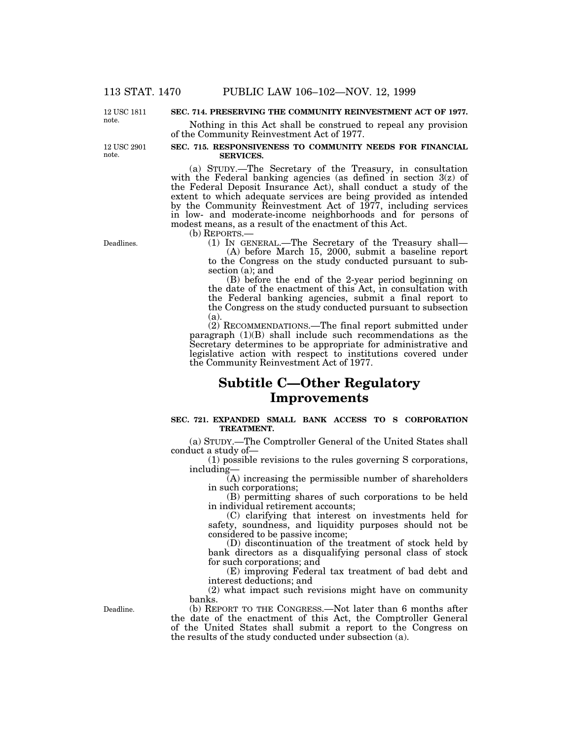12 USC 1811 note.

12 USC 2901 note.

# **SEC. 714. PRESERVING THE COMMUNITY REINVESTMENT ACT OF 1977.**

Nothing in this Act shall be construed to repeal any provision of the Community Reinvestment Act of 1977.

# **SEC. 715. RESPONSIVENESS TO COMMUNITY NEEDS FOR FINANCIAL SERVICES.**

(a) STUDY.—The Secretary of the Treasury, in consultation with the Federal banking agencies (as defined in section 3(z) of the Federal Deposit Insurance Act), shall conduct a study of the extent to which adequate services are being provided as intended by the Community Reinvestment Act of 1977, including services in low- and moderate-income neighborhoods and for persons of modest means, as a result of the enactment of this Act.

(b) REPORTS.— (1) IN GENERAL.—The Secretary of the Treasury shall—

(A) before March 15, 2000, submit a baseline report to the Congress on the study conducted pursuant to subsection (a); and

(B) before the end of the 2-year period beginning on the date of the enactment of this Act, in consultation with the Federal banking agencies, submit a final report to the Congress on the study conducted pursuant to subsection (a).

(2) RECOMMENDATIONS.—The final report submitted under paragraph (1)(B) shall include such recommendations as the Secretary determines to be appropriate for administrative and legislative action with respect to institutions covered under the Community Reinvestment Act of 1977.

# **Subtitle C—Other Regulatory Improvements**

# **SEC. 721. EXPANDED SMALL BANK ACCESS TO S CORPORATION TREATMENT.**

(a) STUDY.—The Comptroller General of the United States shall conduct a study of—

(1) possible revisions to the rules governing S corporations, including—

(A) increasing the permissible number of shareholders in such corporations;

(B) permitting shares of such corporations to be held in individual retirement accounts;

(C) clarifying that interest on investments held for safety, soundness, and liquidity purposes should not be considered to be passive income;

(D) discontinuation of the treatment of stock held by bank directors as a disqualifying personal class of stock for such corporations; and

(E) improving Federal tax treatment of bad debt and interest deductions; and

(2) what impact such revisions might have on community banks.

(b) REPORT TO THE CONGRESS.—Not later than 6 months after the date of the enactment of this Act, the Comptroller General of the United States shall submit a report to the Congress on the results of the study conducted under subsection (a).

Deadline.

Deadlines.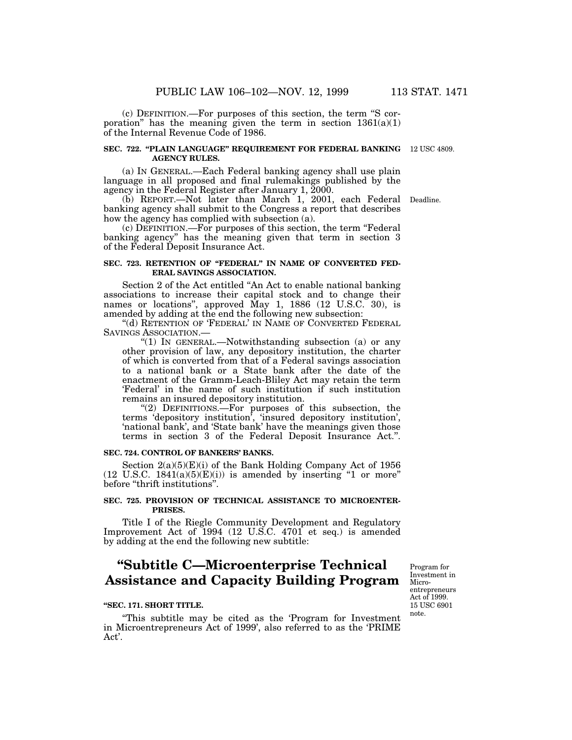(c) DEFINITION.—For purposes of this section, the term ''S corporation" has the meaning given the term in section  $1361(a)(1)$ of the Internal Revenue Code of 1986.

#### **SEC. 722. ''PLAIN LANGUAGE'' REQUIREMENT FOR FEDERAL BANKING** 12 USC 4809. **AGENCY RULES.**

(a) IN GENERAL.—Each Federal banking agency shall use plain language in all proposed and final rulemakings published by the agency in the Federal Register after January 1, 2000.

(b) REPORT.—Not later than March 1, 2001, each Federal Deadline. banking agency shall submit to the Congress a report that describes how the agency has complied with subsection (a).

(c) DEFINITION.—For purposes of this section, the term ''Federal banking agency'' has the meaning given that term in section 3 of the Federal Deposit Insurance Act.

# SEC. 723. RETENTION OF "FEDERAL" IN NAME OF CONVERTED FED-**ERAL SAVINGS ASSOCIATION.**

Section 2 of the Act entitled ''An Act to enable national banking associations to increase their capital stock and to change their names or locations'', approved May 1, 1886 (12 U.S.C. 30), is amended by adding at the end the following new subsection:

"(d) RETENTION OF 'FEDERAL' IN NAME OF CONVERTED FEDERAL SAVINGS ASSOCIATION.—

"(1) IN GENERAL.—Notwithstanding subsection (a) or any other provision of law, any depository institution, the charter of which is converted from that of a Federal savings association to a national bank or a State bank after the date of the enactment of the Gramm-Leach-Bliley Act may retain the term 'Federal' in the name of such institution if such institution remains an insured depository institution.

"(2) DEFINITIONS.—For purposes of this subsection, the terms 'depository institution', 'insured depository institution', 'national bank', and 'State bank' have the meanings given those terms in section 3 of the Federal Deposit Insurance Act.''.

# **SEC. 724. CONTROL OF BANKERS' BANKS.**

Section  $2(a)(5)(E)(i)$  of the Bank Holding Company Act of 1956  $(12 \text{ U.S.C. } 1841(a)(5)(E)(i))$  is amended by inserting "1 or more" before "thrift institutions".

#### **SEC. 725. PROVISION OF TECHNICAL ASSISTANCE TO MICROENTER-PRISES.**

Title I of the Riegle Community Development and Regulatory Improvement Act of 1994 (12 U.S.C. 4701 et seq.) is amended by adding at the end the following new subtitle:

# **''Subtitle C—Microenterprise Technical Assistance and Capacity Building Program**

#### **''SEC. 171. SHORT TITLE.**

''This subtitle may be cited as the 'Program for Investment in Microentrepreneurs Act of 1999', also referred to as the 'PRIME Act'.

15 USC 6901 note. Program for Investment in Microentrepreneurs Act of 1999.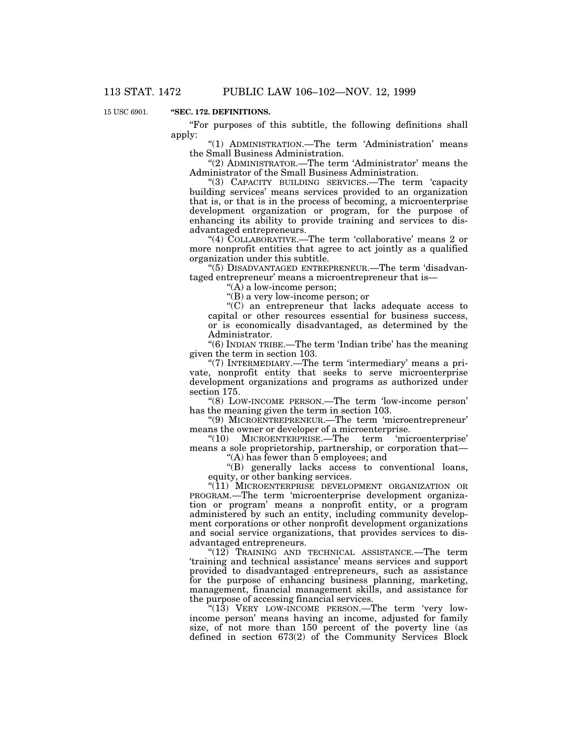15 USC 6901.

# **''SEC. 172. DEFINITIONS.**

''For purposes of this subtitle, the following definitions shall apply:

''(1) ADMINISTRATION.—The term 'Administration' means the Small Business Administration.

"(2) ADMINISTRATOR.—The term 'Administrator' means the Administrator of the Small Business Administration.

''(3) CAPACITY BUILDING SERVICES.—The term 'capacity building services' means services provided to an organization that is, or that is in the process of becoming, a microenterprise development organization or program, for the purpose of enhancing its ability to provide training and services to disadvantaged entrepreneurs.

"(4) COLLABORATIVE.—The term 'collaborative' means 2 or more nonprofit entities that agree to act jointly as a qualified organization under this subtitle.

''(5) DISADVANTAGED ENTREPRENEUR.—The term 'disadvantaged entrepreneur' means a microentrepreneur that is—

" $(\overrightarrow{A})$  a low-income person;

''(B) a very low-income person; or

"(C) an entrepreneur that lacks adequate access to capital or other resources essential for business success, or is economically disadvantaged, as determined by the Administrator.

''(6) INDIAN TRIBE.—The term 'Indian tribe' has the meaning given the term in section 103.

"(7) INTERMEDIARY.—The term 'intermediary' means a private, nonprofit entity that seeks to serve microenterprise development organizations and programs as authorized under section 175.

''(8) LOW-INCOME PERSON.—The term 'low-income person' has the meaning given the term in section 103.

''(9) MICROENTREPRENEUR.—The term 'microentrepreneur' means the owner or developer of a microenterprise.

''(10) MICROENTERPRISE.—The term 'microenterprise' means a sole proprietorship, partnership, or corporation that— ''(A) has fewer than 5 employees; and

''(B) generally lacks access to conventional loans, equity, or other banking services.

"(11) MICROENTERPRISE DEVELOPMENT ORGANIZATION OR PROGRAM.—The term 'microenterprise development organization or program' means a nonprofit entity, or a program administered by such an entity, including community development corporations or other nonprofit development organizations and social service organizations, that provides services to disadvantaged entrepreneurs.

" $(12)$  Training and Technical assistance.—The term 'training and technical assistance' means services and support provided to disadvantaged entrepreneurs, such as assistance for the purpose of enhancing business planning, marketing, management, financial management skills, and assistance for the purpose of accessing financial services.

 $\sqrt[4]{(13)}$  VERY LOW-INCOME PERSON.—The term 'very lowincome person' means having an income, adjusted for family size, of not more than 150 percent of the poverty line (as defined in section 673(2) of the Community Services Block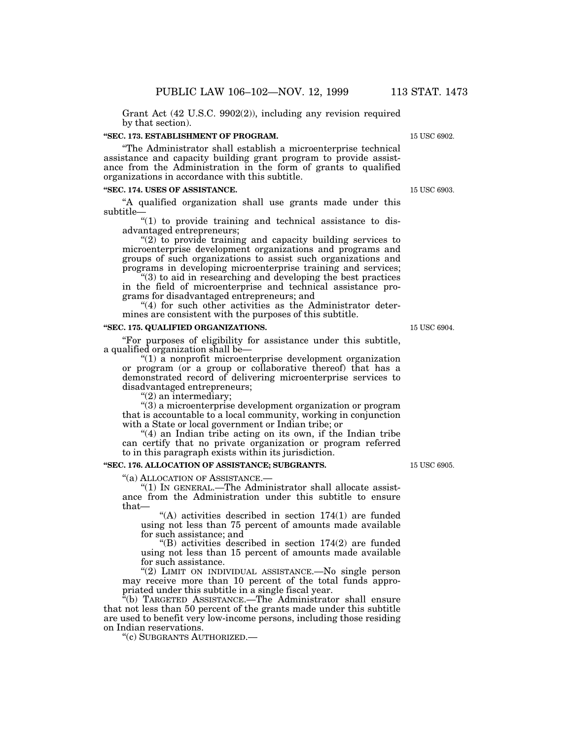Grant Act (42 U.S.C. 9902(2)), including any revision required by that section).

# **''SEC. 173. ESTABLISHMENT OF PROGRAM.**

''The Administrator shall establish a microenterprise technical assistance and capacity building grant program to provide assistance from the Administration in the form of grants to qualified organizations in accordance with this subtitle.

# **''SEC. 174. USES OF ASSISTANCE.**

''A qualified organization shall use grants made under this subtitle—

" $(1)$  to provide training and technical assistance to disadvantaged entrepreneurs;

" $(2)$  to provide training and capacity building services to microenterprise development organizations and programs and groups of such organizations to assist such organizations and programs in developing microenterprise training and services;

''(3) to aid in researching and developing the best practices in the field of microenterprise and technical assistance programs for disadvantaged entrepreneurs; and

"(4) for such other activities as the Administrator determines are consistent with the purposes of this subtitle.

#### **''SEC. 175. QUALIFIED ORGANIZATIONS.**

''For purposes of eligibility for assistance under this subtitle, a qualified organization shall be—

''(1) a nonprofit microenterprise development organization or program (or a group or collaborative thereof) that has a demonstrated record of delivering microenterprise services to disadvantaged entrepreneurs;

''(2) an intermediary;

''(3) a microenterprise development organization or program that is accountable to a local community, working in conjunction with a State or local government or Indian tribe; or

"(4) an Indian tribe acting on its own, if the Indian tribe can certify that no private organization or program referred to in this paragraph exists within its jurisdiction.

#### **''SEC. 176. ALLOCATION OF ASSISTANCE; SUBGRANTS.**

''(a) ALLOCATION OF ASSISTANCE.—

''(1) IN GENERAL.—The Administrator shall allocate assistance from the Administration under this subtitle to ensure that—

 $(A)$  activities described in section 174(1) are funded using not less than 75 percent of amounts made available for such assistance; and

 $($ <sup>"</sup>(B) activities described in section 174 $(2)$  are funded using not less than 15 percent of amounts made available for such assistance.

''(2) LIMIT ON INDIVIDUAL ASSISTANCE.—No single person may receive more than 10 percent of the total funds appropriated under this subtitle in a single fiscal year.

''(b) TARGETED ASSISTANCE.—The Administrator shall ensure that not less than 50 percent of the grants made under this subtitle are used to benefit very low-income persons, including those residing on Indian reservations.

''(c) SUBGRANTS AUTHORIZED.—

15 USC 6903.

15 USC 6904.

15 USC 6905.

15 USC 6902.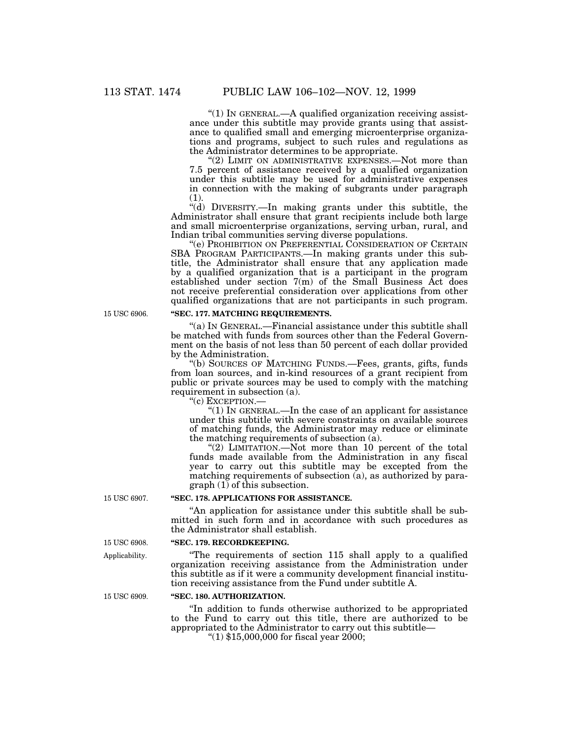" $(1)$  In GENERAL.—A qualified organization receiving assistance under this subtitle may provide grants using that assistance to qualified small and emerging microenterprise organizations and programs, subject to such rules and regulations as the Administrator determines to be appropriate.

"(2) LIMIT ON ADMINISTRATIVE EXPENSES.—Not more than 7.5 percent of assistance received by a qualified organization under this subtitle may be used for administrative expenses in connection with the making of subgrants under paragraph (1).

''(d) DIVERSITY.—In making grants under this subtitle, the Administrator shall ensure that grant recipients include both large and small microenterprise organizations, serving urban, rural, and Indian tribal communities serving diverse populations.

''(e) PROHIBITION ON PREFERENTIAL CONSIDERATION OF CERTAIN SBA PROGRAM PARTICIPANTS.—In making grants under this subtitle, the Administrator shall ensure that any application made by a qualified organization that is a participant in the program established under section 7(m) of the Small Business Act does not receive preferential consideration over applications from other qualified organizations that are not participants in such program.

# **''SEC. 177. MATCHING REQUIREMENTS.**

''(a) IN GENERAL.—Financial assistance under this subtitle shall be matched with funds from sources other than the Federal Government on the basis of not less than 50 percent of each dollar provided by the Administration.

''(b) SOURCES OF MATCHING FUNDS.—Fees, grants, gifts, funds from loan sources, and in-kind resources of a grant recipient from public or private sources may be used to comply with the matching requirement in subsection (a).

"(c) EXCEPTION.-

" $(1)$  In GENERAL.—In the case of an applicant for assistance under this subtitle with severe constraints on available sources of matching funds, the Administrator may reduce or eliminate the matching requirements of subsection (a).

"(2) LIMITATION.—Not more than  $10$  percent of the total funds made available from the Administration in any fiscal year to carry out this subtitle may be excepted from the matching requirements of subsection (a), as authorized by paragraph (1) of this subsection.

# **''SEC. 178. APPLICATIONS FOR ASSISTANCE.**

''An application for assistance under this subtitle shall be submitted in such form and in accordance with such procedures as the Administrator shall establish.

#### **''SEC. 179. RECORDKEEPING.**

''The requirements of section 115 shall apply to a qualified organization receiving assistance from the Administration under this subtitle as if it were a community development financial institution receiving assistance from the Fund under subtitle A.

### **''SEC. 180. AUTHORIZATION.**

''In addition to funds otherwise authorized to be appropriated to the Fund to carry out this title, there are authorized to be appropriated to the Administrator to carry out this subtitle—

"(1)  $$15,000,000$  for fiscal year 2000;

15 USC 6906.

15 USC 6907.

15 USC 6908.

Applicability.

15 USC 6909.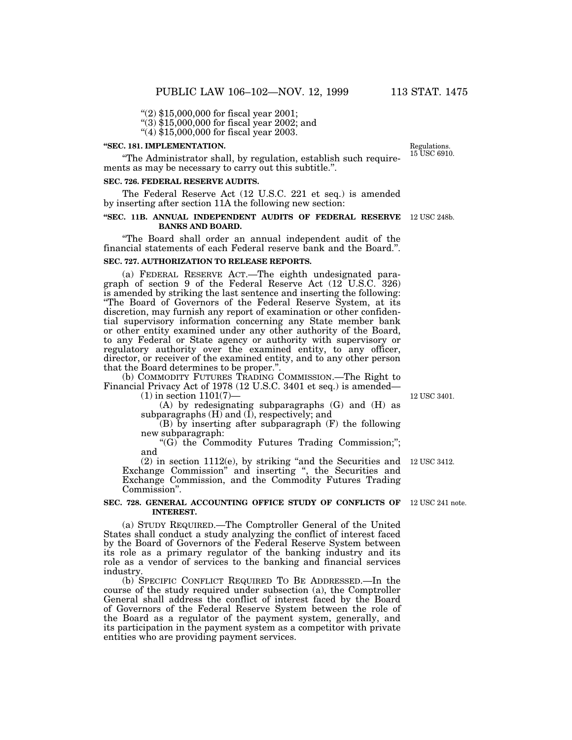''(2) \$15,000,000 for fiscal year 2001;

 $'(3)$ \$15,000,000 for fiscal year 2002; and

"(4) \$15,000,000 for fiscal year 2003.

### **''SEC. 181. IMPLEMENTATION.**

Regulations. 15 USC 6910.

''The Administrator shall, by regulation, establish such requirements as may be necessary to carry out this subtitle.''.

#### **SEC. 726. FEDERAL RESERVE AUDITS.**

The Federal Reserve Act (12 U.S.C. 221 et seq.) is amended by inserting after section 11A the following new section:

#### **''SEC. 11B. ANNUAL INDEPENDENT AUDITS OF FEDERAL RESERVE** 12 USC 248b. **BANKS AND BOARD.**

''The Board shall order an annual independent audit of the financial statements of each Federal reserve bank and the Board.''.

# **SEC. 727. AUTHORIZATION TO RELEASE REPORTS.**

(a) FEDERAL RESERVE ACT.—The eighth undesignated paragraph of section 9 of the Federal Reserve Act (12 U.S.C. 326) is amended by striking the last sentence and inserting the following: "The Board of Governors of the Federal Reserve System, at its discretion, may furnish any report of examination or other confidential supervisory information concerning any State member bank or other entity examined under any other authority of the Board, to any Federal or State agency or authority with supervisory or regulatory authority over the examined entity, to any officer, director, or receiver of the examined entity, and to any other person that the Board determines to be proper.''.

(b) COMMODITY FUTURES TRADING COMMISSION.—The Right to Financial Privacy Act of 1978 (12 U.S.C. 3401 et seq.) is amended—

 $(1)$  in section 1101 $(7)$ –

(A) by redesignating subparagraphs (G) and (H) as subparagraphs (H) and (I), respectively; and

(B) by inserting after subparagraph (F) the following new subparagraph:

"(G) the Commodity Futures Trading Commission;"; and

(2) in section 1112(e), by striking ''and the Securities and Exchange Commission" and inserting ", the Securities and Exchange Commission, and the Commodity Futures Trading Commission''.

#### **SEC. 728. GENERAL ACCOUNTING OFFICE STUDY OF CONFLICTS OF** 12 USC 241 note. **INTEREST.**

(a) STUDY REQUIRED.—The Comptroller General of the United States shall conduct a study analyzing the conflict of interest faced by the Board of Governors of the Federal Reserve System between its role as a primary regulator of the banking industry and its role as a vendor of services to the banking and financial services industry.

(b) SPECIFIC CONFLICT REQUIRED TO BE ADDRESSED.—In the course of the study required under subsection (a), the Comptroller General shall address the conflict of interest faced by the Board of Governors of the Federal Reserve System between the role of the Board as a regulator of the payment system, generally, and its participation in the payment system as a competitor with private entities who are providing payment services.

12 USC 3401.

12 USC 3412.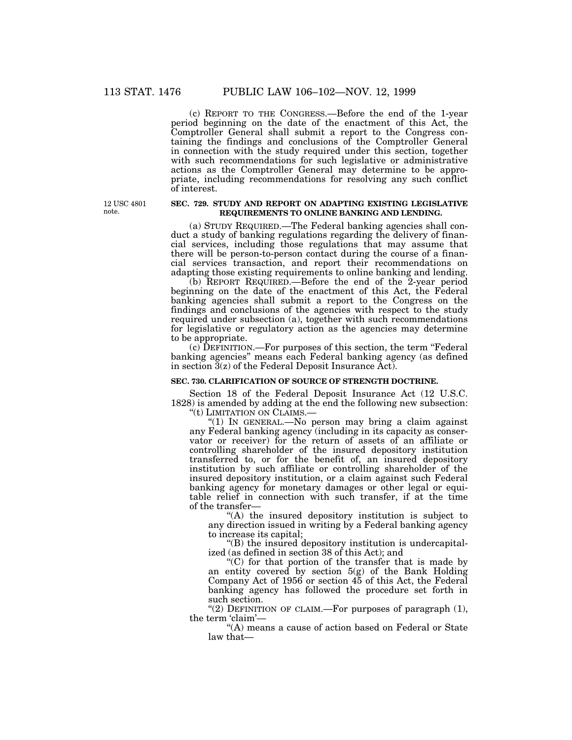(c) REPORT TO THE CONGRESS.—Before the end of the 1-year period beginning on the date of the enactment of this Act, the Comptroller General shall submit a report to the Congress containing the findings and conclusions of the Comptroller General in connection with the study required under this section, together with such recommendations for such legislative or administrative actions as the Comptroller General may determine to be appropriate, including recommendations for resolving any such conflict of interest.

12 USC 4801 note.

# **SEC. 729. STUDY AND REPORT ON ADAPTING EXISTING LEGISLATIVE REQUIREMENTS TO ONLINE BANKING AND LENDING.**

(a) STUDY REQUIRED.—The Federal banking agencies shall conduct a study of banking regulations regarding the delivery of financial services, including those regulations that may assume that there will be person-to-person contact during the course of a financial services transaction, and report their recommendations on adapting those existing requirements to online banking and lending.

(b) REPORT REQUIRED.—Before the end of the 2-year period beginning on the date of the enactment of this Act, the Federal banking agencies shall submit a report to the Congress on the findings and conclusions of the agencies with respect to the study required under subsection (a), together with such recommendations for legislative or regulatory action as the agencies may determine to be appropriate.

(c) DEFINITION.—For purposes of this section, the term ''Federal banking agencies'' means each Federal banking agency (as defined in section 3(z) of the Federal Deposit Insurance Act).

# **SEC. 730. CLARIFICATION OF SOURCE OF STRENGTH DOCTRINE.**

Section 18 of the Federal Deposit Insurance Act (12 U.S.C. 1828) is amended by adding at the end the following new subsection: ''(t) LIMITATION ON CLAIMS.—

''(1) IN GENERAL.—No person may bring a claim against any Federal banking agency (including in its capacity as conservator or receiver) for the return of assets of an affiliate or controlling shareholder of the insured depository institution transferred to, or for the benefit of, an insured depository institution by such affiliate or controlling shareholder of the insured depository institution, or a claim against such Federal banking agency for monetary damages or other legal or equitable relief in connection with such transfer, if at the time of the transfer—

''(A) the insured depository institution is subject to any direction issued in writing by a Federal banking agency to increase its capital;

''(B) the insured depository institution is undercapitalized (as defined in section 38 of this Act); and

''(C) for that portion of the transfer that is made by an entity covered by section 5(g) of the Bank Holding Company Act of 1956 or section 45 of this Act, the Federal banking agency has followed the procedure set forth in such section.

"(2) DEFINITION OF CLAIM.—For purposes of paragraph (1), the term 'claim'—

"(A) means a cause of action based on Federal or State law that—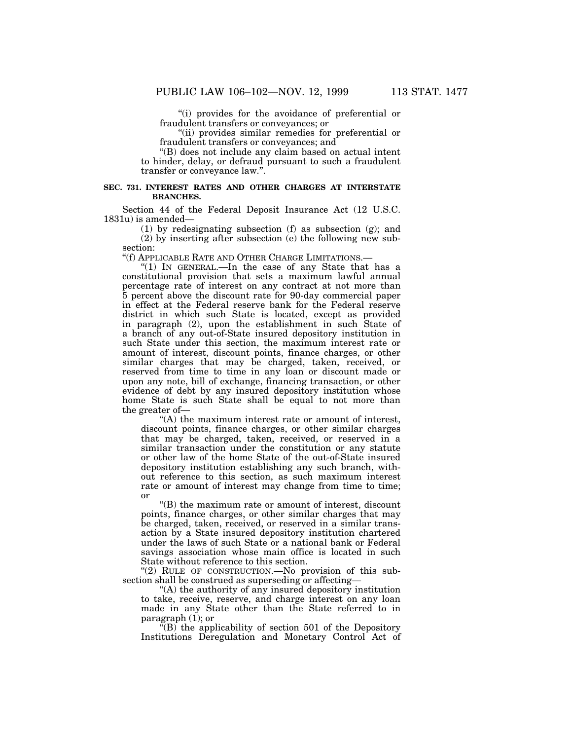''(i) provides for the avoidance of preferential or fraudulent transfers or conveyances; or

''(ii) provides similar remedies for preferential or fraudulent transfers or conveyances; and

''(B) does not include any claim based on actual intent to hinder, delay, or defraud pursuant to such a fraudulent transfer or conveyance law.''.

#### **SEC. 731. INTEREST RATES AND OTHER CHARGES AT INTERSTATE BRANCHES.**

Section 44 of the Federal Deposit Insurance Act (12 U.S.C. 1831u) is amended—

(1) by redesignating subsection (f) as subsection (g); and (2) by inserting after subsection (e) the following new subsection:

''(f) APPLICABLE RATE AND OTHER CHARGE LIMITATIONS.—

"(1) In GENERAL.—In the case of any State that has a constitutional provision that sets a maximum lawful annual percentage rate of interest on any contract at not more than 5 percent above the discount rate for 90-day commercial paper in effect at the Federal reserve bank for the Federal reserve district in which such State is located, except as provided in paragraph (2), upon the establishment in such State of a branch of any out-of-State insured depository institution in such State under this section, the maximum interest rate or amount of interest, discount points, finance charges, or other similar charges that may be charged, taken, received, or reserved from time to time in any loan or discount made or upon any note, bill of exchange, financing transaction, or other evidence of debt by any insured depository institution whose home State is such State shall be equal to not more than the greater of—

''(A) the maximum interest rate or amount of interest, discount points, finance charges, or other similar charges that may be charged, taken, received, or reserved in a similar transaction under the constitution or any statute or other law of the home State of the out-of-State insured depository institution establishing any such branch, without reference to this section, as such maximum interest rate or amount of interest may change from time to time; or

''(B) the maximum rate or amount of interest, discount points, finance charges, or other similar charges that may be charged, taken, received, or reserved in a similar transaction by a State insured depository institution chartered under the laws of such State or a national bank or Federal savings association whose main office is located in such State without reference to this section.

"(2) RULE OF CONSTRUCTION.—No provision of this subsection shall be construed as superseding or affecting—

''(A) the authority of any insured depository institution to take, receive, reserve, and charge interest on any loan made in any State other than the State referred to in paragraph (1); or

 $\mathcal{F}(B)$  the applicability of section 501 of the Depository Institutions Deregulation and Monetary Control Act of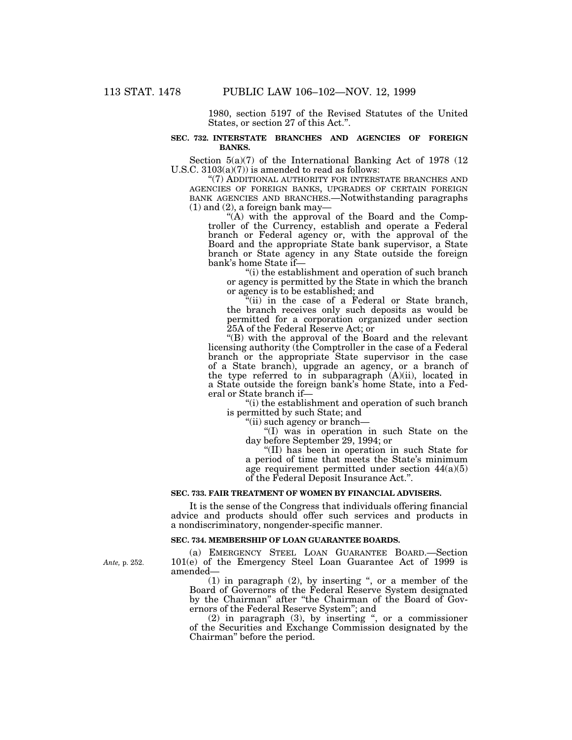1980, section 5197 of the Revised Statutes of the United States, or section 27 of this Act.''.

# **SEC. 732. INTERSTATE BRANCHES AND AGENCIES OF FOREIGN BANKS.**

Section  $5(a)(7)$  of the International Banking Act of 1978 (12) U.S.C.  $3103(a)(7)$  is amended to read as follows:

"(7) ADDITIONAL AUTHORITY FOR INTERSTATE BRANCHES AND AGENCIES OF FOREIGN BANKS, UPGRADES OF CERTAIN FOREIGN BANK AGENCIES AND BRANCHES.—Notwithstanding paragraphs (1) and (2), a foreign bank may—

"(A) with the approval of the Board and the Comptroller of the Currency, establish and operate a Federal branch or Federal agency or, with the approval of the Board and the appropriate State bank supervisor, a State branch or State agency in any State outside the foreign bank's home State if—

''(i) the establishment and operation of such branch or agency is permitted by the State in which the branch or agency is to be established; and

''(ii) in the case of a Federal or State branch, the branch receives only such deposits as would be permitted for a corporation organized under section 25A of the Federal Reserve Act; or

''(B) with the approval of the Board and the relevant licensing authority (the Comptroller in the case of a Federal branch or the appropriate State supervisor in the case of a State branch), upgrade an agency, or a branch of the type referred to in subparagraph (A)(ii), located in a State outside the foreign bank's home State, into a Federal or State branch if—

''(i) the establishment and operation of such branch is permitted by such State; and

''(ii) such agency or branch—

''(I) was in operation in such State on the day before September 29, 1994; or

''(II) has been in operation in such State for a period of time that meets the State's minimum age requirement permitted under section  $44(a)(5)$ of the Federal Deposit Insurance Act.''.

# **SEC. 733. FAIR TREATMENT OF WOMEN BY FINANCIAL ADVISERS.**

It is the sense of the Congress that individuals offering financial advice and products should offer such services and products in a nondiscriminatory, nongender-specific manner.

#### **SEC. 734. MEMBERSHIP OF LOAN GUARANTEE BOARDS.**

(a) EMERGENCY STEEL LOAN GUARANTEE BOARD.—Section 101(e) of the Emergency Steel Loan Guarantee Act of 1999 is amended—

(1) in paragraph (2), by inserting '', or a member of the Board of Governors of the Federal Reserve System designated by the Chairman'' after ''the Chairman of the Board of Governors of the Federal Reserve System''; and

(2) in paragraph (3), by inserting '', or a commissioner of the Securities and Exchange Commission designated by the Chairman'' before the period.

*Ante,* p. 252.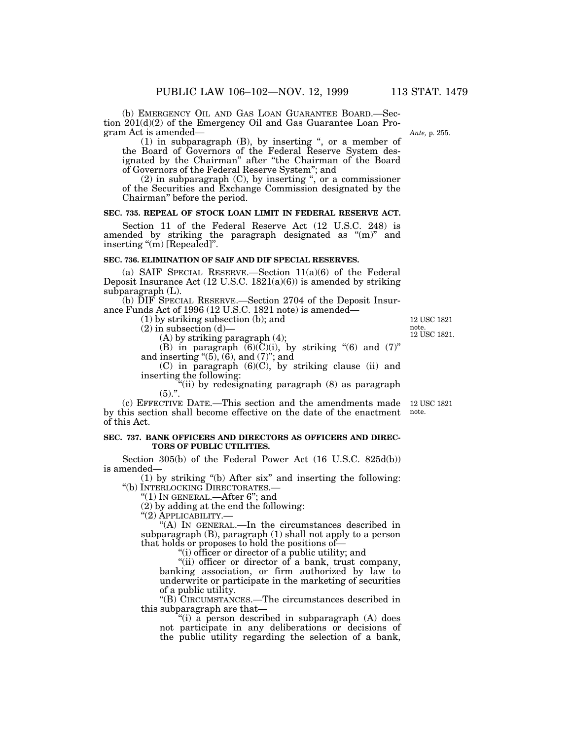(b) EMERGENCY OIL AND GAS LOAN GUARANTEE BOARD.—Section 201(d)(2) of the Emergency Oil and Gas Guarantee Loan Program Act is amended—

(1) in subparagraph (B), by inserting ", or a member of the Board of Governors of the Federal Reserve System designated by the Chairman'' after ''the Chairman of the Board of Governors of the Federal Reserve System''; and

 $(2)$  in subparagraph  $(C)$ , by inserting ", or a commissioner of the Securities and Exchange Commission designated by the Chairman'' before the period.

# **SEC. 735. REPEAL OF STOCK LOAN LIMIT IN FEDERAL RESERVE ACT.**

Section 11 of the Federal Reserve Act (12 U.S.C. 248) is amended by striking the paragraph designated as "(m)" and inserting "(m) [Repealed]".

# **SEC. 736. ELIMINATION OF SAIF AND DIF SPECIAL RESERVES.**

(a) SAIF SPECIAL RESERVE.—Section  $11(a)(6)$  of the Federal Deposit Insurance Act (12 U.S.C. 1821(a)(6)) is amended by striking subparagraph (L).

(b) DIF SPECIAL RESERVE.—Section 2704 of the Deposit Insurance Funds Act of 1996 (12 U.S.C. 1821 note) is amended—

(1) by striking subsection (b); and

 $(2)$  in subsection  $(d)$ —

(A) by striking paragraph (4);

(B) in paragraph  $(6)(\overline{C})(i)$ , by striking "(6) and  $(7)$ " and inserting  $(5)$ ,  $(6)$ , and  $(7)$ "; and

(C) in paragraph (6)(C), by striking clause (ii) and inserting the following:

''(ii) by redesignating paragraph (8) as paragraph  $(5).$ ".

(c) EFFECTIVE DATE.—This section and the amendments made 12 USC 1821 by this section shall become effective on the date of the enactment note. of this Act.

#### **SEC. 737. BANK OFFICERS AND DIRECTORS AS OFFICERS AND DIREC-TORS OF PUBLIC UTILITIES.**

Section 305(b) of the Federal Power Act (16 U.S.C. 825d(b)) is amended—

(1) by striking ''(b) After six'' and inserting the following: ''(b) INTERLOCKING DIRECTORATES.—

''(1) IN GENERAL.—After 6''; and

(2) by adding at the end the following:

''(2) APPLICABILITY.—

''(A) IN GENERAL.—In the circumstances described in subparagraph (B), paragraph (1) shall not apply to a person that holds or proposes to hold the positions of—

''(i) officer or director of a public utility; and

''(ii) officer or director of a bank, trust company, banking association, or firm authorized by law to underwrite or participate in the marketing of securities of a public utility.

''(B) CIRCUMSTANCES.—The circumstances described in this subparagraph are that—

''(i) a person described in subparagraph (A) does not participate in any deliberations or decisions of the public utility regarding the selection of a bank,

12 USC 1821. 12 USC 1821 note.

*Ante,* p. 255.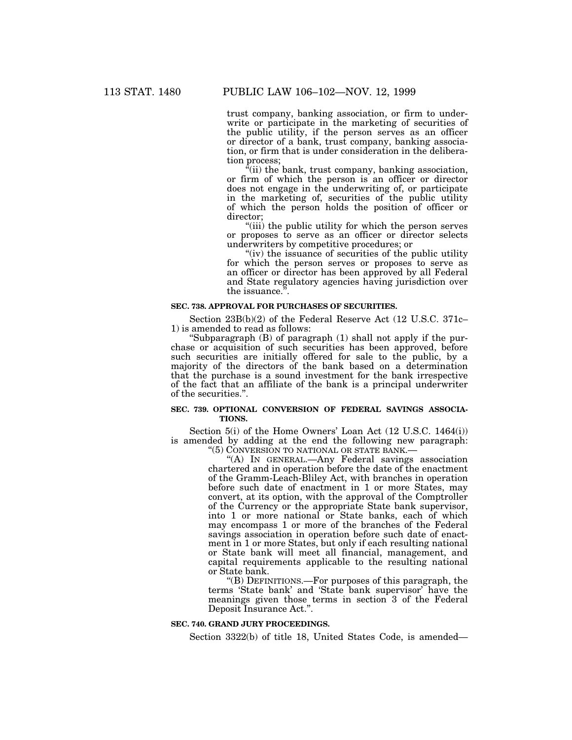trust company, banking association, or firm to underwrite or participate in the marketing of securities of the public utility, if the person serves as an officer or director of a bank, trust company, banking association, or firm that is under consideration in the deliberation process;

''(ii) the bank, trust company, banking association, or firm of which the person is an officer or director does not engage in the underwriting of, or participate in the marketing of, securities of the public utility of which the person holds the position of officer or director;

"(iii) the public utility for which the person serves or proposes to serve as an officer or director selects underwriters by competitive procedures; or

"(iv) the issuance of securities of the public utility" for which the person serves or proposes to serve as an officer or director has been approved by all Federal and State regulatory agencies having jurisdiction over the issuance.''.

#### **SEC. 738. APPROVAL FOR PURCHASES OF SECURITIES.**

Section 23B(b)(2) of the Federal Reserve Act (12 U.S.C. 371c– 1) is amended to read as follows:

''Subparagraph (B) of paragraph (1) shall not apply if the purchase or acquisition of such securities has been approved, before such securities are initially offered for sale to the public, by a majority of the directors of the bank based on a determination that the purchase is a sound investment for the bank irrespective of the fact that an affiliate of the bank is a principal underwriter of the securities.''.

### **SEC. 739. OPTIONAL CONVERSION OF FEDERAL SAVINGS ASSOCIA-TIONS.**

Section 5(i) of the Home Owners' Loan Act (12 U.S.C. 1464(i)) is amended by adding at the end the following new paragraph: ''(5) CONVERSION TO NATIONAL OR STATE BANK.—

''(A) IN GENERAL.—Any Federal savings association chartered and in operation before the date of the enactment of the Gramm-Leach-Bliley Act, with branches in operation before such date of enactment in 1 or more States, may convert, at its option, with the approval of the Comptroller of the Currency or the appropriate State bank supervisor, into 1 or more national or State banks, each of which may encompass 1 or more of the branches of the Federal savings association in operation before such date of enactment in 1 or more States, but only if each resulting national or State bank will meet all financial, management, and capital requirements applicable to the resulting national or State bank.

''(B) DEFINITIONS.—For purposes of this paragraph, the terms 'State bank' and 'State bank supervisor' have the meanings given those terms in section 3 of the Federal Deposit Insurance Act.''.

# **SEC. 740. GRAND JURY PROCEEDINGS.**

Section 3322(b) of title 18, United States Code, is amended—